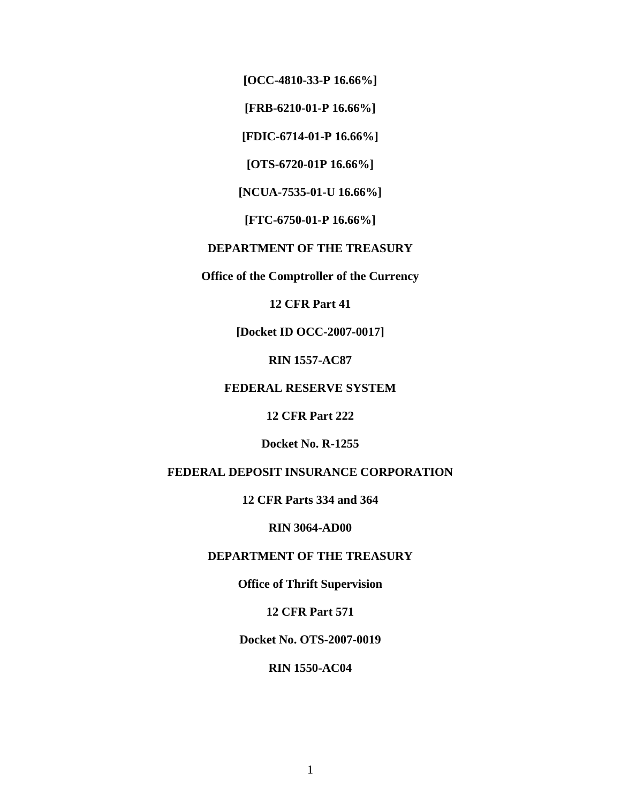**[OCC-4810-33-P 16.66%]** 

**[FRB-6210-01-P 16.66%]** 

**[FDIC-6714-01-P 16.66%]** 

**[OTS-6720-01P 16.66%]** 

**[NCUA-7535-01-U 16.66%]** 

**[FTC-6750-01-P 16.66%]** 

# **DEPARTMENT OF THE TREASURY**

**Office of the Comptroller of the Currency** 

**12 CFR Part 41** 

**[Docket ID OCC-2007-0017]** 

**RIN 1557-AC87** 

# **FEDERAL RESERVE SYSTEM**

**12 CFR Part 222** 

**Docket No. R-1255** 

# **FEDERAL DEPOSIT INSURANCE CORPORATION**

**12 CFR Parts 334 and 364** 

**RIN 3064-AD00** 

# **DEPARTMENT OF THE TREASURY**

**Office of Thrift Supervision** 

**12 CFR Part 571** 

**Docket No. OTS-2007-0019** 

### **RIN 1550-AC04**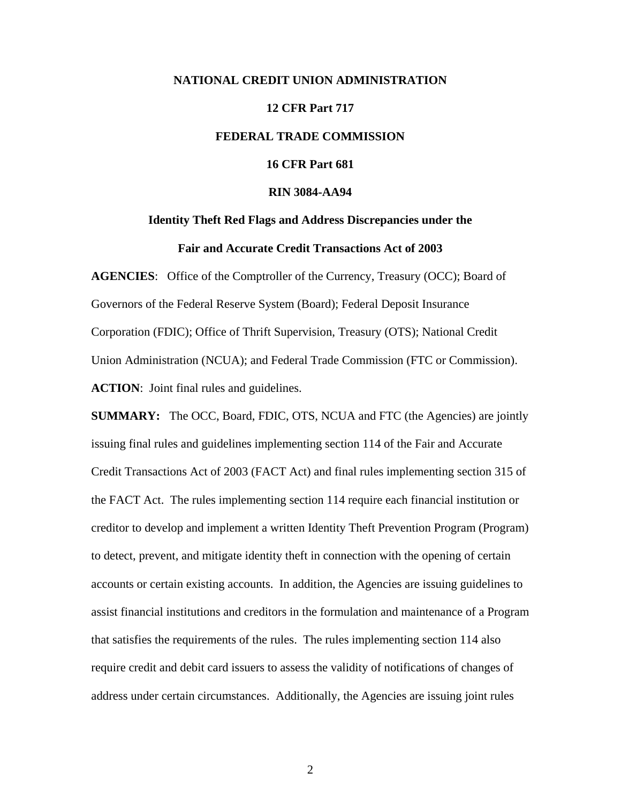# **NATIONAL CREDIT UNION ADMINISTRATION 12 CFR Part 717 FEDERAL TRADE COMMISSION 16 CFR Part 681 RIN 3084-AA94**

# **Identity Theft Red Flags and Address Discrepancies under the**

# **Fair and Accurate Credit Transactions Act of 2003**

**AGENCIES:** Office of the Comptroller of the Currency, Treasury (OCC); Board of Governors of the Federal Reserve System (Board); Federal Deposit Insurance Corporation (FDIC); Office of Thrift Supervision, Treasury (OTS); National Credit Union Administration (NCUA); and Federal Trade Commission (FTC or Commission). **ACTION**: Joint final rules and guidelines.

**SUMMARY:** The OCC, Board, FDIC, OTS, NCUA and FTC (the Agencies) are jointly issuing final rules and guidelines implementing section 114 of the Fair and Accurate Credit Transactions Act of 2003 (FACT Act) and final rules implementing section 315 of the FACT Act. The rules implementing section 114 require each financial institution or creditor to develop and implement a written Identity Theft Prevention Program (Program) to detect, prevent, and mitigate identity theft in connection with the opening of certain accounts or certain existing accounts. In addition, the Agencies are issuing guidelines to assist financial institutions and creditors in the formulation and maintenance of a Program that satisfies the requirements of the rules. The rules implementing section 114 also require credit and debit card issuers to assess the validity of notifications of changes of address under certain circumstances. Additionally, the Agencies are issuing joint rules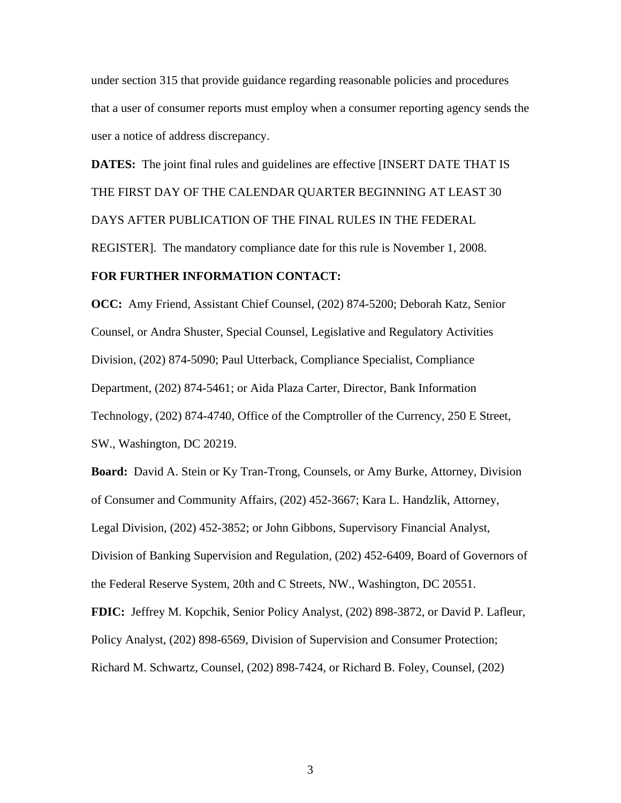under section 315 that provide guidance regarding reasonable policies and procedures that a user of consumer reports must employ when a consumer reporting agency sends the user a notice of address discrepancy.

**DATES:** The joint final rules and guidelines are effective [INSERT DATE THAT IS THE FIRST DAY OF THE CALENDAR QUARTER BEGINNING AT LEAST 30 DAYS AFTER PUBLICATION OF THE FINAL RULES IN THE FEDERAL REGISTER]. The mandatory compliance date for this rule is November 1, 2008.

# **FOR FURTHER INFORMATION CONTACT:**

**OCC:** Amy Friend, Assistant Chief Counsel, (202) 874-5200; Deborah Katz, Senior Counsel, or Andra Shuster, Special Counsel, Legislative and Regulatory Activities Division, (202) 874-5090; Paul Utterback, Compliance Specialist, Compliance Department, (202) 874-5461; or Aida Plaza Carter, Director, Bank Information Technology, (202) 874-4740, Office of the Comptroller of the Currency, 250 E Street, SW., Washington, DC 20219.

**Board:** David A. Stein or Ky Tran-Trong, Counsels, or Amy Burke, Attorney, Division of Consumer and Community Affairs, (202) 452-3667; Kara L. Handzlik, Attorney, Legal Division, (202) 452-3852; or John Gibbons, Supervisory Financial Analyst, Division of Banking Supervision and Regulation, (202) 452-6409, Board of Governors of the Federal Reserve System, 20th and C Streets, NW., Washington, DC 20551. **FDIC:** Jeffrey M. Kopchik, Senior Policy Analyst, (202) 898-3872, or David P. Lafleur, Policy Analyst, (202) 898-6569, Division of Supervision and Consumer Protection; Richard M. Schwartz, Counsel, (202) 898-7424, or Richard B. Foley, Counsel, (202)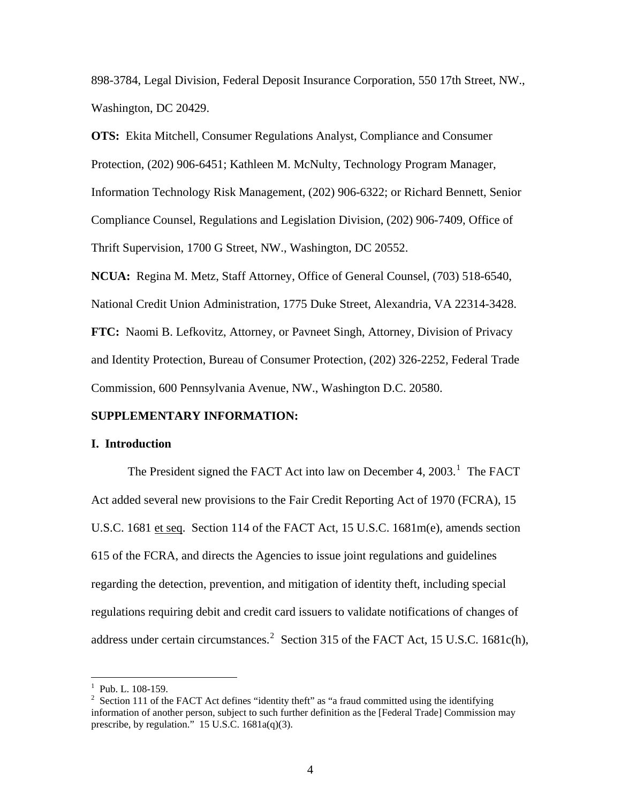898-3784, Legal Division, Federal Deposit Insurance Corporation, 550 17th Street, NW., Washington, DC 20429.

**OTS:** Ekita Mitchell, Consumer Regulations Analyst, Compliance and Consumer Protection, (202) 906-6451; Kathleen M. McNulty, Technology Program Manager, Information Technology Risk Management, (202) 906-6322; or Richard Bennett, Senior Compliance Counsel, Regulations and Legislation Division, (202) 906-7409, Office of Thrift Supervision, 1700 G Street, NW., Washington, DC 20552.

**NCUA:** Regina M. Metz, Staff Attorney, Office of General Counsel, (703) 518-6540, National Credit Union Administration, 1775 Duke Street, Alexandria, VA 22314-3428. **FTC:** Naomi B. Lefkovitz, Attorney, or Pavneet Singh, Attorney, Division of Privacy and Identity Protection, Bureau of Consumer Protection, (202) 326-2252, Federal Trade Commission, 600 Pennsylvania Avenue, NW., Washington D.C. 20580.

#### **SUPPLEMENTARY INFORMATION:**

#### **I. Introduction**

The President signed the FACT Act into law on December 4,  $2003$ <sup>[1](#page-3-0)</sup>. The FACT Act added several new provisions to the Fair Credit Reporting Act of 1970 (FCRA), 15 U.S.C. 1681 et seq. Section 114 of the FACT Act, 15 U.S.C. 1681m(e), amends section 615 of the FCRA, and directs the Agencies to issue joint regulations and guidelines regarding the detection, prevention, and mitigation of identity theft, including special regulations requiring debit and credit card issuers to validate notifications of changes of address under certain circumstances.<sup>[2](#page-3-1)</sup> Section 315 of the FACT Act, 15 U.S.C. 1681c(h),

<span id="page-3-0"></span> $1$  Pub. L. 108-159.

<span id="page-3-1"></span><sup>&</sup>lt;sup>2</sup> Section 111 of the FACT Act defines "identity theft" as "a fraud committed using the identifying information of another person, subject to such further definition as the [Federal Trade] Commission may prescribe, by regulation." 15 U.S.C. 1681a(q)(3).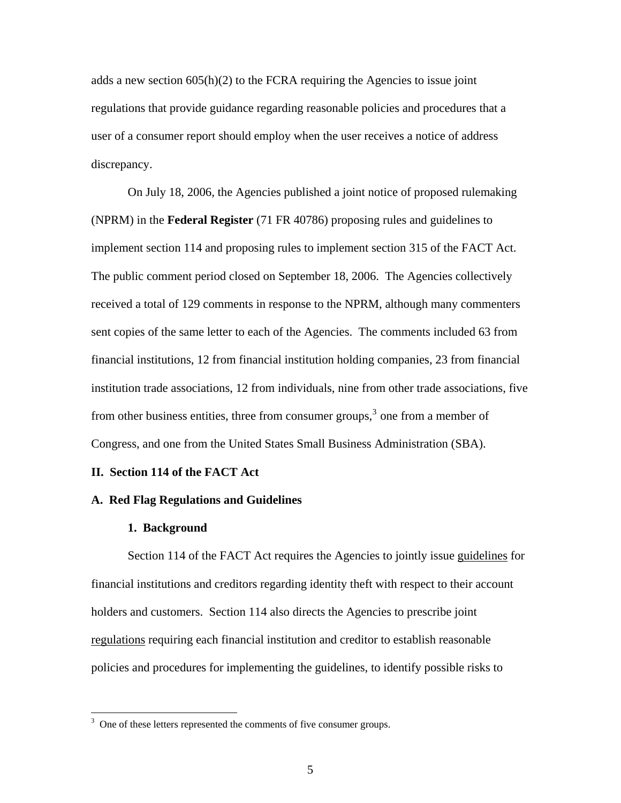adds a new section  $605(h)(2)$  to the FCRA requiring the Agencies to issue joint regulations that provide guidance regarding reasonable policies and procedures that a user of a consumer report should employ when the user receives a notice of address discrepancy.

On July 18, 2006, the Agencies published a joint notice of proposed rulemaking (NPRM) in the **Federal Register** (71 FR 40786) proposing rules and guidelines to implement section 114 and proposing rules to implement section 315 of the FACT Act. The public comment period closed on September 18, 2006. The Agencies collectively received a total of 129 comments in response to the NPRM, although many commenters sent copies of the same letter to each of the Agencies. The comments included 63 from financial institutions, 12 from financial institution holding companies, 23 from financial institution trade associations, 12 from individuals, nine from other trade associations, five from other business entities, three from consumer groups,  $3$  one from a member of Congress, and one from the United States Small Business Administration (SBA).

#### **II. Section 114 of the FACT Act**

#### **A. Red Flag Regulations and Guidelines**

#### **1. Background**

 $\overline{a}$ 

Section 114 of the FACT Act requires the Agencies to jointly issue guidelines for financial institutions and creditors regarding identity theft with respect to their account holders and customers. Section 114 also directs the Agencies to prescribe joint regulations requiring each financial institution and creditor to establish reasonable policies and procedures for implementing the guidelines, to identify possible risks to

<span id="page-4-0"></span> $3$  One of these letters represented the comments of five consumer groups.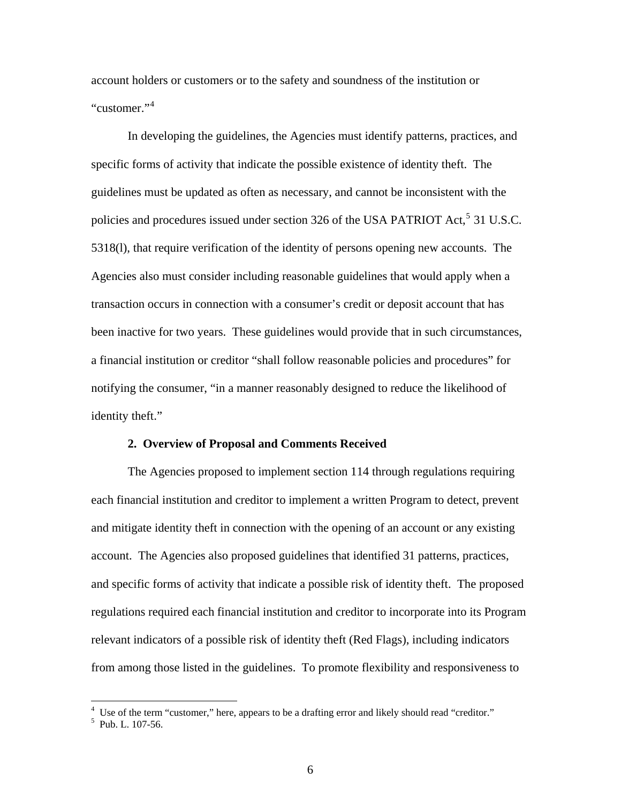account holders or customers or to the safety and soundness of the institution or "customer."[4](#page-5-0)

In developing the guidelines, the Agencies must identify patterns, practices, and specific forms of activity that indicate the possible existence of identity theft. The guidelines must be updated as often as necessary, and cannot be inconsistent with the policies and procedures issued under section 326 of the USA PATRIOT Act,<sup>[5](#page-5-1)</sup> 31 U.S.C. 5318(l), that require verification of the identity of persons opening new accounts. The Agencies also must consider including reasonable guidelines that would apply when a transaction occurs in connection with a consumer's credit or deposit account that has been inactive for two years. These guidelines would provide that in such circumstances, a financial institution or creditor "shall follow reasonable policies and procedures" for notifying the consumer, "in a manner reasonably designed to reduce the likelihood of identity theft."

#### **2. Overview of Proposal and Comments Received**

The Agencies proposed to implement section 114 through regulations requiring each financial institution and creditor to implement a written Program to detect, prevent and mitigate identity theft in connection with the opening of an account or any existing account. The Agencies also proposed guidelines that identified 31 patterns, practices, and specific forms of activity that indicate a possible risk of identity theft. The proposed regulations required each financial institution and creditor to incorporate into its Program relevant indicators of a possible risk of identity theft (Red Flags), including indicators from among those listed in the guidelines. To promote flexibility and responsiveness to

<span id="page-5-0"></span><sup>&</sup>lt;sup>4</sup> Use of the term "customer," here, appears to be a drafting error and likely should read "creditor." <sup>5</sup> Pub. L. 107-56.

<span id="page-5-1"></span>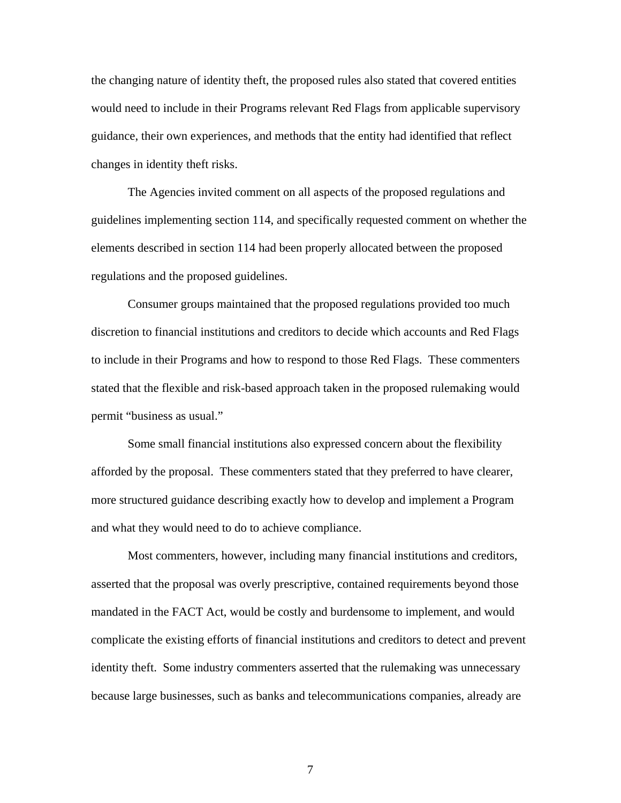the changing nature of identity theft, the proposed rules also stated that covered entities would need to include in their Programs relevant Red Flags from applicable supervisory guidance, their own experiences, and methods that the entity had identified that reflect changes in identity theft risks.

The Agencies invited comment on all aspects of the proposed regulations and guidelines implementing section 114, and specifically requested comment on whether the elements described in section 114 had been properly allocated between the proposed regulations and the proposed guidelines.

Consumer groups maintained that the proposed regulations provided too much discretion to financial institutions and creditors to decide which accounts and Red Flags to include in their Programs and how to respond to those Red Flags. These commenters stated that the flexible and risk-based approach taken in the proposed rulemaking would permit "business as usual."

Some small financial institutions also expressed concern about the flexibility afforded by the proposal. These commenters stated that they preferred to have clearer, more structured guidance describing exactly how to develop and implement a Program and what they would need to do to achieve compliance.

 Most commenters, however, including many financial institutions and creditors, asserted that the proposal was overly prescriptive, contained requirements beyond those mandated in the FACT Act, would be costly and burdensome to implement, and would complicate the existing efforts of financial institutions and creditors to detect and prevent identity theft. Some industry commenters asserted that the rulemaking was unnecessary because large businesses, such as banks and telecommunications companies, already are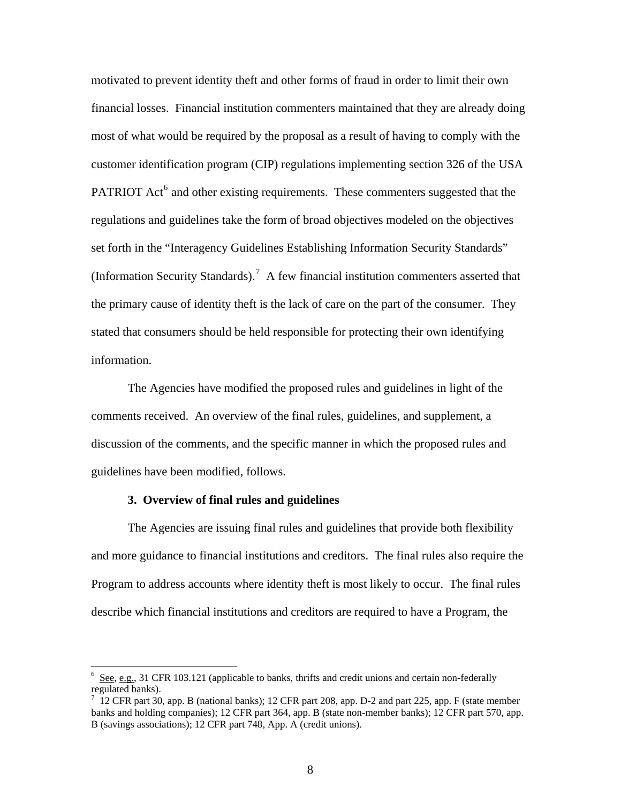motivated to prevent identity theft and other forms of fraud in order to limit their own financial losses. Financial institution commenters maintained that they are already doing most of what would be required by the proposal as a result of having to comply with the customer identification program (CIP) regulations implementing section 326 of the USA PATRIOT Act<sup>[6](#page-7-0)</sup> and other existing requirements. These commenters suggested that the regulations and guidelines take the form of broad objectives modeled on the objectives set forth in the "Interagency Guidelines Establishing Information Security Standards" (Information Security Standards).<sup>[7](#page-7-1)</sup> A few financial institution commenters asserted that the primary cause of identity theft is the lack of care on the part of the consumer. They stated that consumers should be held responsible for protecting their own identifying information.

 The Agencies have modified the proposed rules and guidelines in light of the comments received. An overview of the final rules, guidelines, and supplement, a discussion of the comments, and the specific manner in which the proposed rules and guidelines have been modified, follows.

#### **3. Overview of final rules and guidelines**

 $\overline{a}$ 

 The Agencies are issuing final rules and guidelines that provide both flexibility and more guidance to financial institutions and creditors. The final rules also require the Program to address accounts where identity theft is most likely to occur. The final rules describe which financial institutions and creditors are required to have a Program, the

<span id="page-7-0"></span> $6$  See, e.g., 31 CFR 103.121 (applicable to banks, thrifts and credit unions and certain non-federally regulated banks).

<span id="page-7-1"></span> $7\,$  12 CFR part 30, app. B (national banks); 12 CFR part 208, app. D-2 and part 225, app. F (state member banks and holding companies); 12 CFR part 364, app. B (state non-member banks); 12 CFR part 570, app. B (savings associations); 12 CFR part 748, App. A (credit unions).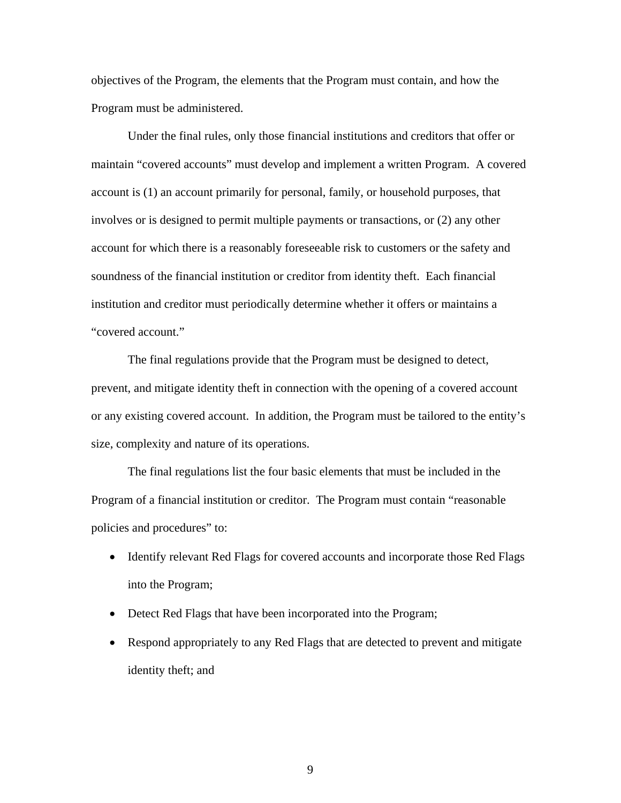objectives of the Program, the elements that the Program must contain, and how the Program must be administered.

 Under the final rules, only those financial institutions and creditors that offer or maintain "covered accounts" must develop and implement a written Program. A covered account is (1) an account primarily for personal, family, or household purposes, that involves or is designed to permit multiple payments or transactions, or (2) any other account for which there is a reasonably foreseeable risk to customers or the safety and soundness of the financial institution or creditor from identity theft. Each financial institution and creditor must periodically determine whether it offers or maintains a "covered account."

 The final regulations provide that the Program must be designed to detect, prevent, and mitigate identity theft in connection with the opening of a covered account or any existing covered account. In addition, the Program must be tailored to the entity's size, complexity and nature of its operations.

 The final regulations list the four basic elements that must be included in the Program of a financial institution or creditor. The Program must contain "reasonable policies and procedures" to:

- Identify relevant Red Flags for covered accounts and incorporate those Red Flags into the Program;
- Detect Red Flags that have been incorporated into the Program;
- Respond appropriately to any Red Flags that are detected to prevent and mitigate identity theft; and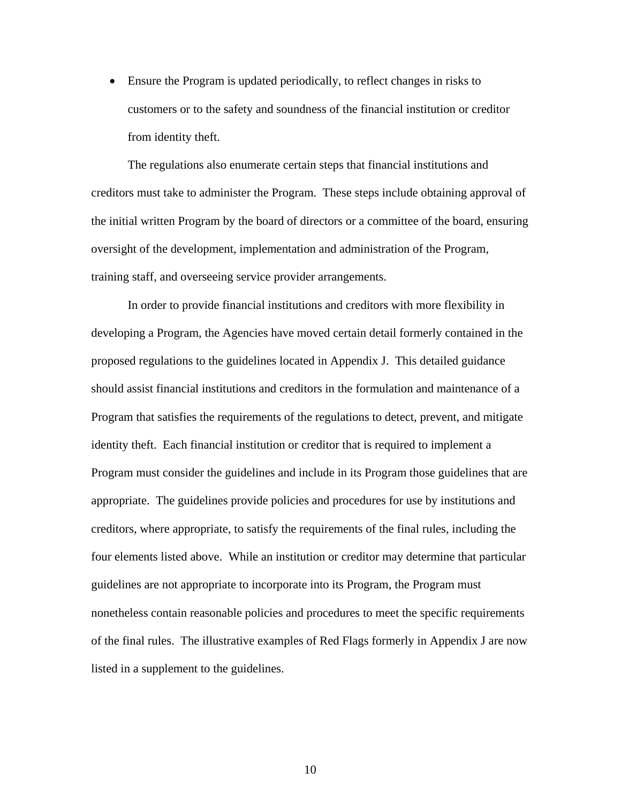• Ensure the Program is updated periodically, to reflect changes in risks to customers or to the safety and soundness of the financial institution or creditor from identity theft.

 The regulations also enumerate certain steps that financial institutions and creditors must take to administer the Program. These steps include obtaining approval of the initial written Program by the board of directors or a committee of the board, ensuring oversight of the development, implementation and administration of the Program, training staff, and overseeing service provider arrangements.

 In order to provide financial institutions and creditors with more flexibility in developing a Program, the Agencies have moved certain detail formerly contained in the proposed regulations to the guidelines located in Appendix J. This detailed guidance should assist financial institutions and creditors in the formulation and maintenance of a Program that satisfies the requirements of the regulations to detect, prevent, and mitigate identity theft. Each financial institution or creditor that is required to implement a Program must consider the guidelines and include in its Program those guidelines that are appropriate. The guidelines provide policies and procedures for use by institutions and creditors, where appropriate, to satisfy the requirements of the final rules, including the four elements listed above. While an institution or creditor may determine that particular guidelines are not appropriate to incorporate into its Program, the Program must nonetheless contain reasonable policies and procedures to meet the specific requirements of the final rules. The illustrative examples of Red Flags formerly in Appendix J are now listed in a supplement to the guidelines.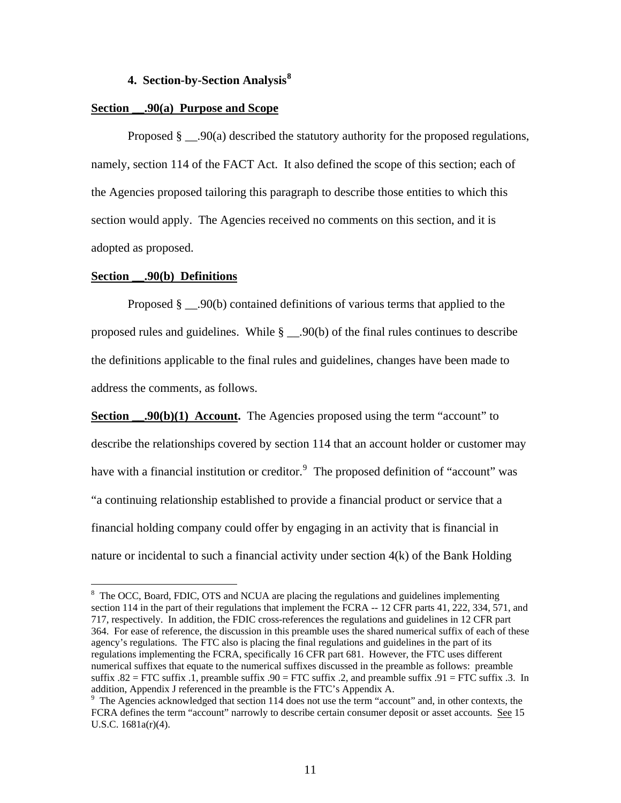# **4. Section-by-Section Analysis[8](#page-10-0)**

#### **Section \_\_.90(a) Purpose and Scope**

Proposed  $\S$  . 90(a) described the statutory authority for the proposed regulations, namely, section 114 of the FACT Act. It also defined the scope of this section; each of the Agencies proposed tailoring this paragraph to describe those entities to which this section would apply. The Agencies received no comments on this section, and it is adopted as proposed.

#### **Section \_\_.90(b) Definitions**

1

Proposed § .90(b) contained definitions of various terms that applied to the proposed rules and guidelines. While  $\S$  \_\_.90(b) of the final rules continues to describe the definitions applicable to the final rules and guidelines, changes have been made to address the comments, as follows.

**Section ...**90(b)(1) **Account.** The Agencies proposed using the term "account" to describe the relationships covered by section 114 that an account holder or customer may have with a financial institution or creditor.<sup>[9](#page-10-1)</sup> The proposed definition of "account" was "a continuing relationship established to provide a financial product or service that a financial holding company could offer by engaging in an activity that is financial in nature or incidental to such a financial activity under section 4(k) of the Bank Holding

<span id="page-10-0"></span><sup>&</sup>lt;sup>8</sup> The OCC, Board, FDIC, OTS and NCUA are placing the regulations and guidelines implementing section 114 in the part of their regulations that implement the FCRA -- 12 CFR parts 41, 222, 334, 571, and 717, respectively. In addition, the FDIC cross-references the regulations and guidelines in 12 CFR part 364. For ease of reference, the discussion in this preamble uses the shared numerical suffix of each of these agency's regulations. The FTC also is placing the final regulations and guidelines in the part of its regulations implementing the FCRA, specifically 16 CFR part 681. However, the FTC uses different numerical suffixes that equate to the numerical suffixes discussed in the preamble as follows: preamble suffix . $82 =$  FTC suffix .1, preamble suffix .90 = FTC suffix .2, and preamble suffix .91 = FTC suffix .3. In addition, Appendix J referenced in the preamble is the FTC's Appendix A.

<span id="page-10-1"></span><sup>&</sup>lt;sup>9</sup> The Agencies acknowledged that section 114 does not use the term "account" and, in other contexts, the FCRA defines the term "account" narrowly to describe certain consumer deposit or asset accounts. See 15 U.S.C. 1681a(r)(4).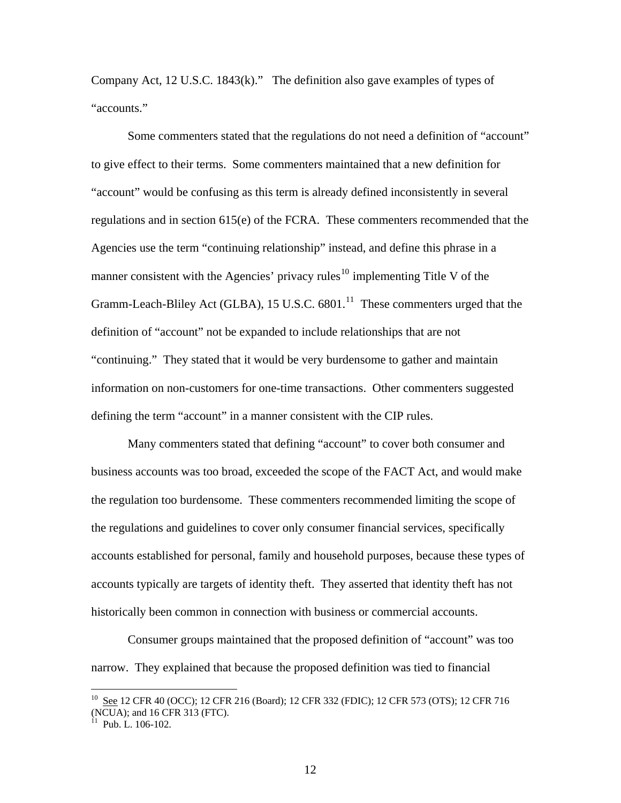Company Act, 12 U.S.C. 1843(k)." The definition also gave examples of types of "accounts."

 Some commenters stated that the regulations do not need a definition of "account" to give effect to their terms. Some commenters maintained that a new definition for "account" would be confusing as this term is already defined inconsistently in several regulations and in section 615(e) of the FCRA. These commenters recommended that the Agencies use the term "continuing relationship" instead, and define this phrase in a manner consistent with the Agencies' privacy rules<sup>[10](#page-11-0)</sup> implementing Title V of the Gramm-Leach-Bliley Act (GLBA), 15 U.S.C.  $6801$ <sup>[11](#page-11-1)</sup>. These commenters urged that the definition of "account" not be expanded to include relationships that are not "continuing." They stated that it would be very burdensome to gather and maintain information on non-customers for one-time transactions. Other commenters suggested defining the term "account" in a manner consistent with the CIP rules.

 Many commenters stated that defining "account" to cover both consumer and business accounts was too broad, exceeded the scope of the FACT Act, and would make the regulation too burdensome. These commenters recommended limiting the scope of the regulations and guidelines to cover only consumer financial services, specifically accounts established for personal, family and household purposes, because these types of accounts typically are targets of identity theft. They asserted that identity theft has not historically been common in connection with business or commercial accounts.

 Consumer groups maintained that the proposed definition of "account" was too narrow. They explained that because the proposed definition was tied to financial

<span id="page-11-0"></span><sup>&</sup>lt;sup>10</sup> See 12 CFR 40 (OCC); 12 CFR 216 (Board); 12 CFR 332 (FDIC); 12 CFR 573 (OTS); 12 CFR 716 (NCUA); and 16 CFR 313 (FTC).

<span id="page-11-1"></span> $1$  Pub. L. 106-102.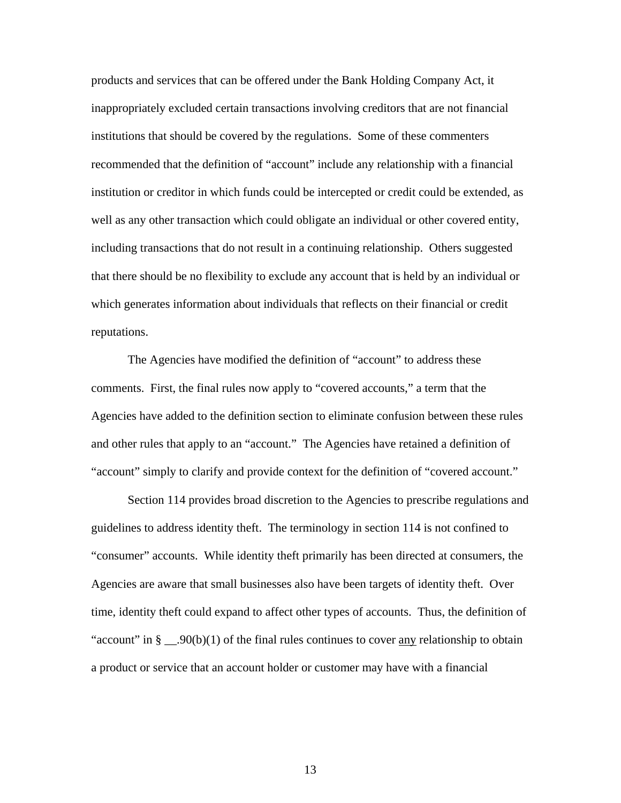products and services that can be offered under the Bank Holding Company Act, it inappropriately excluded certain transactions involving creditors that are not financial institutions that should be covered by the regulations. Some of these commenters recommended that the definition of "account" include any relationship with a financial institution or creditor in which funds could be intercepted or credit could be extended, as well as any other transaction which could obligate an individual or other covered entity, including transactions that do not result in a continuing relationship. Others suggested that there should be no flexibility to exclude any account that is held by an individual or which generates information about individuals that reflects on their financial or credit reputations.

 The Agencies have modified the definition of "account" to address these comments. First, the final rules now apply to "covered accounts," a term that the Agencies have added to the definition section to eliminate confusion between these rules and other rules that apply to an "account." The Agencies have retained a definition of "account" simply to clarify and provide context for the definition of "covered account."

 Section 114 provides broad discretion to the Agencies to prescribe regulations and guidelines to address identity theft. The terminology in section 114 is not confined to "consumer" accounts. While identity theft primarily has been directed at consumers, the Agencies are aware that small businesses also have been targets of identity theft. Over time, identity theft could expand to affect other types of accounts. Thus, the definition of "account" in  $\S$  \_\_.90(b)(1) of the final rules continues to cover <u>any</u> relationship to obtain a product or service that an account holder or customer may have with a financial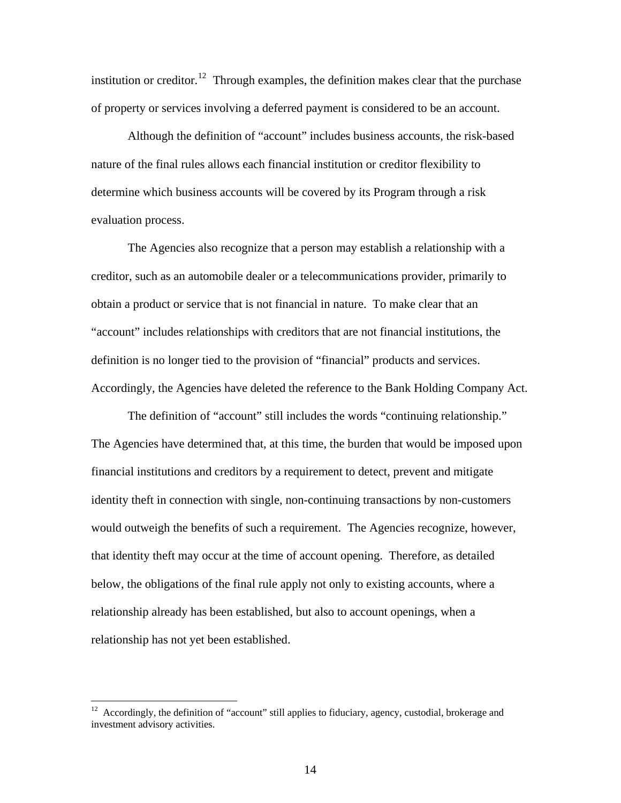institution or creditor.<sup>[12](#page-13-0)</sup> Through examples, the definition makes clear that the purchase of property or services involving a deferred payment is considered to be an account.

 Although the definition of "account" includes business accounts, the risk-based nature of the final rules allows each financial institution or creditor flexibility to determine which business accounts will be covered by its Program through a risk evaluation process.

 The Agencies also recognize that a person may establish a relationship with a creditor, such as an automobile dealer or a telecommunications provider, primarily to obtain a product or service that is not financial in nature. To make clear that an "account" includes relationships with creditors that are not financial institutions, the definition is no longer tied to the provision of "financial" products and services. Accordingly, the Agencies have deleted the reference to the Bank Holding Company Act.

 The definition of "account" still includes the words "continuing relationship." The Agencies have determined that, at this time, the burden that would be imposed upon financial institutions and creditors by a requirement to detect, prevent and mitigate identity theft in connection with single, non-continuing transactions by non-customers would outweigh the benefits of such a requirement. The Agencies recognize, however, that identity theft may occur at the time of account opening. Therefore, as detailed below, the obligations of the final rule apply not only to existing accounts, where a relationship already has been established, but also to account openings, when a relationship has not yet been established.

<span id="page-13-0"></span> $12$  Accordingly, the definition of "account" still applies to fiduciary, agency, custodial, brokerage and investment advisory activities.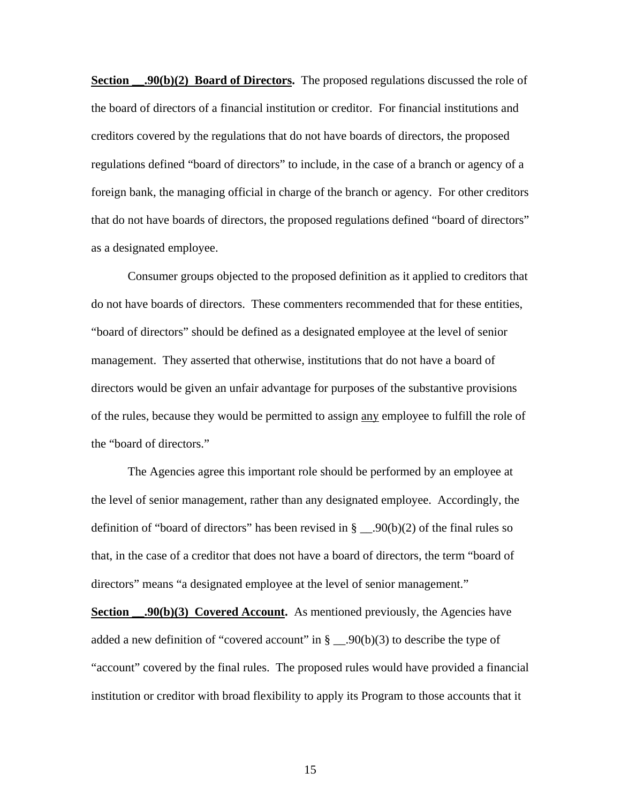**Section .90(b)(2) Board of Directors.** The proposed regulations discussed the role of the board of directors of a financial institution or creditor. For financial institutions and creditors covered by the regulations that do not have boards of directors, the proposed regulations defined "board of directors" to include, in the case of a branch or agency of a foreign bank, the managing official in charge of the branch or agency. For other creditors that do not have boards of directors, the proposed regulations defined "board of directors" as a designated employee.

 Consumer groups objected to the proposed definition as it applied to creditors that do not have boards of directors. These commenters recommended that for these entities, "board of directors" should be defined as a designated employee at the level of senior management. They asserted that otherwise, institutions that do not have a board of directors would be given an unfair advantage for purposes of the substantive provisions of the rules, because they would be permitted to assign any employee to fulfill the role of the "board of directors."

 The Agencies agree this important role should be performed by an employee at the level of senior management, rather than any designated employee. Accordingly, the definition of "board of directors" has been revised in § \_\_.90(b)(2) of the final rules so that, in the case of a creditor that does not have a board of directors, the term "board of directors" means "a designated employee at the level of senior management."

**Section .90(b)(3) Covered Account.** As mentioned previously, the Agencies have added a new definition of "covered account" in  $\S$  \_\_.90(b)(3) to describe the type of "account" covered by the final rules. The proposed rules would have provided a financial institution or creditor with broad flexibility to apply its Program to those accounts that it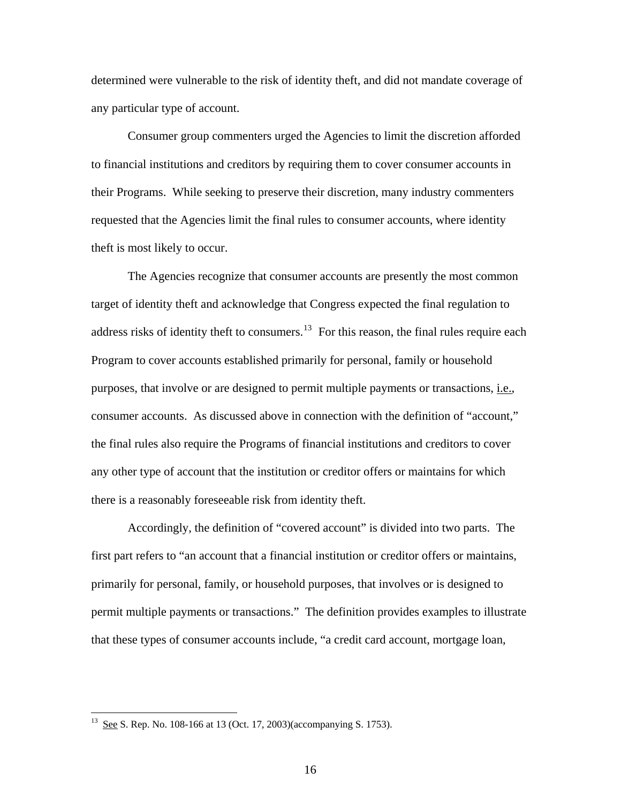determined were vulnerable to the risk of identity theft, and did not mandate coverage of any particular type of account.

 Consumer group commenters urged the Agencies to limit the discretion afforded to financial institutions and creditors by requiring them to cover consumer accounts in their Programs. While seeking to preserve their discretion, many industry commenters requested that the Agencies limit the final rules to consumer accounts, where identity theft is most likely to occur.

 The Agencies recognize that consumer accounts are presently the most common target of identity theft and acknowledge that Congress expected the final regulation to address risks of identity theft to consumers.<sup>[13](#page-15-0)</sup> For this reason, the final rules require each Program to cover accounts established primarily for personal, family or household purposes, that involve or are designed to permit multiple payments or transactions, *i.e.*, consumer accounts. As discussed above in connection with the definition of "account," the final rules also require the Programs of financial institutions and creditors to cover any other type of account that the institution or creditor offers or maintains for which there is a reasonably foreseeable risk from identity theft.

 Accordingly, the definition of "covered account" is divided into two parts. The first part refers to "an account that a financial institution or creditor offers or maintains, primarily for personal, family, or household purposes, that involves or is designed to permit multiple payments or transactions." The definition provides examples to illustrate that these types of consumer accounts include, "a credit card account, mortgage loan,

<u>.</u>

<span id="page-15-0"></span> $13 \text{ See } S$ . Rep. No. 108-166 at 13 (Oct. 17, 2003)(accompanying S. 1753).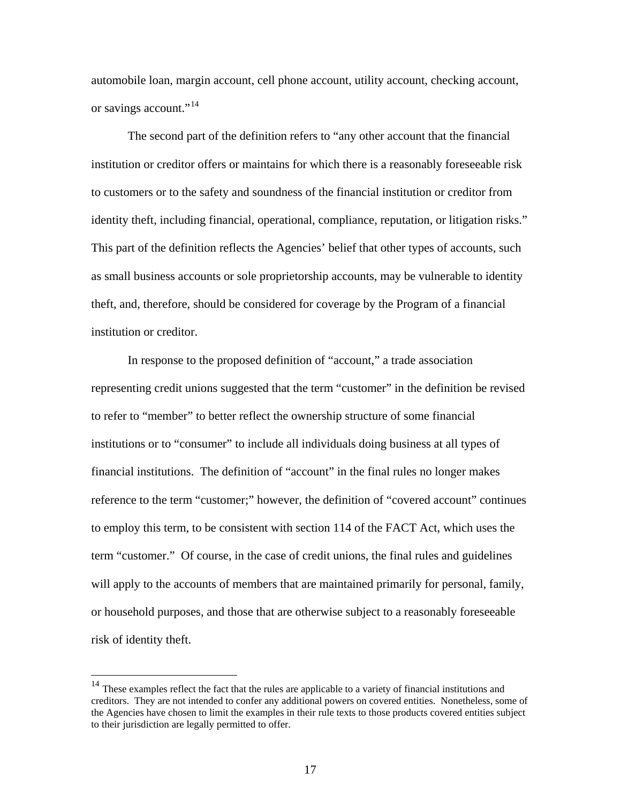automobile loan, margin account, cell phone account, utility account, checking account, or savings account."<sup>[14](#page-16-0)</sup>

 The second part of the definition refers to "any other account that the financial institution or creditor offers or maintains for which there is a reasonably foreseeable risk to customers or to the safety and soundness of the financial institution or creditor from identity theft, including financial, operational, compliance, reputation, or litigation risks." This part of the definition reflects the Agencies' belief that other types of accounts, such as small business accounts or sole proprietorship accounts, may be vulnerable to identity theft, and, therefore, should be considered for coverage by the Program of a financial institution or creditor.

 In response to the proposed definition of "account," a trade association representing credit unions suggested that the term "customer" in the definition be revised to refer to "member" to better reflect the ownership structure of some financial institutions or to "consumer" to include all individuals doing business at all types of financial institutions. The definition of "account" in the final rules no longer makes reference to the term "customer;" however, the definition of "covered account" continues to employ this term, to be consistent with section 114 of the FACT Act, which uses the term "customer." Of course, in the case of credit unions, the final rules and guidelines will apply to the accounts of members that are maintained primarily for personal, family, or household purposes, and those that are otherwise subject to a reasonably foreseeable risk of identity theft.

<span id="page-16-0"></span> $14$  These examples reflect the fact that the rules are applicable to a variety of financial institutions and creditors. They are not intended to confer any additional powers on covered entities. Nonetheless, some of the Agencies have chosen to limit the examples in their rule texts to those products covered entities subject to their jurisdiction are legally permitted to offer.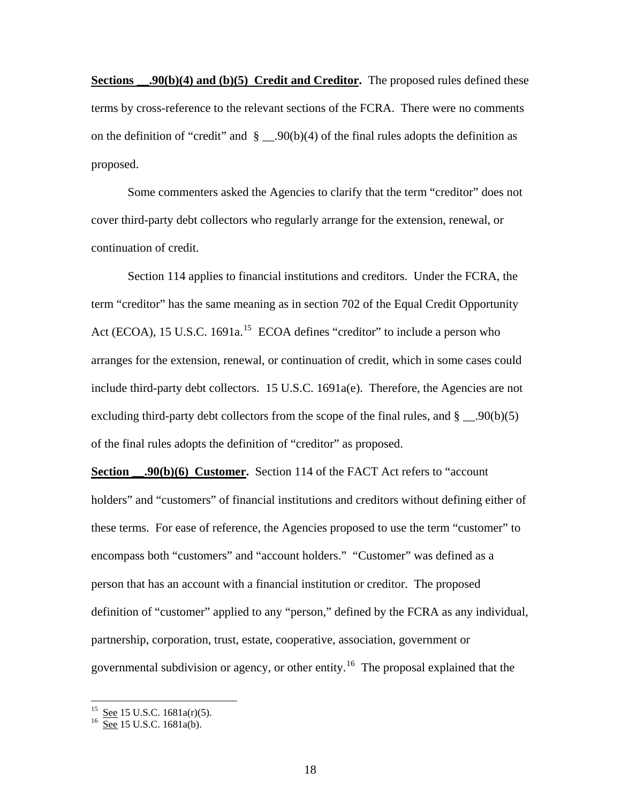**Sections ...20(b)(4) and (b)(5) Credit and Creditor.** The proposed rules defined these terms by cross-reference to the relevant sections of the FCRA. There were no comments on the definition of "credit" and  $\S$  \_\_.90(b)(4) of the final rules adopts the definition as proposed.

 Some commenters asked the Agencies to clarify that the term "creditor" does not cover third-party debt collectors who regularly arrange for the extension, renewal, or continuation of credit.

 Section 114 applies to financial institutions and creditors. Under the FCRA, the term "creditor" has the same meaning as in section 702 of the Equal Credit Opportunity Act (ECOA), [15](#page-17-0) U.S.C. 1691a.<sup>15</sup> ECOA defines "creditor" to include a person who arranges for the extension, renewal, or continuation of credit, which in some cases could include third-party debt collectors. 15 U.S.C.  $1691a(e)$ . Therefore, the Agencies are not excluding third-party debt collectors from the scope of the final rules, and  $\S$  \_\_.90(b)(5) of the final rules adopts the definition of "creditor" as proposed.

**Section .90(b)(6) Customer.** Section 114 of the FACT Act refers to "account holders" and "customers" of financial institutions and creditors without defining either of these terms. For ease of reference, the Agencies proposed to use the term "customer" to encompass both "customers" and "account holders." "Customer" was defined as a person that has an account with a financial institution or creditor. The proposed definition of "customer" applied to any "person," defined by the FCRA as any individual, partnership, corporation, trust, estate, cooperative, association, government or governmental subdivision or agency, or other entity.<sup>[16](#page-17-1)</sup> The proposal explained that the

<span id="page-17-1"></span><span id="page-17-0"></span> $^{15}$  See 15 U.S.C. 1681a(r)(5).<br><sup>16</sup> See 15 U.S.C. 1681a(b).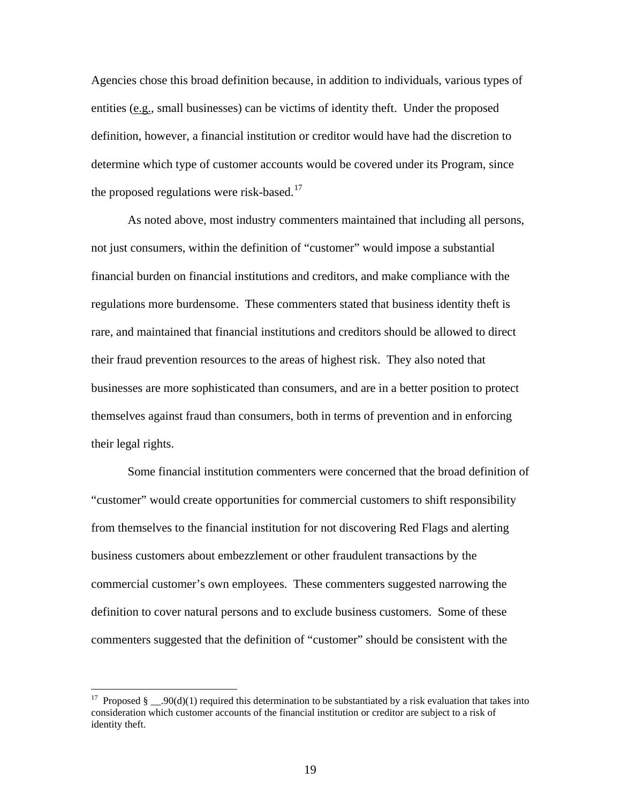Agencies chose this broad definition because, in addition to individuals, various types of entities (e.g., small businesses) can be victims of identity theft. Under the proposed definition, however, a financial institution or creditor would have had the discretion to determine which type of customer accounts would be covered under its Program, since the proposed regulations were risk-based.<sup>[17](#page-18-0)</sup>

 As noted above, most industry commenters maintained that including all persons, not just consumers, within the definition of "customer" would impose a substantial financial burden on financial institutions and creditors, and make compliance with the regulations more burdensome. These commenters stated that business identity theft is rare, and maintained that financial institutions and creditors should be allowed to direct their fraud prevention resources to the areas of highest risk. They also noted that businesses are more sophisticated than consumers, and are in a better position to protect themselves against fraud than consumers, both in terms of prevention and in enforcing their legal rights.

 Some financial institution commenters were concerned that the broad definition of "customer" would create opportunities for commercial customers to shift responsibility from themselves to the financial institution for not discovering Red Flags and alerting business customers about embezzlement or other fraudulent transactions by the commercial customer's own employees. These commenters suggested narrowing the definition to cover natural persons and to exclude business customers. Some of these commenters suggested that the definition of "customer" should be consistent with the

<span id="page-18-0"></span><sup>&</sup>lt;sup>17</sup> Proposed § \_\_.90(d)(1) required this determination to be substantiated by a risk evaluation that takes into consideration which customer accounts of the financial institution or creditor are subject to a risk of identity theft.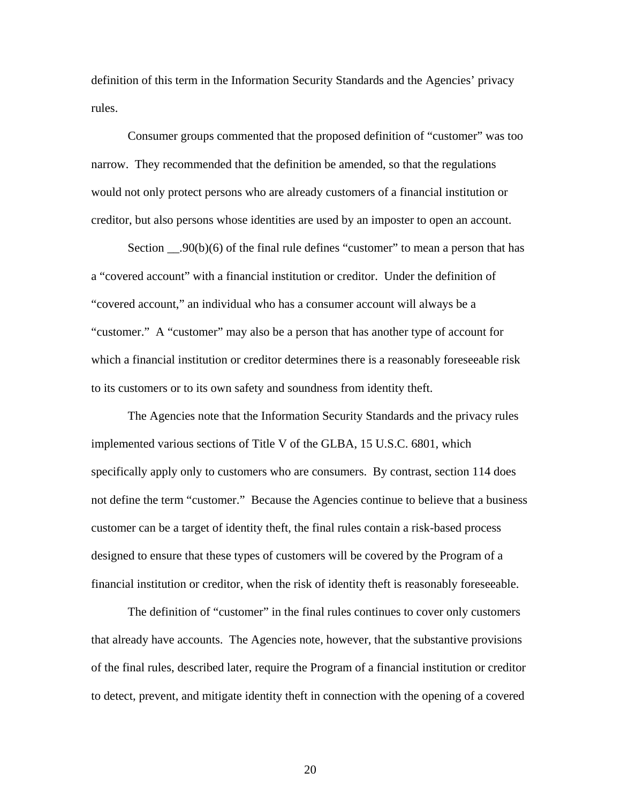definition of this term in the Information Security Standards and the Agencies' privacy rules.

 Consumer groups commented that the proposed definition of "customer" was too narrow. They recommended that the definition be amended, so that the regulations would not only protect persons who are already customers of a financial institution or creditor, but also persons whose identities are used by an imposter to open an account.

Section  $\Box$ .90(b)(6) of the final rule defines "customer" to mean a person that has a "covered account" with a financial institution or creditor. Under the definition of "covered account," an individual who has a consumer account will always be a "customer." A "customer" may also be a person that has another type of account for which a financial institution or creditor determines there is a reasonably foreseeable risk to its customers or to its own safety and soundness from identity theft.

 The Agencies note that the Information Security Standards and the privacy rules implemented various sections of Title V of the GLBA, 15 U.S.C. 6801, which specifically apply only to customers who are consumers. By contrast, section 114 does not define the term "customer." Because the Agencies continue to believe that a business customer can be a target of identity theft, the final rules contain a risk-based process designed to ensure that these types of customers will be covered by the Program of a financial institution or creditor, when the risk of identity theft is reasonably foreseeable.

 The definition of "customer" in the final rules continues to cover only customers that already have accounts. The Agencies note, however, that the substantive provisions of the final rules, described later, require the Program of a financial institution or creditor to detect, prevent, and mitigate identity theft in connection with the opening of a covered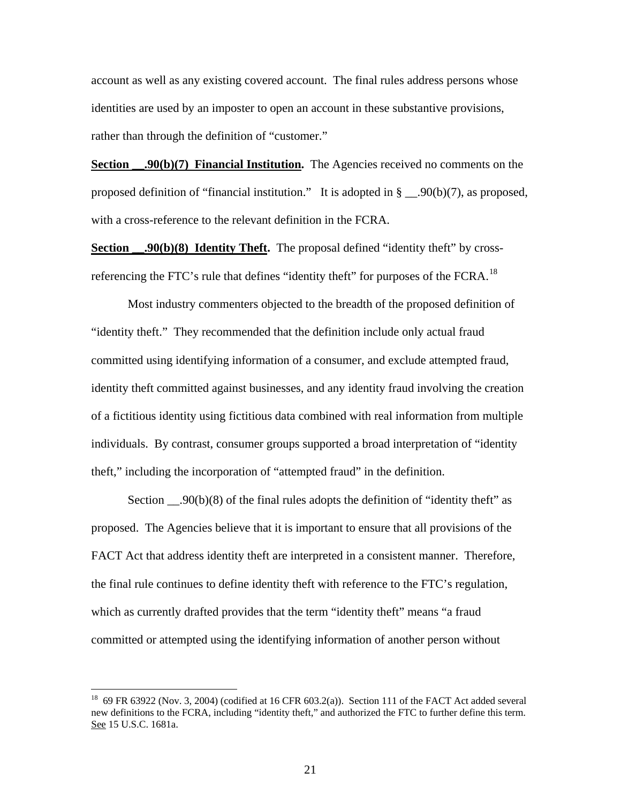account as well as any existing covered account. The final rules address persons whose identities are used by an imposter to open an account in these substantive provisions, rather than through the definition of "customer."

**Section .90(b)(7) Financial Institution.** The Agencies received no comments on the proposed definition of "financial institution." It is adopted in § \_\_.90(b)(7), as proposed, with a cross-reference to the relevant definition in the FCRA.

**Section .90(b)(8) Identity Theft.** The proposal defined "identity theft" by cross-referencing the FTC's rule that defines "identity theft" for purposes of the FCRA.<sup>[18](#page-20-0)</sup>

 Most industry commenters objected to the breadth of the proposed definition of "identity theft." They recommended that the definition include only actual fraud committed using identifying information of a consumer, and exclude attempted fraud, identity theft committed against businesses, and any identity fraud involving the creation of a fictitious identity using fictitious data combined with real information from multiple individuals. By contrast, consumer groups supported a broad interpretation of "identity theft," including the incorporation of "attempted fraud" in the definition.

Section  $\Box$ .90(b)(8) of the final rules adopts the definition of "identity theft" as proposed. The Agencies believe that it is important to ensure that all provisions of the FACT Act that address identity theft are interpreted in a consistent manner. Therefore, the final rule continues to define identity theft with reference to the FTC's regulation, which as currently drafted provides that the term "identity theft" means "a fraud committed or attempted using the identifying information of another person without

<span id="page-20-0"></span><sup>&</sup>lt;sup>18</sup> 69 FR 63922 (Nov. 3, 2004) (codified at 16 CFR 603.2(a)). Section 111 of the FACT Act added several new definitions to the FCRA, including "identity theft," and authorized the FTC to further define this term. See 15 U.S.C. 1681a.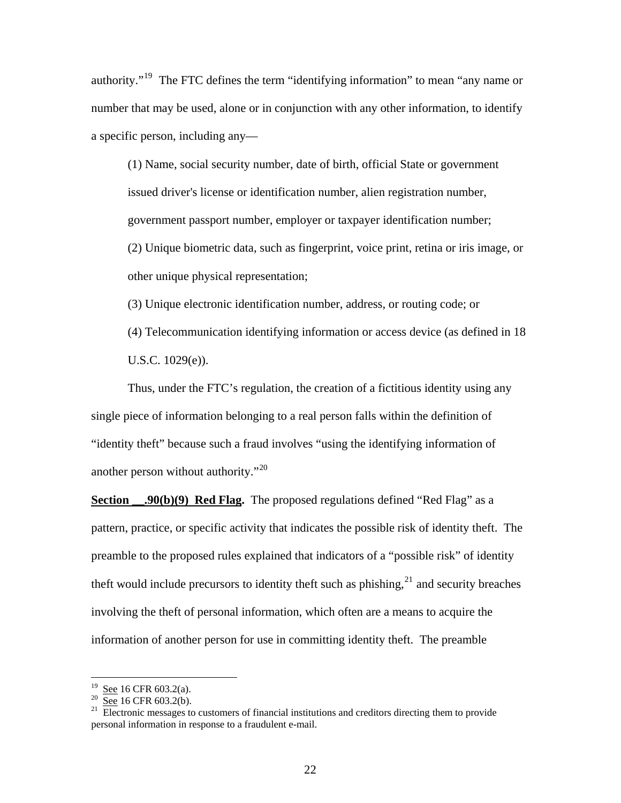authority."[19](#page-21-0) The FTC defines the term "identifying information" to mean "any name or number that may be used, alone or in conjunction with any other information, to identify a specific person, including any—

(1) Name, social security number, date of birth, official State or government issued driver's license or identification number, alien registration number, government passport number, employer or taxpayer identification number; (2) Unique biometric data, such as fingerprint, voice print, retina or iris image, or other unique physical representation;

(3) Unique electronic identification number, address, or routing code; or

(4) Telecommunication identifying information or access device (as defined in 18 U.S.C. 1029(e)).

 Thus, under the FTC's regulation, the creation of a fictitious identity using any single piece of information belonging to a real person falls within the definition of "identity theft" because such a fraud involves "using the identifying information of another person without authority."<sup>[20](#page-21-1)</sup>

**Section** \_\_\_.90(b)(9) **Red Flag.** The proposed regulations defined "Red Flag" as a pattern, practice, or specific activity that indicates the possible risk of identity theft. The preamble to the proposed rules explained that indicators of a "possible risk" of identity theft would include precursors to identity theft such as phishing, $^{21}$  $^{21}$  $^{21}$  and security breaches involving the theft of personal information, which often are a means to acquire the information of another person for use in committing identity theft. The preamble

<span id="page-21-2"></span>

<span id="page-21-1"></span><span id="page-21-0"></span><sup>&</sup>lt;sup>19</sup> See 16 CFR 603.2(a).<br><sup>20</sup> <u>See</u> 16 CFR 603.2(b).<br><sup>21</sup> Electronic messages to customers of financial institutions and creditors directing them to provide personal information in response to a fraudulent e-mail.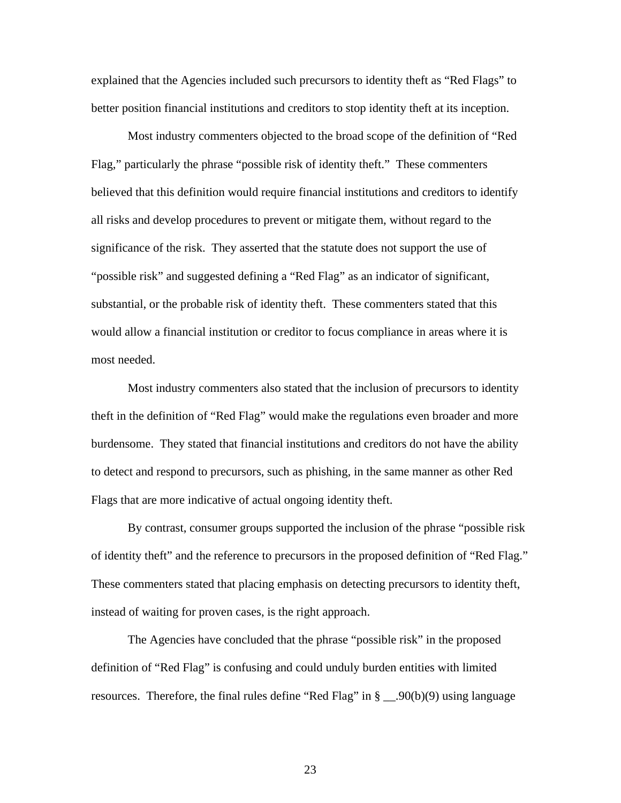explained that the Agencies included such precursors to identity theft as "Red Flags" to better position financial institutions and creditors to stop identity theft at its inception.

Most industry commenters objected to the broad scope of the definition of "Red Flag," particularly the phrase "possible risk of identity theft." These commenters believed that this definition would require financial institutions and creditors to identify all risks and develop procedures to prevent or mitigate them, without regard to the significance of the risk. They asserted that the statute does not support the use of "possible risk" and suggested defining a "Red Flag" as an indicator of significant, substantial, or the probable risk of identity theft. These commenters stated that this would allow a financial institution or creditor to focus compliance in areas where it is most needed.

Most industry commenters also stated that the inclusion of precursors to identity theft in the definition of "Red Flag" would make the regulations even broader and more burdensome. They stated that financial institutions and creditors do not have the ability to detect and respond to precursors, such as phishing, in the same manner as other Red Flags that are more indicative of actual ongoing identity theft.

By contrast, consumer groups supported the inclusion of the phrase "possible risk of identity theft" and the reference to precursors in the proposed definition of "Red Flag." These commenters stated that placing emphasis on detecting precursors to identity theft, instead of waiting for proven cases, is the right approach.

The Agencies have concluded that the phrase "possible risk" in the proposed definition of "Red Flag" is confusing and could unduly burden entities with limited resources. Therefore, the final rules define "Red Flag" in  $\S$  \_\_.90(b)(9) using language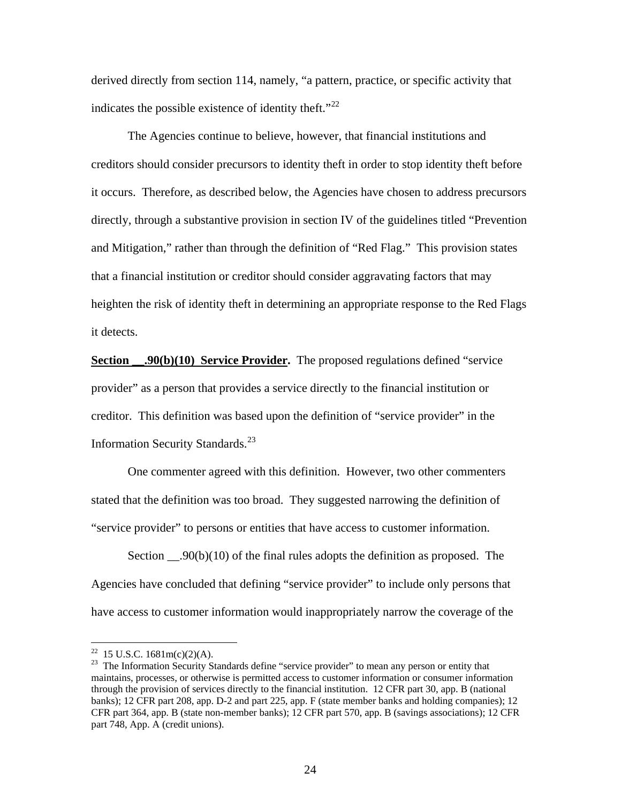derived directly from section 114, namely, "a pattern, practice, or specific activity that indicates the possible existence of identity theft."<sup>[22](#page-23-0)</sup>

The Agencies continue to believe, however, that financial institutions and creditors should consider precursors to identity theft in order to stop identity theft before it occurs. Therefore, as described below, the Agencies have chosen to address precursors directly, through a substantive provision in section IV of the guidelines titled "Prevention and Mitigation," rather than through the definition of "Red Flag." This provision states that a financial institution or creditor should consider aggravating factors that may heighten the risk of identity theft in determining an appropriate response to the Red Flags it detects.

**Section .90(b)(10) Service Provider.** The proposed regulations defined "service provider" as a person that provides a service directly to the financial institution or creditor. This definition was based upon the definition of "service provider" in the Information Security Standards.<sup>[23](#page-23-1)</sup>

One commenter agreed with this definition. However, two other commenters stated that the definition was too broad. They suggested narrowing the definition of "service provider" to persons or entities that have access to customer information.

Section  $\_\_90(b)(10)$  of the final rules adopts the definition as proposed. The Agencies have concluded that defining "service provider" to include only persons that have access to customer information would inappropriately narrow the coverage of the

<sup>&</sup>lt;sup>22</sup> 15 U.S.C. 1681m(c)(2)(A).

<span id="page-23-1"></span><span id="page-23-0"></span><sup>&</sup>lt;sup>23</sup> The Information Security Standards define "service provider" to mean any person or entity that maintains, processes, or otherwise is permitted access to customer information or consumer information through the provision of services directly to the financial institution. 12 CFR part 30, app. B (national banks); 12 CFR part 208, app. D-2 and part 225, app. F (state member banks and holding companies); 12 CFR part 364, app. B (state non-member banks); 12 CFR part 570, app. B (savings associations); 12 CFR part 748, App. A (credit unions).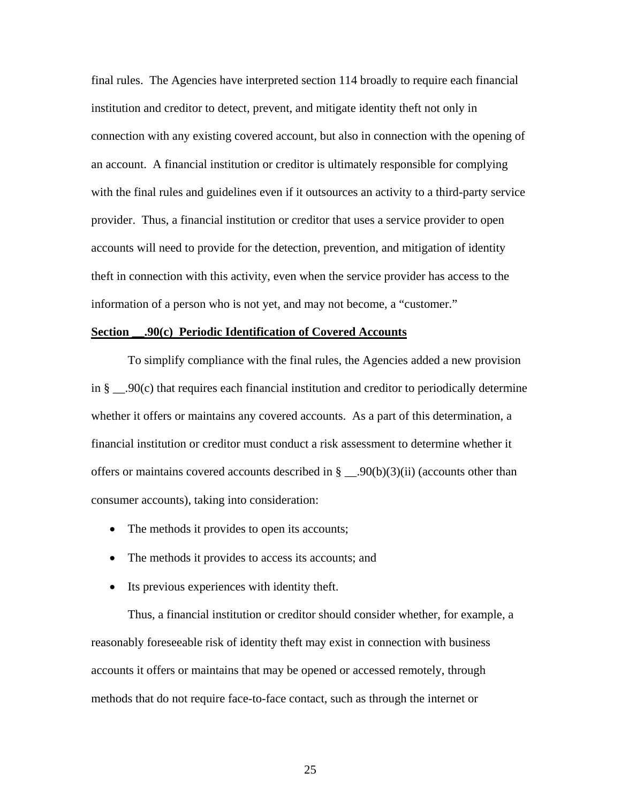final rules. The Agencies have interpreted section 114 broadly to require each financial institution and creditor to detect, prevent, and mitigate identity theft not only in connection with any existing covered account, but also in connection with the opening of an account. A financial institution or creditor is ultimately responsible for complying with the final rules and guidelines even if it outsources an activity to a third-party service provider. Thus, a financial institution or creditor that uses a service provider to open accounts will need to provide for the detection, prevention, and mitigation of identity theft in connection with this activity, even when the service provider has access to the information of a person who is not yet, and may not become, a "customer."

# **Section \_\_.90(c) Periodic Identification of Covered Accounts**

 To simplify compliance with the final rules, the Agencies added a new provision in  $\S$   $\Box$ 90(c) that requires each financial institution and creditor to periodically determine whether it offers or maintains any covered accounts. As a part of this determination, a financial institution or creditor must conduct a risk assessment to determine whether it offers or maintains covered accounts described in  $\S$  \_\_.90(b)(3)(ii) (accounts other than consumer accounts), taking into consideration:

- The methods it provides to open its accounts;
- The methods it provides to access its accounts; and
- Its previous experiences with identity theft.

 Thus, a financial institution or creditor should consider whether, for example, a reasonably foreseeable risk of identity theft may exist in connection with business accounts it offers or maintains that may be opened or accessed remotely, through methods that do not require face-to-face contact, such as through the internet or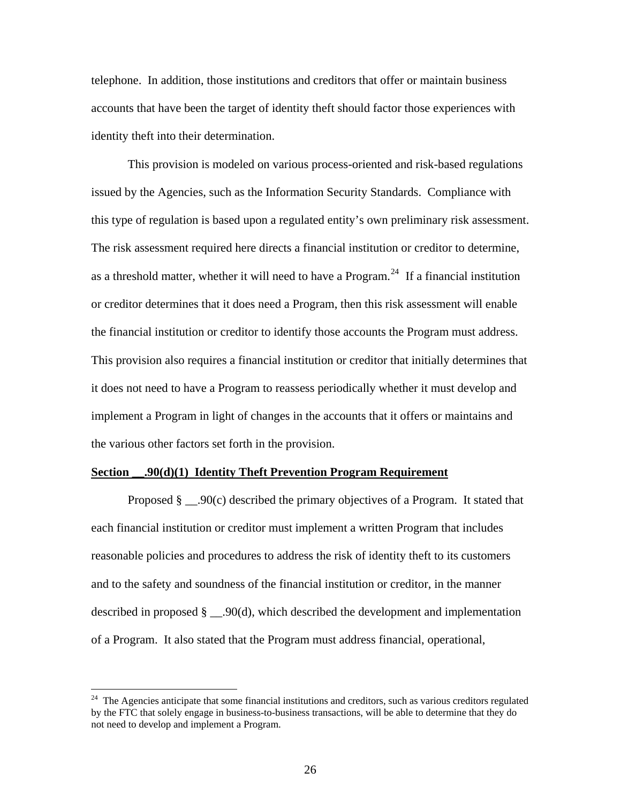telephone. In addition, those institutions and creditors that offer or maintain business accounts that have been the target of identity theft should factor those experiences with identity theft into their determination.

 This provision is modeled on various process-oriented and risk-based regulations issued by the Agencies, such as the Information Security Standards. Compliance with this type of regulation is based upon a regulated entity's own preliminary risk assessment. The risk assessment required here directs a financial institution or creditor to determine, as a threshold matter, whether it will need to have a Program.<sup>[24](#page-25-0)</sup> If a financial institution or creditor determines that it does need a Program, then this risk assessment will enable the financial institution or creditor to identify those accounts the Program must address. This provision also requires a financial institution or creditor that initially determines that it does not need to have a Program to reassess periodically whether it must develop and implement a Program in light of changes in the accounts that it offers or maintains and the various other factors set forth in the provision.

#### **Section \_\_.90(d)(1) Identity Theft Prevention Program Requirement**

 $\overline{a}$ 

Proposed  $\S$  . 90(c) described the primary objectives of a Program. It stated that each financial institution or creditor must implement a written Program that includes reasonable policies and procedures to address the risk of identity theft to its customers and to the safety and soundness of the financial institution or creditor, in the manner described in proposed § \_\_.90(d), which described the development and implementation of a Program. It also stated that the Program must address financial, operational,

<span id="page-25-0"></span><sup>&</sup>lt;sup>24</sup> The Agencies anticipate that some financial institutions and creditors, such as various creditors regulated by the FTC that solely engage in business-to-business transactions, will be able to determine that they do not need to develop and implement a Program.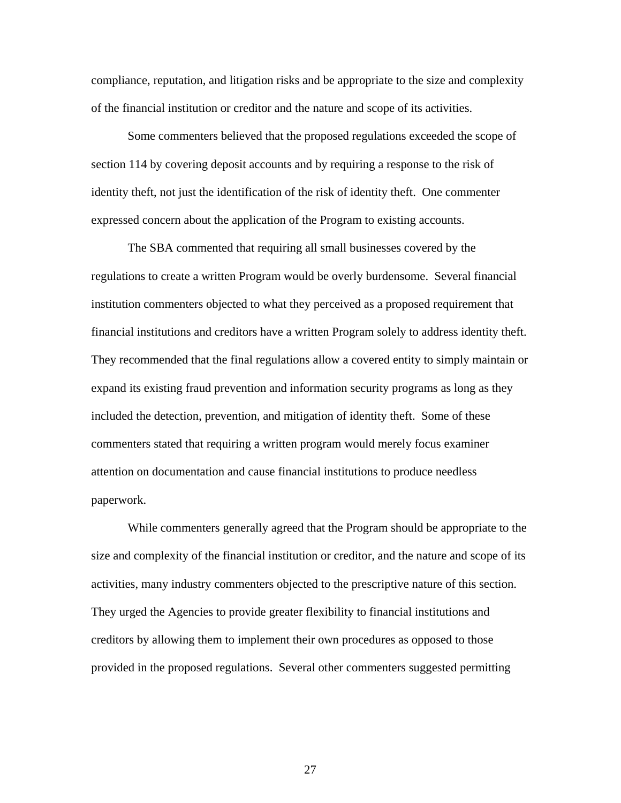compliance, reputation, and litigation risks and be appropriate to the size and complexity of the financial institution or creditor and the nature and scope of its activities.

Some commenters believed that the proposed regulations exceeded the scope of section 114 by covering deposit accounts and by requiring a response to the risk of identity theft, not just the identification of the risk of identity theft. One commenter expressed concern about the application of the Program to existing accounts.

The SBA commented that requiring all small businesses covered by the regulations to create a written Program would be overly burdensome. Several financial institution commenters objected to what they perceived as a proposed requirement that financial institutions and creditors have a written Program solely to address identity theft. They recommended that the final regulations allow a covered entity to simply maintain or expand its existing fraud prevention and information security programs as long as they included the detection, prevention, and mitigation of identity theft. Some of these commenters stated that requiring a written program would merely focus examiner attention on documentation and cause financial institutions to produce needless paperwork.

While commenters generally agreed that the Program should be appropriate to the size and complexity of the financial institution or creditor, and the nature and scope of its activities, many industry commenters objected to the prescriptive nature of this section. They urged the Agencies to provide greater flexibility to financial institutions and creditors by allowing them to implement their own procedures as opposed to those provided in the proposed regulations. Several other commenters suggested permitting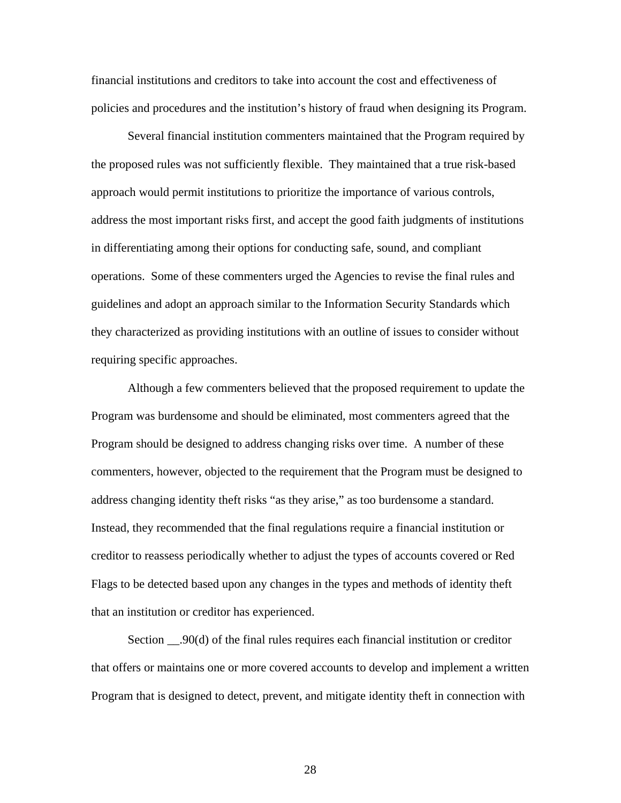financial institutions and creditors to take into account the cost and effectiveness of policies and procedures and the institution's history of fraud when designing its Program.

Several financial institution commenters maintained that the Program required by the proposed rules was not sufficiently flexible. They maintained that a true risk-based approach would permit institutions to prioritize the importance of various controls, address the most important risks first, and accept the good faith judgments of institutions in differentiating among their options for conducting safe, sound, and compliant operations. Some of these commenters urged the Agencies to revise the final rules and guidelines and adopt an approach similar to the Information Security Standards which they characterized as providing institutions with an outline of issues to consider without requiring specific approaches.

Although a few commenters believed that the proposed requirement to update the Program was burdensome and should be eliminated, most commenters agreed that the Program should be designed to address changing risks over time. A number of these commenters, however, objected to the requirement that the Program must be designed to address changing identity theft risks "as they arise," as too burdensome a standard. Instead, they recommended that the final regulations require a financial institution or creditor to reassess periodically whether to adjust the types of accounts covered or Red Flags to be detected based upon any changes in the types and methods of identity theft that an institution or creditor has experienced.

Section \_\_.90(d) of the final rules requires each financial institution or creditor that offers or maintains one or more covered accounts to develop and implement a written Program that is designed to detect, prevent, and mitigate identity theft in connection with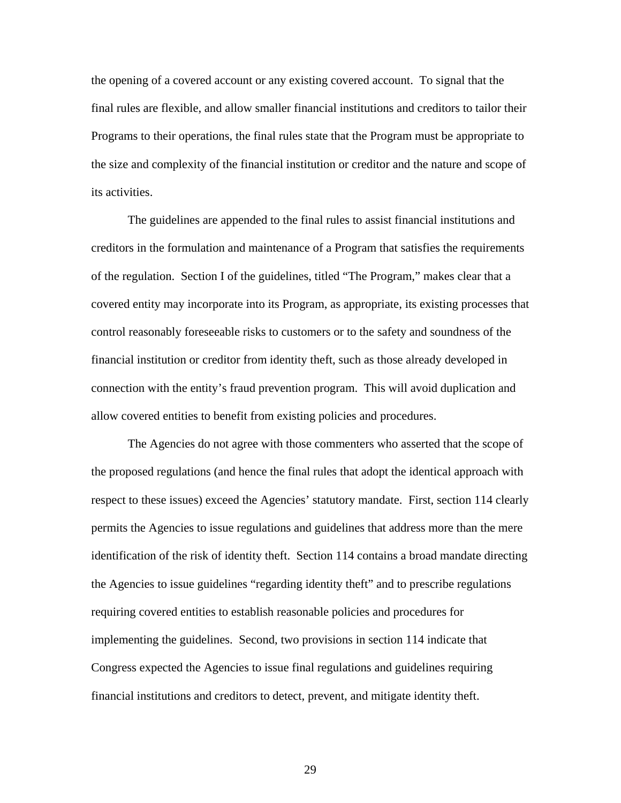the opening of a covered account or any existing covered account. To signal that the final rules are flexible, and allow smaller financial institutions and creditors to tailor their Programs to their operations, the final rules state that the Program must be appropriate to the size and complexity of the financial institution or creditor and the nature and scope of its activities.

The guidelines are appended to the final rules to assist financial institutions and creditors in the formulation and maintenance of a Program that satisfies the requirements of the regulation. Section I of the guidelines, titled "The Program," makes clear that a covered entity may incorporate into its Program, as appropriate, its existing processes that control reasonably foreseeable risks to customers or to the safety and soundness of the financial institution or creditor from identity theft, such as those already developed in connection with the entity's fraud prevention program. This will avoid duplication and allow covered entities to benefit from existing policies and procedures.

The Agencies do not agree with those commenters who asserted that the scope of the proposed regulations (and hence the final rules that adopt the identical approach with respect to these issues) exceed the Agencies' statutory mandate. First, section 114 clearly permits the Agencies to issue regulations and guidelines that address more than the mere identification of the risk of identity theft. Section 114 contains a broad mandate directing the Agencies to issue guidelines "regarding identity theft" and to prescribe regulations requiring covered entities to establish reasonable policies and procedures for implementing the guidelines. Second, two provisions in section 114 indicate that Congress expected the Agencies to issue final regulations and guidelines requiring financial institutions and creditors to detect, prevent, and mitigate identity theft.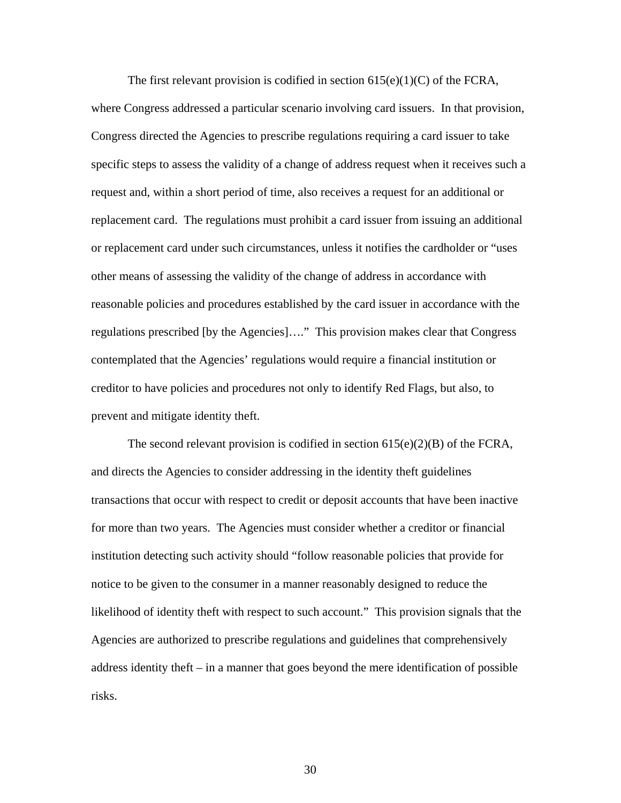The first relevant provision is codified in section  $615(e)(1)(C)$  of the FCRA, where Congress addressed a particular scenario involving card issuers. In that provision, Congress directed the Agencies to prescribe regulations requiring a card issuer to take specific steps to assess the validity of a change of address request when it receives such a request and, within a short period of time, also receives a request for an additional or replacement card. The regulations must prohibit a card issuer from issuing an additional or replacement card under such circumstances, unless it notifies the cardholder or "uses other means of assessing the validity of the change of address in accordance with reasonable policies and procedures established by the card issuer in accordance with the regulations prescribed [by the Agencies]…." This provision makes clear that Congress contemplated that the Agencies' regulations would require a financial institution or creditor to have policies and procedures not only to identify Red Flags, but also, to prevent and mitigate identity theft.

The second relevant provision is codified in section  $615(e)(2)(B)$  of the FCRA, and directs the Agencies to consider addressing in the identity theft guidelines transactions that occur with respect to credit or deposit accounts that have been inactive for more than two years. The Agencies must consider whether a creditor or financial institution detecting such activity should "follow reasonable policies that provide for notice to be given to the consumer in a manner reasonably designed to reduce the likelihood of identity theft with respect to such account." This provision signals that the Agencies are authorized to prescribe regulations and guidelines that comprehensively address identity theft – in a manner that goes beyond the mere identification of possible risks.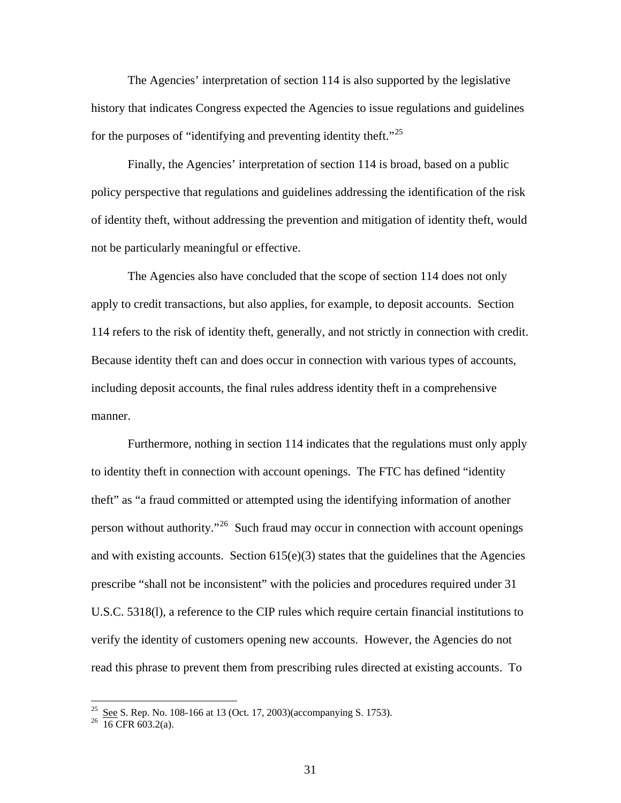The Agencies' interpretation of section 114 is also supported by the legislative history that indicates Congress expected the Agencies to issue regulations and guidelines for the purposes of "identifying and preventing identity theft."<sup>[25](#page-30-0)</sup>

Finally, the Agencies' interpretation of section 114 is broad, based on a public policy perspective that regulations and guidelines addressing the identification of the risk of identity theft, without addressing the prevention and mitigation of identity theft, would not be particularly meaningful or effective.

The Agencies also have concluded that the scope of section 114 does not only apply to credit transactions, but also applies, for example, to deposit accounts. Section 114 refers to the risk of identity theft, generally, and not strictly in connection with credit. Because identity theft can and does occur in connection with various types of accounts, including deposit accounts, the final rules address identity theft in a comprehensive manner.

Furthermore, nothing in section 114 indicates that the regulations must only apply to identity theft in connection with account openings. The FTC has defined "identity theft" as "a fraud committed or attempted using the identifying information of another person without authority."<sup>[26](#page-30-1)</sup> Such fraud may occur in connection with account openings and with existing accounts. Section  $615(e)(3)$  states that the guidelines that the Agencies prescribe "shall not be inconsistent" with the policies and procedures required under 31 U.S.C. 5318(l), a reference to the CIP rules which require certain financial institutions to verify the identity of customers opening new accounts. However, the Agencies do not read this phrase to prevent them from prescribing rules directed at existing accounts. To

<span id="page-30-0"></span> $\frac{25}{26}$  See S. Rep. No. 108-166 at 13 (Oct. 17, 2003)(accompanying S. 1753).<br><sup>26</sup> 16 CFR 603.2(a).

<span id="page-30-1"></span>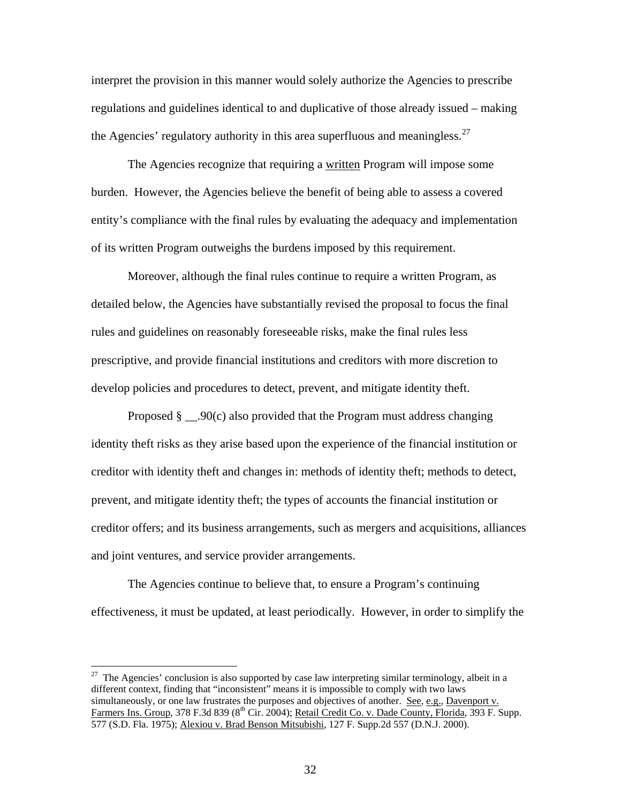interpret the provision in this manner would solely authorize the Agencies to prescribe regulations and guidelines identical to and duplicative of those already issued – making the Agencies' regulatory authority in this area superfluous and meaningless.  $27$ 

The Agencies recognize that requiring a written Program will impose some burden. However, the Agencies believe the benefit of being able to assess a covered entity's compliance with the final rules by evaluating the adequacy and implementation of its written Program outweighs the burdens imposed by this requirement.

Moreover, although the final rules continue to require a written Program, as detailed below, the Agencies have substantially revised the proposal to focus the final rules and guidelines on reasonably foreseeable risks, make the final rules less prescriptive, and provide financial institutions and creditors with more discretion to develop policies and procedures to detect, prevent, and mitigate identity theft.

Proposed  $\S$  . 90(c) also provided that the Program must address changing identity theft risks as they arise based upon the experience of the financial institution or creditor with identity theft and changes in: methods of identity theft; methods to detect, prevent, and mitigate identity theft; the types of accounts the financial institution or creditor offers; and its business arrangements, such as mergers and acquisitions, alliances and joint ventures, and service provider arrangements.

The Agencies continue to believe that, to ensure a Program's continuing effectiveness, it must be updated, at least periodically. However, in order to simplify the

<span id="page-31-0"></span> $27$  The Agencies' conclusion is also supported by case law interpreting similar terminology, albeit in a different context, finding that "inconsistent" means it is impossible to comply with two laws simultaneously, or one law frustrates the purposes and objectives of another. See, e.g., Davenport v. Farmers Ins. Group, 378 F.3d 839 (8<sup>th</sup> Cir. 2004); Retail Credit Co. v. Dade County, Florida, 393 F. Supp. 577 (S.D. Fla. 1975); Alexiou v. Brad Benson Mitsubishi, 127 F. Supp.2d 557 (D.N.J. 2000).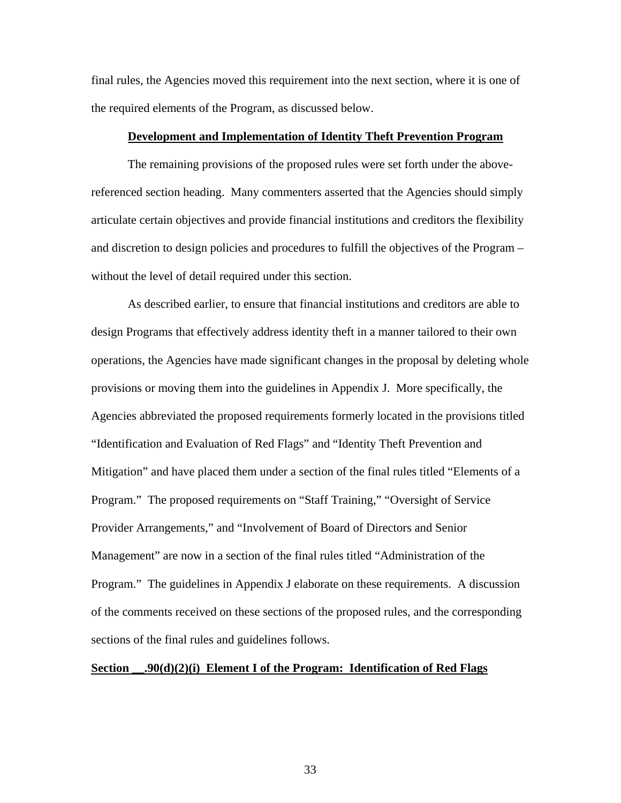final rules, the Agencies moved this requirement into the next section, where it is one of the required elements of the Program, as discussed below.

#### **Development and Implementation of Identity Theft Prevention Program**

 The remaining provisions of the proposed rules were set forth under the abovereferenced section heading. Many commenters asserted that the Agencies should simply articulate certain objectives and provide financial institutions and creditors the flexibility and discretion to design policies and procedures to fulfill the objectives of the Program – without the level of detail required under this section.

 As described earlier, to ensure that financial institutions and creditors are able to design Programs that effectively address identity theft in a manner tailored to their own operations, the Agencies have made significant changes in the proposal by deleting whole provisions or moving them into the guidelines in Appendix J. More specifically, the Agencies abbreviated the proposed requirements formerly located in the provisions titled "Identification and Evaluation of Red Flags" and "Identity Theft Prevention and Mitigation" and have placed them under a section of the final rules titled "Elements of a Program." The proposed requirements on "Staff Training," "Oversight of Service Provider Arrangements," and "Involvement of Board of Directors and Senior Management" are now in a section of the final rules titled "Administration of the Program." The guidelines in Appendix J elaborate on these requirements. A discussion of the comments received on these sections of the proposed rules, and the corresponding sections of the final rules and guidelines follows.

# **Section \_\_.90(d)(2)(i) Element I of the Program: Identification of Red Flags**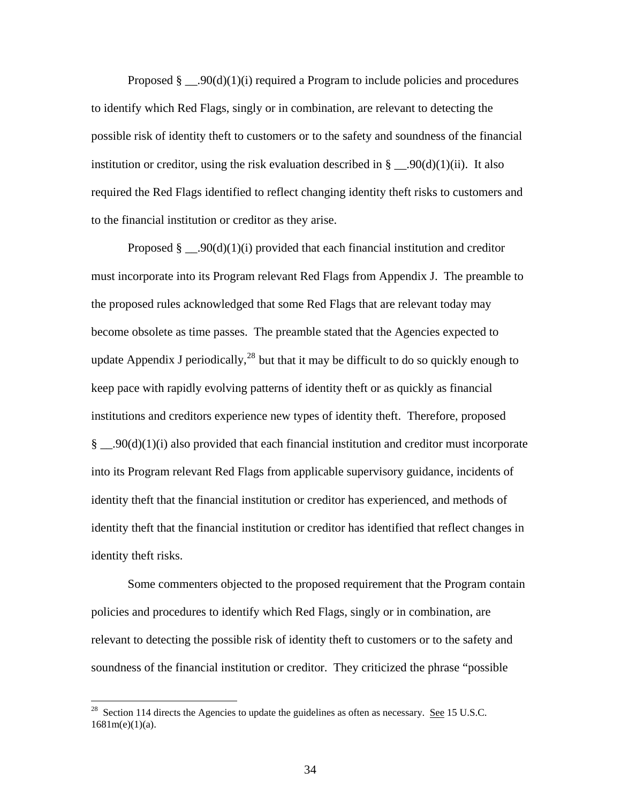Proposed  $\S$  ...90(d)(1)(i) required a Program to include policies and procedures to identify which Red Flags, singly or in combination, are relevant to detecting the possible risk of identity theft to customers or to the safety and soundness of the financial institution or creditor, using the risk evaluation described in  $\S$  \_\_.90(d)(1)(ii). It also required the Red Flags identified to reflect changing identity theft risks to customers and to the financial institution or creditor as they arise.

Proposed  $\S$  \_\_.90(d)(1)(i) provided that each financial institution and creditor must incorporate into its Program relevant Red Flags from Appendix J. The preamble to the proposed rules acknowledged that some Red Flags that are relevant today may become obsolete as time passes. The preamble stated that the Agencies expected to update Appendix J periodically,  $^{28}$  $^{28}$  $^{28}$  but that it may be difficult to do so quickly enough to keep pace with rapidly evolving patterns of identity theft or as quickly as financial institutions and creditors experience new types of identity theft. Therefore, proposed § \_\_.90(d)(1)(i) also provided that each financial institution and creditor must incorporate into its Program relevant Red Flags from applicable supervisory guidance, incidents of identity theft that the financial institution or creditor has experienced, and methods of identity theft that the financial institution or creditor has identified that reflect changes in identity theft risks.

 Some commenters objected to the proposed requirement that the Program contain policies and procedures to identify which Red Flags, singly or in combination, are relevant to detecting the possible risk of identity theft to customers or to the safety and soundness of the financial institution or creditor. They criticized the phrase "possible

<span id="page-33-0"></span><sup>&</sup>lt;sup>28</sup> Section 114 directs the Agencies to update the guidelines as often as necessary. <u>See</u> 15 U.S.C.  $1681m(e)(1)(a)$ .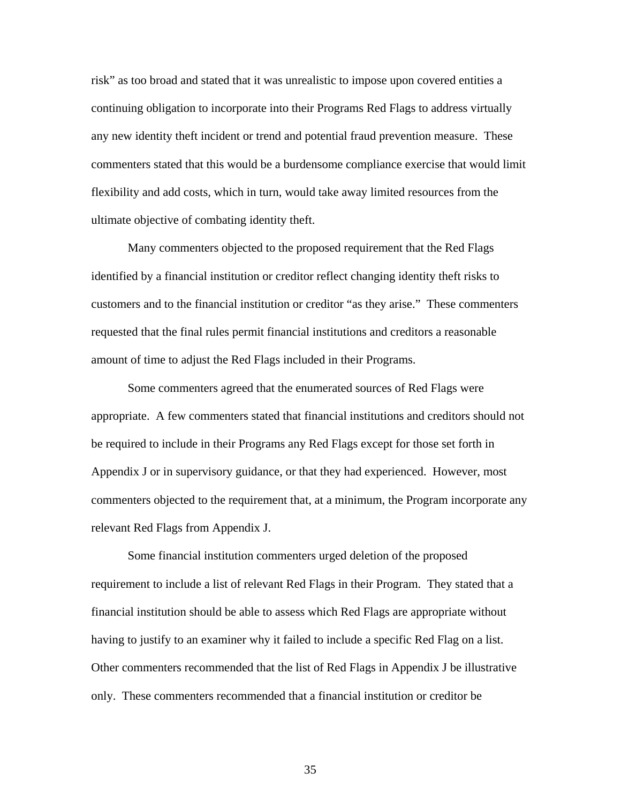risk" as too broad and stated that it was unrealistic to impose upon covered entities a continuing obligation to incorporate into their Programs Red Flags to address virtually any new identity theft incident or trend and potential fraud prevention measure. These commenters stated that this would be a burdensome compliance exercise that would limit flexibility and add costs, which in turn, would take away limited resources from the ultimate objective of combating identity theft.

Many commenters objected to the proposed requirement that the Red Flags identified by a financial institution or creditor reflect changing identity theft risks to customers and to the financial institution or creditor "as they arise." These commenters requested that the final rules permit financial institutions and creditors a reasonable amount of time to adjust the Red Flags included in their Programs.

 Some commenters agreed that the enumerated sources of Red Flags were appropriate. A few commenters stated that financial institutions and creditors should not be required to include in their Programs any Red Flags except for those set forth in Appendix J or in supervisory guidance, or that they had experienced. However, most commenters objected to the requirement that, at a minimum, the Program incorporate any relevant Red Flags from Appendix J.

 Some financial institution commenters urged deletion of the proposed requirement to include a list of relevant Red Flags in their Program. They stated that a financial institution should be able to assess which Red Flags are appropriate without having to justify to an examiner why it failed to include a specific Red Flag on a list. Other commenters recommended that the list of Red Flags in Appendix J be illustrative only. These commenters recommended that a financial institution or creditor be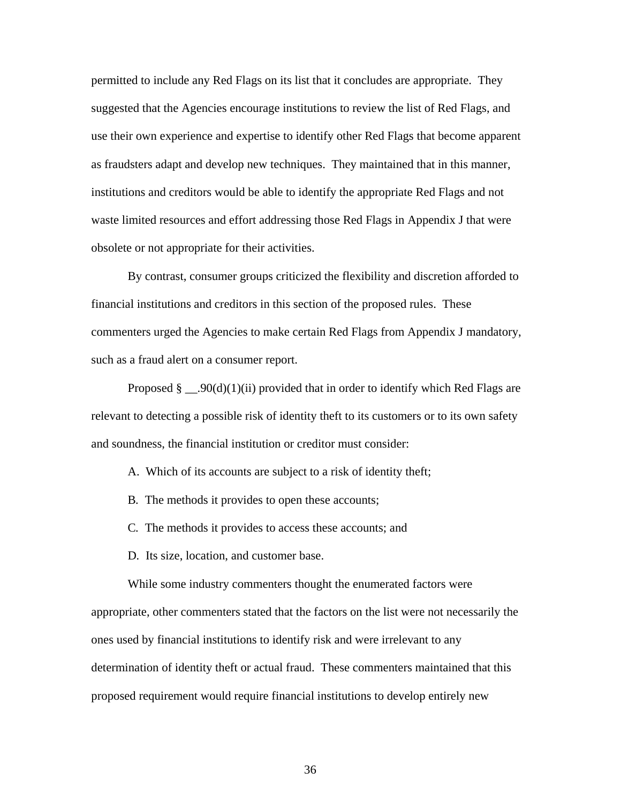permitted to include any Red Flags on its list that it concludes are appropriate. They suggested that the Agencies encourage institutions to review the list of Red Flags, and use their own experience and expertise to identify other Red Flags that become apparent as fraudsters adapt and develop new techniques. They maintained that in this manner, institutions and creditors would be able to identify the appropriate Red Flags and not waste limited resources and effort addressing those Red Flags in Appendix J that were obsolete or not appropriate for their activities.

 By contrast, consumer groups criticized the flexibility and discretion afforded to financial institutions and creditors in this section of the proposed rules. These commenters urged the Agencies to make certain Red Flags from Appendix J mandatory, such as a fraud alert on a consumer report.

Proposed  $\S$  . 90(d)(1)(ii) provided that in order to identify which Red Flags are relevant to detecting a possible risk of identity theft to its customers or to its own safety and soundness, the financial institution or creditor must consider:

- A. Which of its accounts are subject to a risk of identity theft;
- B*.* The methods it provides to open these accounts;
- C*.* The methods it provides to access these accounts; and
- D*.* Its size, location, and customer base.

While some industry commenters thought the enumerated factors were

appropriate, other commenters stated that the factors on the list were not necessarily the ones used by financial institutions to identify risk and were irrelevant to any determination of identity theft or actual fraud. These commenters maintained that this proposed requirement would require financial institutions to develop entirely new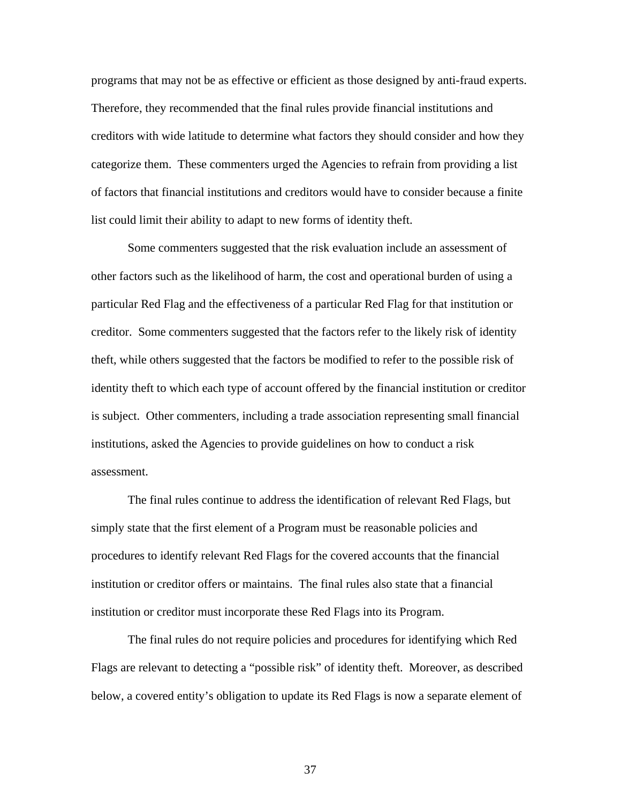programs that may not be as effective or efficient as those designed by anti-fraud experts. Therefore, they recommended that the final rules provide financial institutions and creditors with wide latitude to determine what factors they should consider and how they categorize them. These commenters urged the Agencies to refrain from providing a list of factors that financial institutions and creditors would have to consider because a finite list could limit their ability to adapt to new forms of identity theft.

Some commenters suggested that the risk evaluation include an assessment of other factors such as the likelihood of harm, the cost and operational burden of using a particular Red Flag and the effectiveness of a particular Red Flag for that institution or creditor. Some commenters suggested that the factors refer to the likely risk of identity theft, while others suggested that the factors be modified to refer to the possible risk of identity theft to which each type of account offered by the financial institution or creditor is subject. Other commenters, including a trade association representing small financial institutions, asked the Agencies to provide guidelines on how to conduct a risk assessment.

 The final rules continue to address the identification of relevant Red Flags, but simply state that the first element of a Program must be reasonable policies and procedures to identify relevant Red Flags for the covered accounts that the financial institution or creditor offers or maintains. The final rules also state that a financial institution or creditor must incorporate these Red Flags into its Program.

The final rules do not require policies and procedures for identifying which Red Flags are relevant to detecting a "possible risk" of identity theft. Moreover, as described below, a covered entity's obligation to update its Red Flags is now a separate element of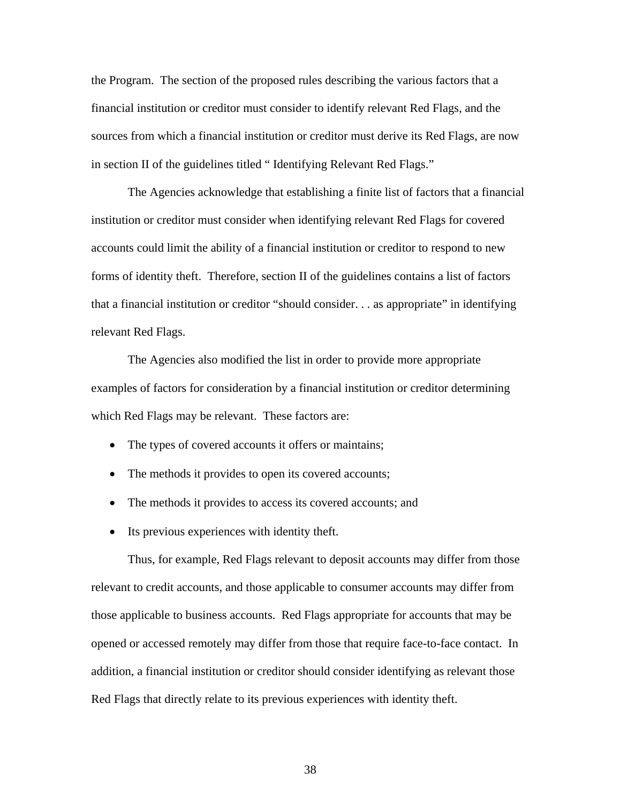the Program. The section of the proposed rules describing the various factors that a financial institution or creditor must consider to identify relevant Red Flags, and the sources from which a financial institution or creditor must derive its Red Flags, are now in section II of the guidelines titled " Identifying Relevant Red Flags."

 The Agencies acknowledge that establishing a finite list of factors that a financial institution or creditor must consider when identifying relevant Red Flags for covered accounts could limit the ability of a financial institution or creditor to respond to new forms of identity theft. Therefore, section II of the guidelines contains a list of factors that a financial institution or creditor "should consider. . . as appropriate" in identifying relevant Red Flags.

The Agencies also modified the list in order to provide more appropriate examples of factors for consideration by a financial institution or creditor determining which Red Flags may be relevant. These factors are:

- The types of covered accounts it offers or maintains;
- The methods it provides to open its covered accounts;
- The methods it provides to access its covered accounts; and
- Its previous experiences with identity theft.

Thus, for example, Red Flags relevant to deposit accounts may differ from those relevant to credit accounts, and those applicable to consumer accounts may differ from those applicable to business accounts. Red Flags appropriate for accounts that may be opened or accessed remotely may differ from those that require face-to-face contact. In addition, a financial institution or creditor should consider identifying as relevant those Red Flags that directly relate to its previous experiences with identity theft.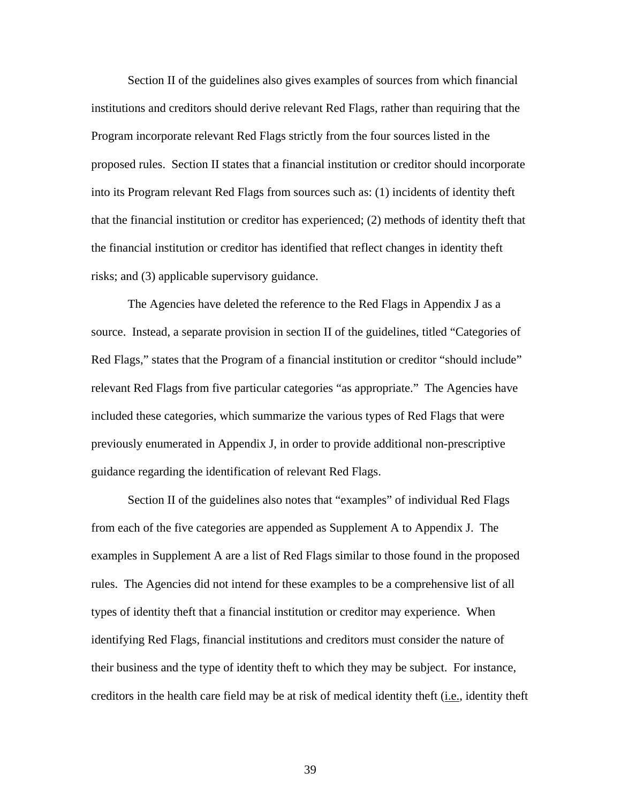Section II of the guidelines also gives examples of sources from which financial institutions and creditors should derive relevant Red Flags, rather than requiring that the Program incorporate relevant Red Flags strictly from the four sources listed in the proposed rules. Section II states that a financial institution or creditor should incorporate into its Program relevant Red Flags from sources such as: (1) incidents of identity theft that the financial institution or creditor has experienced; (2) methods of identity theft that the financial institution or creditor has identified that reflect changes in identity theft risks; and (3) applicable supervisory guidance.

 The Agencies have deleted the reference to the Red Flags in Appendix J as a source. Instead, a separate provision in section II of the guidelines, titled "Categories of Red Flags," states that the Program of a financial institution or creditor "should include" relevant Red Flags from five particular categories "as appropriate." The Agencies have included these categories, which summarize the various types of Red Flags that were previously enumerated in Appendix J, in order to provide additional non-prescriptive guidance regarding the identification of relevant Red Flags.

Section II of the guidelines also notes that "examples" of individual Red Flags from each of the five categories are appended as Supplement A to Appendix J. The examples in Supplement A are a list of Red Flags similar to those found in the proposed rules. The Agencies did not intend for these examples to be a comprehensive list of all types of identity theft that a financial institution or creditor may experience. When identifying Red Flags, financial institutions and creditors must consider the nature of their business and the type of identity theft to which they may be subject. For instance, creditors in the health care field may be at risk of medical identity theft (i.e., identity theft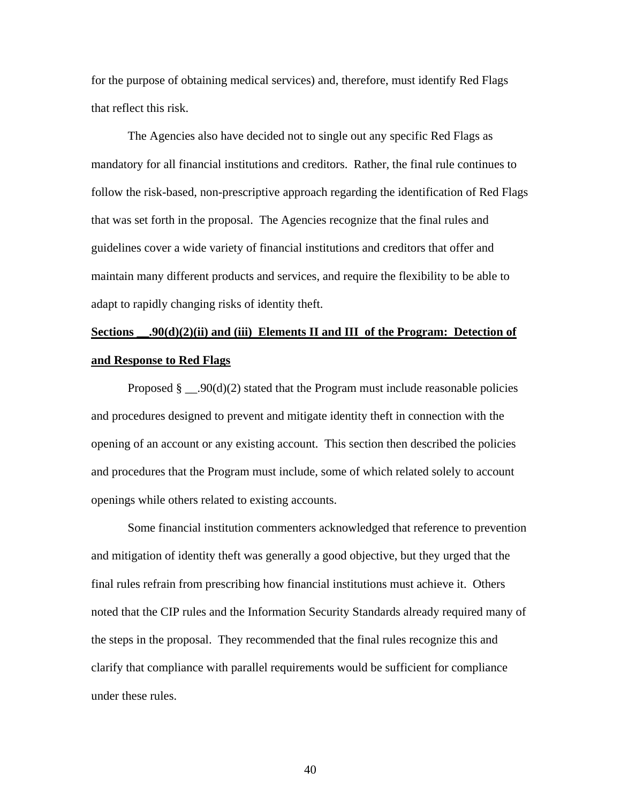for the purpose of obtaining medical services) and, therefore, must identify Red Flags that reflect this risk.

The Agencies also have decided not to single out any specific Red Flags as mandatory for all financial institutions and creditors. Rather, the final rule continues to follow the risk-based, non-prescriptive approach regarding the identification of Red Flags that was set forth in the proposal. The Agencies recognize that the final rules and guidelines cover a wide variety of financial institutions and creditors that offer and maintain many different products and services, and require the flexibility to be able to adapt to rapidly changing risks of identity theft.

# Sections \_\_\_,90(d)(2)(ii) and (iii) Elements II and III of the Program: Detection of **and Response to Red Flags**

Proposed  $\S$  \_\_.90(d)(2) stated that the Program must include reasonable policies and procedures designed to prevent and mitigate identity theft in connection with the opening of an account or any existing account. This section then described the policies and procedures that the Program must include, some of which related solely to account openings while others related to existing accounts.

Some financial institution commenters acknowledged that reference to prevention and mitigation of identity theft was generally a good objective, but they urged that the final rules refrain from prescribing how financial institutions must achieve it. Others noted that the CIP rules and the Information Security Standards already required many of the steps in the proposal. They recommended that the final rules recognize this and clarify that compliance with parallel requirements would be sufficient for compliance under these rules.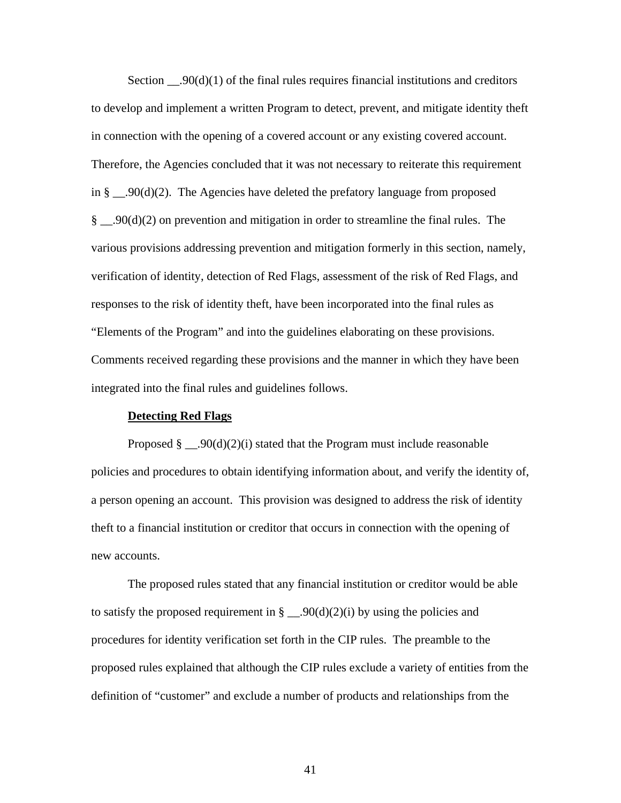Section  $\qquad 00(d)(1)$  of the final rules requires financial institutions and creditors to develop and implement a written Program to detect, prevent, and mitigate identity theft in connection with the opening of a covered account or any existing covered account. Therefore, the Agencies concluded that it was not necessary to reiterate this requirement in §  $\_\_$ .90(d)(2). The Agencies have deleted the prefatory language from proposed  $\S$  \_90(d)(2) on prevention and mitigation in order to streamline the final rules. The various provisions addressing prevention and mitigation formerly in this section, namely, verification of identity, detection of Red Flags, assessment of the risk of Red Flags, and responses to the risk of identity theft, have been incorporated into the final rules as "Elements of the Program" and into the guidelines elaborating on these provisions. Comments received regarding these provisions and the manner in which they have been integrated into the final rules and guidelines follows.

### **Detecting Red Flags**

Proposed  $\S$  \_\_.90(d)(2)(i) stated that the Program must include reasonable policies and procedures to obtain identifying information about, and verify the identity of, a person opening an account. This provision was designed to address the risk of identity theft to a financial institution or creditor that occurs in connection with the opening of new accounts.

The proposed rules stated that any financial institution or creditor would be able to satisfy the proposed requirement in  $\S$  \_\_.90(d)(2)(i) by using the policies and procedures for identity verification set forth in the CIP rules. The preamble to the proposed rules explained that although the CIP rules exclude a variety of entities from the definition of "customer" and exclude a number of products and relationships from the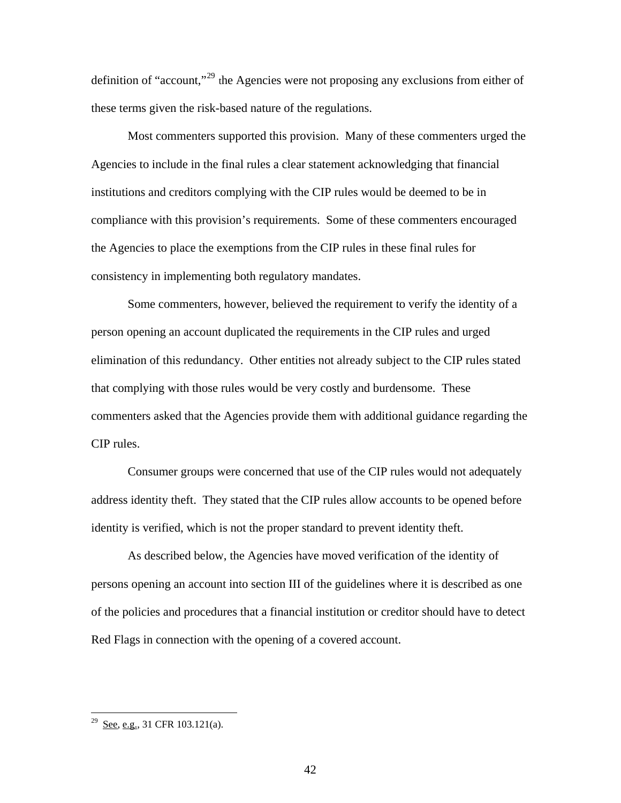definition of "account,"[29](#page-41-0) the Agencies were not proposing any exclusions from either of these terms given the risk-based nature of the regulations.

Most commenters supported this provision. Many of these commenters urged the Agencies to include in the final rules a clear statement acknowledging that financial institutions and creditors complying with the CIP rules would be deemed to be in compliance with this provision's requirements. Some of these commenters encouraged the Agencies to place the exemptions from the CIP rules in these final rules for consistency in implementing both regulatory mandates.

Some commenters, however, believed the requirement to verify the identity of a person opening an account duplicated the requirements in the CIP rules and urged elimination of this redundancy. Other entities not already subject to the CIP rules stated that complying with those rules would be very costly and burdensome. These commenters asked that the Agencies provide them with additional guidance regarding the CIP rules.

Consumer groups were concerned that use of the CIP rules would not adequately address identity theft. They stated that the CIP rules allow accounts to be opened before identity is verified, which is not the proper standard to prevent identity theft.

As described below, the Agencies have moved verification of the identity of persons opening an account into section III of the guidelines where it is described as one of the policies and procedures that a financial institution or creditor should have to detect Red Flags in connection with the opening of a covered account.

<span id="page-41-0"></span> $2^9$  See, e.g., 31 CFR 103.121(a).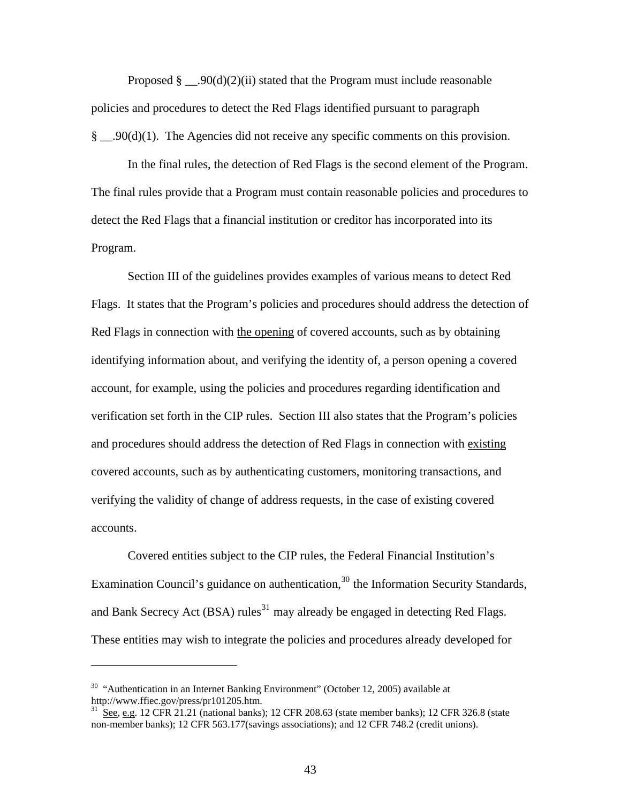Proposed  $\S$  \_\_.90(d)(2)(ii) stated that the Program must include reasonable policies and procedures to detect the Red Flags identified pursuant to paragraph § \_\_.90(d)(1). The Agencies did not receive any specific comments on this provision.

In the final rules, the detection of Red Flags is the second element of the Program. The final rules provide that a Program must contain reasonable policies and procedures to detect the Red Flags that a financial institution or creditor has incorporated into its Program.

Section III of the guidelines provides examples of various means to detect Red Flags. It states that the Program's policies and procedures should address the detection of Red Flags in connection with the opening of covered accounts, such as by obtaining identifying information about, and verifying the identity of, a person opening a covered account, for example, using the policies and procedures regarding identification and verification set forth in the CIP rules. Section III also states that the Program's policies and procedures should address the detection of Red Flags in connection with existing covered accounts, such as by authenticating customers, monitoring transactions, and verifying the validity of change of address requests, in the case of existing covered accounts.

Covered entities subject to the CIP rules, the Federal Financial Institution's Examination Council's guidance on authentication,  $30$  the Information Security Standards, and Bank Secrecy Act (BSA) rules<sup>[31](#page-42-1)</sup> may already be engaged in detecting Red Flags. These entities may wish to integrate the policies and procedures already developed for

<span id="page-42-0"></span> $30$  "Authentication in an Internet Banking Environment" (October 12, 2005) available at http://www.ffiec.gov/press/pr101205.htm.

<span id="page-42-1"></span> $\frac{31}{10}$  See, e.g. 12 CFR 21.21 (national banks); 12 CFR 208.63 (state member banks); 12 CFR 326.8 (state non-member banks); 12 CFR 563.177(savings associations); and 12 CFR 748.2 (credit unions).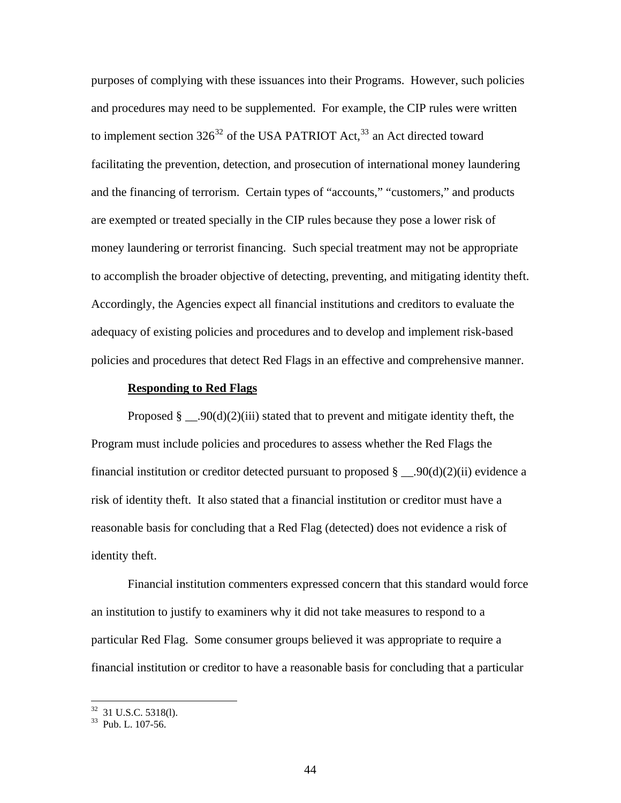purposes of complying with these issuances into their Programs. However, such policies and procedures may need to be supplemented. For example, the CIP rules were written to implement section  $326^{32}$  $326^{32}$  of the USA PATRIOT Act,  $33$  an Act directed toward facilitating the prevention, detection, and prosecution of international money laundering and the financing of terrorism. Certain types of "accounts," "customers," and products are exempted or treated specially in the CIP rules because they pose a lower risk of money laundering or terrorist financing. Such special treatment may not be appropriate to accomplish the broader objective of detecting, preventing, and mitigating identity theft. Accordingly, the Agencies expect all financial institutions and creditors to evaluate the adequacy of existing policies and procedures and to develop and implement risk-based policies and procedures that detect Red Flags in an effective and comprehensive manner.

#### **Responding to Red Flags**

Proposed  $\S$  . 90(d)(2)(iii) stated that to prevent and mitigate identity theft, the Program must include policies and procedures to assess whether the Red Flags the financial institution or creditor detected pursuant to proposed  $\S$  \_\_.90(d)(2)(ii) evidence a risk of identity theft. It also stated that a financial institution or creditor must have a reasonable basis for concluding that a Red Flag (detected) does not evidence a risk of identity theft.

Financial institution commenters expressed concern that this standard would force an institution to justify to examiners why it did not take measures to respond to a particular Red Flag. Some consumer groups believed it was appropriate to require a financial institution or creditor to have a reasonable basis for concluding that a particular

<span id="page-43-0"></span> $32$  31 U.S.C. 5318(1).

<span id="page-43-1"></span><sup>33</sup> Pub. L. 107-56.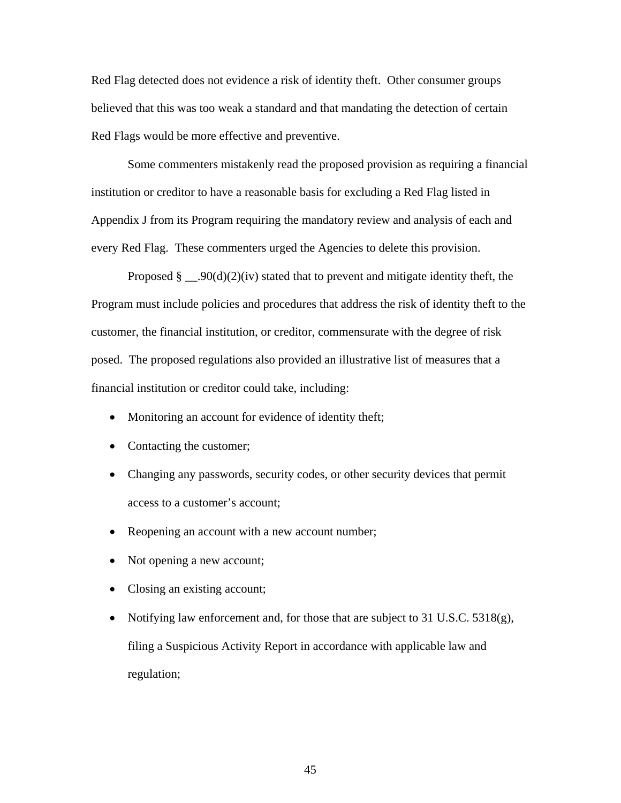Red Flag detected does not evidence a risk of identity theft. Other consumer groups believed that this was too weak a standard and that mandating the detection of certain Red Flags would be more effective and preventive.

Some commenters mistakenly read the proposed provision as requiring a financial institution or creditor to have a reasonable basis for excluding a Red Flag listed in Appendix J from its Program requiring the mandatory review and analysis of each and every Red Flag. These commenters urged the Agencies to delete this provision.

Proposed  $\S$  . 90(d)(2)(iv) stated that to prevent and mitigate identity theft, the Program must include policies and procedures that address the risk of identity theft to the customer, the financial institution, or creditor, commensurate with the degree of risk posed. The proposed regulations also provided an illustrative list of measures that a financial institution or creditor could take, including:

- Monitoring an account for evidence of identity theft;
- Contacting the customer;
- Changing any passwords, security codes, or other security devices that permit access to a customer's account;
- Reopening an account with a new account number;
- Not opening a new account;
- Closing an existing account;
- Notifying law enforcement and, for those that are subject to 31 U.S.C. 5318(g), filing a Suspicious Activity Report in accordance with applicable law and regulation;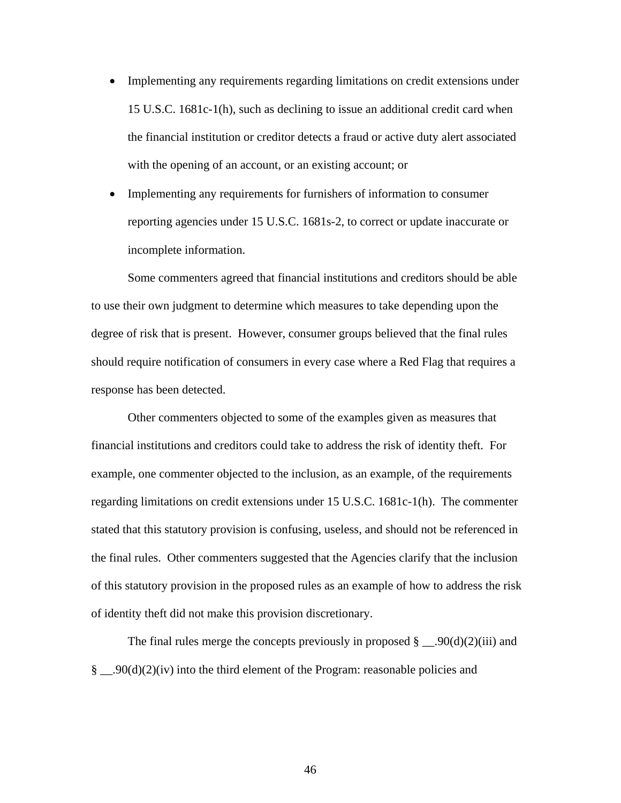- Implementing any requirements regarding limitations on credit extensions under 15 U.S.C. 1681c-1(h), such as declining to issue an additional credit card when the financial institution or creditor detects a fraud or active duty alert associated with the opening of an account, or an existing account; or
- Implementing any requirements for furnishers of information to consumer reporting agencies under 15 U.S.C. 1681s-2, to correct or update inaccurate or incomplete information.

Some commenters agreed that financial institutions and creditors should be able to use their own judgment to determine which measures to take depending upon the degree of risk that is present. However, consumer groups believed that the final rules should require notification of consumers in every case where a Red Flag that requires a response has been detected.

Other commenters objected to some of the examples given as measures that financial institutions and creditors could take to address the risk of identity theft. For example, one commenter objected to the inclusion, as an example, of the requirements regarding limitations on credit extensions under 15 U.S.C. 1681c-1(h). The commenter stated that this statutory provision is confusing, useless, and should not be referenced in the final rules. Other commenters suggested that the Agencies clarify that the inclusion of this statutory provision in the proposed rules as an example of how to address the risk of identity theft did not make this provision discretionary.

The final rules merge the concepts previously in proposed  $\S$  . 90(d)(2)(iii) and §  $.90(d)(2)(iv)$  into the third element of the Program: reasonable policies and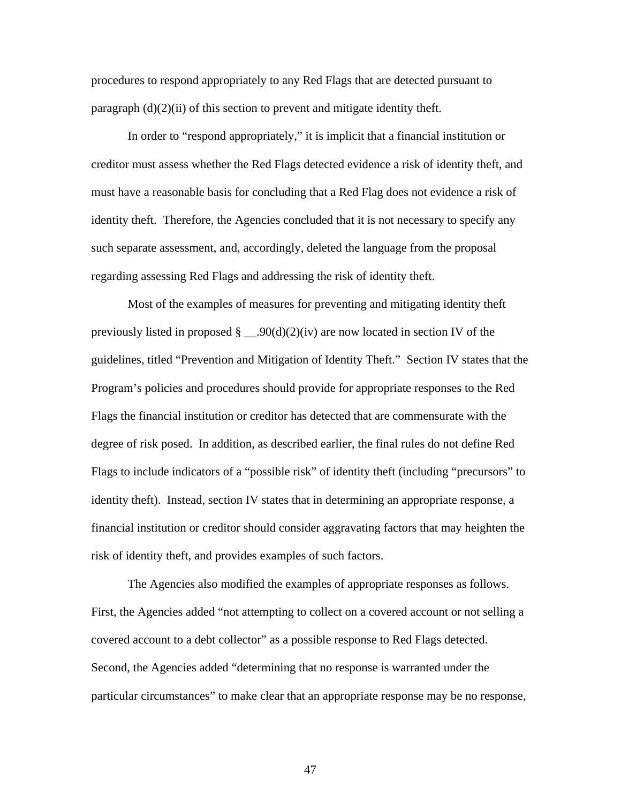procedures to respond appropriately to any Red Flags that are detected pursuant to paragraph  $(d)(2)(ii)$  of this section to prevent and mitigate identity theft.

In order to "respond appropriately," it is implicit that a financial institution or creditor must assess whether the Red Flags detected evidence a risk of identity theft, and must have a reasonable basis for concluding that a Red Flag does not evidence a risk of identity theft. Therefore, the Agencies concluded that it is not necessary to specify any such separate assessment, and, accordingly, deleted the language from the proposal regarding assessing Red Flags and addressing the risk of identity theft.

Most of the examples of measures for preventing and mitigating identity theft previously listed in proposed  $\S$  \_\_90(d)(2)(iv) are now located in section IV of the guidelines, titled "Prevention and Mitigation of Identity Theft." Section IV states that the Program's policies and procedures should provide for appropriate responses to the Red Flags the financial institution or creditor has detected that are commensurate with the degree of risk posed. In addition, as described earlier, the final rules do not define Red Flags to include indicators of a "possible risk" of identity theft (including "precursors" to identity theft). Instead, section IV states that in determining an appropriate response, a financial institution or creditor should consider aggravating factors that may heighten the risk of identity theft, and provides examples of such factors.

The Agencies also modified the examples of appropriate responses as follows. First, the Agencies added "not attempting to collect on a covered account or not selling a covered account to a debt collector" as a possible response to Red Flags detected. Second, the Agencies added "determining that no response is warranted under the particular circumstances" to make clear that an appropriate response may be no response,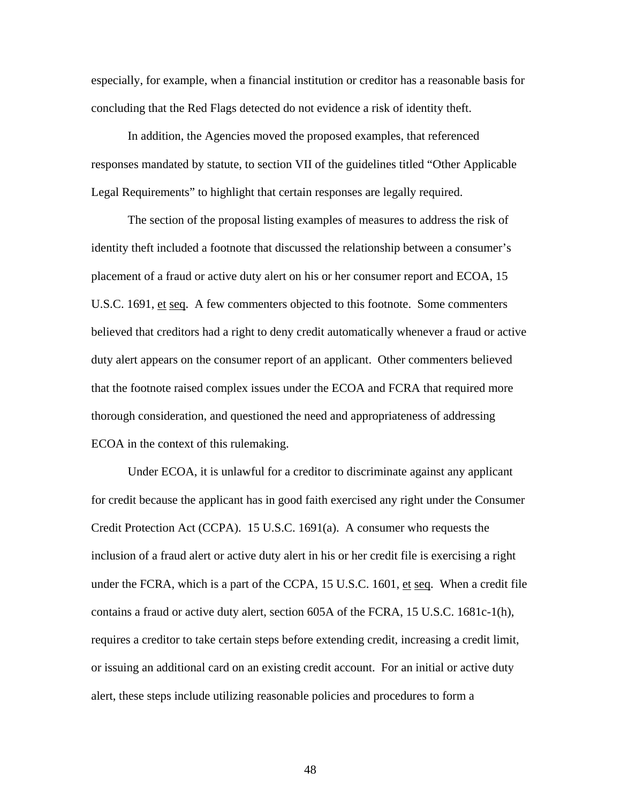especially, for example, when a financial institution or creditor has a reasonable basis for concluding that the Red Flags detected do not evidence a risk of identity theft.

In addition, the Agencies moved the proposed examples, that referenced responses mandated by statute, to section VII of the guidelines titled "Other Applicable Legal Requirements" to highlight that certain responses are legally required.

The section of the proposal listing examples of measures to address the risk of identity theft included a footnote that discussed the relationship between a consumer's placement of a fraud or active duty alert on his or her consumer report and ECOA, 15 U.S.C. 1691, et seq. A few commenters objected to this footnote. Some commenters believed that creditors had a right to deny credit automatically whenever a fraud or active duty alert appears on the consumer report of an applicant. Other commenters believed that the footnote raised complex issues under the ECOA and FCRA that required more thorough consideration, and questioned the need and appropriateness of addressing ECOA in the context of this rulemaking.

Under ECOA, it is unlawful for a creditor to discriminate against any applicant for credit because the applicant has in good faith exercised any right under the Consumer Credit Protection Act (CCPA). 15 U.S.C. 1691(a). A consumer who requests the inclusion of a fraud alert or active duty alert in his or her credit file is exercising a right under the FCRA, which is a part of the CCPA, 15 U.S.C. 1601,  $et seq.$  When a credit file</u> contains a fraud or active duty alert, section 605A of the FCRA, 15 U.S.C. 1681c-1(h), requires a creditor to take certain steps before extending credit, increasing a credit limit, or issuing an additional card on an existing credit account. For an initial or active duty alert, these steps include utilizing reasonable policies and procedures to form a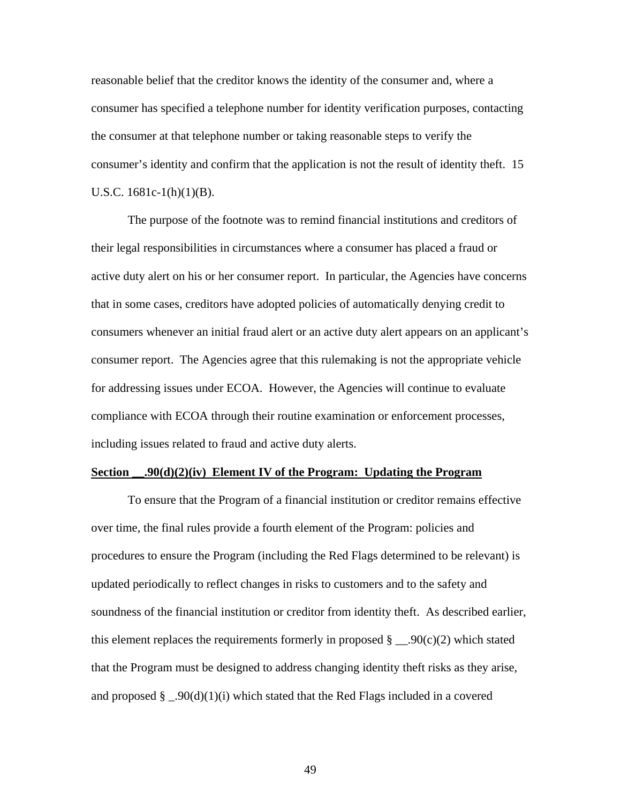reasonable belief that the creditor knows the identity of the consumer and, where a consumer has specified a telephone number for identity verification purposes, contacting the consumer at that telephone number or taking reasonable steps to verify the consumer's identity and confirm that the application is not the result of identity theft. 15 U.S.C. 1681c-1(h)(1)(B).

The purpose of the footnote was to remind financial institutions and creditors of their legal responsibilities in circumstances where a consumer has placed a fraud or active duty alert on his or her consumer report. In particular, the Agencies have concerns that in some cases, creditors have adopted policies of automatically denying credit to consumers whenever an initial fraud alert or an active duty alert appears on an applicant's consumer report. The Agencies agree that this rulemaking is not the appropriate vehicle for addressing issues under ECOA. However, the Agencies will continue to evaluate compliance with ECOA through their routine examination or enforcement processes, including issues related to fraud and active duty alerts.

#### **Section** .90(d)(2)(iv) Element IV of the Program: Updating the Program

To ensure that the Program of a financial institution or creditor remains effective over time, the final rules provide a fourth element of the Program: policies and procedures to ensure the Program (including the Red Flags determined to be relevant) is updated periodically to reflect changes in risks to customers and to the safety and soundness of the financial institution or creditor from identity theft. As described earlier, this element replaces the requirements formerly in proposed  $\S$  \_\_.90(c)(2) which stated that the Program must be designed to address changing identity theft risks as they arise, and proposed  $\S$  \_.90(d)(1)(i) which stated that the Red Flags included in a covered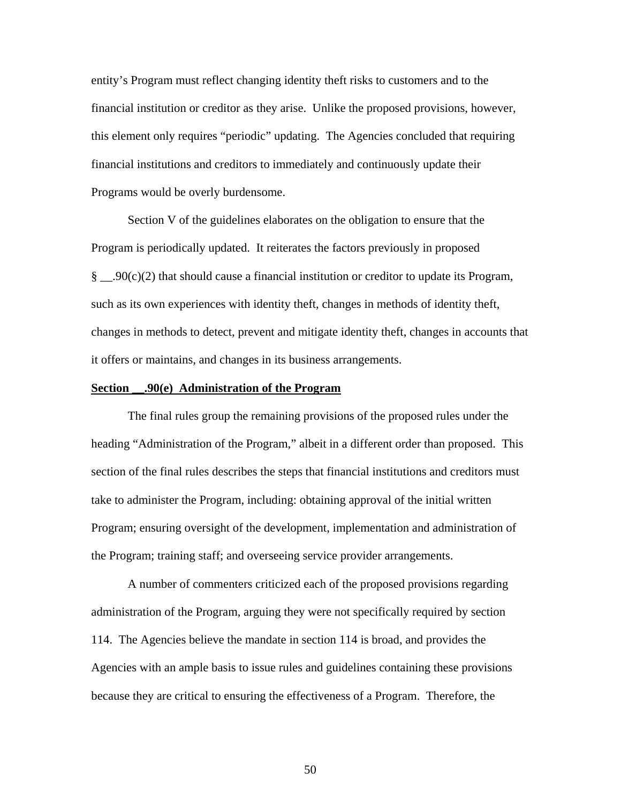entity's Program must reflect changing identity theft risks to customers and to the financial institution or creditor as they arise. Unlike the proposed provisions, however, this element only requires "periodic" updating. The Agencies concluded that requiring financial institutions and creditors to immediately and continuously update their Programs would be overly burdensome.

Section V of the guidelines elaborates on the obligation to ensure that the Program is periodically updated. It reiterates the factors previously in proposed §  $\qquad$ .90(c)(2) that should cause a financial institution or creditor to update its Program, such as its own experiences with identity theft, changes in methods of identity theft, changes in methods to detect, prevent and mitigate identity theft, changes in accounts that it offers or maintains, and changes in its business arrangements.

#### **Section \_\_.90(e) Administration of the Program**

The final rules group the remaining provisions of the proposed rules under the heading "Administration of the Program," albeit in a different order than proposed. This section of the final rules describes the steps that financial institutions and creditors must take to administer the Program, including: obtaining approval of the initial written Program; ensuring oversight of the development, implementation and administration of the Program; training staff; and overseeing service provider arrangements.

A number of commenters criticized each of the proposed provisions regarding administration of the Program, arguing they were not specifically required by section 114. The Agencies believe the mandate in section 114 is broad, and provides the Agencies with an ample basis to issue rules and guidelines containing these provisions because they are critical to ensuring the effectiveness of a Program. Therefore, the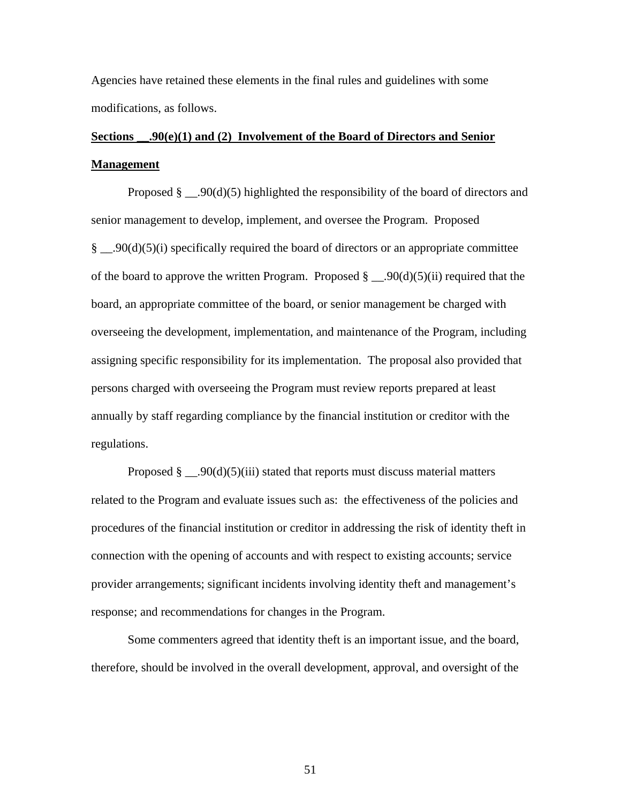Agencies have retained these elements in the final rules and guidelines with some modifications, as follows.

# **Sections \_\_.90(e)(1) and (2) Involvement of the Board of Directors and Senior Management**

Proposed  $\S$  \_\_.90(d)(5) highlighted the responsibility of the board of directors and senior management to develop, implement, and oversee the Program. Proposed § \_\_.90(d)(5)(i) specifically required the board of directors or an appropriate committee of the board to approve the written Program. Proposed  $\S$  \_\_.90(d)(5)(ii) required that the board, an appropriate committee of the board, or senior management be charged with overseeing the development, implementation, and maintenance of the Program, including assigning specific responsibility for its implementation. The proposal also provided that persons charged with overseeing the Program must review reports prepared at least annually by staff regarding compliance by the financial institution or creditor with the regulations.

Proposed  $\S$  \_\_.90(d)(5)(iii) stated that reports must discuss material matters related to the Program and evaluate issues such as: the effectiveness of the policies and procedures of the financial institution or creditor in addressing the risk of identity theft in connection with the opening of accounts and with respect to existing accounts; service provider arrangements; significant incidents involving identity theft and management's response; and recommendations for changes in the Program.

 Some commenters agreed that identity theft is an important issue, and the board, therefore, should be involved in the overall development, approval, and oversight of the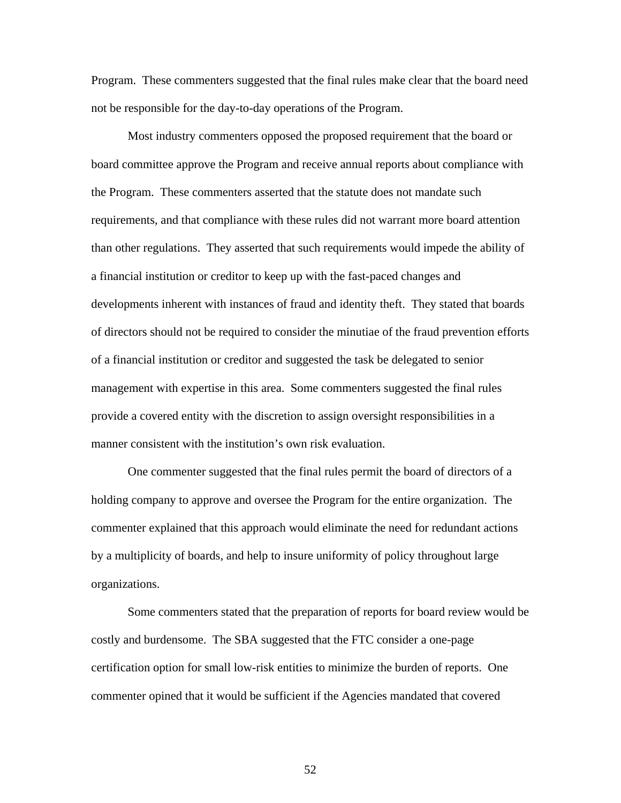Program. These commenters suggested that the final rules make clear that the board need not be responsible for the day-to-day operations of the Program.

 Most industry commenters opposed the proposed requirement that the board or board committee approve the Program and receive annual reports about compliance with the Program. These commenters asserted that the statute does not mandate such requirements, and that compliance with these rules did not warrant more board attention than other regulations. They asserted that such requirements would impede the ability of a financial institution or creditor to keep up with the fast-paced changes and developments inherent with instances of fraud and identity theft. They stated that boards of directors should not be required to consider the minutiae of the fraud prevention efforts of a financial institution or creditor and suggested the task be delegated to senior management with expertise in this area. Some commenters suggested the final rules provide a covered entity with the discretion to assign oversight responsibilities in a manner consistent with the institution's own risk evaluation.

One commenter suggested that the final rules permit the board of directors of a holding company to approve and oversee the Program for the entire organization. The commenter explained that this approach would eliminate the need for redundant actions by a multiplicity of boards, and help to insure uniformity of policy throughout large organizations.

Some commenters stated that the preparation of reports for board review would be costly and burdensome. The SBA suggested that the FTC consider a one-page certification option for small low-risk entities to minimize the burden of reports. One commenter opined that it would be sufficient if the Agencies mandated that covered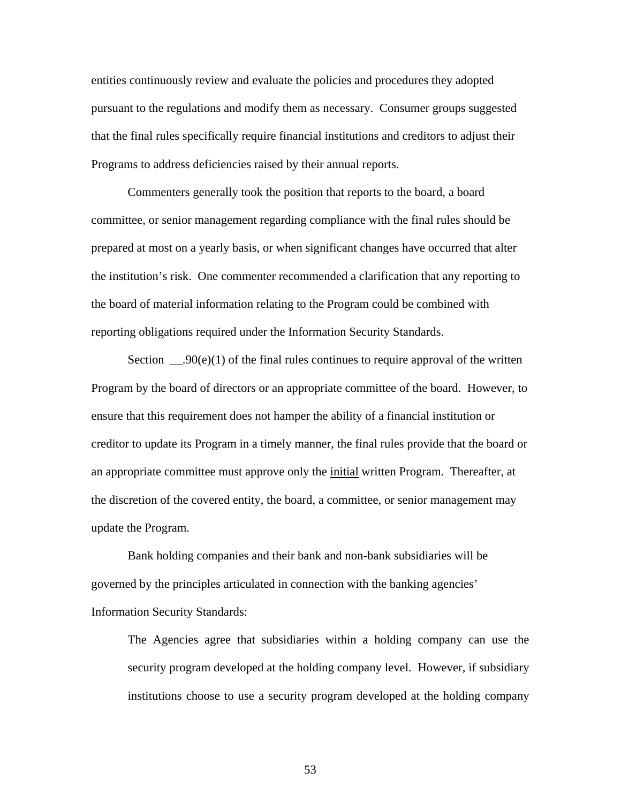entities continuously review and evaluate the policies and procedures they adopted pursuant to the regulations and modify them as necessary. Consumer groups suggested that the final rules specifically require financial institutions and creditors to adjust their Programs to address deficiencies raised by their annual reports.

Commenters generally took the position that reports to the board, a board committee, or senior management regarding compliance with the final rules should be prepared at most on a yearly basis, or when significant changes have occurred that alter the institution's risk. One commenter recommended a clarification that any reporting to the board of material information relating to the Program could be combined with reporting obligations required under the Information Security Standards.

Section  $\qquad 00(e)(1)$  of the final rules continues to require approval of the written Program by the board of directors or an appropriate committee of the board. However, to ensure that this requirement does not hamper the ability of a financial institution or creditor to update its Program in a timely manner, the final rules provide that the board or an appropriate committee must approve only the *initial* written Program. Thereafter, at the discretion of the covered entity, the board, a committee, or senior management may update the Program.

Bank holding companies and their bank and non-bank subsidiaries will be governed by the principles articulated in connection with the banking agencies' Information Security Standards:

The Agencies agree that subsidiaries within a holding company can use the security program developed at the holding company level. However, if subsidiary institutions choose to use a security program developed at the holding company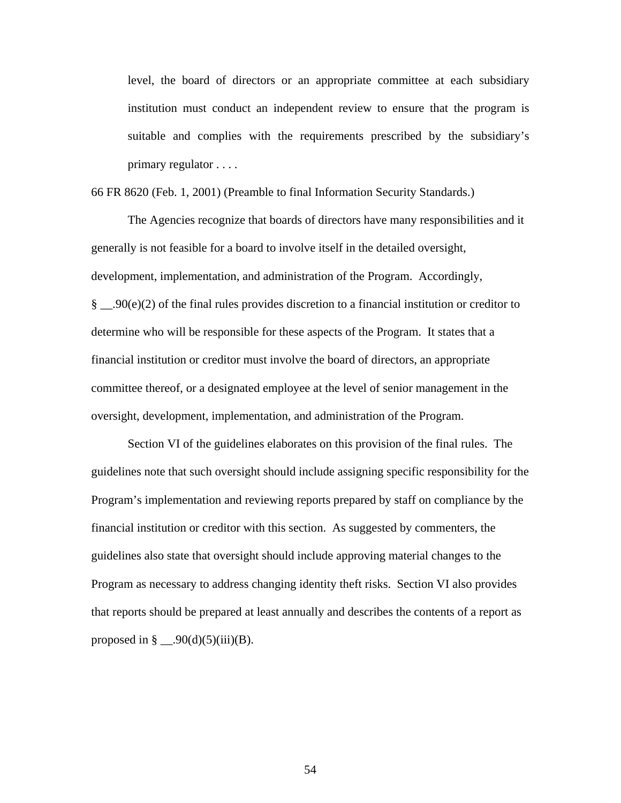level, the board of directors or an appropriate committee at each subsidiary institution must conduct an independent review to ensure that the program is suitable and complies with the requirements prescribed by the subsidiary's primary regulator . . . .

66 FR 8620 (Feb. 1, 2001) (Preamble to final Information Security Standards.)

 The Agencies recognize that boards of directors have many responsibilities and it generally is not feasible for a board to involve itself in the detailed oversight, development, implementation, and administration of the Program. Accordingly, § \_\_.90(e)(2) of the final rules provides discretion to a financial institution or creditor to determine who will be responsible for these aspects of the Program. It states that a financial institution or creditor must involve the board of directors, an appropriate committee thereof, or a designated employee at the level of senior management in the oversight, development, implementation, and administration of the Program.

 Section VI of the guidelines elaborates on this provision of the final rules. The guidelines note that such oversight should include assigning specific responsibility for the Program's implementation and reviewing reports prepared by staff on compliance by the financial institution or creditor with this section. As suggested by commenters, the guidelines also state that oversight should include approving material changes to the Program as necessary to address changing identity theft risks. Section VI also provides that reports should be prepared at least annually and describes the contents of a report as proposed in  $\S$  \_\_.90(d)(5)(iii)(B).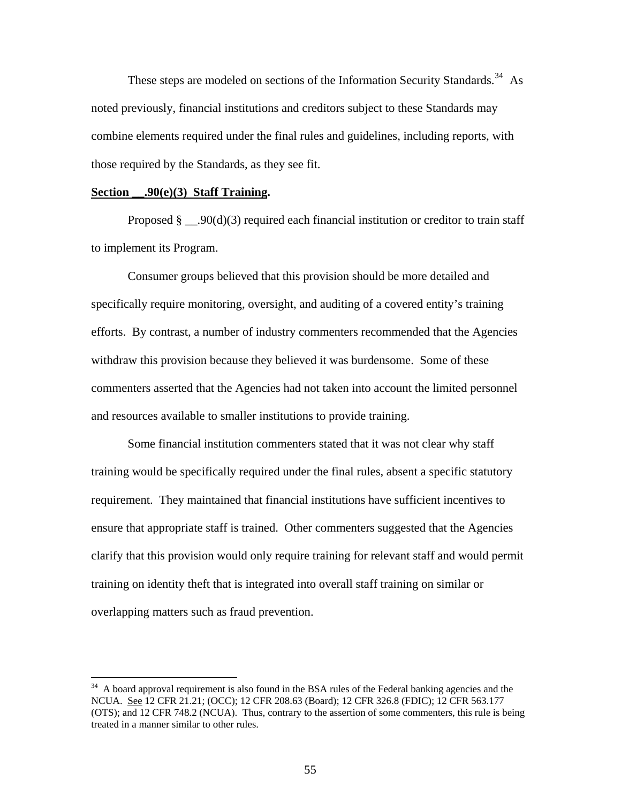These steps are modeled on sections of the Information Security Standards.<sup>[34](#page-54-0)</sup> As noted previously, financial institutions and creditors subject to these Standards may combine elements required under the final rules and guidelines, including reports, with those required by the Standards, as they see fit.

## **Section \_\_.90(e)(3) Staff Training.**

 $\overline{a}$ 

Proposed  $\S$  \_\_.90(d)(3) required each financial institution or creditor to train staff to implement its Program.

 Consumer groups believed that this provision should be more detailed and specifically require monitoring, oversight, and auditing of a covered entity's training efforts. By contrast, a number of industry commenters recommended that the Agencies withdraw this provision because they believed it was burdensome. Some of these commenters asserted that the Agencies had not taken into account the limited personnel and resources available to smaller institutions to provide training.

 Some financial institution commenters stated that it was not clear why staff training would be specifically required under the final rules, absent a specific statutory requirement. They maintained that financial institutions have sufficient incentives to ensure that appropriate staff is trained. Other commenters suggested that the Agencies clarify that this provision would only require training for relevant staff and would permit training on identity theft that is integrated into overall staff training on similar or overlapping matters such as fraud prevention.

<span id="page-54-0"></span> $34$  A board approval requirement is also found in the BSA rules of the Federal banking agencies and the NCUA. See 12 CFR 21.21; (OCC); 12 CFR 208.63 (Board); 12 CFR 326.8 (FDIC); 12 CFR 563.177 (OTS); and 12 CFR 748.2 (NCUA). Thus, contrary to the assertion of some commenters, this rule is being treated in a manner similar to other rules.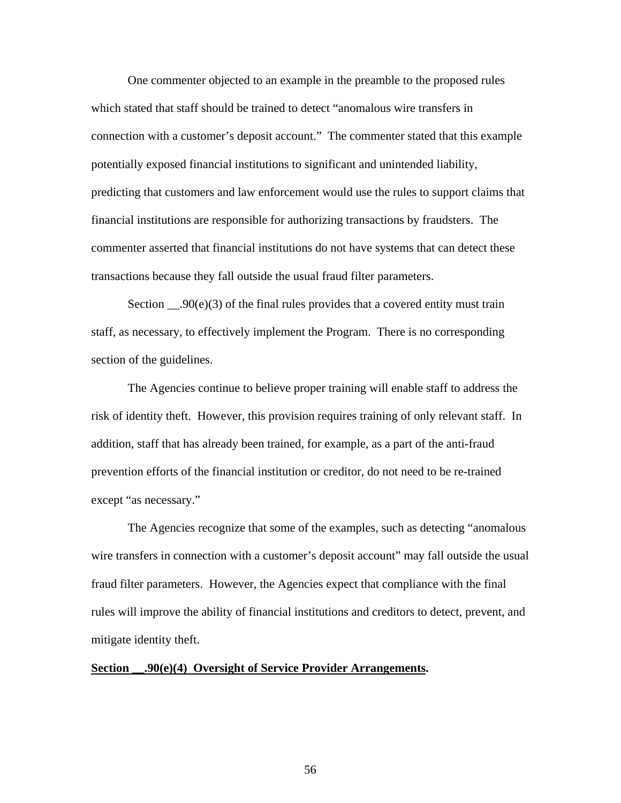One commenter objected to an example in the preamble to the proposed rules which stated that staff should be trained to detect "anomalous wire transfers in connection with a customer's deposit account." The commenter stated that this example potentially exposed financial institutions to significant and unintended liability, predicting that customers and law enforcement would use the rules to support claims that financial institutions are responsible for authorizing transactions by fraudsters. The commenter asserted that financial institutions do not have systems that can detect these transactions because they fall outside the usual fraud filter parameters.

Section  $\_\_90(e)(3)$  of the final rules provides that a covered entity must train staff, as necessary, to effectively implement the Program. There is no corresponding section of the guidelines.

 The Agencies continue to believe proper training will enable staff to address the risk of identity theft. However, this provision requires training of only relevant staff. In addition, staff that has already been trained, for example, as a part of the anti-fraud prevention efforts of the financial institution or creditor, do not need to be re-trained except "as necessary."

 The Agencies recognize that some of the examples, such as detecting "anomalous wire transfers in connection with a customer's deposit account" may fall outside the usual fraud filter parameters. However, the Agencies expect that compliance with the final rules will improve the ability of financial institutions and creditors to detect, prevent, and mitigate identity theft.

## **Section \_\_.90(e)(4) Oversight of Service Provider Arrangements.**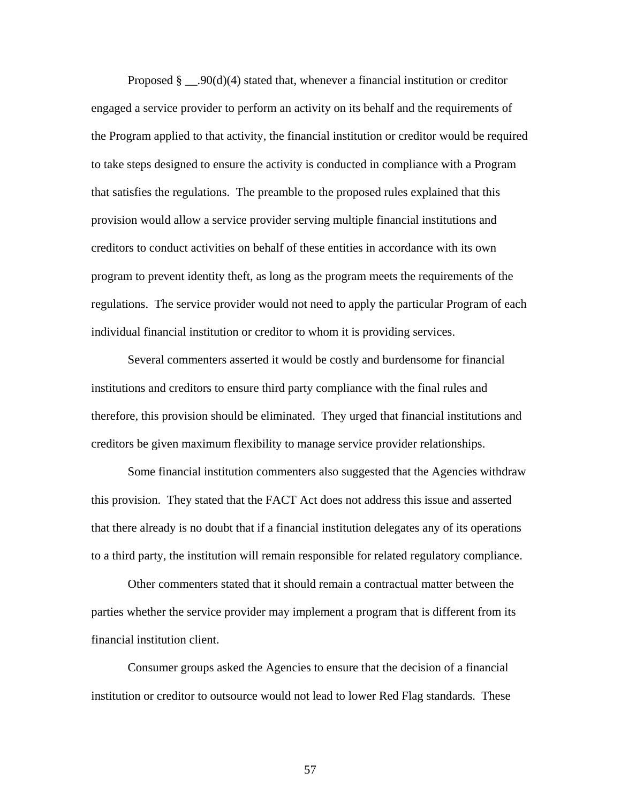Proposed § \_\_.90(d)(4) stated that, whenever a financial institution or creditor engaged a service provider to perform an activity on its behalf and the requirements of the Program applied to that activity, the financial institution or creditor would be required to take steps designed to ensure the activity is conducted in compliance with a Program that satisfies the regulations. The preamble to the proposed rules explained that this provision would allow a service provider serving multiple financial institutions and creditors to conduct activities on behalf of these entities in accordance with its own program to prevent identity theft, as long as the program meets the requirements of the regulations. The service provider would not need to apply the particular Program of each individual financial institution or creditor to whom it is providing services.

Several commenters asserted it would be costly and burdensome for financial institutions and creditors to ensure third party compliance with the final rules and therefore, this provision should be eliminated. They urged that financial institutions and creditors be given maximum flexibility to manage service provider relationships.

Some financial institution commenters also suggested that the Agencies withdraw this provision. They stated that the FACT Act does not address this issue and asserted that there already is no doubt that if a financial institution delegates any of its operations to a third party, the institution will remain responsible for related regulatory compliance.

Other commenters stated that it should remain a contractual matter between the parties whether the service provider may implement a program that is different from its financial institution client.

Consumer groups asked the Agencies to ensure that the decision of a financial institution or creditor to outsource would not lead to lower Red Flag standards. These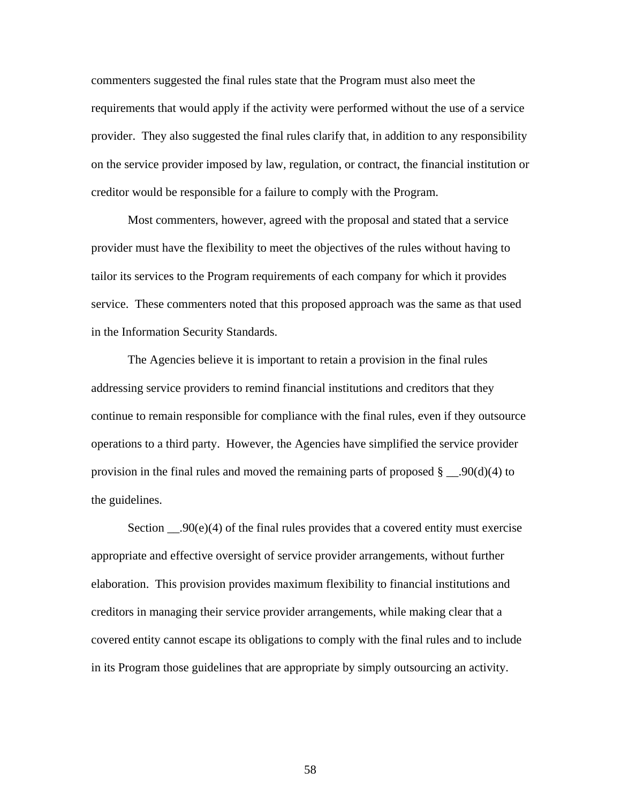commenters suggested the final rules state that the Program must also meet the requirements that would apply if the activity were performed without the use of a service provider. They also suggested the final rules clarify that, in addition to any responsibility on the service provider imposed by law, regulation, or contract, the financial institution or creditor would be responsible for a failure to comply with the Program.

Most commenters, however, agreed with the proposal and stated that a service provider must have the flexibility to meet the objectives of the rules without having to tailor its services to the Program requirements of each company for which it provides service. These commenters noted that this proposed approach was the same as that used in the Information Security Standards.

 The Agencies believe it is important to retain a provision in the final rules addressing service providers to remind financial institutions and creditors that they continue to remain responsible for compliance with the final rules, even if they outsource operations to a third party. However, the Agencies have simplified the service provider provision in the final rules and moved the remaining parts of proposed  $\S$  \_\_.90(d)(4) to the guidelines.

Section  $\Box$ 90(e)(4) of the final rules provides that a covered entity must exercise appropriate and effective oversight of service provider arrangements, without further elaboration. This provision provides maximum flexibility to financial institutions and creditors in managing their service provider arrangements, while making clear that a covered entity cannot escape its obligations to comply with the final rules and to include in its Program those guidelines that are appropriate by simply outsourcing an activity.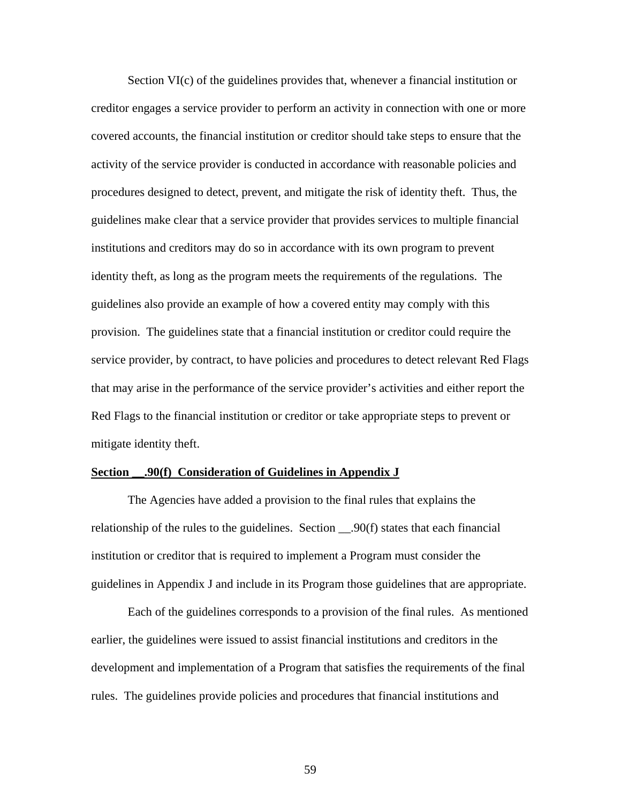Section VI(c) of the guidelines provides that, whenever a financial institution or creditor engages a service provider to perform an activity in connection with one or more covered accounts, the financial institution or creditor should take steps to ensure that the activity of the service provider is conducted in accordance with reasonable policies and procedures designed to detect, prevent, and mitigate the risk of identity theft. Thus, the guidelines make clear that a service provider that provides services to multiple financial institutions and creditors may do so in accordance with its own program to prevent identity theft, as long as the program meets the requirements of the regulations. The guidelines also provide an example of how a covered entity may comply with this provision. The guidelines state that a financial institution or creditor could require the service provider, by contract, to have policies and procedures to detect relevant Red Flags that may arise in the performance of the service provider's activities and either report the Red Flags to the financial institution or creditor or take appropriate steps to prevent or mitigate identity theft.

### **Section \_\_.90(f) Consideration of Guidelines in Appendix J**

The Agencies have added a provision to the final rules that explains the relationship of the rules to the guidelines. Section \_\_.90(f) states that each financial institution or creditor that is required to implement a Program must consider the guidelines in Appendix J and include in its Program those guidelines that are appropriate.

 Each of the guidelines corresponds to a provision of the final rules. As mentioned earlier, the guidelines were issued to assist financial institutions and creditors in the development and implementation of a Program that satisfies the requirements of the final rules. The guidelines provide policies and procedures that financial institutions and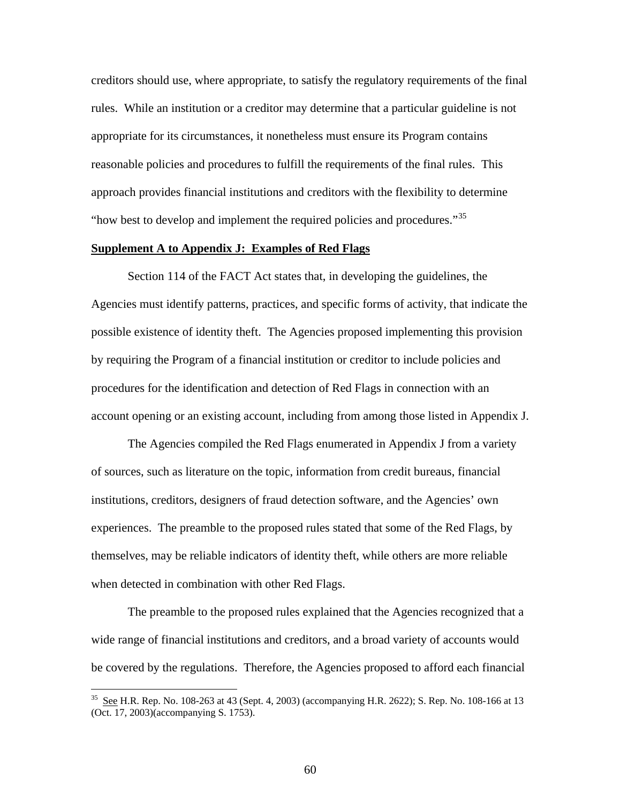creditors should use, where appropriate, to satisfy the regulatory requirements of the final rules. While an institution or a creditor may determine that a particular guideline is not appropriate for its circumstances, it nonetheless must ensure its Program contains reasonable policies and procedures to fulfill the requirements of the final rules. This approach provides financial institutions and creditors with the flexibility to determine "how best to develop and implement the required policies and procedures."<sup>[35](#page-59-0)</sup>

## **Supplement A to Appendix J: Examples of Red Flags**

Section 114 of the FACT Act states that, in developing the guidelines, the Agencies must identify patterns, practices, and specific forms of activity, that indicate the possible existence of identity theft. The Agencies proposed implementing this provision by requiring the Program of a financial institution or creditor to include policies and procedures for the identification and detection of Red Flags in connection with an account opening or an existing account, including from among those listed in Appendix J.

The Agencies compiled the Red Flags enumerated in Appendix J from a variety of sources, such as literature on the topic, information from credit bureaus, financial institutions, creditors, designers of fraud detection software, and the Agencies' own experiences.The preamble to the proposed rules stated that some of the Red Flags, by themselves, may be reliable indicators of identity theft, while others are more reliable when detected in combination with other Red Flags.

The preamble to the proposed rules explained that the Agencies recognized that a wide range of financial institutions and creditors, and a broad variety of accounts would be covered by the regulations. Therefore, the Agencies proposed to afford each financial

<span id="page-59-0"></span><sup>&</sup>lt;sup>35</sup> See H.R. Rep. No. 108-263 at 43 (Sept. 4, 2003) (accompanying H.R. 2622); S. Rep. No. 108-166 at 13 (Oct. 17, 2003)(accompanying S. 1753).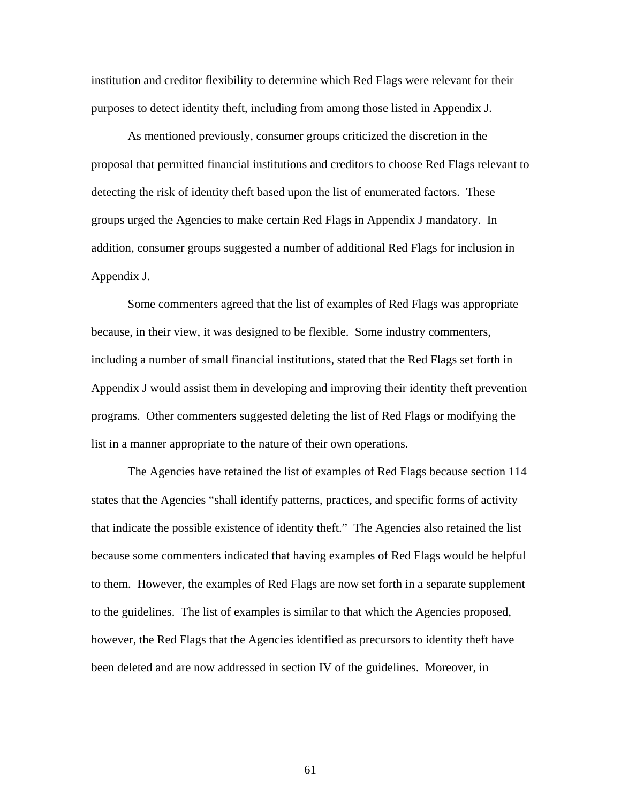institution and creditor flexibility to determine which Red Flags were relevant for their purposes to detect identity theft, including from among those listed in Appendix J.

As mentioned previously, consumer groups criticized the discretion in the proposal that permitted financial institutions and creditors to choose Red Flags relevant to detecting the risk of identity theft based upon the list of enumerated factors. These groups urged the Agencies to make certain Red Flags in Appendix J mandatory. In addition, consumer groups suggested a number of additional Red Flags for inclusion in Appendix J.

Some commenters agreed that the list of examples of Red Flags was appropriate because, in their view, it was designed to be flexible. Some industry commenters, including a number of small financial institutions, stated that the Red Flags set forth in Appendix J would assist them in developing and improving their identity theft prevention programs. Other commenters suggested deleting the list of Red Flags or modifying the list in a manner appropriate to the nature of their own operations.

 The Agencies have retained the list of examples of Red Flags because section 114 states that the Agencies "shall identify patterns, practices, and specific forms of activity that indicate the possible existence of identity theft." The Agencies also retained the list because some commenters indicated that having examples of Red Flags would be helpful to them. However, the examples of Red Flags are now set forth in a separate supplement to the guidelines. The list of examples is similar to that which the Agencies proposed, however, the Red Flags that the Agencies identified as precursors to identity theft have been deleted and are now addressed in section IV of the guidelines. Moreover, in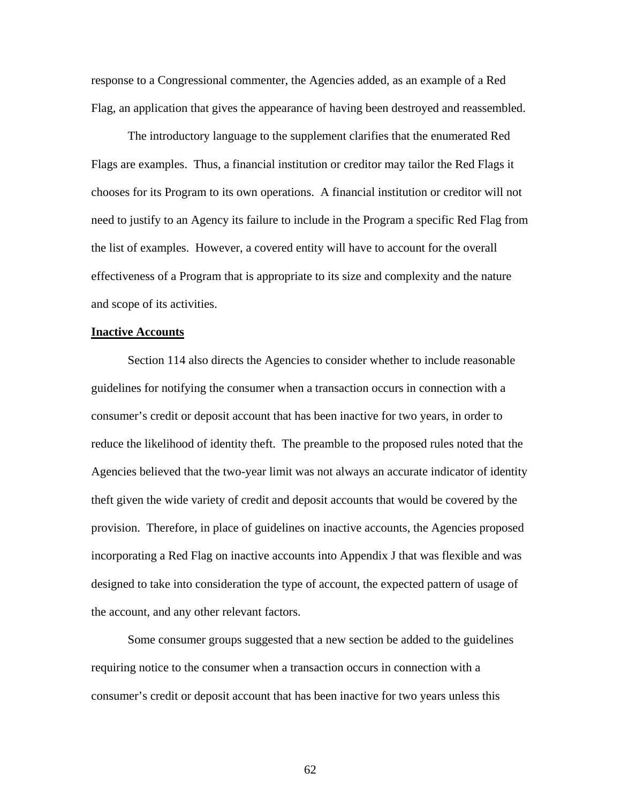response to a Congressional commenter, the Agencies added, as an example of a Red Flag, an application that gives the appearance of having been destroyed and reassembled.

 The introductory language to the supplement clarifies that the enumerated Red Flags are examples. Thus, a financial institution or creditor may tailor the Red Flags it chooses for its Program to its own operations. A financial institution or creditor will not need to justify to an Agency its failure to include in the Program a specific Red Flag from the list of examples. However, a covered entity will have to account for the overall effectiveness of a Program that is appropriate to its size and complexity and the nature and scope of its activities.

#### **Inactive Accounts**

 Section 114 also directs the Agencies to consider whether to include reasonable guidelines for notifying the consumer when a transaction occurs in connection with a consumer's credit or deposit account that has been inactive for two years, in order to reduce the likelihood of identity theft. The preamble to the proposed rules noted that the Agencies believed that the two-year limit was not always an accurate indicator of identity theft given the wide variety of credit and deposit accounts that would be covered by the provision. Therefore, in place of guidelines on inactive accounts, the Agencies proposed incorporating a Red Flag on inactive accounts into Appendix J that was flexible and was designed to take into consideration the type of account, the expected pattern of usage of the account, and any other relevant factors.

 Some consumer groups suggested that a new section be added to the guidelines requiring notice to the consumer when a transaction occurs in connection with a consumer's credit or deposit account that has been inactive for two years unless this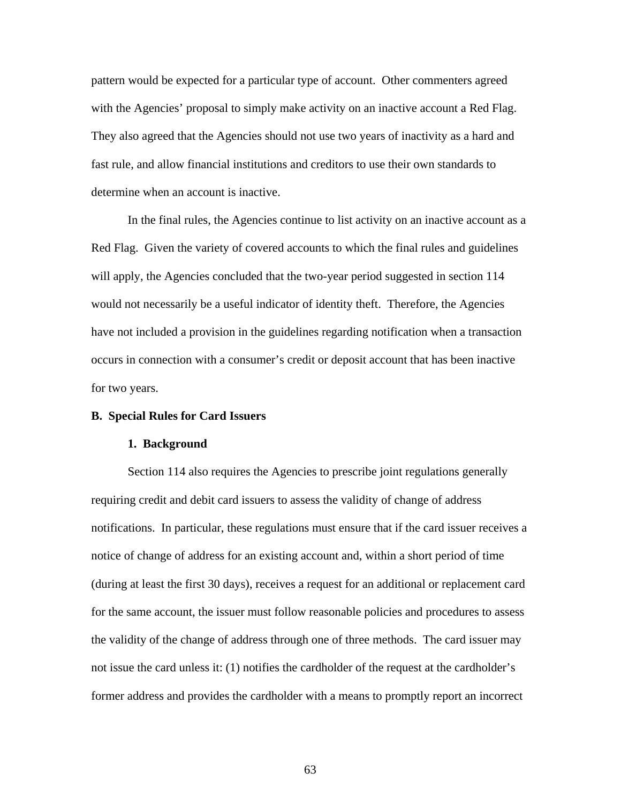pattern would be expected for a particular type of account. Other commenters agreed with the Agencies' proposal to simply make activity on an inactive account a Red Flag. They also agreed that the Agencies should not use two years of inactivity as a hard and fast rule, and allow financial institutions and creditors to use their own standards to determine when an account is inactive.

 In the final rules, the Agencies continue to list activity on an inactive account as a Red Flag. Given the variety of covered accounts to which the final rules and guidelines will apply, the Agencies concluded that the two-year period suggested in section 114 would not necessarily be a useful indicator of identity theft. Therefore, the Agencies have not included a provision in the guidelines regarding notification when a transaction occurs in connection with a consumer's credit or deposit account that has been inactive for two years.

## **B. Special Rules for Card Issuers**

#### **1. Background**

Section 114 also requires the Agencies to prescribe joint regulations generally requiring credit and debit card issuers to assess the validity of change of address notifications. In particular, these regulations must ensure that if the card issuer receives a notice of change of address for an existing account and, within a short period of time (during at least the first 30 days), receives a request for an additional or replacement card for the same account, the issuer must follow reasonable policies and procedures to assess the validity of the change of address through one of three methods. The card issuer may not issue the card unless it: (1) notifies the cardholder of the request at the cardholder's former address and provides the cardholder with a means to promptly report an incorrect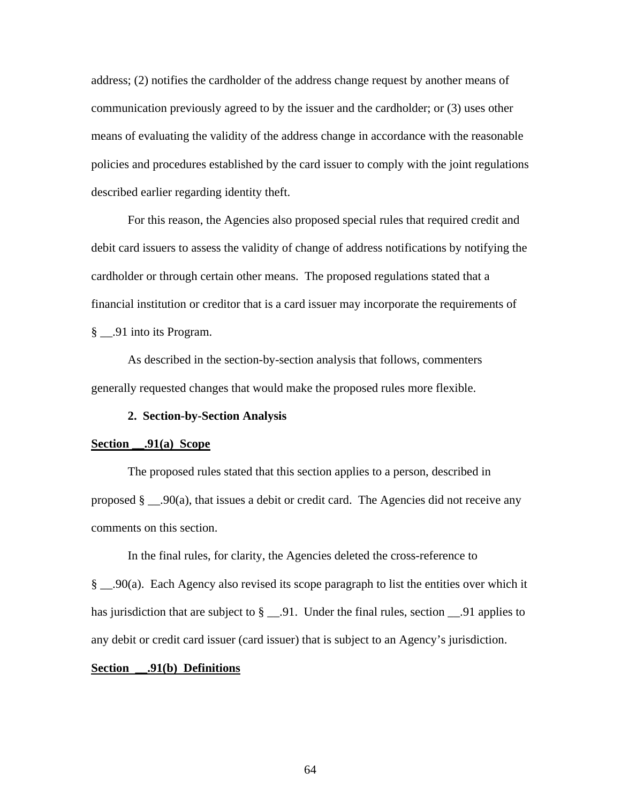address; (2) notifies the cardholder of the address change request by another means of communication previously agreed to by the issuer and the cardholder; or (3) uses other means of evaluating the validity of the address change in accordance with the reasonable policies and procedures established by the card issuer to comply with the joint regulations described earlier regarding identity theft.

For this reason, the Agencies also proposed special rules that required credit and debit card issuers to assess the validity of change of address notifications by notifying the cardholder or through certain other means. The proposed regulations stated that a financial institution or creditor that is a card issuer may incorporate the requirements of § \_\_.91 into its Program.

As described in the section-by-section analysis that follows, commenters generally requested changes that would make the proposed rules more flexible.

## **2. Section-by-Section Analysis**

### **Section \_\_.91(a) Scope**

 The proposed rules stated that this section applies to a person, described in proposed  $\S$  \_\_.90(a), that issues a debit or credit card. The Agencies did not receive any comments on this section.

In the final rules, for clarity, the Agencies deleted the cross-reference to

§ \_\_.90(a). Each Agency also revised its scope paragraph to list the entities over which it has jurisdiction that are subject to § \_\_.91. Under the final rules, section \_\_.91 applies to any debit or credit card issuer (card issuer) that is subject to an Agency's jurisdiction.

## **Section \_\_.91(b) Definitions**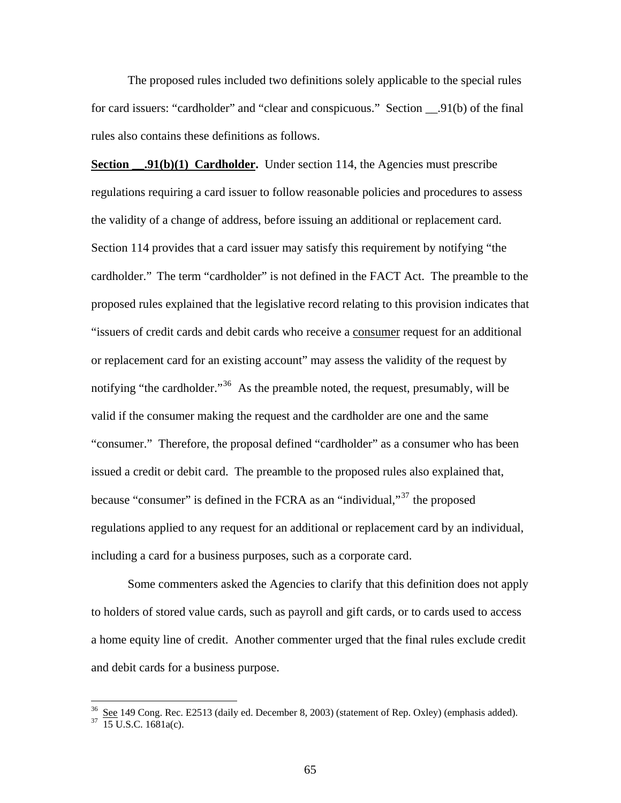The proposed rules included two definitions solely applicable to the special rules for card issuers: "cardholder" and "clear and conspicuous." Section \_\_.91(b) of the final rules also contains these definitions as follows.

**Section .91(b)(1) Cardholder.** Under section 114, the Agencies must prescribe regulations requiring a card issuer to follow reasonable policies and procedures to assess the validity of a change of address, before issuing an additional or replacement card. Section 114 provides that a card issuer may satisfy this requirement by notifying "the cardholder." The term "cardholder" is not defined in the FACT Act. The preamble to the proposed rules explained that the legislative record relating to this provision indicates that "issuers of credit cards and debit cards who receive a consumer request for an additional or replacement card for an existing account" may assess the validity of the request by notifying "the cardholder."<sup>[36](#page-64-0)</sup> As the preamble noted, the request, presumably, will be valid if the consumer making the request and the cardholder are one and the same "consumer." Therefore, the proposal defined "cardholder" as a consumer who has been issued a credit or debit card. The preamble to the proposed rules also explained that, because "consumer" is defined in the FCRA as an "individual,"[37](#page-64-1) the proposed regulations applied to any request for an additional or replacement card by an individual, including a card for a business purposes, such as a corporate card.

 Some commenters asked the Agencies to clarify that this definition does not apply to holders of stored value cards, such as payroll and gift cards, or to cards used to access a home equity line of credit. Another commenter urged that the final rules exclude credit and debit cards for a business purpose.

<span id="page-64-0"></span> $\frac{36}{37}$  <u>See</u> 149 Cong. Rec. E2513 (daily ed. December 8, 2003) (statement of Rep. Oxley) (emphasis added).  $\frac{37}{15}$  U.S.C. 1681a(c).

<span id="page-64-1"></span>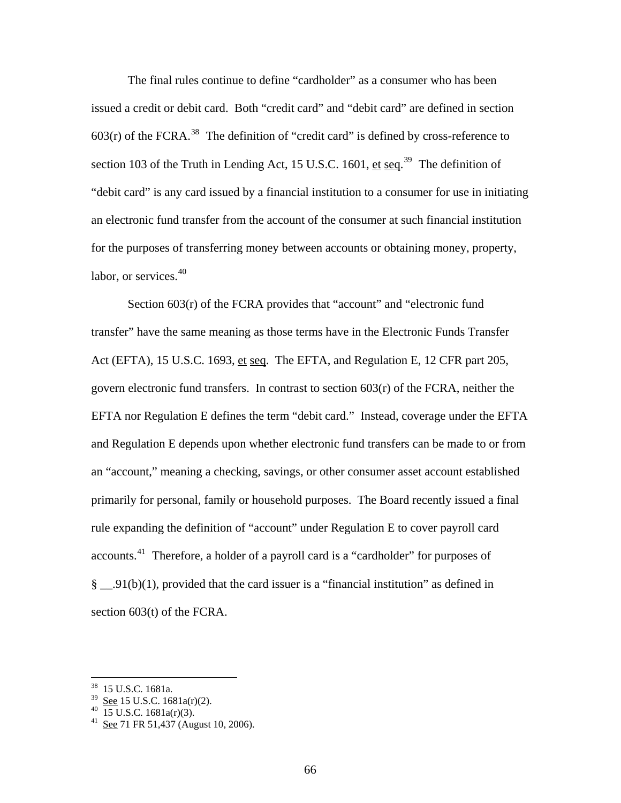The final rules continue to define "cardholder" as a consumer who has been issued a credit or debit card. Both "credit card" and "debit card" are defined in section  $603(r)$  of the FCRA.<sup>[38](#page-65-0)</sup> The definition of "credit card" is defined by cross-reference to section 103 of the Truth in Lending Act, 15 U.S.C. 1601,  $\underline{et}$  seq.<sup>[39](#page-65-1)</sup> The definition of "debit card" is any card issued by a financial institution to a consumer for use in initiating an electronic fund transfer from the account of the consumer at such financial institution for the purposes of transferring money between accounts or obtaining money, property, labor, or services.<sup>[40](#page-65-2)</sup>

Section 603(r) of the FCRA provides that "account" and "electronic fund transfer" have the same meaning as those terms have in the Electronic Funds Transfer Act (EFTA), 15 U.S.C. 1693, et seq. The EFTA, and Regulation E, 12 CFR part 205, govern electronic fund transfers. In contrast to section 603(r) of the FCRA, neither the EFTA nor Regulation E defines the term "debit card." Instead, coverage under the EFTA and Regulation E depends upon whether electronic fund transfers can be made to or from an "account," meaning a checking, savings, or other consumer asset account established primarily for personal, family or household purposes. The Board recently issued a final rule expanding the definition of "account" under Regulation E to cover payroll card accounts.[41](#page-65-3) Therefore, a holder of a payroll card is a "cardholder" for purposes of § \_\_.91(b)(1), provided that the card issuer is a "financial institution" as defined in section 603(t) of the FCRA.

<u>.</u>

<span id="page-65-0"></span><sup>38 15</sup> U.S.C. 1681a.

<span id="page-65-2"></span><span id="page-65-1"></span> $rac{39}{40}$  See 15 U.S.C. 1681a(r)(2).<br> $rac{15 \text{ U.S.C. } 1681a(r)(3)}{15 \text{ U.S.C. } 1681a(r)(3)}$ .

<span id="page-65-3"></span>See 71 FR 51,437 (August 10, 2006).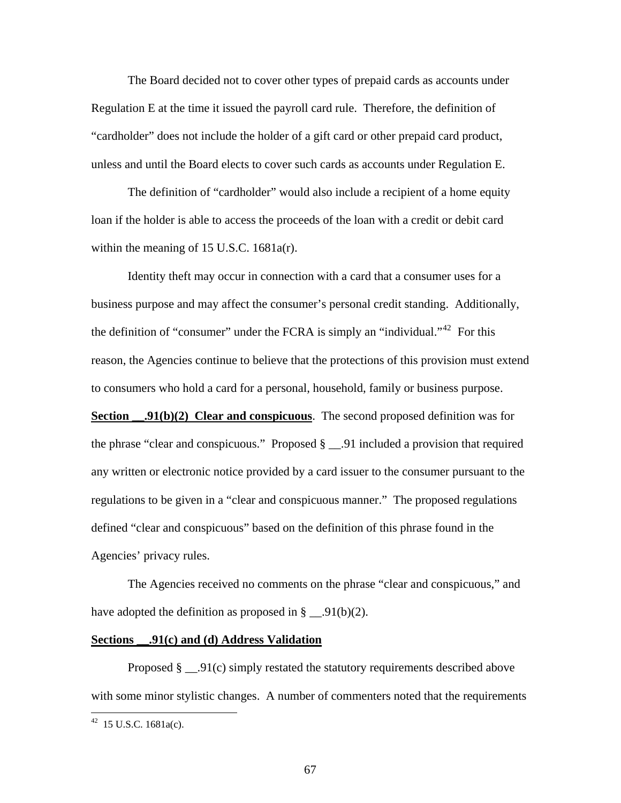The Board decided not to cover other types of prepaid cards as accounts under Regulation E at the time it issued the payroll card rule. Therefore, the definition of "cardholder" does not include the holder of a gift card or other prepaid card product, unless and until the Board elects to cover such cards as accounts under Regulation E.

The definition of "cardholder" would also include a recipient of a home equity loan if the holder is able to access the proceeds of the loan with a credit or debit card within the meaning of 15 U.S.C. 1681a(r).

Identity theft may occur in connection with a card that a consumer uses for a business purpose and may affect the consumer's personal credit standing. Additionally, the definition of "consumer" under the FCRA is simply an "individual."<sup>[42](#page-66-0)</sup> For this reason, the Agencies continue to believe that the protections of this provision must extend to consumers who hold a card for a personal, household, family or business purpose. **Section 91(b)(2)** Clear and conspicuous. The second proposed definition was for the phrase "clear and conspicuous." Proposed § \_\_.91 included a provision that required any written or electronic notice provided by a card issuer to the consumer pursuant to the regulations to be given in a "clear and conspicuous manner." The proposed regulations defined "clear and conspicuous" based on the definition of this phrase found in the

Agencies' privacy rules.

 The Agencies received no comments on the phrase "clear and conspicuous," and have adopted the definition as proposed in  $\S$  \_\_.91(b)(2).

## **Sections \_\_.91(c) and (d) Address Validation**

Proposed § \_\_.91(c) simply restated the statutory requirements described above with some minor stylistic changes. A number of commenters noted that the requirements

<u>.</u>

<span id="page-66-0"></span> $42$  15 U.S.C. 1681a(c).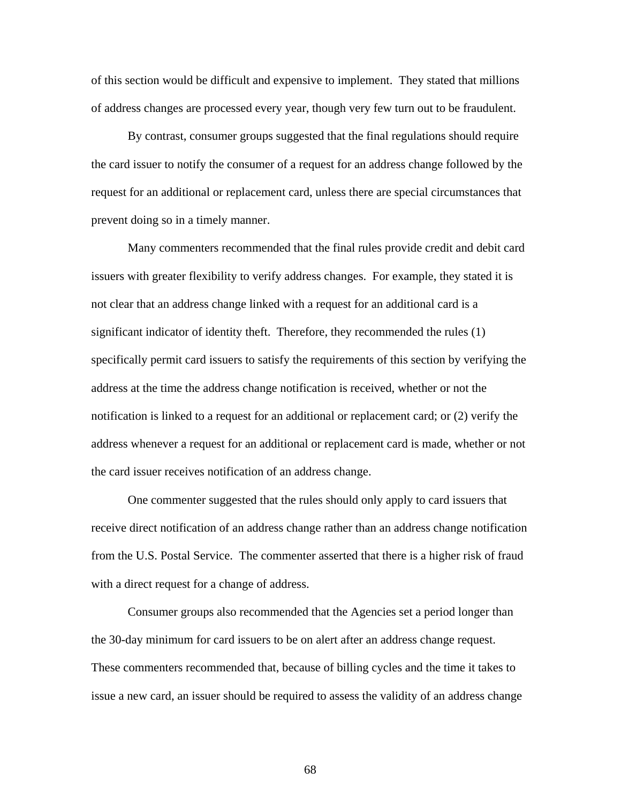of this section would be difficult and expensive to implement. They stated that millions of address changes are processed every year, though very few turn out to be fraudulent.

By contrast, consumer groups suggested that the final regulations should require the card issuer to notify the consumer of a request for an address change followed by the request for an additional or replacement card, unless there are special circumstances that prevent doing so in a timely manner.

 Many commenters recommended that the final rules provide credit and debit card issuers with greater flexibility to verify address changes. For example, they stated it is not clear that an address change linked with a request for an additional card is a significant indicator of identity theft. Therefore, they recommended the rules (1) specifically permit card issuers to satisfy the requirements of this section by verifying the address at the time the address change notification is received, whether or not the notification is linked to a request for an additional or replacement card; or (2) verify the address whenever a request for an additional or replacement card is made, whether or not the card issuer receives notification of an address change.

 One commenter suggested that the rules should only apply to card issuers that receive direct notification of an address change rather than an address change notification from the U.S. Postal Service. The commenter asserted that there is a higher risk of fraud with a direct request for a change of address.

 Consumer groups also recommended that the Agencies set a period longer than the 30-day minimum for card issuers to be on alert after an address change request. These commenters recommended that, because of billing cycles and the time it takes to issue a new card, an issuer should be required to assess the validity of an address change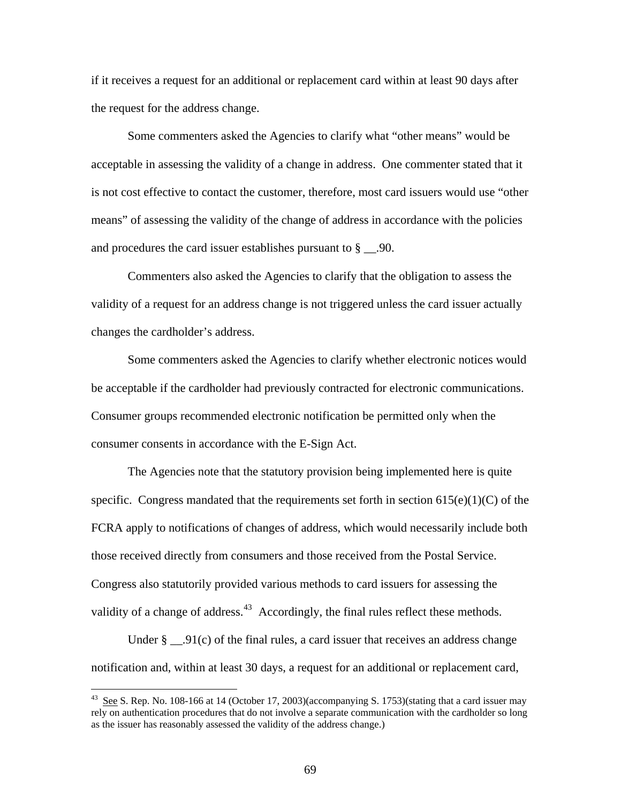if it receives a request for an additional or replacement card within at least 90 days after the request for the address change.

 Some commenters asked the Agencies to clarify what "other means" would be acceptable in assessing the validity of a change in address. One commenter stated that it is not cost effective to contact the customer, therefore, most card issuers would use "other means" of assessing the validity of the change of address in accordance with the policies and procedures the card issuer establishes pursuant to  $\S$  \_\_.90.

Commenters also asked the Agencies to clarify that the obligation to assess the validity of a request for an address change is not triggered unless the card issuer actually changes the cardholder's address.

 Some commenters asked the Agencies to clarify whether electronic notices would be acceptable if the cardholder had previously contracted for electronic communications. Consumer groups recommended electronic notification be permitted only when the consumer consents in accordance with the E-Sign Act.

 The Agencies note that the statutory provision being implemented here is quite specific. Congress mandated that the requirements set forth in section  $615(e)(1)(C)$  of the FCRA apply to notifications of changes of address, which would necessarily include both those received directly from consumers and those received from the Postal Service. Congress also statutorily provided various methods to card issuers for assessing the validity of a change of address.<sup>[43](#page-68-0)</sup> Accordingly, the final rules reflect these methods.

Under  $\S$  \_\_.91(c) of the final rules, a card issuer that receives an address change notification and, within at least 30 days, a request for an additional or replacement card,

<span id="page-68-0"></span><sup>&</sup>lt;sup>43</sup> See S. Rep. No. 108-166 at 14 (October 17, 2003)(accompanying S. 1753)(stating that a card issuer may rely on authentication procedures that do not involve a separate communication with the cardholder so long as the issuer has reasonably assessed the validity of the address change.)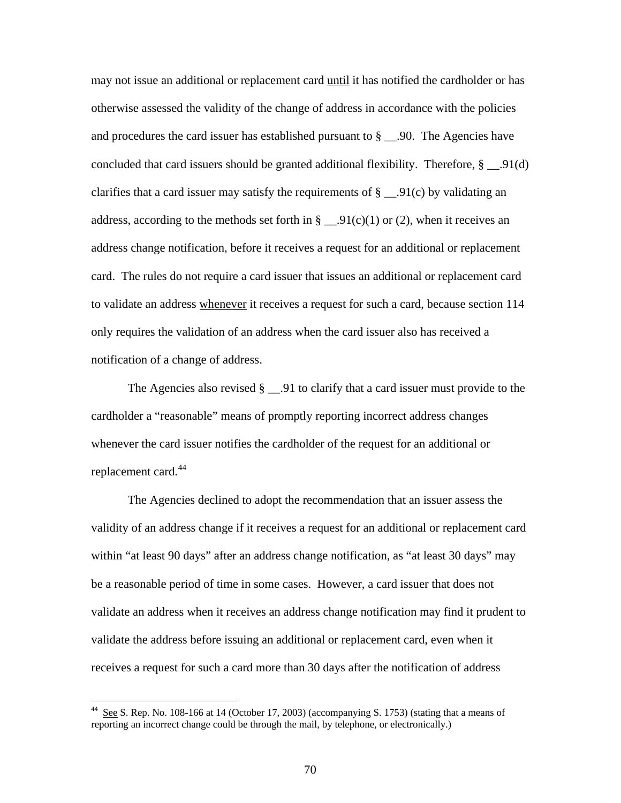may not issue an additional or replacement card until it has notified the cardholder or has otherwise assessed the validity of the change of address in accordance with the policies and procedures the card issuer has established pursuant to  $\S$  \_\_.90. The Agencies have concluded that card issuers should be granted additional flexibility. Therefore,  $\S$  \_\_.91(d) clarifies that a card issuer may satisfy the requirements of  $\S$  \_\_.91(c) by validating an address, according to the methods set forth in  $\S$  \_\_.91(c)(1) or (2), when it receives an address change notification, before it receives a request for an additional or replacement card. The rules do not require a card issuer that issues an additional or replacement card to validate an address whenever it receives a request for such a card, because section 114 only requires the validation of an address when the card issuer also has received a notification of a change of address.

The Agencies also revised  $\S$  \_\_.91 to clarify that a card issuer must provide to the cardholder a "reasonable" means of promptly reporting incorrect address changes whenever the card issuer notifies the cardholder of the request for an additional or replacement card.<sup>[44](#page-69-0)</sup>

 The Agencies declined to adopt the recommendation that an issuer assess the validity of an address change if it receives a request for an additional or replacement card within "at least 90 days" after an address change notification, as "at least 30 days" may be a reasonable period of time in some cases. However, a card issuer that does not validate an address when it receives an address change notification may find it prudent to validate the address before issuing an additional or replacement card, even when it receives a request for such a card more than 30 days after the notification of address

<span id="page-69-0"></span>See S. Rep. No. 108-166 at 14 (October 17, 2003) (accompanying S. 1753) (stating that a means of reporting an incorrect change could be through the mail, by telephone, or electronically.)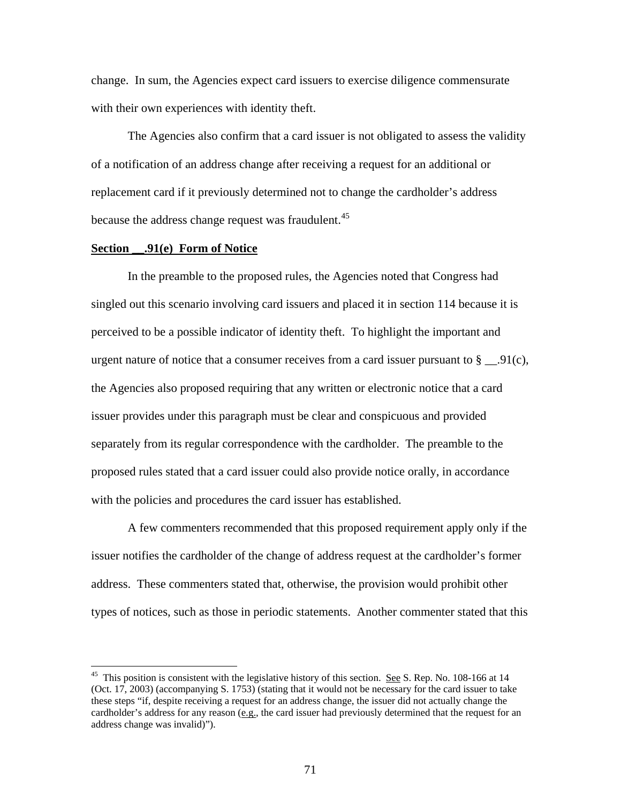change. In sum, the Agencies expect card issuers to exercise diligence commensurate with their own experiences with identity theft.

The Agencies also confirm that a card issuer is not obligated to assess the validity of a notification of an address change after receiving a request for an additional or replacement card if it previously determined not to change the cardholder's address because the address change request was fraudulent.<sup>[45](#page-70-0)</sup>

#### **Section \_\_.91(e) Form of Notice**

 $\overline{a}$ 

In the preamble to the proposed rules, the Agencies noted that Congress had singled out this scenario involving card issuers and placed it in section 114 because it is perceived to be a possible indicator of identity theft. To highlight the important and urgent nature of notice that a consumer receives from a card issuer pursuant to  $\S$  \_\_.91(c), the Agencies also proposed requiring that any written or electronic notice that a card issuer provides under this paragraph must be clear and conspicuous and provided separately from its regular correspondence with the cardholder. The preamble to the proposed rules stated that a card issuer could also provide notice orally, in accordance with the policies and procedures the card issuer has established.

 A few commenters recommended that this proposed requirement apply only if the issuer notifies the cardholder of the change of address request at the cardholder's former address. These commenters stated that, otherwise, the provision would prohibit other types of notices, such as those in periodic statements. Another commenter stated that this

<span id="page-70-0"></span><sup>&</sup>lt;sup>45</sup> This position is consistent with the legislative history of this section. <u>See</u> S. Rep. No. 108-166 at 14 (Oct. 17, 2003) (accompanying S. 1753) (stating that it would not be necessary for the card issuer to take these steps "if, despite receiving a request for an address change, the issuer did not actually change the cardholder's address for any reason  $(e.g.,$  the card issuer had previously determined that the request for an address change was invalid)").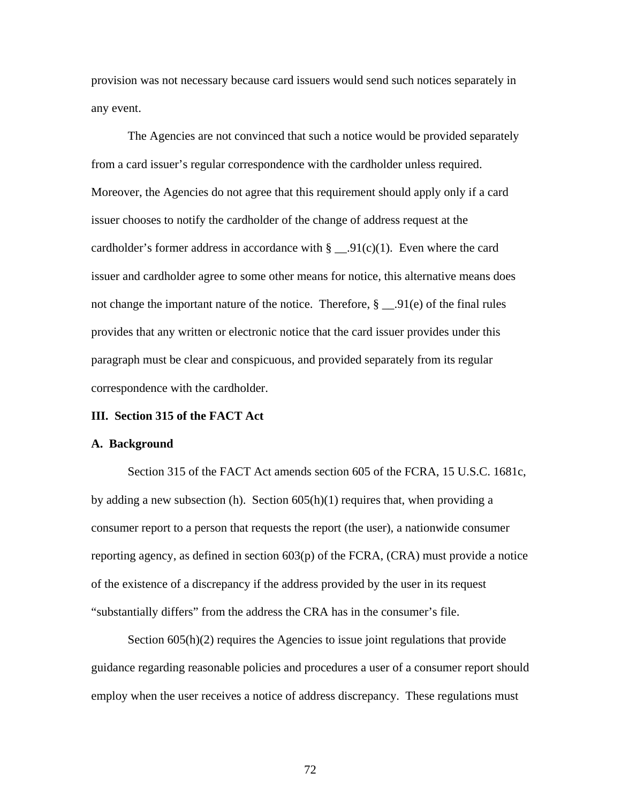provision was not necessary because card issuers would send such notices separately in any event.

The Agencies are not convinced that such a notice would be provided separately from a card issuer's regular correspondence with the cardholder unless required. Moreover, the Agencies do not agree that this requirement should apply only if a card issuer chooses to notify the cardholder of the change of address request at the cardholder's former address in accordance with  $\S$  \_\_.91(c)(1). Even where the card issuer and cardholder agree to some other means for notice, this alternative means does not change the important nature of the notice. Therefore, § \_\_.91(e) of the final rules provides that any written or electronic notice that the card issuer provides under this paragraph must be clear and conspicuous, and provided separately from its regular correspondence with the cardholder.

## **III. Section 315 of the FACT Act**

#### **A. Background**

Section 315 of the FACT Act amends section 605 of the FCRA, 15 U.S.C. 1681c, by adding a new subsection (h). Section  $605(h)(1)$  requires that, when providing a consumer report to a person that requests the report (the user), a nationwide consumer reporting agency, as defined in section 603(p) of the FCRA, (CRA) must provide a notice of the existence of a discrepancy if the address provided by the user in its request "substantially differs" from the address the CRA has in the consumer's file.

Section 605(h)(2) requires the Agencies to issue joint regulations that provide guidance regarding reasonable policies and procedures a user of a consumer report should employ when the user receives a notice of address discrepancy. These regulations must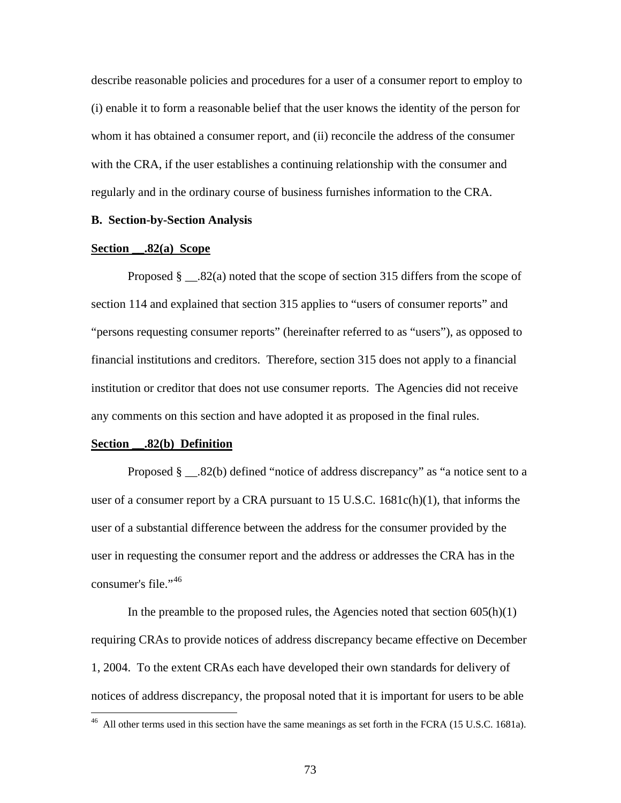describe reasonable policies and procedures for a user of a consumer report to employ to (i) enable it to form a reasonable belief that the user knows the identity of the person for whom it has obtained a consumer report, and (ii) reconcile the address of the consumer with the CRA, if the user establishes a continuing relationship with the consumer and regularly and in the ordinary course of business furnishes information to the CRA.

# **B. Section-by-Section Analysis**

## **Section \_\_.82(a) Scope**

Proposed  $\S$   $\ldots$ 82(a) noted that the scope of section 315 differs from the scope of section 114 and explained that section 315 applies to "users of consumer reports" and "persons requesting consumer reports" (hereinafter referred to as "users"), as opposed to financial institutions and creditors. Therefore, section 315 does not apply to a financial institution or creditor that does not use consumer reports. The Agencies did not receive any comments on this section and have adopted it as proposed in the final rules.

#### **Section \_\_.82(b) Definition**

 $\overline{a}$ 

Proposed § \_\_.82(b) defined "notice of address discrepancy" as "a notice sent to a user of a consumer report by a CRA pursuant to 15 U.S.C. 1681c(h)(1), that informs the user of a substantial difference between the address for the consumer provided by the user in requesting the consumer report and the address or addresses the CRA has in the consumer's file."<sup>[46](#page-72-0)</sup>

In the preamble to the proposed rules, the Agencies noted that section  $605(h)(1)$ requiring CRAs to provide notices of address discrepancy became effective on December 1, 2004. To the extent CRAs each have developed their own standards for delivery of notices of address discrepancy, the proposal noted that it is important for users to be able

<span id="page-72-0"></span> $^{46}$  All other terms used in this section have the same meanings as set forth in the FCRA (15 U.S.C. 1681a).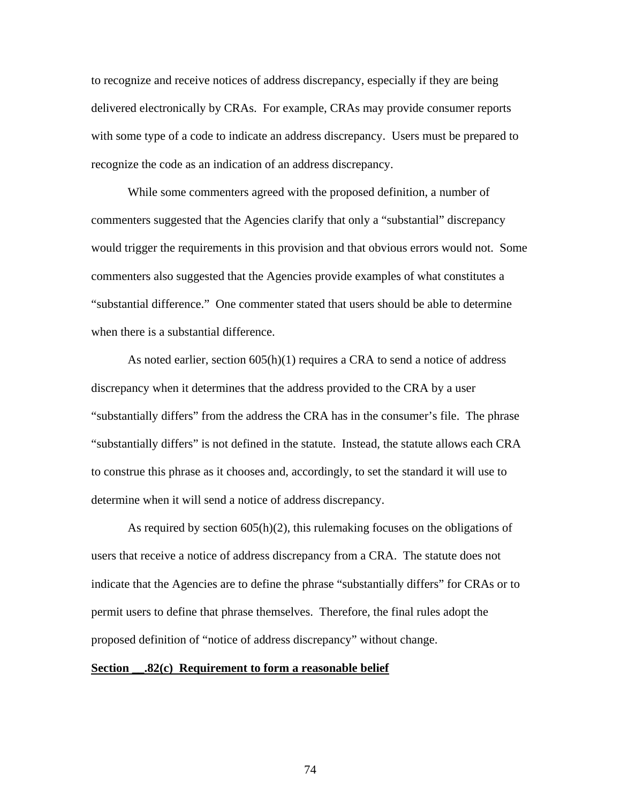to recognize and receive notices of address discrepancy, especially if they are being delivered electronically by CRAs. For example, CRAs may provide consumer reports with some type of a code to indicate an address discrepancy. Users must be prepared to recognize the code as an indication of an address discrepancy.

While some commenters agreed with the proposed definition, a number of commenters suggested that the Agencies clarify that only a "substantial" discrepancy would trigger the requirements in this provision and that obvious errors would not. Some commenters also suggested that the Agencies provide examples of what constitutes a "substantial difference." One commenter stated that users should be able to determine when there is a substantial difference.

As noted earlier, section 605(h)(1) requires a CRA to send a notice of address discrepancy when it determines that the address provided to the CRA by a user "substantially differs" from the address the CRA has in the consumer's file. The phrase "substantially differs" is not defined in the statute. Instead, the statute allows each CRA to construe this phrase as it chooses and, accordingly, to set the standard it will use to determine when it will send a notice of address discrepancy.

As required by section  $605(h)(2)$ , this rulemaking focuses on the obligations of users that receive a notice of address discrepancy from a CRA. The statute does not indicate that the Agencies are to define the phrase "substantially differs" for CRAs or to permit users to define that phrase themselves. Therefore, the final rules adopt the proposed definition of "notice of address discrepancy" without change.

# **Section \_\_.82(c) Requirement to form a reasonable belief**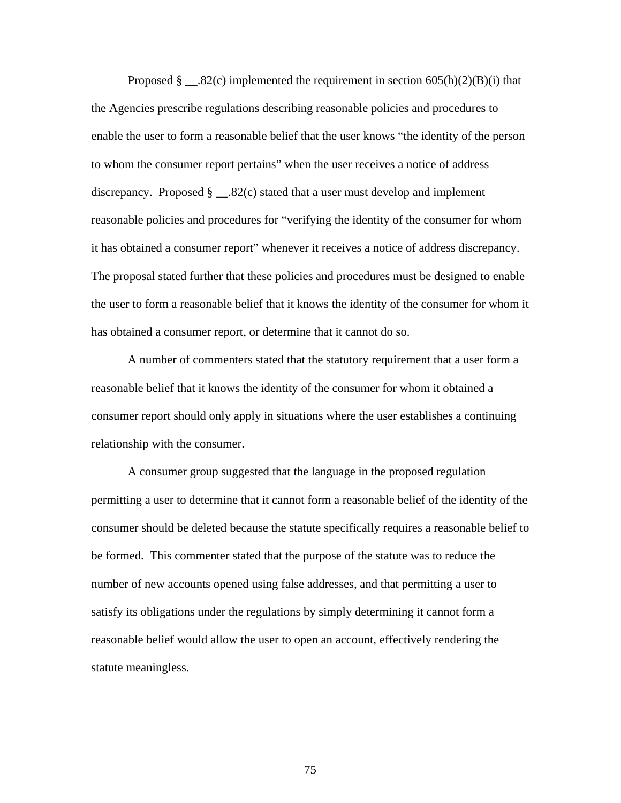Proposed  $\S$  \_\_.82(c) implemented the requirement in section 605(h)(2)(B)(i) that the Agencies prescribe regulations describing reasonable policies and procedures to enable the user to form a reasonable belief that the user knows "the identity of the person to whom the consumer report pertains" when the user receives a notice of address discrepancy. Proposed  $\S$  \_\_.82(c) stated that a user must develop and implement reasonable policies and procedures for "verifying the identity of the consumer for whom it has obtained a consumer report" whenever it receives a notice of address discrepancy. The proposal stated further that these policies and procedures must be designed to enable the user to form a reasonable belief that it knows the identity of the consumer for whom it has obtained a consumer report, or determine that it cannot do so.

A number of commenters stated that the statutory requirement that a user form a reasonable belief that it knows the identity of the consumer for whom it obtained a consumer report should only apply in situations where the user establishes a continuing relationship with the consumer.

A consumer group suggested that the language in the proposed regulation permitting a user to determine that it cannot form a reasonable belief of the identity of the consumer should be deleted because the statute specifically requires a reasonable belief to be formed. This commenter stated that the purpose of the statute was to reduce the number of new accounts opened using false addresses, and that permitting a user to satisfy its obligations under the regulations by simply determining it cannot form a reasonable belief would allow the user to open an account, effectively rendering the statute meaningless.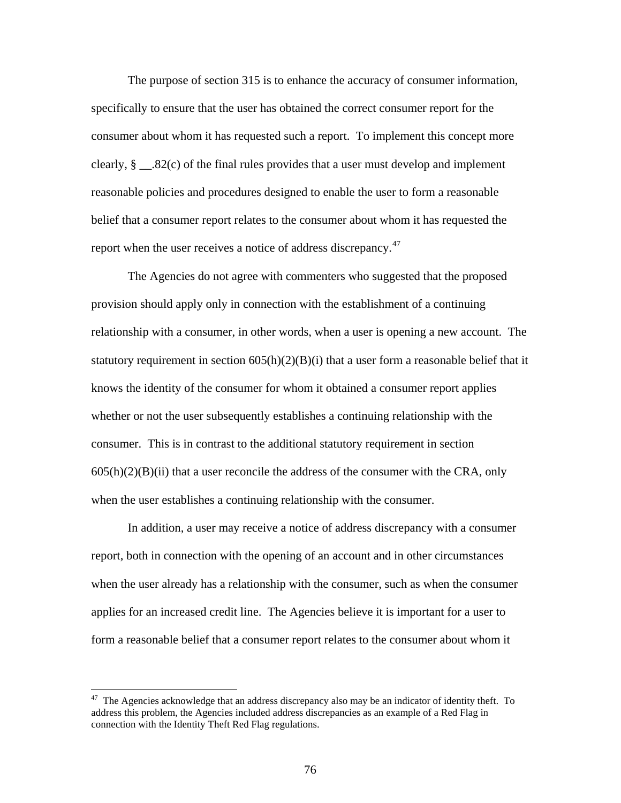The purpose of section 315 is to enhance the accuracy of consumer information, specifically to ensure that the user has obtained the correct consumer report for the consumer about whom it has requested such a report. To implement this concept more clearly, § \_\_.82(c) of the final rules provides that a user must develop and implement reasonable policies and procedures designed to enable the user to form a reasonable belief that a consumer report relates to the consumer about whom it has requested the report when the user receives a notice of address discrepancy.<sup>[47](#page-75-0)</sup>

The Agencies do not agree with commenters who suggested that the proposed provision should apply only in connection with the establishment of a continuing relationship with a consumer, in other words, when a user is opening a new account. The statutory requirement in section  $605(h)(2)(B)(i)$  that a user form a reasonable belief that it knows the identity of the consumer for whom it obtained a consumer report applies whether or not the user subsequently establishes a continuing relationship with the consumer. This is in contrast to the additional statutory requirement in section  $605(h)(2)(B)(ii)$  that a user reconcile the address of the consumer with the CRA, only when the user establishes a continuing relationship with the consumer.

In addition, a user may receive a notice of address discrepancy with a consumer report, both in connection with the opening of an account and in other circumstances when the user already has a relationship with the consumer, such as when the consumer applies for an increased credit line. The Agencies believe it is important for a user to form a reasonable belief that a consumer report relates to the consumer about whom it

 $\overline{a}$ 

<span id="page-75-0"></span><sup>&</sup>lt;sup>47</sup> The Agencies acknowledge that an address discrepancy also may be an indicator of identity theft. To address this problem, the Agencies included address discrepancies as an example of a Red Flag in connection with the Identity Theft Red Flag regulations.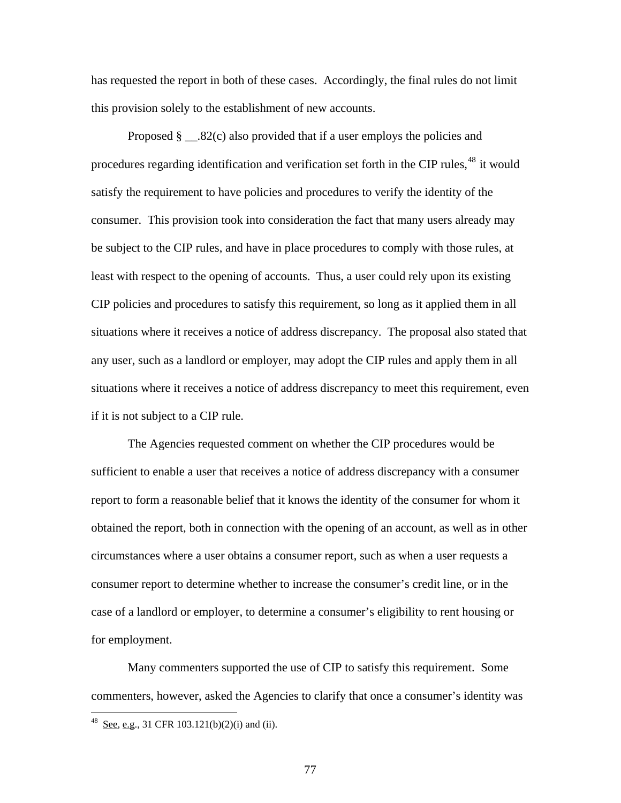has requested the report in both of these cases. Accordingly, the final rules do not limit this provision solely to the establishment of new accounts.

Proposed  $\S$  \_\_\_.82(c) also provided that if a user employs the policies and procedures regarding identification and verification set forth in the CIP rules,<sup>[48](#page-76-0)</sup> it would satisfy the requirement to have policies and procedures to verify the identity of the consumer. This provision took into consideration the fact that many users already may be subject to the CIP rules, and have in place procedures to comply with those rules, at least with respect to the opening of accounts. Thus, a user could rely upon its existing CIP policies and procedures to satisfy this requirement, so long as it applied them in all situations where it receives a notice of address discrepancy. The proposal also stated that any user, such as a landlord or employer, may adopt the CIP rules and apply them in all situations where it receives a notice of address discrepancy to meet this requirement, even if it is not subject to a CIP rule.

The Agencies requested comment on whether the CIP procedures would be sufficient to enable a user that receives a notice of address discrepancy with a consumer report to form a reasonable belief that it knows the identity of the consumer for whom it obtained the report, both in connection with the opening of an account, as well as in other circumstances where a user obtains a consumer report, such as when a user requests a consumer report to determine whether to increase the consumer's credit line, or in the case of a landlord or employer, to determine a consumer's eligibility to rent housing or for employment.

Many commenters supported the use of CIP to satisfy this requirement. Some commenters, however, asked the Agencies to clarify that once a consumer's identity was

 $\overline{a}$ 

<span id="page-76-0"></span> $^{48}$  See, e.g., 31 CFR 103.121(b)(2)(i) and (ii).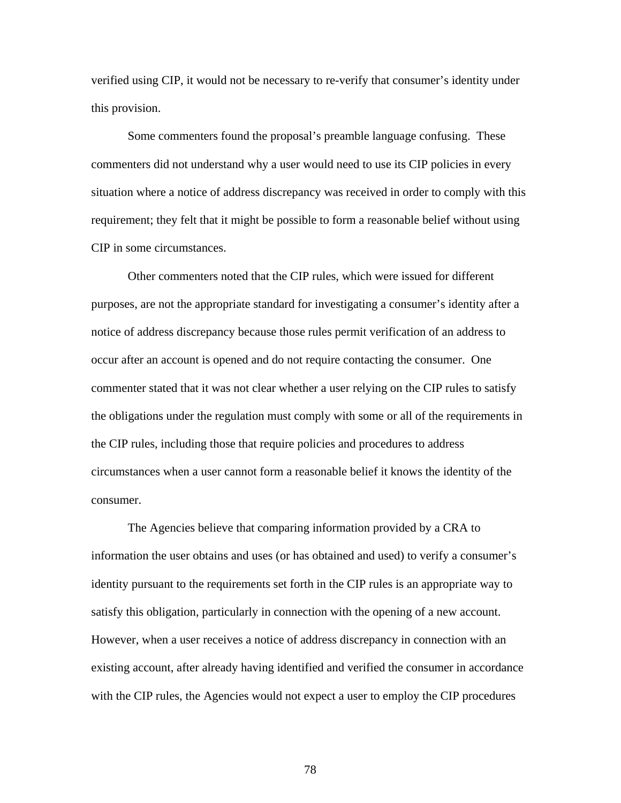verified using CIP, it would not be necessary to re-verify that consumer's identity under this provision.

Some commenters found the proposal's preamble language confusing. These commenters did not understand why a user would need to use its CIP policies in every situation where a notice of address discrepancy was received in order to comply with this requirement; they felt that it might be possible to form a reasonable belief without using CIP in some circumstances.

Other commenters noted that the CIP rules, which were issued for different purposes, are not the appropriate standard for investigating a consumer's identity after a notice of address discrepancy because those rules permit verification of an address to occur after an account is opened and do not require contacting the consumer. One commenter stated that it was not clear whether a user relying on the CIP rules to satisfy the obligations under the regulation must comply with some or all of the requirements in the CIP rules, including those that require policies and procedures to address circumstances when a user cannot form a reasonable belief it knows the identity of the consumer.

The Agencies believe that comparing information provided by a CRA to information the user obtains and uses (or has obtained and used) to verify a consumer's identity pursuant to the requirements set forth in the CIP rules is an appropriate way to satisfy this obligation, particularly in connection with the opening of a new account. However, when a user receives a notice of address discrepancy in connection with an existing account, after already having identified and verified the consumer in accordance with the CIP rules, the Agencies would not expect a user to employ the CIP procedures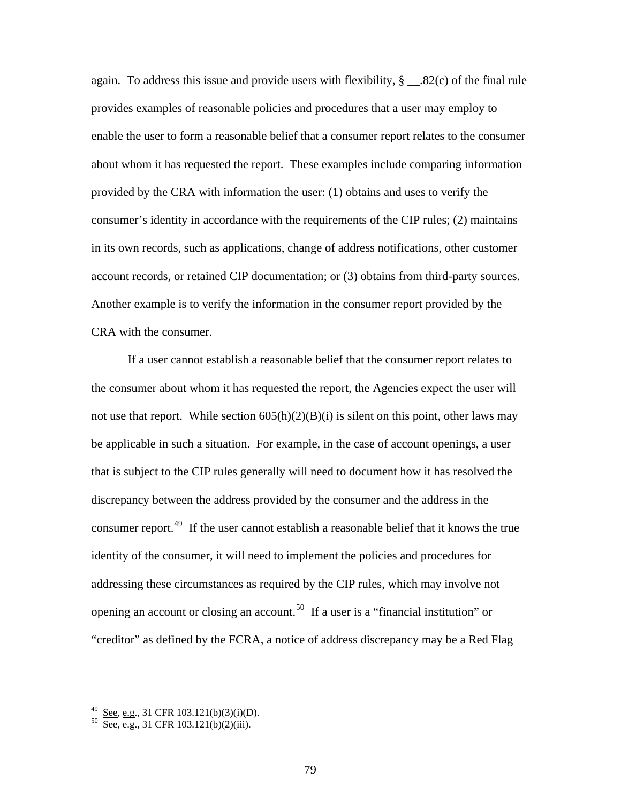again. To address this issue and provide users with flexibility, § \_\_.82(c) of the final rule provides examples of reasonable policies and procedures that a user may employ to enable the user to form a reasonable belief that a consumer report relates to the consumer about whom it has requested the report. These examples include comparing information provided by the CRA with information the user: (1) obtains and uses to verify the consumer's identity in accordance with the requirements of the CIP rules; (2) maintains in its own records, such as applications, change of address notifications, other customer account records, or retained CIP documentation; or (3) obtains from third-party sources. Another example is to verify the information in the consumer report provided by the CRA with the consumer.

If a user cannot establish a reasonable belief that the consumer report relates to the consumer about whom it has requested the report, the Agencies expect the user will not use that report. While section  $605(h)(2)(B)(i)$  is silent on this point, other laws may be applicable in such a situation. For example, in the case of account openings, a user that is subject to the CIP rules generally will need to document how it has resolved the discrepancy between the address provided by the consumer and the address in the consumer report.<sup>[49](#page-78-0)</sup> If the user cannot establish a reasonable belief that it knows the true identity of the consumer, it will need to implement the policies and procedures for addressing these circumstances as required by the CIP rules, which may involve not opening an account or closing an account.[50](#page-78-1) If a user is a "financial institution" or "creditor" as defined by the FCRA, a notice of address discrepancy may be a Red Flag

 $\overline{a}$ 

<span id="page-78-0"></span><sup>&</sup>lt;sup>49</sup> <u>See, e.g</u>., 31 CFR 103.121(b)(3)(i)(D).<br><sup>50</sup> <u>See, e.g</u>., 31 CFR 103.121(b)(2)(iii).

<span id="page-78-1"></span>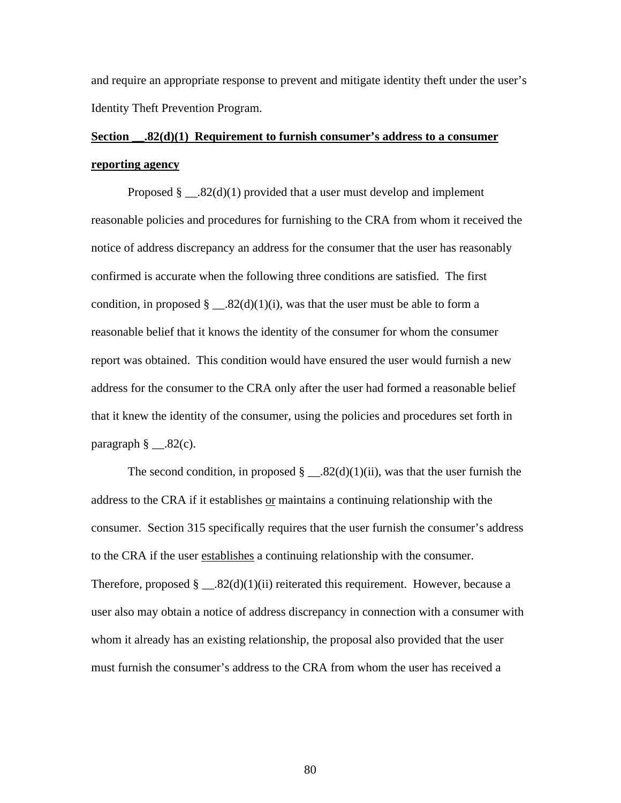and require an appropriate response to prevent and mitigate identity theft under the user's Identity Theft Prevention Program.

# **Section \_\_.82(d)(1) Requirement to furnish consumer's address to a consumer reporting agency**

Proposed  $\S$  \_\_.82(d)(1) provided that a user must develop and implement reasonable policies and procedures for furnishing to the CRA from whom it received the notice of address discrepancy an address for the consumer that the user has reasonably confirmed is accurate when the following three conditions are satisfied. The first condition, in proposed  $\S$  \_\_.82(d)(1)(i), was that the user must be able to form a reasonable belief that it knows the identity of the consumer for whom the consumer report was obtained. This condition would have ensured the user would furnish a new address for the consumer to the CRA only after the user had formed a reasonable belief that it knew the identity of the consumer, using the policies and procedures set forth in paragraph  $\S$  \_\_.82(c).

The second condition, in proposed  $\S$  \_\_.82(d)(1)(ii), was that the user furnish the address to the CRA if it establishes or maintains a continuing relationship with the consumer. Section 315 specifically requires that the user furnish the consumer's address to the CRA if the user establishes a continuing relationship with the consumer. Therefore, proposed  $\S$  \_\_.82(d)(1)(ii) reiterated this requirement. However, because a user also may obtain a notice of address discrepancy in connection with a consumer with whom it already has an existing relationship, the proposal also provided that the user must furnish the consumer's address to the CRA from whom the user has received a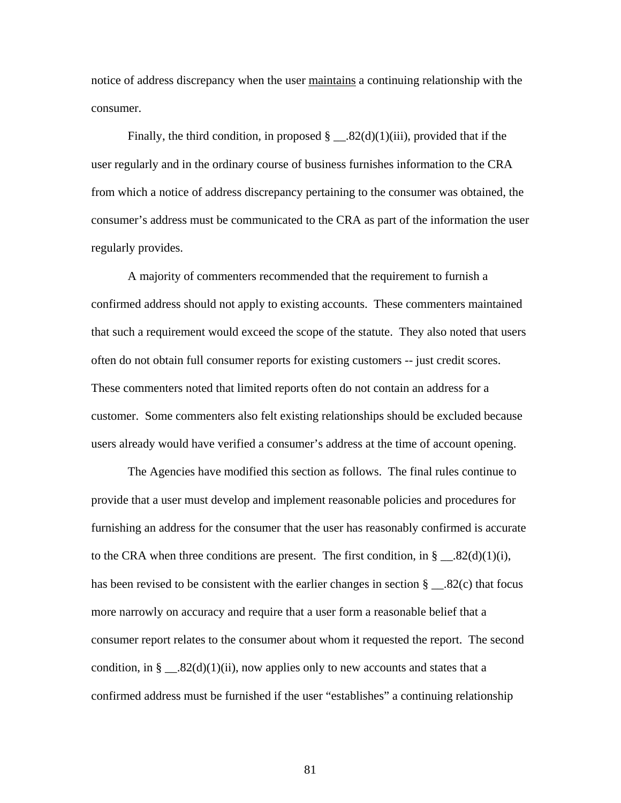notice of address discrepancy when the user maintains a continuing relationship with the consumer.

Finally, the third condition, in proposed  $\S$  \_\_.82(d)(1)(iii), provided that if the user regularly and in the ordinary course of business furnishes information to the CRA from which a notice of address discrepancy pertaining to the consumer was obtained, the consumer's address must be communicated to the CRA as part of the information the user regularly provides.

A majority of commenters recommended that the requirement to furnish a confirmed address should not apply to existing accounts. These commenters maintained that such a requirement would exceed the scope of the statute. They also noted that users often do not obtain full consumer reports for existing customers -- just credit scores. These commenters noted that limited reports often do not contain an address for a customer. Some commenters also felt existing relationships should be excluded because users already would have verified a consumer's address at the time of account opening.

The Agencies have modified this section as follows. The final rules continue to provide that a user must develop and implement reasonable policies and procedures for furnishing an address for the consumer that the user has reasonably confirmed is accurate to the CRA when three conditions are present. The first condition, in  $\S$  \_\_.82(d)(1)(i), has been revised to be consistent with the earlier changes in section § \_\_.82(c) that focus more narrowly on accuracy and require that a user form a reasonable belief that a consumer report relates to the consumer about whom it requested the report. The second condition, in § \_\_.82(d)(1)(ii), now applies only to new accounts and states that a confirmed address must be furnished if the user "establishes" a continuing relationship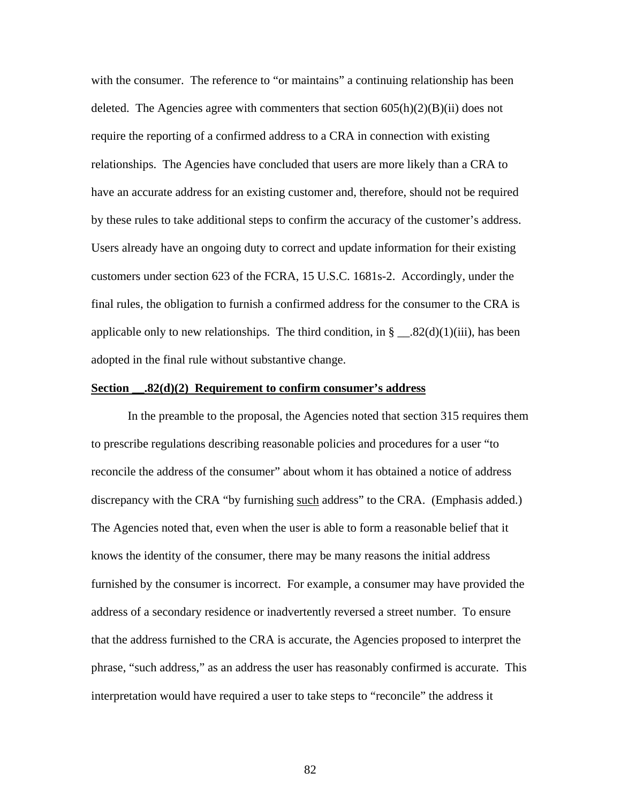with the consumer. The reference to "or maintains" a continuing relationship has been deleted. The Agencies agree with commenters that section  $605(h)(2)(B)(ii)$  does not require the reporting of a confirmed address to a CRA in connection with existing relationships. The Agencies have concluded that users are more likely than a CRA to have an accurate address for an existing customer and, therefore, should not be required by these rules to take additional steps to confirm the accuracy of the customer's address. Users already have an ongoing duty to correct and update information for their existing customers under section 623 of the FCRA, 15 U.S.C. 1681s-2. Accordingly, under the final rules, the obligation to furnish a confirmed address for the consumer to the CRA is applicable only to new relationships. The third condition, in  $\S$  \_\_.82(d)(1)(iii), has been adopted in the final rule without substantive change.

### **Section \_\_.82(d)(2) Requirement to confirm consumer's address**

In the preamble to the proposal, the Agencies noted that section 315 requires them to prescribe regulations describing reasonable policies and procedures for a user "to reconcile the address of the consumer" about whom it has obtained a notice of address discrepancy with the CRA "by furnishing such address" to the CRA. (Emphasis added.) The Agencies noted that, even when the user is able to form a reasonable belief that it knows the identity of the consumer, there may be many reasons the initial address furnished by the consumer is incorrect. For example, a consumer may have provided the address of a secondary residence or inadvertently reversed a street number. To ensure that the address furnished to the CRA is accurate, the Agencies proposed to interpret the phrase, "such address," as an address the user has reasonably confirmed is accurate. This interpretation would have required a user to take steps to "reconcile" the address it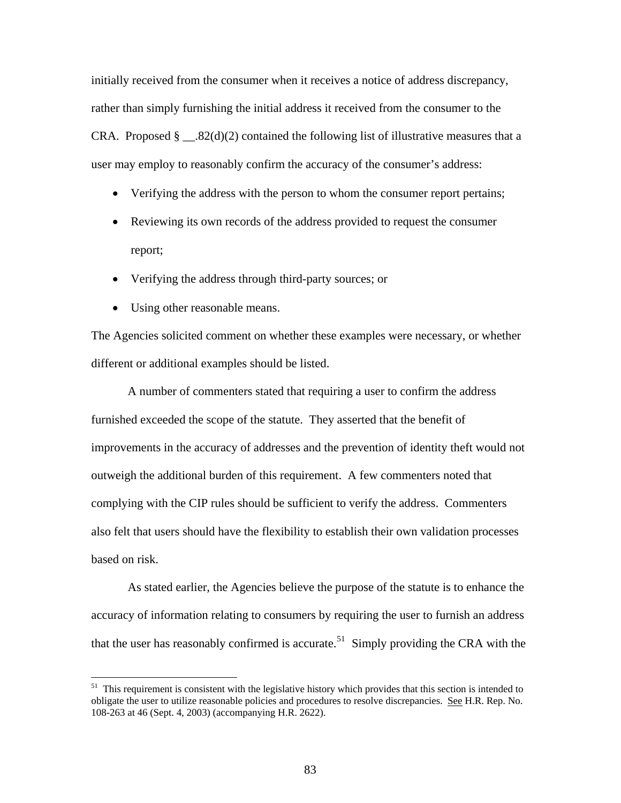initially received from the consumer when it receives a notice of address discrepancy, rather than simply furnishing the initial address it received from the consumer to the CRA. Proposed  $\S$  \_\_.82(d)(2) contained the following list of illustrative measures that a user may employ to reasonably confirm the accuracy of the consumer's address:

- Verifying the address with the person to whom the consumer report pertains;
- Reviewing its own records of the address provided to request the consumer report;
- Verifying the address through third-party sources; or
- Using other reasonable means.

<u>.</u>

The Agencies solicited comment on whether these examples were necessary, or whether different or additional examples should be listed.

A number of commenters stated that requiring a user to confirm the address furnished exceeded the scope of the statute. They asserted that the benefit of improvements in the accuracy of addresses and the prevention of identity theft would not outweigh the additional burden of this requirement. A few commenters noted that complying with the CIP rules should be sufficient to verify the address. Commenters also felt that users should have the flexibility to establish their own validation processes based on risk.

As stated earlier, the Agencies believe the purpose of the statute is to enhance the accuracy of information relating to consumers by requiring the user to furnish an address that the user has reasonably confirmed is accurate.<sup>[51](#page-82-0)</sup> Simply providing the CRA with the

<span id="page-82-0"></span> $51$  This requirement is consistent with the legislative history which provides that this section is intended to obligate the user to utilize reasonable policies and procedures to resolve discrepancies. See H.R. Rep. No. 108-263 at 46 (Sept. 4, 2003) (accompanying H.R. 2622).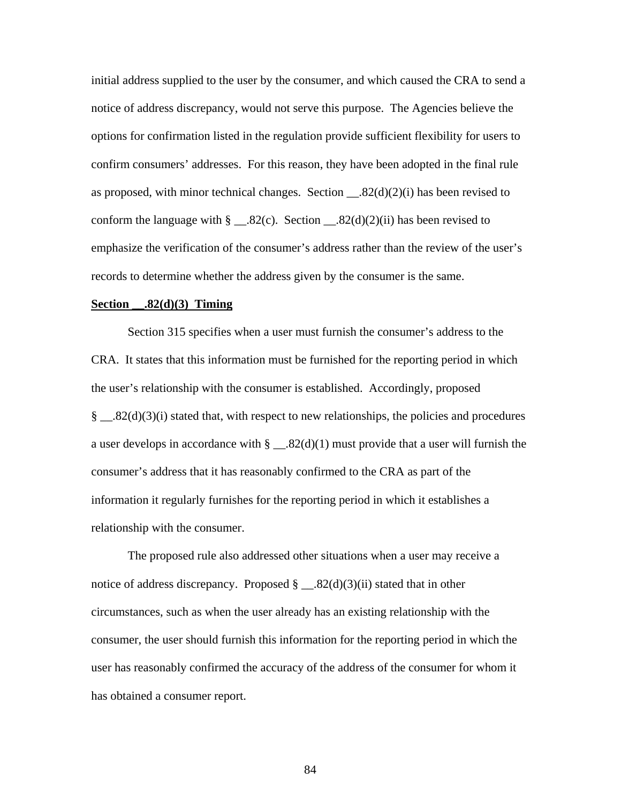initial address supplied to the user by the consumer, and which caused the CRA to send a notice of address discrepancy, would not serve this purpose. The Agencies believe the options for confirmation listed in the regulation provide sufficient flexibility for users to confirm consumers' addresses. For this reason, they have been adopted in the final rule as proposed, with minor technical changes. Section \_\_.82(d)(2)(i) has been revised to conform the language with  $\S$  \_\_.82(c). Section \_\_.82(d)(2)(ii) has been revised to emphasize the verification of the consumer's address rather than the review of the user's records to determine whether the address given by the consumer is the same.

#### **Section \_\_.82(d)(3) Timing**

Section 315 specifies when a user must furnish the consumer's address to the CRA. It states that this information must be furnished for the reporting period in which the user's relationship with the consumer is established. Accordingly, proposed  $\S$  ...32(d)(3)(i) stated that, with respect to new relationships, the policies and procedures a user develops in accordance with  $\S$  \_\_.82(d)(1) must provide that a user will furnish the consumer's address that it has reasonably confirmed to the CRA as part of the information it regularly furnishes for the reporting period in which it establishes a relationship with the consumer.

The proposed rule also addressed other situations when a user may receive a notice of address discrepancy. Proposed  $\S$  \_\_.82(d)(3)(ii) stated that in other circumstances, such as when the user already has an existing relationship with the consumer, the user should furnish this information for the reporting period in which the user has reasonably confirmed the accuracy of the address of the consumer for whom it has obtained a consumer report.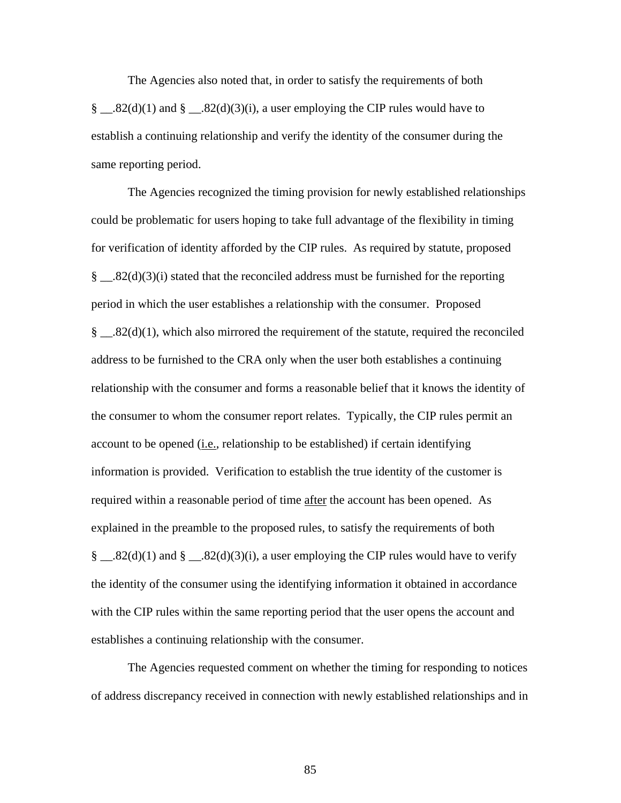The Agencies also noted that, in order to satisfy the requirements of both § \_\_.82(d)(1) and § \_\_.82(d)(3)(i), a user employing the CIP rules would have to establish a continuing relationship and verify the identity of the consumer during the same reporting period.

The Agencies recognized the timing provision for newly established relationships could be problematic for users hoping to take full advantage of the flexibility in timing for verification of identity afforded by the CIP rules. As required by statute, proposed  $\S$  ...32(d)(3)(i) stated that the reconciled address must be furnished for the reporting period in which the user establishes a relationship with the consumer. Proposed  $\S$  \_\_.82(d)(1), which also mirrored the requirement of the statute, required the reconciled address to be furnished to the CRA only when the user both establishes a continuing relationship with the consumer and forms a reasonable belief that it knows the identity of the consumer to whom the consumer report relates. Typically, the CIP rules permit an account to be opened  $(i.e.,$  relationship to be established) if certain identifying information is provided. Verification to establish the true identity of the customer is required within a reasonable period of time after the account has been opened. As explained in the preamble to the proposed rules, to satisfy the requirements of both § \_\_.82(d)(1) and § \_\_.82(d)(3)(i), a user employing the CIP rules would have to verify the identity of the consumer using the identifying information it obtained in accordance with the CIP rules within the same reporting period that the user opens the account and establishes a continuing relationship with the consumer.

The Agencies requested comment on whether the timing for responding to notices of address discrepancy received in connection with newly established relationships and in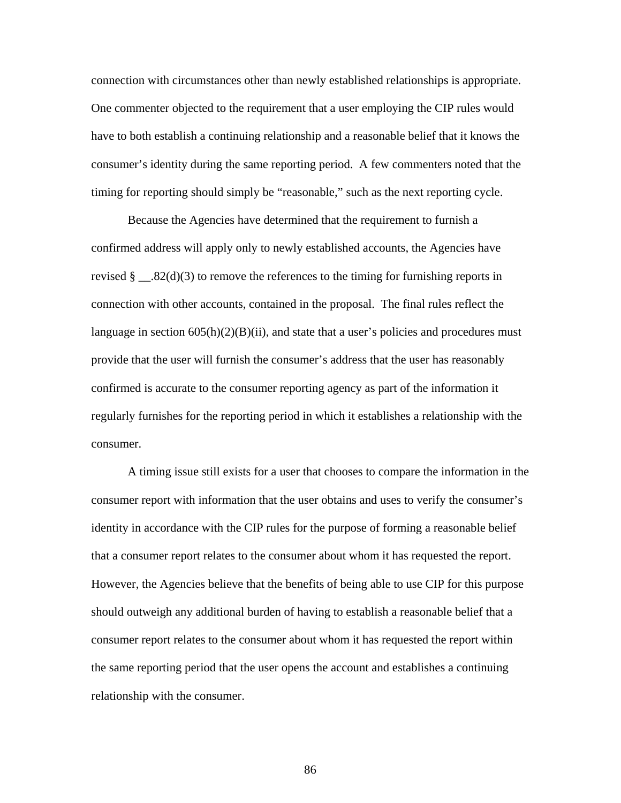connection with circumstances other than newly established relationships is appropriate. One commenter objected to the requirement that a user employing the CIP rules would have to both establish a continuing relationship and a reasonable belief that it knows the consumer's identity during the same reporting period. A few commenters noted that the timing for reporting should simply be "reasonable," such as the next reporting cycle.

Because the Agencies have determined that the requirement to furnish a confirmed address will apply only to newly established accounts, the Agencies have revised  $\S$  ...32(d)(3) to remove the references to the timing for furnishing reports in connection with other accounts, contained in the proposal. The final rules reflect the language in section  $605(h)(2)(B)(ii)$ , and state that a user's policies and procedures must provide that the user will furnish the consumer's address that the user has reasonably confirmed is accurate to the consumer reporting agency as part of the information it regularly furnishes for the reporting period in which it establishes a relationship with the consumer.

A timing issue still exists for a user that chooses to compare the information in the consumer report with information that the user obtains and uses to verify the consumer's identity in accordance with the CIP rules for the purpose of forming a reasonable belief that a consumer report relates to the consumer about whom it has requested the report. However, the Agencies believe that the benefits of being able to use CIP for this purpose should outweigh any additional burden of having to establish a reasonable belief that a consumer report relates to the consumer about whom it has requested the report within the same reporting period that the user opens the account and establishes a continuing relationship with the consumer.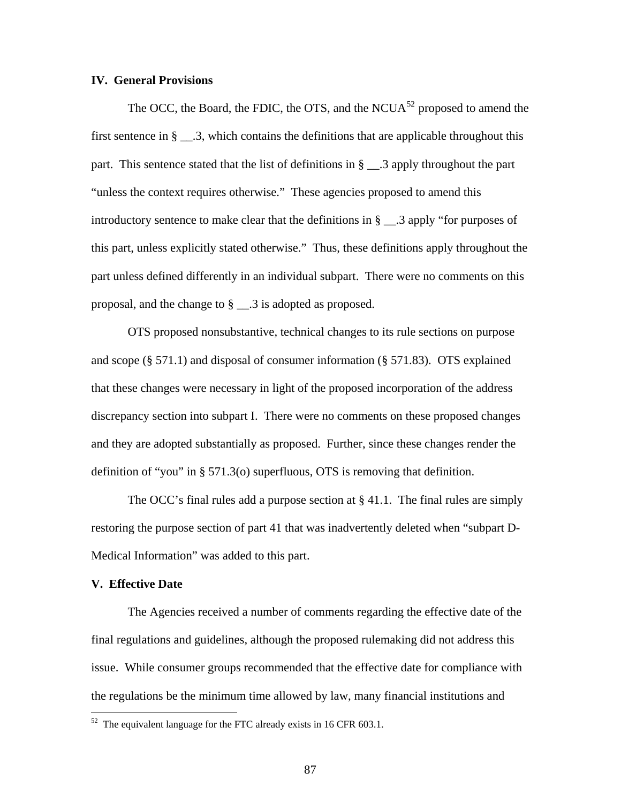## **IV. General Provisions**

The OCC, the Board, the FDIC, the OTS, and the NCUA $^{52}$  $^{52}$  $^{52}$  proposed to amend the first sentence in  $\S$   $\ldots$  3, which contains the definitions that are applicable throughout this part. This sentence stated that the list of definitions in § \_\_.3 apply throughout the part "unless the context requires otherwise." These agencies proposed to amend this introductory sentence to make clear that the definitions in § \_\_.3 apply "for purposes of this part, unless explicitly stated otherwise." Thus, these definitions apply throughout the part unless defined differently in an individual subpart. There were no comments on this proposal, and the change to § \_\_.3 is adopted as proposed.

OTS proposed nonsubstantive, technical changes to its rule sections on purpose and scope  $(\S 571.1)$  and disposal of consumer information  $(\S 571.83)$ . OTS explained that these changes were necessary in light of the proposed incorporation of the address discrepancy section into subpart I. There were no comments on these proposed changes and they are adopted substantially as proposed. Further, since these changes render the definition of "you" in § 571.3(o) superfluous, OTS is removing that definition.

The OCC's final rules add a purpose section at  $\S 41.1$ . The final rules are simply restoring the purpose section of part 41 that was inadvertently deleted when "subpart D-Medical Information" was added to this part.

## **V. Effective Date**

 $\overline{a}$ 

 The Agencies received a number of comments regarding the effective date of the final regulations and guidelines, although the proposed rulemaking did not address this issue. While consumer groups recommended that the effective date for compliance with the regulations be the minimum time allowed by law, many financial institutions and

<span id="page-86-0"></span> $52$  The equivalent language for the FTC already exists in 16 CFR 603.1.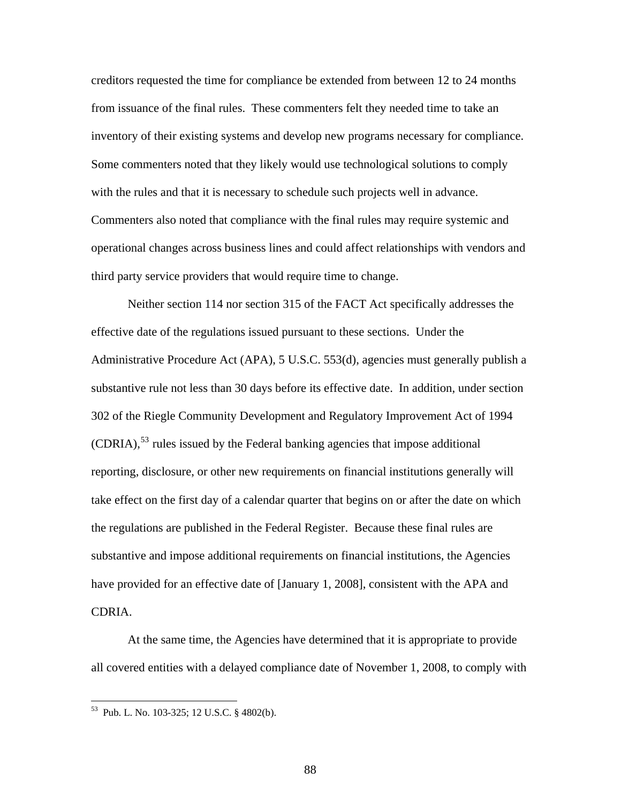creditors requested the time for compliance be extended from between 12 to 24 months from issuance of the final rules. These commenters felt they needed time to take an inventory of their existing systems and develop new programs necessary for compliance. Some commenters noted that they likely would use technological solutions to comply with the rules and that it is necessary to schedule such projects well in advance. Commenters also noted that compliance with the final rules may require systemic and operational changes across business lines and could affect relationships with vendors and third party service providers that would require time to change.

Neither section 114 nor section 315 of the FACT Act specifically addresses the effective date of the regulations issued pursuant to these sections. Under the Administrative Procedure Act (APA), 5 U.S.C. 553(d), agencies must generally publish a substantive rule not less than 30 days before its effective date. In addition, under section 302 of the Riegle Community Development and Regulatory Improvement Act of 1994  $(CDRIA)$ ,<sup>[53](#page-87-0)</sup> rules issued by the Federal banking agencies that impose additional reporting, disclosure, or other new requirements on financial institutions generally will take effect on the first day of a calendar quarter that begins on or after the date on which the regulations are published in the Federal Register. Because these final rules are substantive and impose additional requirements on financial institutions, the Agencies have provided for an effective date of [January 1, 2008], consistent with the APA and CDRIA.

At the same time, the Agencies have determined that it is appropriate to provide all covered entities with a delayed compliance date of November 1, 2008, to comply with

 $\overline{a}$ 

<span id="page-87-0"></span><sup>53</sup> Pub. L. No. 103-325; 12 U.S.C. § 4802(b).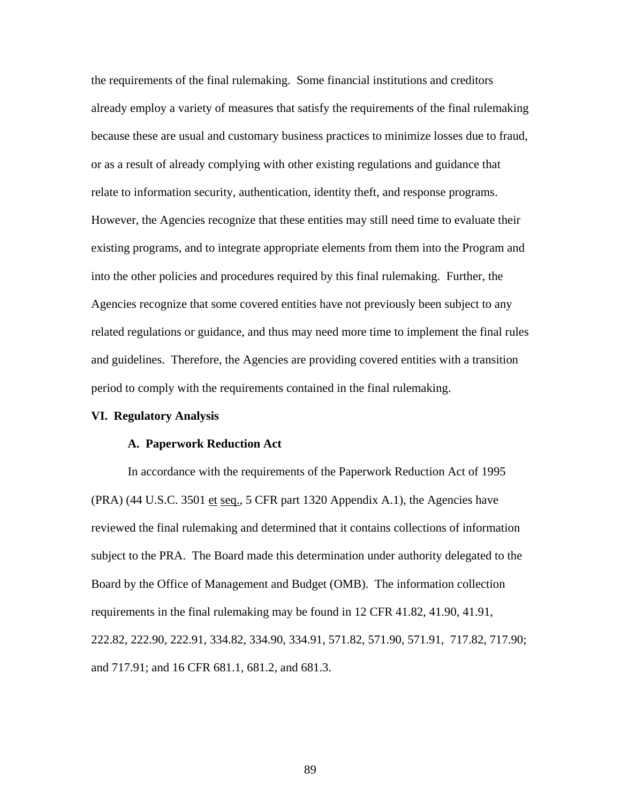the requirements of the final rulemaking. Some financial institutions and creditors already employ a variety of measures that satisfy the requirements of the final rulemaking because these are usual and customary business practices to minimize losses due to fraud, or as a result of already complying with other existing regulations and guidance that relate to information security, authentication, identity theft, and response programs. However, the Agencies recognize that these entities may still need time to evaluate their existing programs, and to integrate appropriate elements from them into the Program and into the other policies and procedures required by this final rulemaking. Further, the Agencies recognize that some covered entities have not previously been subject to any related regulations or guidance, and thus may need more time to implement the final rules and guidelines. Therefore, the Agencies are providing covered entities with a transition period to comply with the requirements contained in the final rulemaking.

## **VI. Regulatory Analysis**

#### **A. Paperwork Reduction Act**

In accordance with the requirements of the Paperwork Reduction Act of 1995 (PRA) (44 U.S.C. 3501 et seq., 5 CFR part 1320 Appendix A.1), the Agencies have reviewed the final rulemaking and determined that it contains collections of information subject to the PRA. The Board made this determination under authority delegated to the Board by the Office of Management and Budget (OMB). The information collection requirements in the final rulemaking may be found in 12 CFR 41.82, 41.90, 41.91, 222.82, 222.90, 222.91, 334.82, 334.90, 334.91, 571.82, 571.90, 571.91, 717.82, 717.90; and 717.91; and 16 CFR 681.1, 681.2, and 681.3.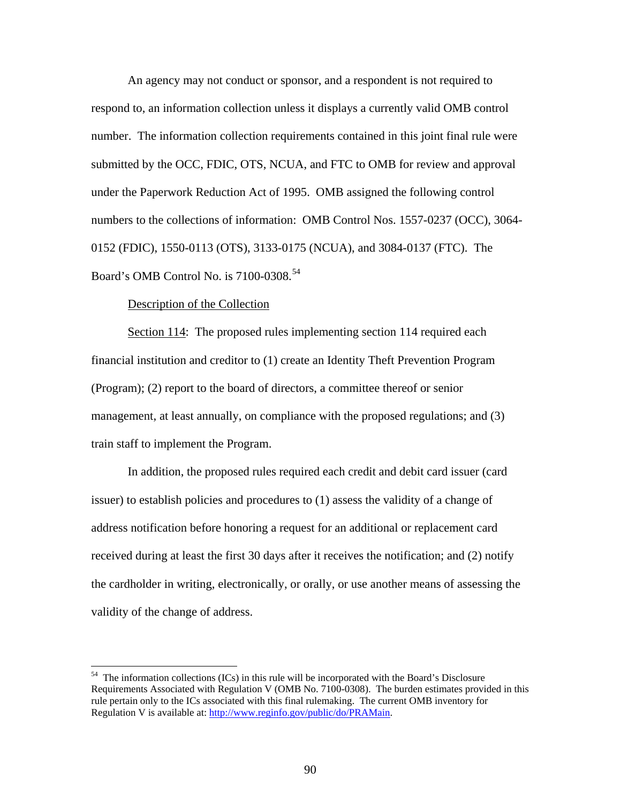An agency may not conduct or sponsor, and a respondent is not required to respond to, an information collection unless it displays a currently valid OMB control number. The information collection requirements contained in this joint final rule were submitted by the OCC, FDIC, OTS, NCUA, and FTC to OMB for review and approval under the Paperwork Reduction Act of 1995. OMB assigned the following control numbers to the collections of information: OMB Control Nos. 1557-0237 (OCC), 3064- 0152 (FDIC), 1550-0113 (OTS), 3133-0175 (NCUA), and 3084-0137 (FTC). The Board's OMB Control No. is 7100-0308.<sup>[54](#page-89-0)</sup>

## Description of the Collection

1

Section 114: The proposed rules implementing section 114 required each financial institution and creditor to (1) create an Identity Theft Prevention Program (Program); (2) report to the board of directors, a committee thereof or senior management, at least annually, on compliance with the proposed regulations; and (3) train staff to implement the Program.

 In addition, the proposed rules required each credit and debit card issuer (card issuer) to establish policies and procedures to (1) assess the validity of a change of address notification before honoring a request for an additional or replacement card received during at least the first 30 days after it receives the notification; and (2) notify the cardholder in writing, electronically, or orally, or use another means of assessing the validity of the change of address.

<span id="page-89-0"></span> $54$  The information collections (ICs) in this rule will be incorporated with the Board's Disclosure Requirements Associated with Regulation V (OMB No. 7100-0308). The burden estimates provided in this rule pertain only to the ICs associated with this final rulemaking. The current OMB inventory for Regulation V is available at: [http://www.reginfo.gov/public/do/PRAMain.](http://www.reginfo.gov/public/do/PRAMain)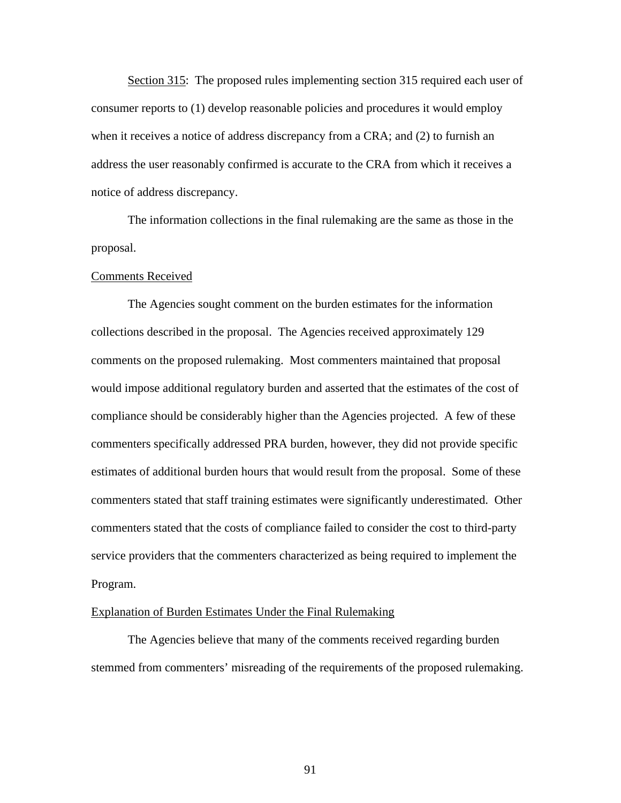Section 315: The proposed rules implementing section 315 required each user of consumer reports to (1) develop reasonable policies and procedures it would employ when it receives a notice of address discrepancy from a CRA; and (2) to furnish an address the user reasonably confirmed is accurate to the CRA from which it receives a notice of address discrepancy.

 The information collections in the final rulemaking are the same as those in the proposal.

#### Comments Received

 The Agencies sought comment on the burden estimates for the information collections described in the proposal. The Agencies received approximately 129 comments on the proposed rulemaking. Most commenters maintained that proposal would impose additional regulatory burden and asserted that the estimates of the cost of compliance should be considerably higher than the Agencies projected. A few of these commenters specifically addressed PRA burden, however, they did not provide specific estimates of additional burden hours that would result from the proposal. Some of these commenters stated that staff training estimates were significantly underestimated. Other commenters stated that the costs of compliance failed to consider the cost to third-party service providers that the commenters characterized as being required to implement the Program.

## Explanation of Burden Estimates Under the Final Rulemaking

 The Agencies believe that many of the comments received regarding burden stemmed from commenters' misreading of the requirements of the proposed rulemaking.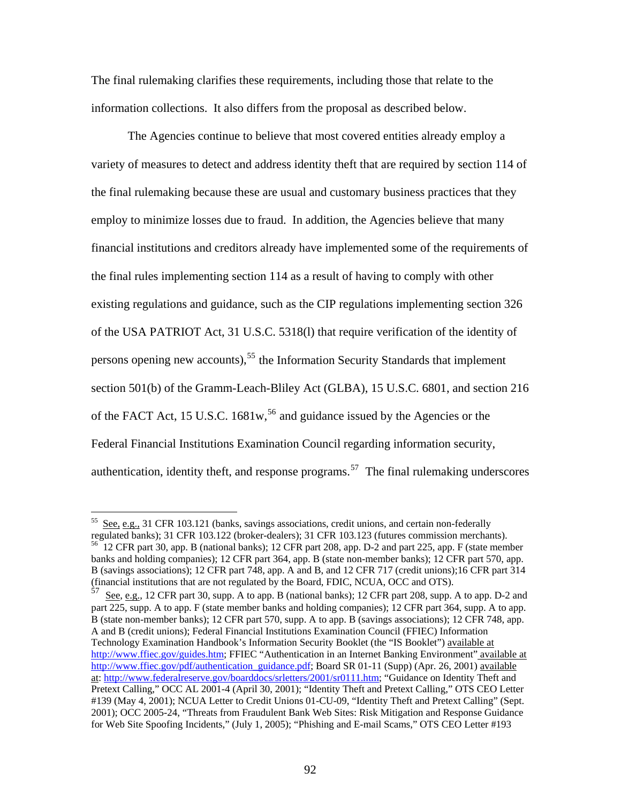The final rulemaking clarifies these requirements, including those that relate to the information collections. It also differs from the proposal as described below.

 The Agencies continue to believe that most covered entities already employ a variety of measures to detect and address identity theft that are required by section 114 of the final rulemaking because these are usual and customary business practices that they employ to minimize losses due to fraud. In addition, the Agencies believe that many financial institutions and creditors already have implemented some of the requirements of the final rules implementing section 114 as a result of having to comply with other existing regulations and guidance, such as the CIP regulations implementing section 326 of the USA PATRIOT Act, 31 U.S.C. 5318(l) that require verification of the identity of persons opening new accounts),<sup>[55](#page-91-0)</sup> the Information Security Standards that implement section 501(b) of the Gramm-Leach-Bliley Act (GLBA), 15 U.S.C. 6801, and section 216 of the FACT Act, 15 U.S.C. 1681w,<sup>[56](#page-91-1)</sup> and guidance issued by the Agencies or the Federal Financial Institutions Examination Council regarding information se curity, authentication, identity theft, and response programs.<sup>[57](#page-91-2)</sup> The final rulemaking underscores

 $\overline{a}$ 

<span id="page-91-1"></span><span id="page-91-0"></span> $55$  See, e.g., 31 CFR 103.121 (banks, savings associations, credit unions, and certain non-federally regulated banks); 31 CFR 103.122 (broker-dealers); 31 CFR 103.123 (futures commission merchants). 56 12 CFR part 30, app. B (national banks); 12 CFR part 208, app. D-2 and part 225, app. F (state member banks and holding companies); 12 CFR part 364, app. B (state non-member banks); 12 CFR part 570, app. B (savings associations); 12 CFR part 748, app. A and B, and 12 CFR 717 (credit unions);16 CFR part 314 (financial institutions that are not regulated by the Board, FDIC, NCUA, OCC and OTS).

<span id="page-91-2"></span>See, e.g., 12 CFR part 30, supp. A to app. B (national banks); 12 CFR part 208, supp. A to app. D-2 and part 225, supp. A to app. F (state member banks and holding companies); 12 CFR part 364, supp. A to app. B (state non-member banks); 12 CFR part 570, supp. A to app. B (savings associations); 12 CFR 748, app. A and B (credit unions); Federal Financial Institutions Examination Council (FFIEC) Information Technology Examination Handbook's Information Security Booklet (the "IS Booklet") available at [http://www.ffiec.gov/guides.htm;](http://www.ffiec.gov/guides.htm) FFIEC "Authentication in an Internet Banking Environment" available at [http://www.ffiec.gov/pdf/authentication\\_guidance.pdf](http://www.ffiec.gov/pdf/authentication_guidance.pdf); Board SR 01-11 (Supp) (Apr. 26, 2001) available at: [http://www.federalreserve.gov/boarddocs/srletters/2001/sr0111.htm;](http://www.federalreserve.gov/boarddocs/srletters/2001/sr0111.htm) "Guidance on Identity Theft and Pretext Calling," OCC AL 2001-4 (April 30, 2001); "Identity Theft and Pretext Calling," OTS CEO Letter #139 (May 4, 2001); NCUA Letter to Credit Unions 01-CU-09, "Identity Theft and Pretext Calling" (Sept. 2001); OCC 2005-24, "Threats from Fraudulent Bank Web Sites: Risk Mitigation and Response Guidance for Web Site Spoofing Incidents," (July 1, 2005); "Phishing and E-mail Scams," OTS CEO Letter #193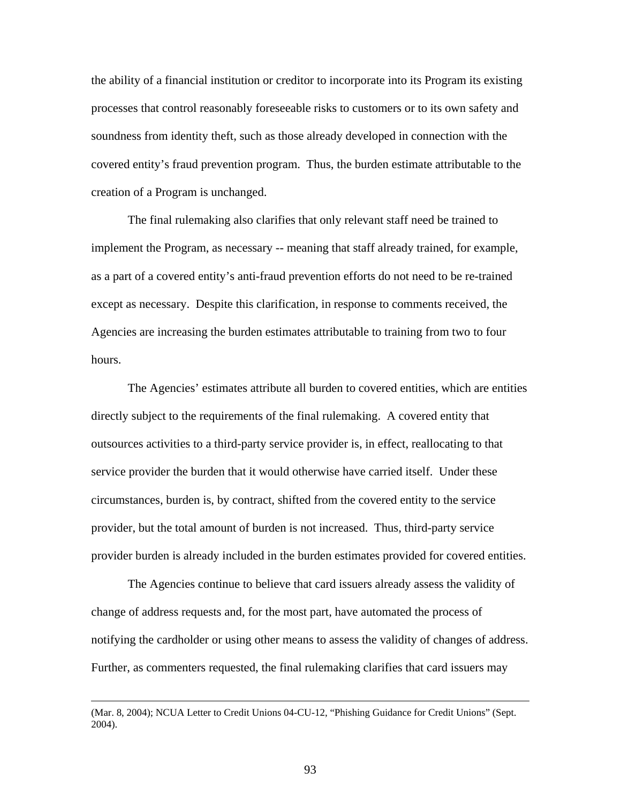the ability of a financial institution or creditor to incorporate into its Program its existing processes that control reasonably foreseeable risks to customers or to its own safety and soundness from identity theft, such as those already developed in connection with the covered entity's fraud prevention program. Thus, the burden estimate attributable to the creation of a Program is unchanged.

The final rulemaking also clarifies that only relevant staff need be trained to implement the Program, as necessary -- meaning that staff already trained, for example, as a part of a covered entity's anti-fraud prevention efforts do not need to be re-trained except as necessary. Despite this clarification, in response to comments received, the Agencies are increasing the burden estimates attributable to training from two to four hours.

The Agencies' estimates attribute all burden to covered entities, which are entities directly subject to the requirements of the final rulemaking. A covered entity that outsources activities to a third-party service provider is, in effect, reallocating to that service provider the burden that it would otherwise have carried itself. Under these circumstances, burden is, by contract, shifted from the covered entity to the service provider, but the total amount of burden is not increased. Thus, third-party service provider burden is already included in the burden estimates provided for covered entities.

The Agencies continue to believe that card issuers already assess the validity of change of address requests and, for the most part, have automated the process of notifying the cardholder or using other means to assess the validity of changes of address. Further, as commenters requested, the final rulemaking clarifies that card issuers may

 <sup>(</sup>Mar. 8, 2004); NCUA Letter to Credit Unions 04-CU-12, "Phishing Guidance for Credit Unions" (Sept. 2004).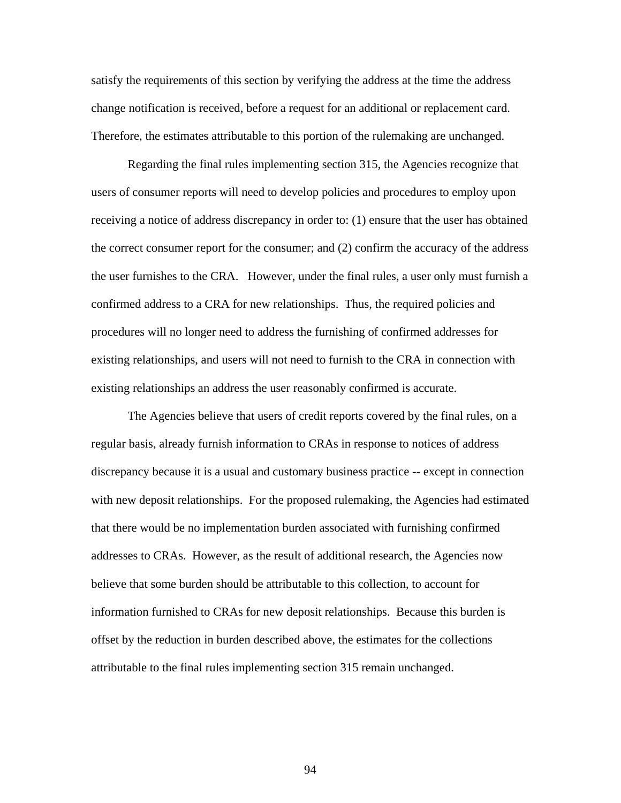satisfy the requirements of this section by verifying the address at the time the address change notification is received, before a request for an additional or replacement card. Therefore, the estimates attributable to this portion of the rulemaking are unchanged.

Regarding the final rules implementing section 315, the Agencies recognize that users of consumer reports will need to develop policies and procedures to employ upon receiving a notice of address discrepancy in order to: (1) ensure that the user has obtained the correct consumer report for the consumer; and (2) confirm the accuracy of the address the user furnishes to the CRA. However, under the final rules, a user only must furnish a confirmed address to a CRA for new relationships. Thus, the required policies and procedures will no longer need to address the furnishing of confirmed addresses for existing relationships, and users will not need to furnish to the CRA in connection with existing relationships an address the user reasonably confirmed is accurate.

 The Agencies believe that users of credit reports covered by the final rules, on a regular basis, already furnish information to CRAs in response to notices of address discrepancy because it is a usual and customary business practice -- except in connection with new deposit relationships. For the proposed rulemaking, the Agencies had estimated that there would be no implementation burden associated with furnishing confirmed addresses to CRAs. However, as the result of additional research, the Agencies now believe that some burden should be attributable to this collection, to account for information furnished to CRAs for new deposit relationships. Because this burden is offset by the reduction in burden described above, the estimates for the collections attributable to the final rules implementing section 315 remain unchanged.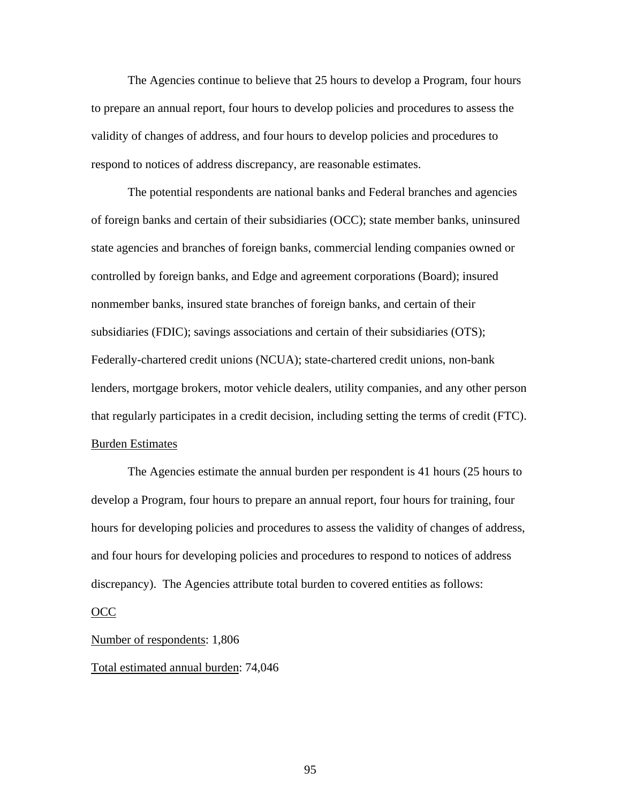The Agencies continue to believe that 25 hours to develop a Program, four hours to prepare an annual report, four hours to develop policies and procedures to assess the validity of changes of address, and four hours to develop policies and procedures to respond to notices of address discrepancy, are reasonable estimates.

The potential respondents are national banks and Federal branches and agencies of foreign banks and certain of their subsidiaries (OCC); state member banks, uninsured state agencies and branches of foreign banks, commercial lending companies owned or controlled by foreign banks, and Edge and agreement corporations (Board); insured nonmember banks, insured state branches of foreign banks, and certain of their subsidiaries (FDIC); savings associations and certain of their subsidiaries (OTS); Federally-chartered credit unions (NCUA); state-chartered credit unions, non-bank lenders, mortgage brokers, motor vehicle dealers, utility companies, and any other person that regularly participates in a credit decision, including setting the terms of credit (FTC). Burden Estimates

 The Agencies estimate the annual burden per respondent is 41 hours (25 hours to develop a Program, four hours to prepare an annual report, four hours for training, four hours for developing policies and procedures to assess the validity of changes of address, and four hours for developing policies and procedures to respond to notices of address discrepancy). The Agencies attribute total burden to covered entities as follows:

## OCC

#### Number of respondents: 1,806

## Total estimated annual burden: 74,046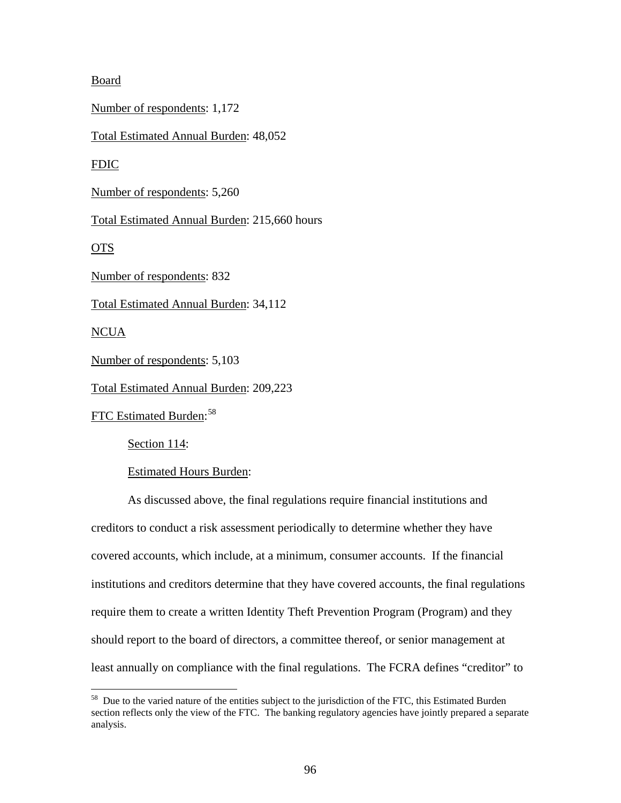# Board

Number of respondents: 1,172

Total Estimated Annual Burden: 48,052

FDIC

Number of respondents: 5,260

Total Estimated Annual Burden: 215,660 hours

OTS

Number of respondents: 832

Total Estimated Annual Burden: 34,112

NCUA

 $\overline{a}$ 

Number of respondents: 5,103

Total Estimated Annual Burden: 209,223

FTC Estimated Burden:<sup>[58](#page-95-0)</sup>

Section 114:

Estimated Hours Burden:

As discussed above, the final regulations require financial institutions and creditors to conduct a risk assessment periodically to determine whether they have covered accounts, which include, at a minimum, consumer accounts. If the financial institutions and creditors determine that they have covered accounts, the final regulations require them to create a written Identity Theft Prevention Program (Program) and they should report to the board of directors, a committee thereof, or senior management at least annually on compliance with the final regulations. The FCRA defines "creditor" to

<span id="page-95-0"></span><sup>&</sup>lt;sup>58</sup> Due to the varied nature of the entities subject to the jurisdiction of the FTC, this Estimated Burden section reflects only the view of the FTC. The banking regulatory agencies have jointly prepared a separate analysis.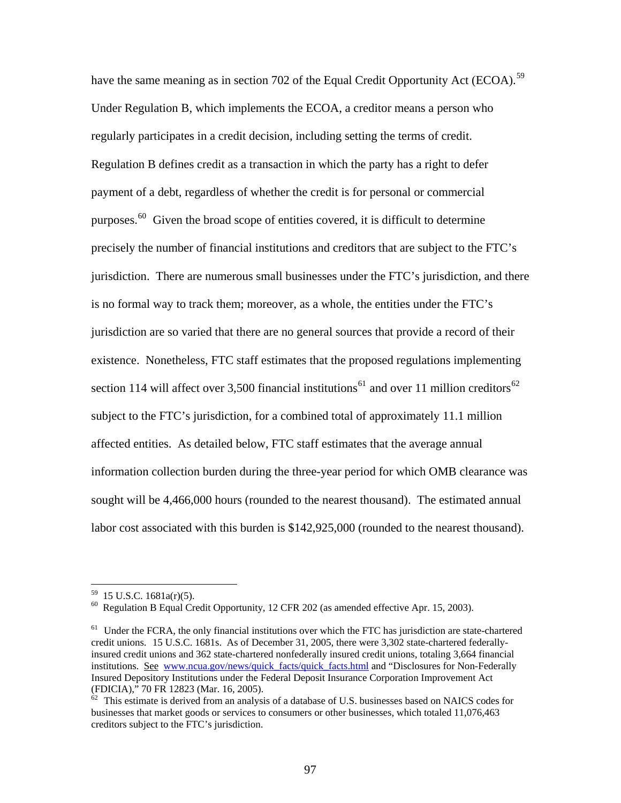have the same meaning as in section 702 of the Equal Credit Opportunity Act (ECOA).<sup>[59](#page-96-0)</sup> Under Regulation B, which implements the ECOA, a creditor means a person who regularly participates in a credit decision, including setting the terms of credit. Regulation B defines credit as a transaction in which the party has a right to defer payment of a debt, regardless of whether the credit is for personal or commercial purposes. $60$  Given the broad scope of entities covered, it is difficult to determine precisely the number of financial institutions and creditors that are subject to the FTC's jurisdiction. There are numerous small businesses under the FTC's jurisdiction, and there is no formal way to track them; moreover, as a whole, the entities under the FTC's jurisdiction are so varied that there are no general sources that provide a record of their existence. Nonetheless, FTC staff estimates that the proposed regulations implementing section 114 will affect over 3,500 financial institutions<sup>[61](#page-96-2)</sup> and over 11 million creditors<sup>62</sup> subject to the FTC's jurisdiction, for a combined total of approximately 11.1 million affected entities. As detailed below, FTC staff estimates that the average annual information collection burden during the three-year period for which OMB clearance was sought will be 4,466,000 hours (rounded to the nearest thousand). The estimated annual labor cost associated with this burden is \$142,925,000 (rounded to the nearest thousand).

<span id="page-96-0"></span> $59$  15 U.S.C. 1681a(r)(5).

<span id="page-96-1"></span><sup>60</sup> Regulation B Equal Credit Opportunity, 12 CFR 202 (as amended effective Apr. 15, 2003).

<span id="page-96-2"></span><sup>&</sup>lt;sup>61</sup> Under the FCRA, the only financial institutions over which the FTC has jurisdiction are state-chartered credit unions. 15 U.S.C. 1681s. As of December 31, 2005, there were 3,302 state-chartered federallyinsured credit unions and 362 state-chartered nonfederally insured credit unions, totaling 3,664 financial institutions. See www.ncua.gov/news/quick\_facts/quick\_facts.html and "Disclosures for Non-Federally Insured Depository Institutions under the Federal Deposit Insurance Corporation Improvement Act (FDICIA)," 70 FR 12823 (Mar. 16, 2005).

<span id="page-96-3"></span> $62$  This estimate is derived from an analysis of a database of U.S. businesses based on NAICS codes for businesses that market goods or services to consumers or other businesses, which totaled 11,076,463 creditors subject to the FTC's jurisdiction.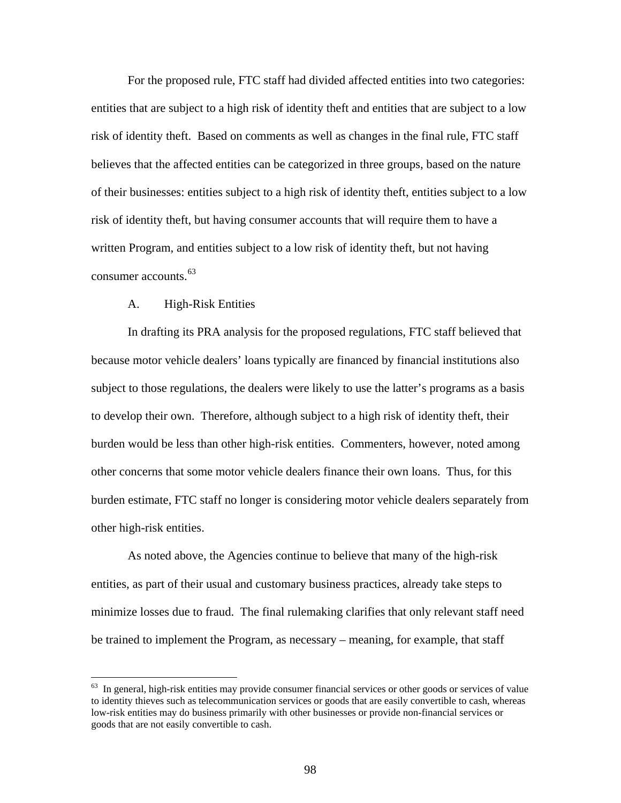For the proposed rule, FTC staff had divided affected entities into two categories: entities that are subject to a high risk of identity theft and entities that are subject to a low risk of identity theft. Based on comments as well as changes in the final rule, FTC staff believes that the affected entities can be categorized in three groups, based on the nature of their businesses: entities subject to a high risk of identity theft, entities subject to a low risk of identity theft, but having consumer accounts that will require them to have a written Program, and entities subject to a low risk of identity theft, but not having consumer accounts.<sup>[63](#page-97-0)</sup>

## A. High-Risk Entities

 $\overline{a}$ 

In drafting its PRA analysis for the proposed regulations, FTC staff believed that because motor vehicle dealers' loans typically are financed by financial institutions also subject to those regulations, the dealers were likely to use the latter's programs as a basis to develop their own. Therefore, although subject to a high risk of identity theft, their burden would be less than other high-risk entities. Commenters, however, noted among other concerns that some motor vehicle dealers finance their own loans. Thus, for this burden estimate, FTC staff no longer is considering motor vehicle dealers separately from other high-risk entities.

As noted above, the Agencies continue to believe that many of the high-risk entities, as part of their usual and customary business practices, already take steps to minimize losses due to fraud. The final rulemaking clarifies that only relevant staff need be trained to implement the Program, as necessary – meaning, for example, that staff

<span id="page-97-0"></span> $63$  In general, high-risk entities may provide consumer financial services or other goods or services of value to identity thieves such as telecommunication services or goods that are easily convertible to cash, whereas low-risk entities may do business primarily with other businesses or provide non-financial services or goods that are not easily convertible to cash.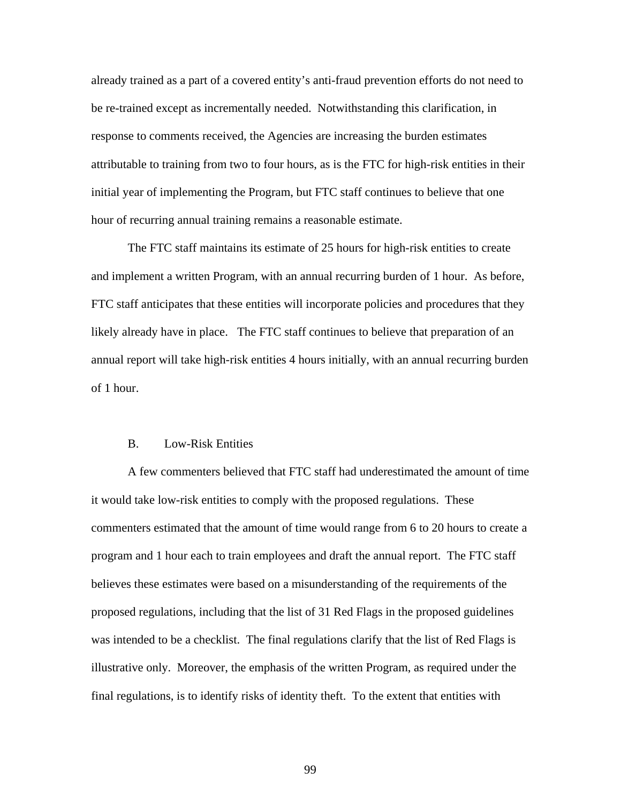already trained as a part of a covered entity's anti-fraud prevention efforts do not need to be re-trained except as incrementally needed. Notwithstanding this clarification, in response to comments received, the Agencies are increasing the burden estimates attributable to training from two to four hours, as is the FTC for high-risk entities in their initial year of implementing the Program, but FTC staff continues to believe that one hour of recurring annual training remains a reasonable estimate.

The FTC staff maintains its estimate of 25 hours for high-risk entities to create and implement a written Program, with an annual recurring burden of 1 hour. As before, FTC staff anticipates that these entities will incorporate policies and procedures that they likely already have in place. The FTC staff continues to believe that preparation of an annual report will take high-risk entities 4 hours initially, with an annual recurring burden of 1 hour.

## B. Low-Risk Entities

A few commenters believed that FTC staff had underestimated the amount of time it would take low-risk entities to comply with the proposed regulations. These commenters estimated that the amount of time would range from 6 to 20 hours to create a program and 1 hour each to train employees and draft the annual report. The FTC staff believes these estimates were based on a misunderstanding of the requirements of the proposed regulations, including that the list of 31 Red Flags in the proposed guidelines was intended to be a checklist. The final regulations clarify that the list of Red Flags is illustrative only. Moreover, the emphasis of the written Program, as required under the final regulations, is to identify risks of identity theft. To the extent that entities with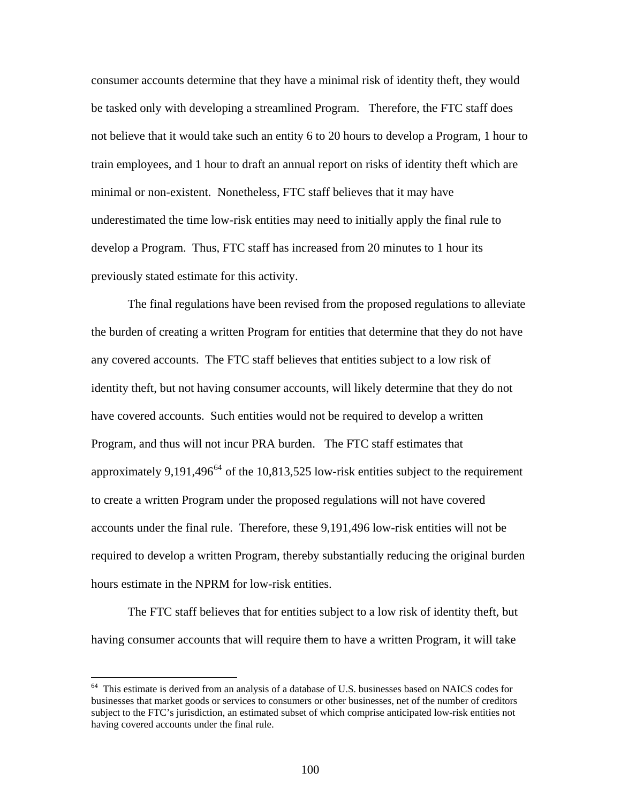consumer accounts determine that they have a minimal risk of identity theft, they would be tasked only with developing a streamlined Program. Therefore, the FTC staff does not believe that it would take such an entity 6 to 20 hours to develop a Program, 1 hour to train employees, and 1 hour to draft an annual report on risks of identity theft which are minimal or non-existent. Nonetheless, FTC staff believes that it may have underestimated the time low-risk entities may need to initially apply the final rule to develop a Program. Thus, FTC staff has increased from 20 minutes to 1 hour its previously stated estimate for this activity.

The final regulations have been revised from the proposed regulations to alleviate the burden of creating a written Program for entities that determine that they do not have any covered accounts. The FTC staff believes that entities subject to a low risk of identity theft, but not having consumer accounts, will likely determine that they do not have covered accounts. Such entities would not be required to develop a written Program, and thus will not incur PRA burden. The FTC staff estimates that approximately 9,191,496 $^{64}$  $^{64}$  $^{64}$  of the 10,813,525 low-risk entities subject to the requirement to create a written Program under the proposed regulations will not have covered accounts under the final rule. Therefore, these 9,191,496 low-risk entities will not be required to develop a written Program, thereby substantially reducing the original burden hours estimate in the NPRM for low-risk entities.

The FTC staff believes that for entities subject to a low risk of identity theft, but having consumer accounts that will require them to have a written Program, it will take

 $\overline{a}$ 

<span id="page-99-0"></span><sup>&</sup>lt;sup>64</sup> This estimate is derived from an analysis of a database of U.S. businesses based on NAICS codes for businesses that market goods or services to consumers or other businesses, net of the number of creditors subject to the FTC's jurisdiction, an estimated subset of which comprise anticipated low-risk entities not having covered accounts under the final rule.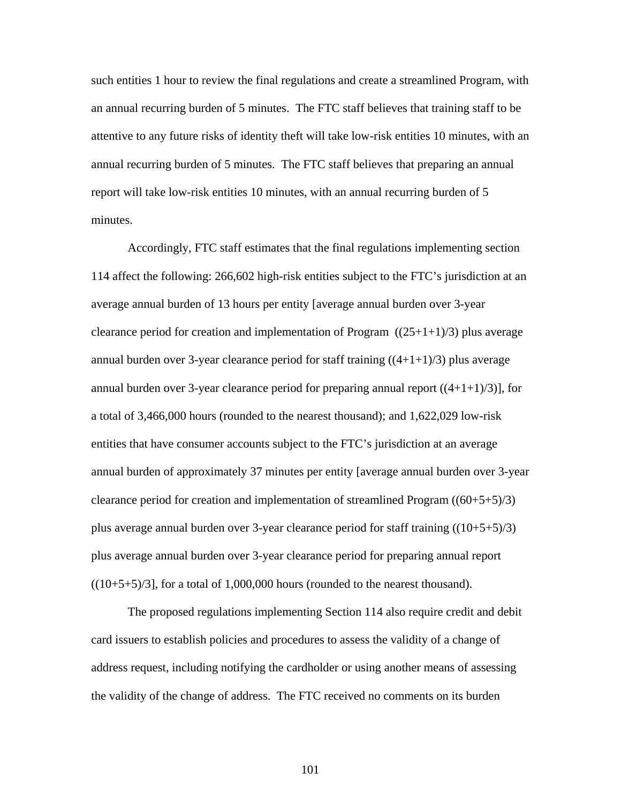such entities 1 hour to review the final regulations and create a streamlined Program, with an annual recurring burden of 5 minutes. The FTC staff believes that training staff to be attentive to any future risks of identity theft will take low-risk entities 10 minutes, with an annual recurring burden of 5 minutes. The FTC staff believes that preparing an annual report will take low-risk entities 10 minutes, with an annual recurring burden of 5 minutes.

 Accordingly, FTC staff estimates that the final regulations implementing section 114 affect the following: 266,602 high-risk entities subject to the FTC's jurisdiction at an average annual burden of 13 hours per entity [average annual burden over 3-year clearance period for creation and implementation of Program  $((25+1+1)/3)$  plus average annual burden over 3-year clearance period for staff training  $((4+1+1)/3)$  plus average annual burden over 3-year clearance period for preparing annual report  $((4+1+1)/3)$ ], for a total of 3,466,000 hours (rounded to the nearest thousand); and 1,622,029 low-risk entities that have consumer accounts subject to the FTC's jurisdiction at an average annual burden of approximately 37 minutes per entity [average annual burden over 3-year clearance period for creation and implementation of streamlined Program  $((60+5+5)/3)$ plus average annual burden over 3-year clearance period for staff training  $((10+5+5)/3)$ plus average annual burden over 3-year clearance period for preparing annual report  $((10+5+5)/3]$ , for a total of 1,000,000 hours (rounded to the nearest thousand).

The proposed regulations implementing Section 114 also require credit and debit card issuers to establish policies and procedures to assess the validity of a change of address request, including notifying the cardholder or using another means of assessing the validity of the change of address. The FTC received no comments on its burden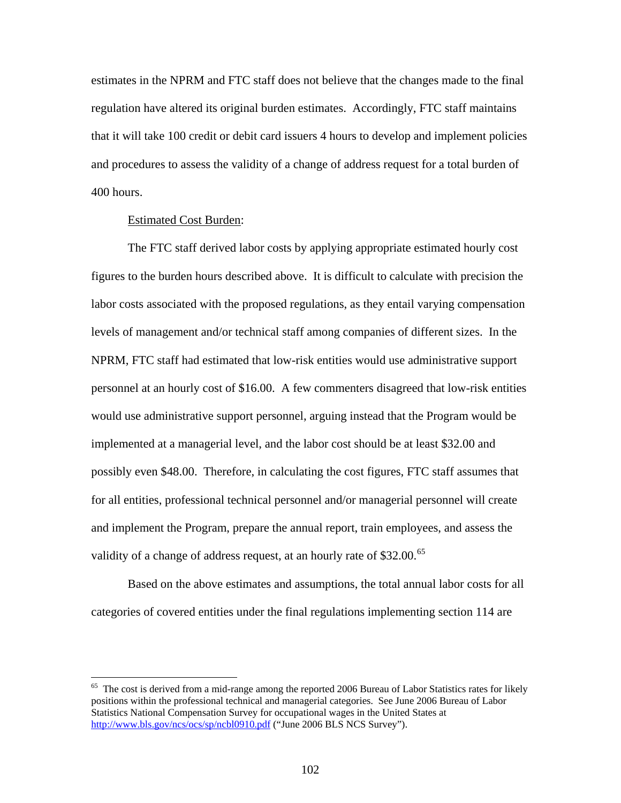estimates in the NPRM and FTC staff does not believe that the changes made to the final regulation have altered its original burden estimates. Accordingly, FTC staff maintains that it will take 100 credit or debit card issuers 4 hours to develop and implement policies and procedures to assess the validity of a change of address request for a total burden of 400 hours.

# Estimated Cost Burden:

 $\overline{a}$ 

 The FTC staff derived labor costs by applying appropriate estimated hourly cost figures to the burden hours described above. It is difficult to calculate with precision the labor costs associated with the proposed regulations, as they entail varying compensation levels of management and/or technical staff among companies of different sizes. In the NPRM, FTC staff had estimated that low-risk entities would use administrative support personnel at an hourly cost of \$16.00. A few commenters disagreed that low-risk entities would use administrative support personnel, arguing instead that the Program would be implemented at a managerial level, and the labor cost should be at least \$32.00 and possibly even \$48.00. Therefore, in calculating the cost figures, FTC staff assumes that for all entities, professional technical personnel and/or managerial personnel will create and implement the Program, prepare the annual report, train employees, and assess the validity of a change of address request, at an hourly rate of  $$32.00<sup>65</sup>$  $$32.00<sup>65</sup>$  $$32.00<sup>65</sup>$ 

 Based on the above estimates and assumptions, the total annual labor costs for all categories of covered entities under the final regulations implementing section 114 are

<span id="page-101-0"></span> $65$  The cost is derived from a mid-range among the reported 2006 Bureau of Labor Statistics rates for likely positions within the professional technical and managerial categories. See June 2006 Bureau of Labor Statistics National Compensation Survey for occupational wages in the United States at <http://www.bls.gov/ncs/ocs/sp/ncbl0910.pdf> ("June 2006 BLS NCS Survey").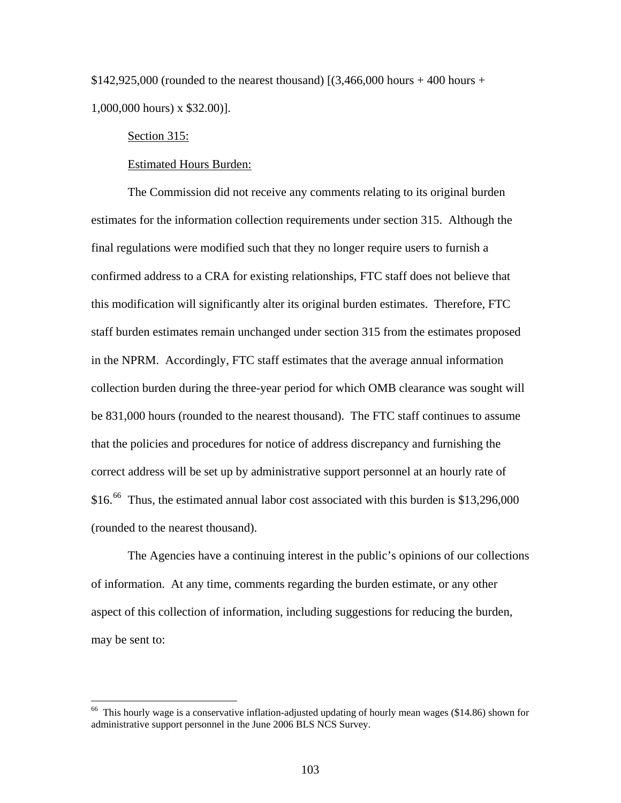\$142,925,000 (rounded to the nearest thousand)  $(3,466,000$  hours + 400 hours + 1,000,000 hours) x \$32.00)].

## Section 315:

 $\overline{a}$ 

## Estimated Hours Burden:

 The Commission did not receive any comments relating to its original burden estimates for the information collection requirements under section 315. Although the final regulations were modified such that they no longer require users to furnish a confirmed address to a CRA for existing relationships, FTC staff does not believe that this modification will significantly alter its original burden estimates. Therefore, FTC staff burden estimates remain unchanged under section 315 from the estimates proposed in the NPRM. Accordingly, FTC staff estimates that the average annual information collection burden during the three-year period for which OMB clearance was sought will be 831,000 hours (rounded to the nearest thousand). The FTC staff continues to assume that the policies and procedures for notice of address discrepancy and furnishing the correct address will be set up by administrative support personnel at an hourly rate of \$16.<sup>[66](#page-102-0)</sup> Thus, the estimated annual labor cost associated with this burden is \$13,296,000 (rounded to the nearest thousand).

 The Agencies have a continuing interest in the public's opinions of our collections of information. At any time, comments regarding the burden estimate, or any other aspect of this collection of information, including suggestions for reducing the burden, may be sent to:

<span id="page-102-0"></span> $66$  This hourly wage is a conservative inflation-adjusted updating of hourly mean wages (\$14.86) shown for administrative support personnel in the June 2006 BLS NCS Survey.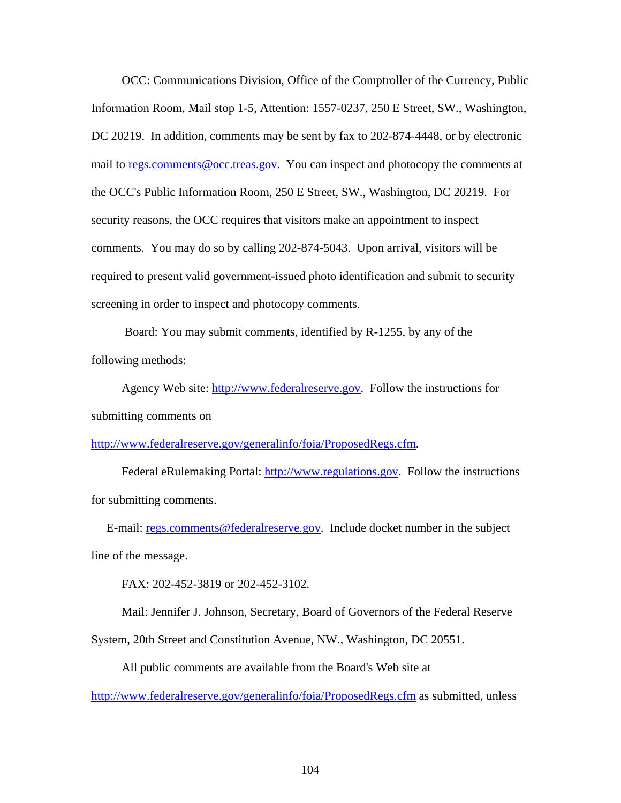OCC: Communications Division, Office of the Comptroller of the Currency, Public Information Room, Mail stop 1-5, Attention: 1557-0237, 250 E Street, SW., Washington, DC 20219. In addition, comments may be sent by fax to 202-874-4448, or by electronic mail to [regs.comments@occ.treas.gov](mailto:regs.comments@occ.treas.gov). You can inspect and photocopy the comments at the OCC's Public Information Room, 250 E Street, SW., Washington, DC 20219. For security reasons, the OCC requires that visitors make an appointment to inspect comments. You may do so by calling 202-874-5043. Upon arrival, visitors will be required to present valid government-issued photo identification and submit to security screening in order to inspect and photocopy comments.

 Board: You may submit comments, identified by R-1255, by any of the following methods:

Agency Web site: [http://www.federalreserve.gov.](http://frwebgate.access.gpo.gov/cgi-bin/leaving.cgi?from=leavingFR.html&log=linklog&to=http://www.federalreserve.gov) Follow the instructions for submitting comments on

[http://www.federalreserve.gov/generalinfo/foia/ProposedRegs.cfm](http://frwebgate.access.gpo.gov/cgi-bin/leaving.cgi?from=leavingFR.html&log=linklog&to=http://www.federalreserve.gov/generalinfo/foia/ProposedRegs.cfm).

Federal eRulemaking Portal: [http://www.regulations.gov.](http://frwebgate.access.gpo.gov/cgi-bin/leaving.cgi?from=leavingFR.html&log=linklog&to=http://www.regulations.gov) Follow the instructions for submitting comments.

 E-mail: [regs.comments@federalreserve.gov](mailto:regs.comments@federalreserve.gov). Include docket number in the subject line of the message.

FAX: 202-452-3819 or 202-452-3102.

Mail: Jennifer J. Johnson, Secretary, Board of Governors of the Federal Reserve

System, 20th Street and Constitution Avenue, NW., Washington, DC 20551.

All public comments are available from the Board's Web site at

[http://www.federalreserve.gov/generalinfo/foia/ProposedRegs.cfm](http://frwebgate.access.gpo.gov/cgi-bin/leaving.cgi?from=leavingFR.html&log=linklog&to=http://www.federalreserve.gov/generalinfo/foia/ProposedRegs.cfm) as submitted, unless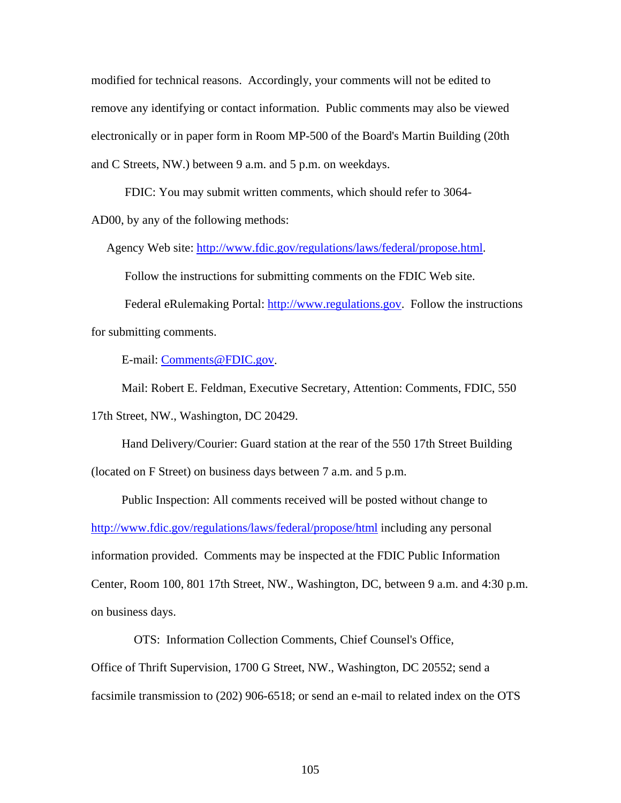modified for technical reasons. Accordingly, your comments will not be edited to remove any identifying or contact information. Public comments may also be viewed electronically or in paper form in Room MP-500 of the Board's Martin Building (20th and C Streets, NW.) between 9 a.m. and 5 p.m. on weekdays.

FDIC: You may submit written comments, which should refer to 3064-

AD00, by any of the following methods:

Agency Web site: [http://www.fdic.gov/regulations/laws/federal/propose.html](http://frwebgate.access.gpo.gov/cgi-bin/leaving.cgi?from=leavingFR.html&log=linklog&to=http://www.fdic.gov/regulations/laws/federal/propose.html).

Follow the instructions for submitting comments on the FDIC Web site.

 Federal eRulemaking Portal: [http://www.regulations.gov.](http://frwebgate.access.gpo.gov/cgi-bin/leaving.cgi?from=leavingFR.html&log=linklog&to=http://www.regulations.gov) Follow the instructions for submitting comments.

E-mail: [Comments@FDIC.gov](mailto:Comments@FDIC.gov).

 Mail: Robert E. Feldman, Executive Secretary, Attention: Comments, FDIC, 550 17th Street, NW., Washington, DC 20429.

 Hand Delivery/Courier: Guard station at the rear of the 550 17th Street Building (located on F Street) on business days between 7 a.m. and 5 p.m.

 Public Inspection: All comments received will be posted without change to [http://www.fdic.gov/regulations/laws/federal/propose/html](http://frwebgate.access.gpo.gov/cgi-bin/leaving.cgi?from=leavingFR.html&log=linklog&to=http://www.fdic.gov/regulations/laws/federal/propose/html) including any personal information provided. Comments may be inspected at the FDIC Public Information Center, Room 100, 801 17th Street, NW., Washington, DC, between 9 a.m. and 4:30 p.m. on business days.

OTS: Information Collection Comments, Chief Counsel's Office,

Office of Thrift Supervision, 1700 G Street, NW., Washington, DC 20552; send a

facsimile transmission to (202) 906-6518; or send an e-mail to related index on the OTS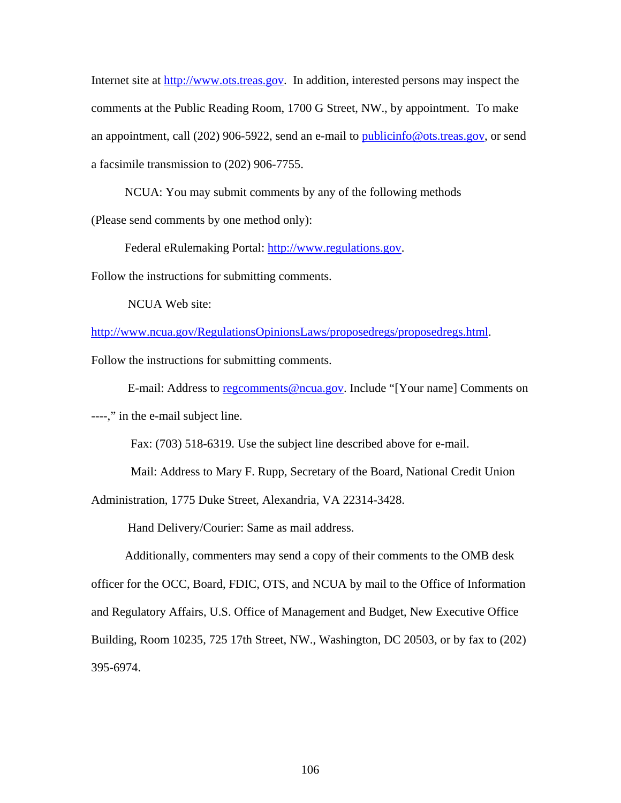Internet site at [http://www.ots.treas.gov.](http://frwebgate.access.gpo.gov/cgi-bin/leaving.cgi?from=leavingFR.html&log=linklog&to=http://www.ots.treas.gov) In addition, interested persons may inspect the comments at the Public Reading Room, 1700 G Street, NW., by appointment. To make an appointment, call (202) 906-5922, send an e-mail to [publicinfo@ots.treas.gov,](mailto:publicinfo@ots.treas.gov) or send a facsimile transmission to (202) 906-7755.

NCUA: You may submit comments by any of the following methods

(Please send comments by one method only):

Federal eRulemaking Portal: [http://www.regulations.gov.](http://frwebgate.access.gpo.gov/cgi-bin/leaving.cgi?from=leavingFR.html&log=linklog&to=http://www.regulations.gov)

Follow the instructions for submitting comments.

NCUA Web site:

[http://www.ncua.gov/RegulationsOpinionsLaws/proposedregs/proposedregs.html.](http://frwebgate.access.gpo.gov/cgi-bin/leaving.cgi?from=leavingFR.html&log=linklog&to=http://www.ncua.gov/RegulationsOpinionsLaws/proposedregs/proposedregs.html)

Follow the instructions for submitting comments.

E-mail: Address to [regcomments@ncua.gov](mailto:regcomments@ncua.gov). Include "[Your name] Comments on

----," in the e-mail subject line.

Fax: (703) 518-6319. Use the subject line described above for e-mail.

Mail: Address to Mary F. Rupp, Secretary of the Board, National Credit Union

Administration, 1775 Duke Street, Alexandria, VA 22314-3428.

Hand Delivery/Courier: Same as mail address.

 Additionally, commenters may send a copy of their comments to the OMB desk officer for the OCC, Board, FDIC, OTS, and NCUA by mail to the Office of Information and Regulatory Affairs, U.S. Office of Management and Budget, New Executive Office Building, Room 10235, 725 17th Street, NW., Washington, DC 20503, or by fax to (202) 395-6974.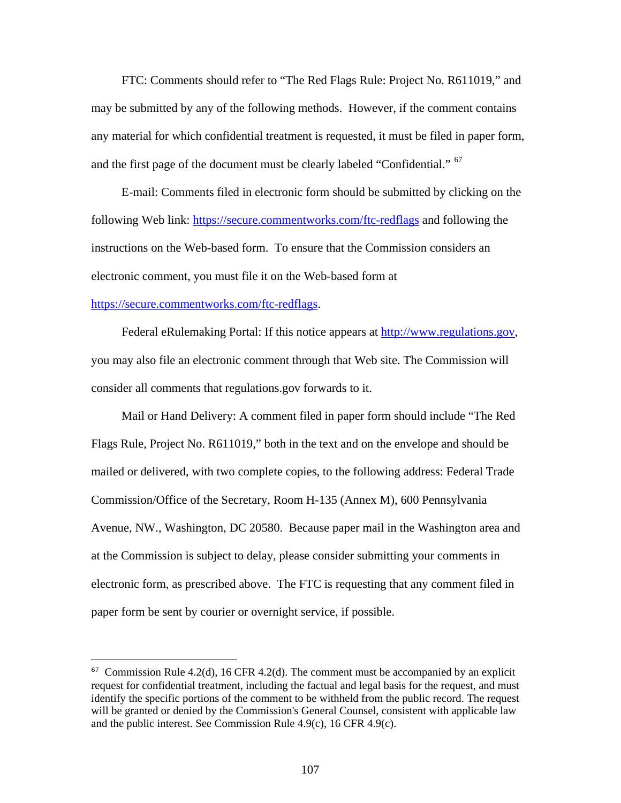FTC: Comments should refer to "The Red Flags Rule: Project No. R611019," and may be submitted by any of the following methods. However, if the comment contains any material for which confidential treatment is requested, it must be filed in paper form, and the first page of the document must be clearly labeled "Confidential." [67](#page-106-0)

 E-mail: Comments filed in electronic form should be submitted by clicking on the following Web link: [https://secure.commentworks.com/ftc-redflags](http://frwebgate.access.gpo.gov/cgi-bin/leaving.cgi?from=leavingFR.html&log=linklog&to=https://secure.commentworks.com/ftc-redflags) and following the instructions on the Web-based form. To ensure that the Commission considers an electronic comment, you must file it on the Web-based form at

# [https://secure.commentworks.com/ftc-redflags](http://frwebgate.access.gpo.gov/cgi-bin/leaving.cgi?from=leavingFR.html&log=linklog&to=https://secure.commentworks.com/ftc-redflags).

 $\overline{a}$ 

Federal eRulemaking Portal: If this notice appears at [http://www.regulations.gov,](http://frwebgate.access.gpo.gov/cgi-bin/leaving.cgi?from=leavingFR.html&log=linklog&to=http://www.regulations.gov) you may also file an electronic comment through that Web site. The Commission will consider all comments that regulations.gov forwards to it.

 Mail or Hand Delivery: A comment filed in paper form should include "The Red Flags Rule, Project No. R611019," both in the text and on the envelope and should be mailed or delivered, with two complete copies, to the following address: Federal Trade Commission/Office of the Secretary, Room H-135 (Annex M), 600 Pennsylvania Avenue, NW., Washington, DC 20580. Because paper mail in the Washington area and at the Commission is subject to delay, please consider submitting your comments in electronic form, as prescribed above. The FTC is requesting that any comment filed in paper form be sent by courier or overnight service, if possible.

<span id="page-106-0"></span> $67$  Commission Rule 4.2(d), 16 CFR 4.2(d). The comment must be accompanied by an explicit request for confidential treatment, including the factual and legal basis for the request, and must identify the specific portions of the comment to be withheld from the public record. The request will be granted or denied by the Commission's General Counsel, consistent with applicable law and the public interest. See Commission Rule 4.9(c), 16 CFR 4.9(c).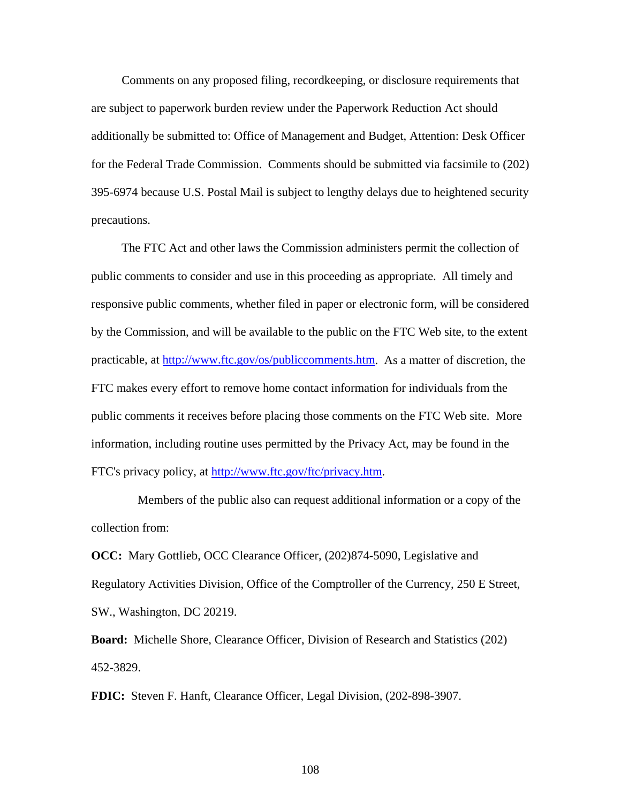Comments on any proposed filing, recordkeeping, or disclosure requirements that are subject to paperwork burden review under the Paperwork Reduction Act should additionally be submitted to: Office of Management and Budget, Attention: Desk Officer for the Federal Trade Commission. Comments should be submitted via facsimile to (202) 395-6974 because U.S. Postal Mail is subject to lengthy delays due to heightened security precautions.

 The FTC Act and other laws the Commission administers permit the collection of public comments to consider and use in this proceeding as appropriate. All timely and responsive public comments, whether filed in paper or electronic form, will be considered by the Commission, and will be available to the public on the FTC Web site, to the extent practicable, at [http://www.ftc.gov/os/publiccomments.htm.](http://frwebgate.access.gpo.gov/cgi-bin/leaving.cgi?from=leavingFR.html&log=linklog&to=http://www.ftc.gov/os/publiccomments.htm) As a matter of discretion, the FTC makes every effort to remove home contact information for individuals from the public comments it receives before placing those comments on the FTC Web site. More information, including routine uses permitted by the Privacy Act, may be found in the FTC's privacy policy, at [http://www.ftc.gov/ftc/privacy.htm.](http://frwebgate.access.gpo.gov/cgi-bin/leaving.cgi?from=leavingFR.html&log=linklog&to=http://www.ftc.gov/ftc/privacy.htm)

 Members of the public also can request additional information or a copy of the collection from:

**OCC:** Mary Gottlieb, OCC Clearance Officer, (202)874-5090, Legislative and Regulatory Activities Division, Office of the Comptroller of the Currency, 250 E Street, SW., Washington, DC 20219.

**Board:** Michelle Shore, Clearance Officer, Division of Research and Statistics (202) 452-3829.

**FDIC:** Steven F. Hanft, Clearance Officer, Legal Division, (202-898-3907.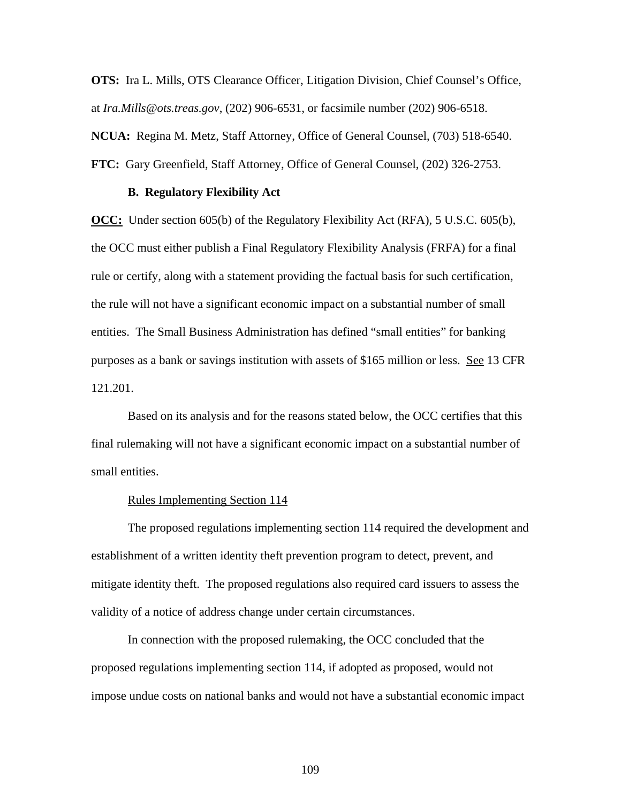**OTS:** Ira L. Mills, OTS Clearance Officer, Litigation Division, Chief Counsel's Office, at *Ira.Mills@ots.treas.gov*, (202) 906-6531, or facsimile number (202) 906-6518. **NCUA:** Regina M. Metz, Staff Attorney, Office of General Counsel, (703) 518-6540. **FTC:** Gary Greenfield, Staff Attorney, Office of General Counsel, (202) 326-2753.

#### **B. Regulatory Flexibility Act**

**OCC:** Under section 605(b) of the Regulatory Flexibility Act (RFA), 5 U.S.C. 605(b), the OCC must either publish a Final Regulatory Flexibility Analysis (FRFA) for a final rule or certify, along with a statement providing the factual basis for such certification, the rule will not have a significant economic impact on a substantial number of small entities. The Small Business Administration has defined "small entities" for banking purposes as a bank or savings institution with assets of \$165 million or less. See 13 CFR 121.201.

Based on its analysis and for the reasons stated below, the OCC certifies that this final rulemaking will not have a significant economic impact on a substantial number of small entities.

## Rules Implementing Section 114

 The proposed regulations implementing section 114 required the development and establishment of a written identity theft prevention program to detect, prevent, and mitigate identity theft. The proposed regulations also required card issuers to assess the validity of a notice of address change under certain circumstances.

 In connection with the proposed rulemaking, the OCC concluded that the proposed regulations implementing section 114, if adopted as proposed, would not impose undue costs on national banks and would not have a substantial economic impact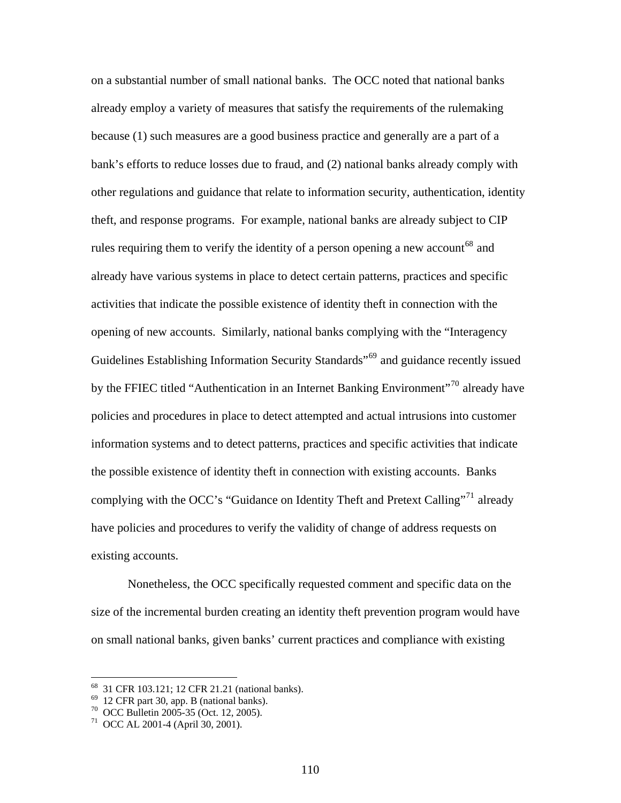on a substantial number of small national banks. The OCC noted that national banks already employ a variety of measures that satisfy the requirements of the rulemaking because (1) such measures are a good business practice and generally are a part of a bank's efforts to reduce losses due to fraud, and (2) national banks already comply with other regulations and guidance that relate to information security, authentication, identity theft, and response programs. For example, national banks are already subject to CIP rules requiring them to verify the identity of a person opening a new account<sup>[68](#page-109-0)</sup> and already have various systems in place to detect certain patterns, practices and specific activities that indicate the possible existence of identity theft in connection with the opening of new accounts. Similarly, national banks complying with the "Interagency Guidelines Establishing Information Security Standards<sup>"[69](#page-109-1)</sup> and guidance recently issued by the FFIEC titled "Authentication in an Internet Banking Environment"<sup>[70](#page-109-2)</sup> already have policies and procedures in place to detect attempted and actual intrusions into customer information systems and to detect patterns, practices and specific activities that indicate the possible existence of identity theft in connection with existing accounts. Banks complying with the OCC's "Guidance on Identity Theft and Pretext Calling"<sup>[71](#page-109-3)</sup> already have policies and procedures to verify the validity of change of address requests on existing accounts.

 Nonetheless, the OCC specifically requested comment and specific data on the size of the incremental burden creating an identity theft prevention program would have on small national banks, given banks' current practices and compliance with existing

<sup>68 31</sup> CFR 103.121; 12 CFR 21.21 (national banks).

<span id="page-109-1"></span><span id="page-109-0"></span> $69$  12 CFR part 30, app. B (national banks).

<span id="page-109-2"></span><sup>70</sup> OCC Bulletin 2005-35 (Oct. 12, 2005).

<span id="page-109-3"></span><sup>71</sup> OCC AL 2001-4 (April 30, 2001).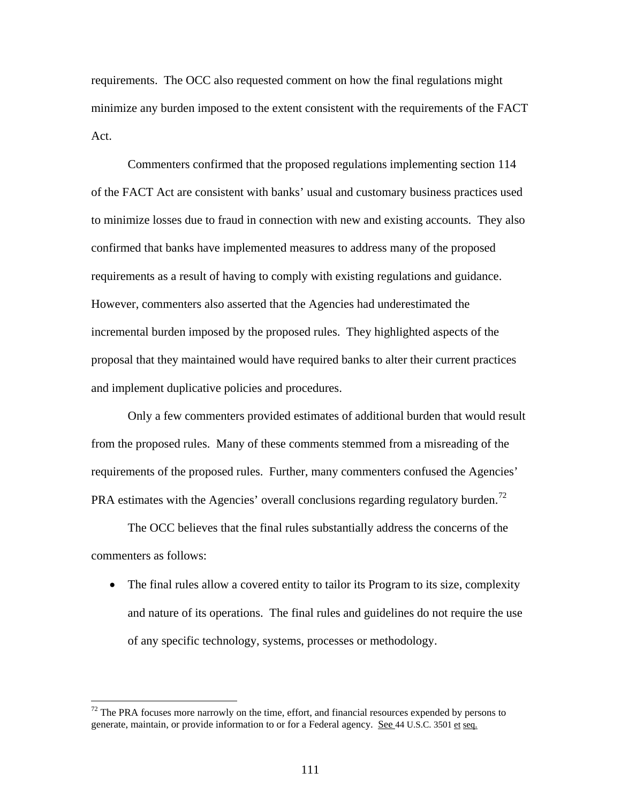requirements. The OCC also requested comment on how the final regulations might minimize any burden imposed to the extent consistent with the requirements of the FACT Act.

 Commenters confirmed that the proposed regulations implementing section 114 of the FACT Act are consistent with banks' usual and customary business practices used to minimize losses due to fraud in connection with new and existing accounts. They also confirmed that banks have implemented measures to address many of the proposed requirements as a result of having to comply with existing regulations and guidance. However, commenters also asserted that the Agencies had underestimated the incremental burden imposed by the proposed rules. They highlighted aspects of the proposal that they maintained would have required banks to alter their current practices and implement duplicative policies and procedures.

 Only a few commenters provided estimates of additional burden that would result from the proposed rules. Many of these comments stemmed from a misreading of the requirements of the proposed rules. Further, many commenters confused the Agencies' PRA estimates with the Agencies' overall conclusions regarding regulatory burden.<sup>[72](#page-110-0)</sup>

 The OCC believes that the final rules substantially address the concerns of the commenters as follows:

• The final rules allow a covered entity to tailor its Program to its size, complexity and nature of its operations. The final rules and guidelines do not require the use of any specific technology, systems, processes or methodology.

<span id="page-110-0"></span> $72$  The PRA focuses more narrowly on the time, effort, and financial resources expended by persons to generate, maintain, or provide information to or for a Federal agency. See 44 U.S.C. 3501 et seq.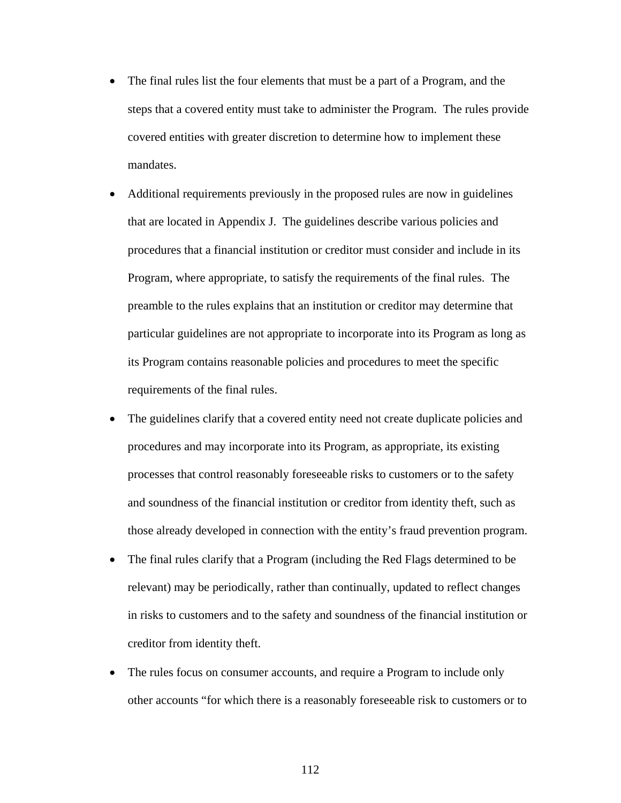- The final rules list the four elements that must be a part of a Program, and the steps that a covered entity must take to administer the Program. The rules provide covered entities with greater discretion to determine how to implement these mandates.
- Additional requirements previously in the proposed rules are now in guidelines that are located in Appendix J. The guidelines describe various policies and procedures that a financial institution or creditor must consider and include in its Program, where appropriate, to satisfy the requirements of the final rules. The preamble to the rules explains that an institution or creditor may determine that particular guidelines are not appropriate to incorporate into its Program as long as its Program contains reasonable policies and procedures to meet the specific requirements of the final rules.
- The guidelines clarify that a covered entity need not create duplicate policies and procedures and may incorporate into its Program, as appropriate, its existing processes that control reasonably foreseeable risks to customers or to the safety and soundness of the financial institution or creditor from identity theft, such as those already developed in connection with the entity's fraud prevention program.
- The final rules clarify that a Program (including the Red Flags determined to be relevant) may be periodically, rather than continually, updated to reflect changes in risks to customers and to the safety and soundness of the financial institution or creditor from identity theft.
- The rules focus on consumer accounts, and require a Program to include only other accounts "for which there is a reasonably foreseeable risk to customers or to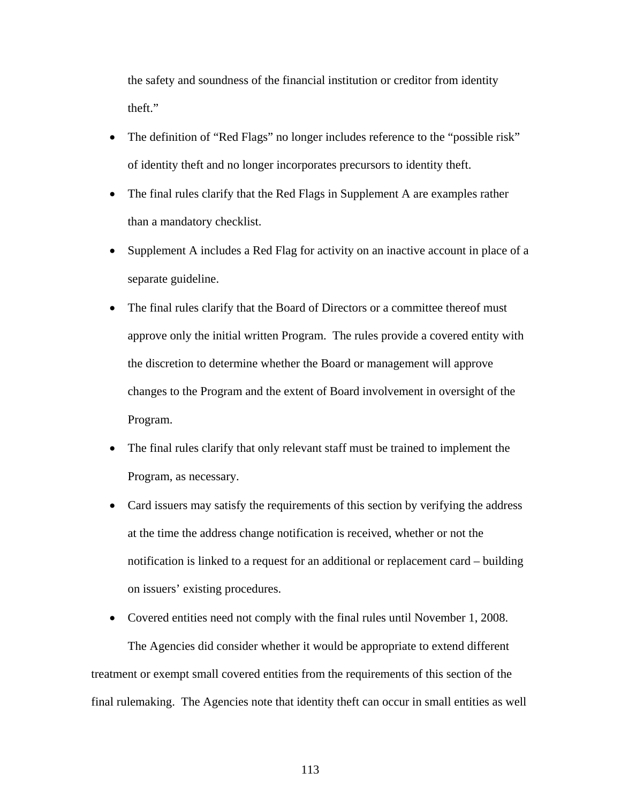the safety and soundness of the financial institution or creditor from identity theft."

- The definition of "Red Flags" no longer includes reference to the "possible risk" of identity theft and no longer incorporates precursors to identity theft.
- The final rules clarify that the Red Flags in Supplement A are examples rather than a mandatory checklist.
- Supplement A includes a Red Flag for activity on an inactive account in place of a separate guideline.
- The final rules clarify that the Board of Directors or a committee thereof must approve only the initial written Program. The rules provide a covered entity with the discretion to determine whether the Board or management will approve changes to the Program and the extent of Board involvement in oversight of the Program.
- The final rules clarify that only relevant staff must be trained to implement the Program, as necessary.
- Card issuers may satisfy the requirements of this section by verifying the address at the time the address change notification is received, whether or not the notification is linked to a request for an additional or replacement card – building on issuers' existing procedures.

• Covered entities need not comply with the final rules until November 1, 2008.

 The Agencies did consider whether it would be appropriate to extend different treatment or exempt small covered entities from the requirements of this section of the final rulemaking. The Agencies note that identity theft can occur in small entities as well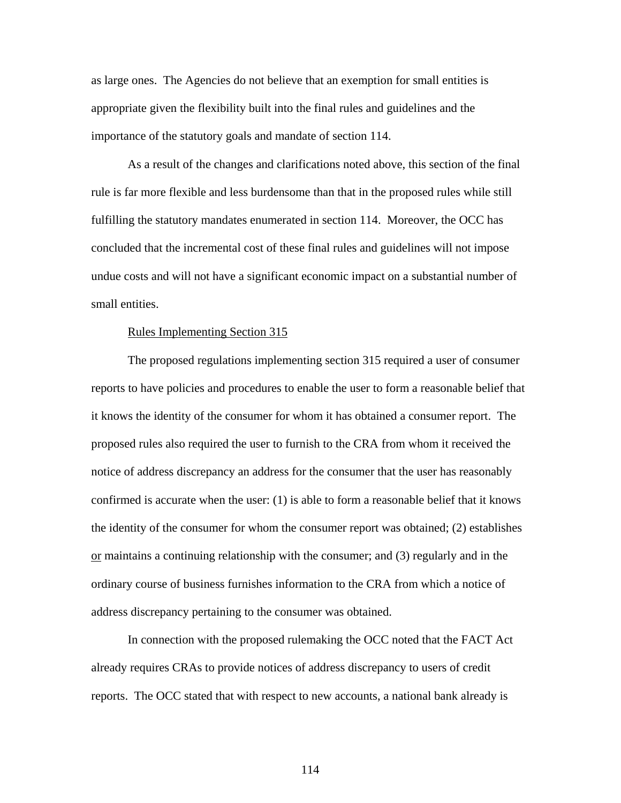as large ones. The Agencies do not believe that an exemption for small entities is appropriate given the flexibility built into the final rules and guidelines and the importance of the statutory goals and mandate of section 114.

 As a result of the changes and clarifications noted above, this section of the final rule is far more flexible and less burdensome than that in the proposed rules while still fulfilling the statutory mandates enumerated in section 114. Moreover, the OCC has concluded that the incremental cost of these final rules and guidelines will not impose undue costs and will not have a significant economic impact on a substantial number of small entities.

### Rules Implementing Section 315

 The proposed regulations implementing section 315 required a user of consumer reports to have policies and procedures to enable the user to form a reasonable belief that it knows the identity of the consumer for whom it has obtained a consumer report. The proposed rules also required the user to furnish to the CRA from whom it received the notice of address discrepancy an address for the consumer that the user has reasonably confirmed is accurate when the user: (1) is able to form a reasonable belief that it knows the identity of the consumer for whom the consumer report was obtained; (2) establishes or maintains a continuing relationship with the consumer; and (3) regularly and in the ordinary course of business furnishes information to the CRA from which a notice of address discrepancy pertaining to the consumer was obtained.

 In connection with the proposed rulemaking the OCC noted that the FACT Act already requires CRAs to provide notices of address discrepancy to users of credit reports. The OCC stated that with respect to new accounts, a national bank already is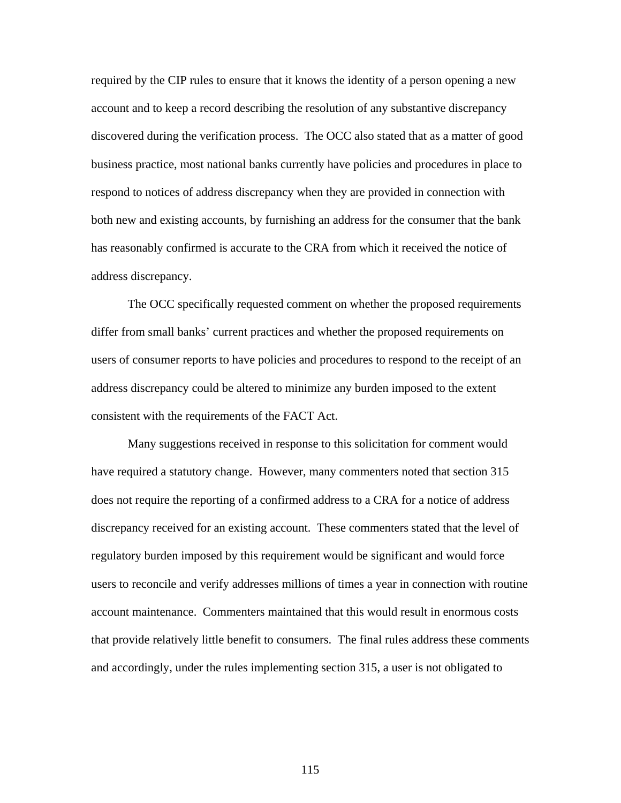required by the CIP rules to ensure that it knows the identity of a person opening a new account and to keep a record describing the resolution of any substantive discrepancy discovered during the verification process. The OCC also stated that as a matter of good business practice, most national banks currently have policies and procedures in place to respond to notices of address discrepancy when they are provided in connection with both new and existing accounts, by furnishing an address for the consumer that the bank has reasonably confirmed is accurate to the CRA from which it received the notice of address discrepancy.

 The OCC specifically requested comment on whether the proposed requirements differ from small banks' current practices and whether the proposed requirements on users of consumer reports to have policies and procedures to respond to the receipt of an address discrepancy could be altered to minimize any burden imposed to the extent consistent with the requirements of the FACT Act.

 Many suggestions received in response to this solicitation for comment would have required a statutory change. However, many commenters noted that section 315 does not require the reporting of a confirmed address to a CRA for a notice of address discrepancy received for an existing account. These commenters stated that the level of regulatory burden imposed by this requirement would be significant and would force users to reconcile and verify addresses millions of times a year in connection with routine account maintenance. Commenters maintained that this would result in enormous costs that provide relatively little benefit to consumers. The final rules address these comments and accordingly, under the rules implementing section 315, a user is not obligated to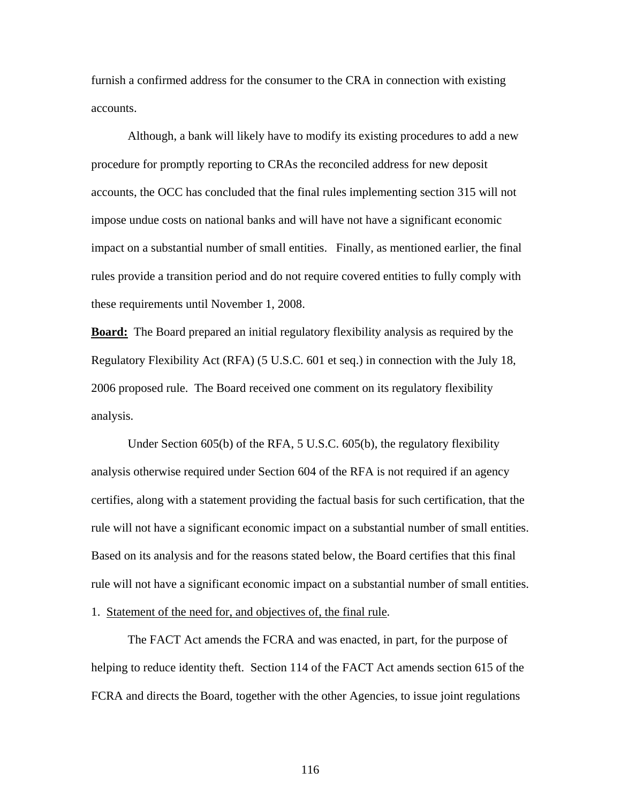furnish a confirmed address for the consumer to the CRA in connection with existing accounts.

 Although, a bank will likely have to modify its existing procedures to add a new procedure for promptly reporting to CRAs the reconciled address for new deposit accounts, the OCC has concluded that the final rules implementing section 315 will not impose undue costs on national banks and will have not have a significant economic impact on a substantial number of small entities. Finally, as mentioned earlier, the final rules provide a transition period and do not require covered entities to fully comply with these requirements until November 1, 2008.

**Board:** The Board prepared an initial regulatory flexibility analysis as required by the Regulatory Flexibility Act (RFA) (5 U.S.C. 601 et seq.) in connection with the July 18, 2006 proposed rule. The Board received one comment on its regulatory flexibility analysis.

 Under Section 605(b) of the RFA, 5 U.S.C. 605(b), the regulatory flexibility analysis otherwise required under Section 604 of the RFA is not required if an agency certifies, along with a statement providing the factual basis for such certification, that the rule will not have a significant economic impact on a substantial number of small entities. Based on its analysis and for the reasons stated below, the Board certifies that this final rule will not have a significant economic impact on a substantial number of small entities. 1. Statement of the need for, and objectives of, the final rule.

The FACT Act amends the FCRA and was enacted, in part, for the purpose of helping to reduce identity theft. Section 114 of the FACT Act amends section 615 of the FCRA and directs the Board, together with the other Agencies, to issue joint regulations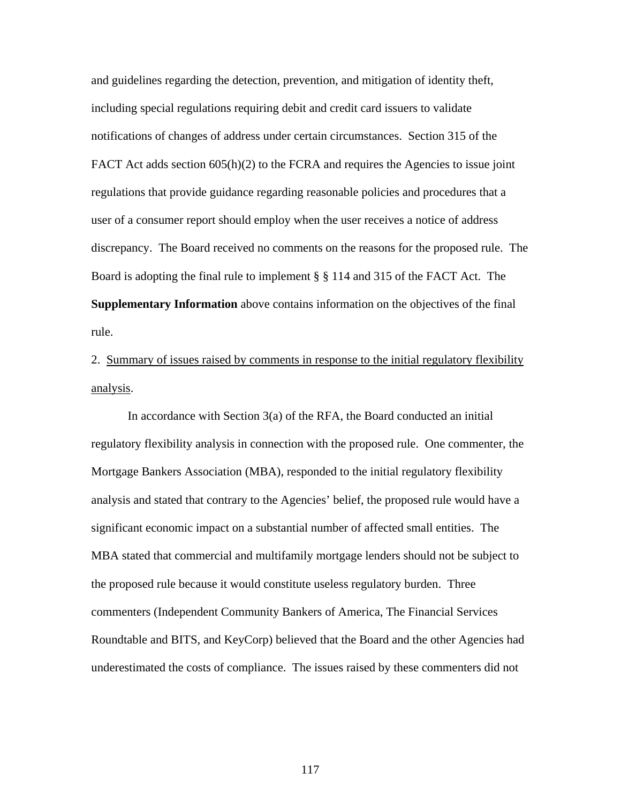and guidelines regarding the detection, prevention, and mitigation of identity theft, including special regulations requiring debit and credit card issuers to validate notifications of changes of address under certain circumstances. Section 315 of the FACT Act adds section 605(h)(2) to the FCRA and requires the Agencies to issue joint regulations that provide guidance regarding reasonable policies and procedures that a user of a consumer report should employ when the user receives a notice of address discrepancy. The Board received no comments on the reasons for the proposed rule. The Board is adopting the final rule to implement § § 114 and 315 of the FACT Act. The **Supplementary Information** above contains information on the objectives of the final rule.

2. Summary of issues raised by comments in response to the initial regulatory flexibility analysis.

In accordance with Section 3(a) of the RFA, the Board conducted an initial regulatory flexibility analysis in connection with the proposed rule. One commenter, the Mortgage Bankers Association (MBA), responded to the initial regulatory flexibility analysis and stated that contrary to the Agencies' belief, the proposed rule would have a significant economic impact on a substantial number of affected small entities. The MBA stated that commercial and multifamily mortgage lenders should not be subject to the proposed rule because it would constitute useless regulatory burden. Three commenters (Independent Community Bankers of America, The Financial Services Roundtable and BITS, and KeyCorp) believed that the Board and the other Agencies had underestimated the costs of compliance. The issues raised by these commenters did not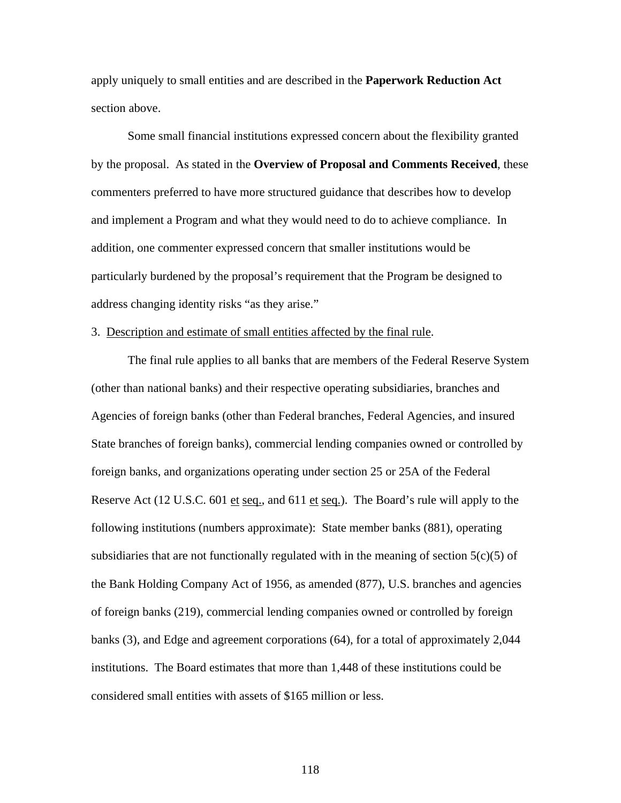apply uniquely to small entities and are described in the **Paperwork Reduction Act**  section above.

Some small financial institutions expressed concern about the flexibility granted by the proposal. As stated in the **Overview of Proposal and Comments Received**, these commenters preferred to have more structured guidance that describes how to develop and implement a Program and what they would need to do to achieve compliance. In addition, one commenter expressed concern that smaller institutions would be particularly burdened by the proposal's requirement that the Program be designed to address changing identity risks "as they arise."

### 3. Description and estimate of small entities affected by the final rule.

The final rule applies to all banks that are members of the Federal Reserve System (other than national banks) and their respective operating subsidiaries, branches and Agencies of foreign banks (other than Federal branches, Federal Agencies, and insured State branches of foreign banks), commercial lending companies owned or controlled by foreign banks, and organizations operating under section 25 or 25A of the Federal Reserve Act (12 U.S.C. 601 et seq., and 611 et seq.). The Board's rule will apply to the following institutions (numbers approximate): State member banks (881), operating subsidiaries that are not functionally regulated with in the meaning of section  $5(c)(5)$  of the Bank Holding Company Act of 1956, as amended (877), U.S. branches and agencies of foreign banks (219), commercial lending companies owned or controlled by foreign banks (3), and Edge and agreement corporations (64), for a total of approximately 2,044 institutions. The Board estimates that more than 1,448 of these institutions could be considered small entities with assets of \$165 million or less.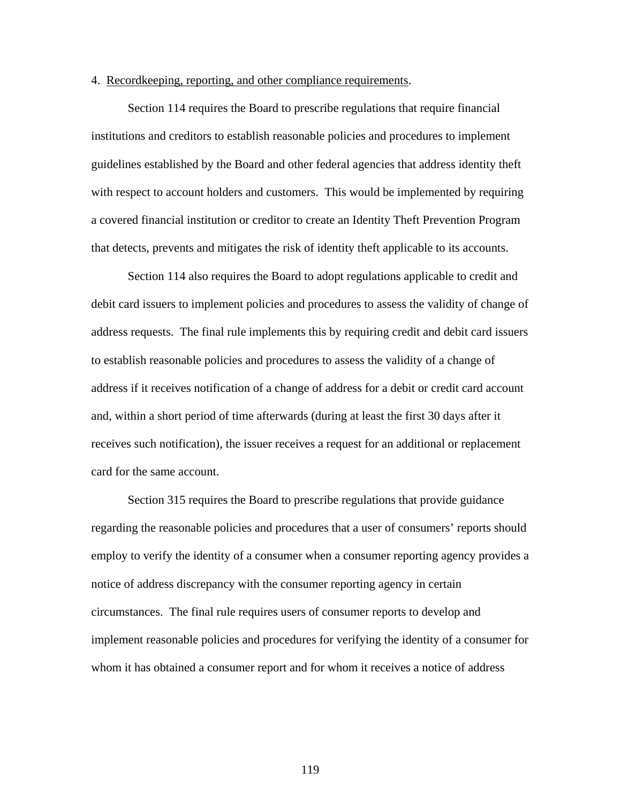### 4. Recordkeeping, reporting, and other compliance requirements.

Section 114 requires the Board to prescribe regulations that require financial institutions and creditors to establish reasonable policies and procedures to implement guidelines established by the Board and other federal agencies that address identity theft with respect to account holders and customers. This would be implemented by requiring a covered financial institution or creditor to create an Identity Theft Prevention Program that detects, prevents and mitigates the risk of identity theft applicable to its accounts.

Section 114 also requires the Board to adopt regulations applicable to credit and debit card issuers to implement policies and procedures to assess the validity of change of address requests. The final rule implements this by requiring credit and debit card issuers to establish reasonable policies and procedures to assess the validity of a change of address if it receives notification of a change of address for a debit or credit card account and, within a short period of time afterwards (during at least the first 30 days after it receives such notification), the issuer receives a request for an additional or replacement card for the same account.

Section 315 requires the Board to prescribe regulations that provide guidance regarding the reasonable policies and procedures that a user of consumers' reports should employ to verify the identity of a consumer when a consumer reporting agency provides a notice of address discrepancy with the consumer reporting agency in certain circumstances. The final rule requires users of consumer reports to develop and implement reasonable policies and procedures for verifying the identity of a consumer for whom it has obtained a consumer report and for whom it receives a notice of address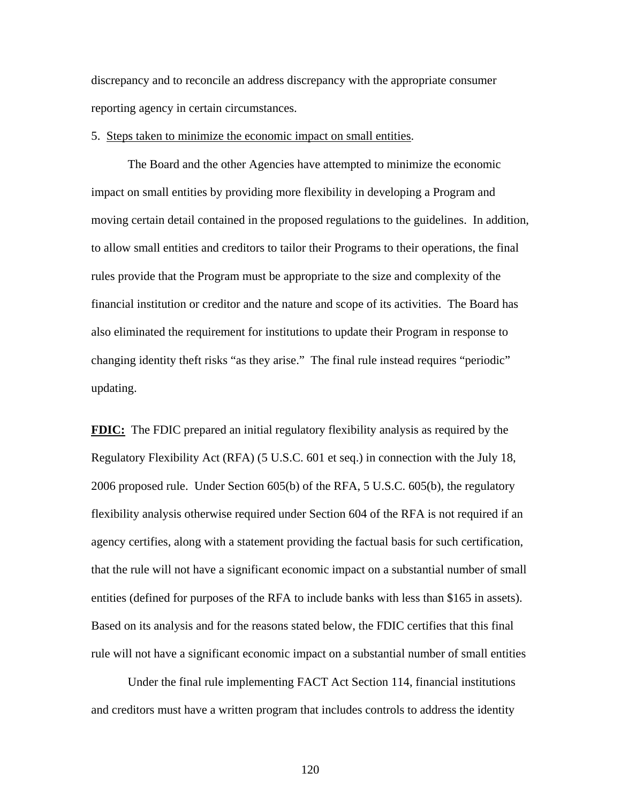discrepancy and to reconcile an address discrepancy with the appropriate consumer reporting agency in certain circumstances.

5. Steps taken to minimize the economic impact on small entities.

The Board and the other Agencies have attempted to minimize the economic impact on small entities by providing more flexibility in developing a Program and moving certain detail contained in the proposed regulations to the guidelines. In addition, to allow small entities and creditors to tailor their Programs to their operations, the final rules provide that the Program must be appropriate to the size and complexity of the financial institution or creditor and the nature and scope of its activities. The Board has also eliminated the requirement for institutions to update their Program in response to changing identity theft risks "as they arise." The final rule instead requires "periodic" updating.

**FDIC:** The FDIC prepared an initial regulatory flexibility analysis as required by the Regulatory Flexibility Act (RFA) (5 U.S.C. 601 et seq.) in connection with the July 18, 2006 proposed rule. Under Section 605(b) of the RFA, 5 U.S.C. 605(b), the regulatory flexibility analysis otherwise required under Section 604 of the RFA is not required if an agency certifies, along with a statement providing the factual basis for such certification, that the rule will not have a significant economic impact on a substantial number of small entities (defined for purposes of the RFA to include banks with less than \$165 in assets). Based on its analysis and for the reasons stated below, the FDIC certifies that this final rule will not have a significant economic impact on a substantial number of small entities

Under the final rule implementing FACT Act Section 114, financial institutions and creditors must have a written program that includes controls to address the identity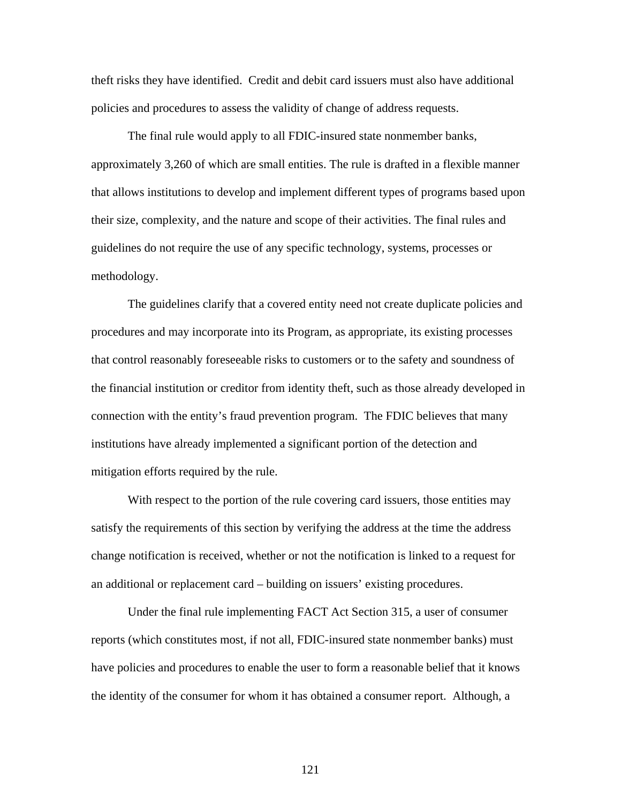theft risks they have identified. Credit and debit card issuers must also have additional policies and procedures to assess the validity of change of address requests.

The final rule would apply to all FDIC-insured state nonmember banks, approximately 3,260 of which are small entities. The rule is drafted in a flexible manner that allows institutions to develop and implement different types of programs based upon their size, complexity, and the nature and scope of their activities. The final rules and guidelines do not require the use of any specific technology, systems, processes or methodology.

The guidelines clarify that a covered entity need not create duplicate policies and procedures and may incorporate into its Program, as appropriate, its existing processes that control reasonably foreseeable risks to customers or to the safety and soundness of the financial institution or creditor from identity theft, such as those already developed in connection with the entity's fraud prevention program. The FDIC believes that many institutions have already implemented a significant portion of the detection and mitigation efforts required by the rule.

With respect to the portion of the rule covering card issuers, those entities may satisfy the requirements of this section by verifying the address at the time the address change notification is received, whether or not the notification is linked to a request for an additional or replacement card – building on issuers' existing procedures.

Under the final rule implementing FACT Act Section 315, a user of consumer reports (which constitutes most, if not all, FDIC-insured state nonmember banks) must have policies and procedures to enable the user to form a reasonable belief that it knows the identity of the consumer for whom it has obtained a consumer report. Although, a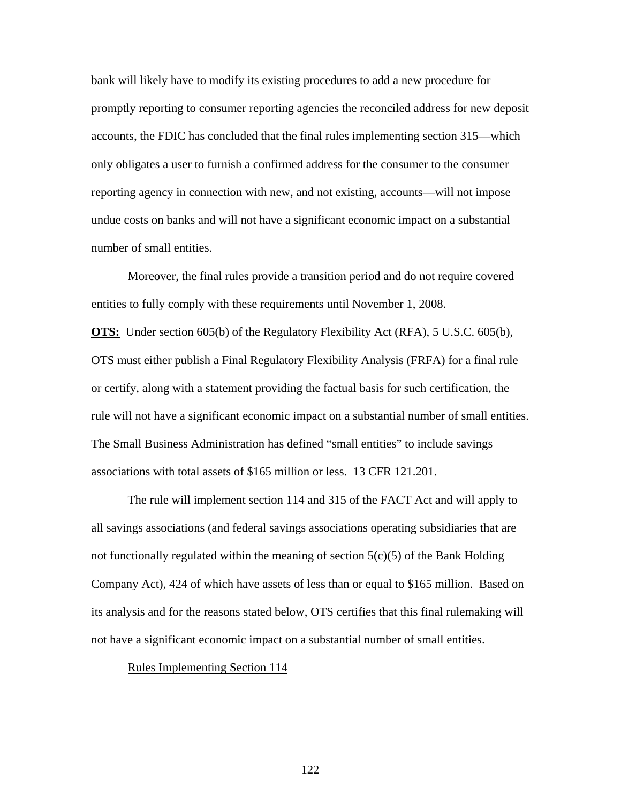bank will likely have to modify its existing procedures to add a new procedure for promptly reporting to consumer reporting agencies the reconciled address for new deposit accounts, the FDIC has concluded that the final rules implementing section 315—which only obligates a user to furnish a confirmed address for the consumer to the consumer reporting agency in connection with new, and not existing, accounts—will not impose undue costs on banks and will not have a significant economic impact on a substantial number of small entities.

Moreover, the final rules provide a transition period and do not require covered entities to fully comply with these requirements until November 1, 2008.

**OTS:** Under section 605(b) of the Regulatory Flexibility Act (RFA), 5 U.S.C. 605(b), OTS must either publish a Final Regulatory Flexibility Analysis (FRFA) for a final rule or certify, along with a statement providing the factual basis for such certification, the rule will not have a significant economic impact on a substantial number of small entities. The Small Business Administration has defined "small entities" to include savings associations with total assets of \$165 million or less. 13 CFR 121.201.

The rule will implement section 114 and 315 of the FACT Act and will apply to all savings associations (and federal savings associations operating subsidiaries that are not functionally regulated within the meaning of section  $5(c)(5)$  of the Bank Holding Company Act), 424 of which have assets of less than or equal to \$165 million. Based on its analysis and for the reasons stated below, OTS certifies that this final rulemaking will not have a significant economic impact on a substantial number of small entities.

### Rules Implementing Section 114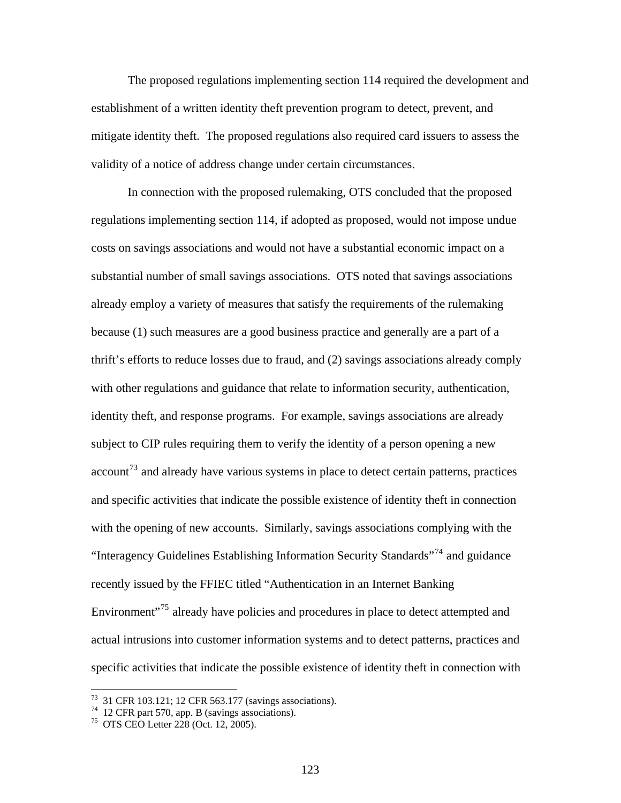The proposed regulations implementing section 114 required the development and establishment of a written identity theft prevention program to detect, prevent, and mitigate identity theft. The proposed regulations also required card issuers to assess the validity of a notice of address change under certain circumstances.

 In connection with the proposed rulemaking, OTS concluded that the proposed regulations implementing section 114, if adopted as proposed, would not impose undue costs on savings associations and would not have a substantial economic impact on a substantial number of small savings associations. OTS noted that savings associations already employ a variety of measures that satisfy the requirements of the rulemaking because (1) such measures are a good business practice and generally are a part of a thrift's efforts to reduce losses due to fraud, and (2) savings associations already comply with other regulations and guidance that relate to information security, authentication, identity theft, and response programs. For example, savings associations are already subject to CIP rules requiring them to verify the identity of a person opening a new  $account<sup>73</sup>$  $account<sup>73</sup>$  $account<sup>73</sup>$  and already have various systems in place to detect certain patterns, practices and specific activities that indicate the possible existence of identity theft in connection with the opening of new accounts. Similarly, savings associations complying with the "Interagency Guidelines Establishing Information Security Standards"[74](#page-122-1) and guidance recently issued by the FFIEC titled "Authentication in an Internet Banking Environment<sup>"[75](#page-122-2)</sup> already have policies and procedures in place to detect attempted and actual intrusions into customer information systems and to detect patterns, practices and specific activities that indicate the possible existence of identity theft in connection with

<span id="page-122-0"></span><sup>73 31</sup> CFR 103.121; 12 CFR 563.177 (savings associations).

<span id="page-122-1"></span> $74$  12 CFR part 570, app. B (savings associations).

<span id="page-122-2"></span><sup>75</sup> OTS CEO Letter 228 (Oct. 12, 2005).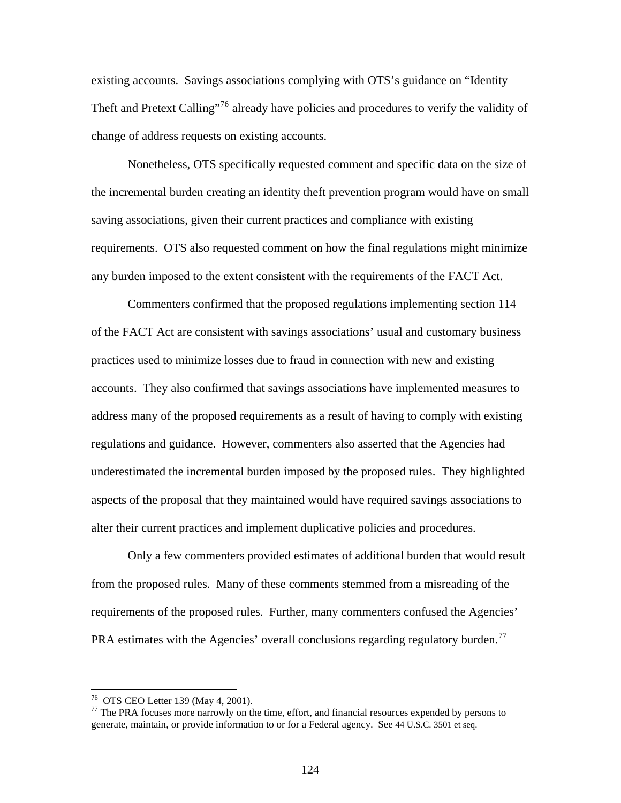existing accounts. Savings associations complying with OTS's guidance on "Identity Theft and Pretext Calling"<sup>[76](#page-123-0)</sup> already have policies and procedures to verify the validity of change of address requests on existing accounts.

 Nonetheless, OTS specifically requested comment and specific data on the size of the incremental burden creating an identity theft prevention program would have on small saving associations, given their current practices and compliance with existing requirements. OTS also requested comment on how the final regulations might minimize any burden imposed to the extent consistent with the requirements of the FACT Act.

 Commenters confirmed that the proposed regulations implementing section 114 of the FACT Act are consistent with savings associations' usual and customary business practices used to minimize losses due to fraud in connection with new and existing accounts. They also confirmed that savings associations have implemented measures to address many of the proposed requirements as a result of having to comply with existing regulations and guidance. However, commenters also asserted that the Agencies had underestimated the incremental burden imposed by the proposed rules. They highlighted aspects of the proposal that they maintained would have required savings associations to alter their current practices and implement duplicative policies and procedures.

 Only a few commenters provided estimates of additional burden that would result from the proposed rules. Many of these comments stemmed from a misreading of the requirements of the proposed rules. Further, many commenters confused the Agencies' PRA estimates with the Agencies' overall conclusions regarding regulatory burden.<sup>[77](#page-123-1)</sup>

<span id="page-123-0"></span><sup>76</sup> OTS CEO Letter 139 (May 4, 2001).

<span id="page-123-1"></span> $77$  The PRA focuses more narrowly on the time, effort, and financial resources expended by persons to generate, maintain, or provide information to or for a Federal agency. See 44 U.S.C. 3501 et seq.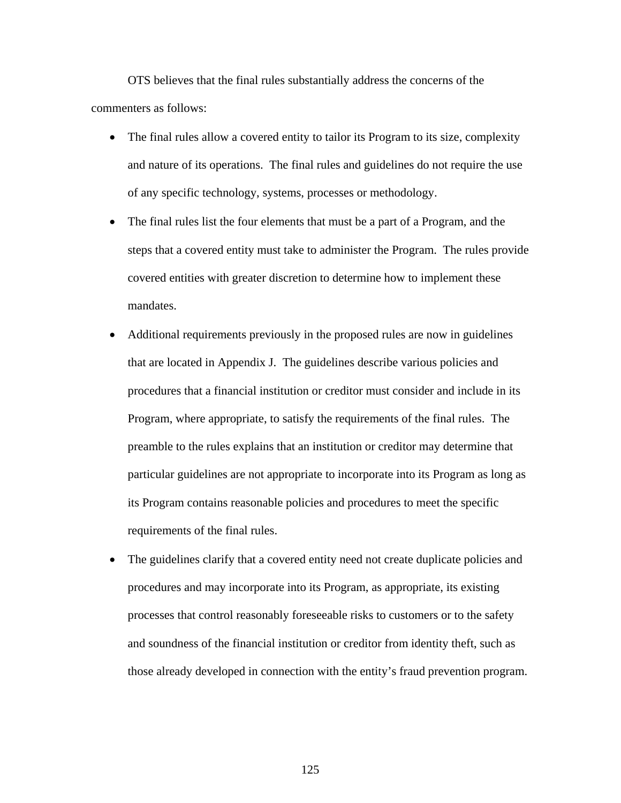OTS believes that the final rules substantially address the concerns of the commenters as follows:

- The final rules allow a covered entity to tailor its Program to its size, complexity and nature of its operations. The final rules and guidelines do not require the use of any specific technology, systems, processes or methodology.
- The final rules list the four elements that must be a part of a Program, and the steps that a covered entity must take to administer the Program. The rules provide covered entities with greater discretion to determine how to implement these mandates.
- Additional requirements previously in the proposed rules are now in guidelines that are located in Appendix J. The guidelines describe various policies and procedures that a financial institution or creditor must consider and include in its Program, where appropriate, to satisfy the requirements of the final rules. The preamble to the rules explains that an institution or creditor may determine that particular guidelines are not appropriate to incorporate into its Program as long as its Program contains reasonable policies and procedures to meet the specific requirements of the final rules.
- The guidelines clarify that a covered entity need not create duplicate policies and procedures and may incorporate into its Program, as appropriate, its existing processes that control reasonably foreseeable risks to customers or to the safety and soundness of the financial institution or creditor from identity theft, such as those already developed in connection with the entity's fraud prevention program.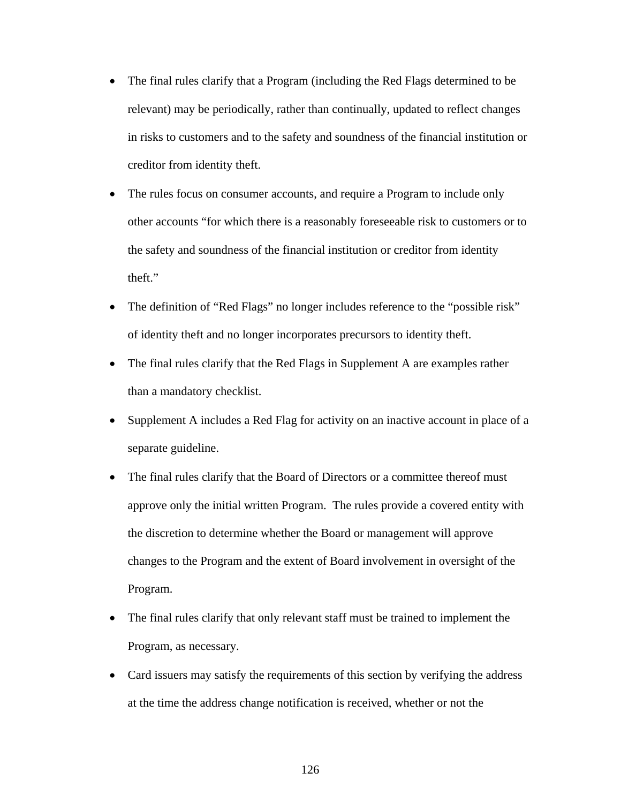- The final rules clarify that a Program (including the Red Flags determined to be relevant) may be periodically, rather than continually, updated to reflect changes in risks to customers and to the safety and soundness of the financial institution or creditor from identity theft.
- The rules focus on consumer accounts, and require a Program to include only other accounts "for which there is a reasonably foreseeable risk to customers or to the safety and soundness of the financial institution or creditor from identity theft."
- The definition of "Red Flags" no longer includes reference to the "possible risk" of identity theft and no longer incorporates precursors to identity theft.
- The final rules clarify that the Red Flags in Supplement A are examples rather than a mandatory checklist.
- Supplement A includes a Red Flag for activity on an inactive account in place of a separate guideline.
- The final rules clarify that the Board of Directors or a committee thereof must approve only the initial written Program. The rules provide a covered entity with the discretion to determine whether the Board or management will approve changes to the Program and the extent of Board involvement in oversight of the Program.
- The final rules clarify that only relevant staff must be trained to implement the Program, as necessary.
- Card issuers may satisfy the requirements of this section by verifying the address at the time the address change notification is received, whether or not the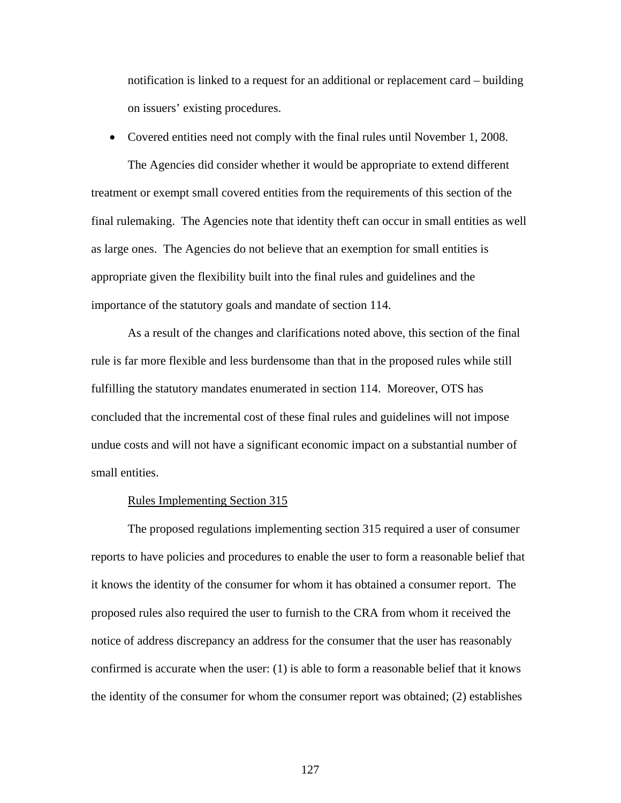notification is linked to a request for an additional or replacement card – building on issuers' existing procedures.

• Covered entities need not comply with the final rules until November 1, 2008.

 The Agencies did consider whether it would be appropriate to extend different treatment or exempt small covered entities from the requirements of this section of the final rulemaking. The Agencies note that identity theft can occur in small entities as well as large ones. The Agencies do not believe that an exemption for small entities is appropriate given the flexibility built into the final rules and guidelines and the importance of the statutory goals and mandate of section 114.

 As a result of the changes and clarifications noted above, this section of the final rule is far more flexible and less burdensome than that in the proposed rules while still fulfilling the statutory mandates enumerated in section 114. Moreover, OTS has concluded that the incremental cost of these final rules and guidelines will not impose undue costs and will not have a significant economic impact on a substantial number of small entities.

## Rules Implementing Section 315

 The proposed regulations implementing section 315 required a user of consumer reports to have policies and procedures to enable the user to form a reasonable belief that it knows the identity of the consumer for whom it has obtained a consumer report. The proposed rules also required the user to furnish to the CRA from whom it received the notice of address discrepancy an address for the consumer that the user has reasonably confirmed is accurate when the user: (1) is able to form a reasonable belief that it knows the identity of the consumer for whom the consumer report was obtained; (2) establishes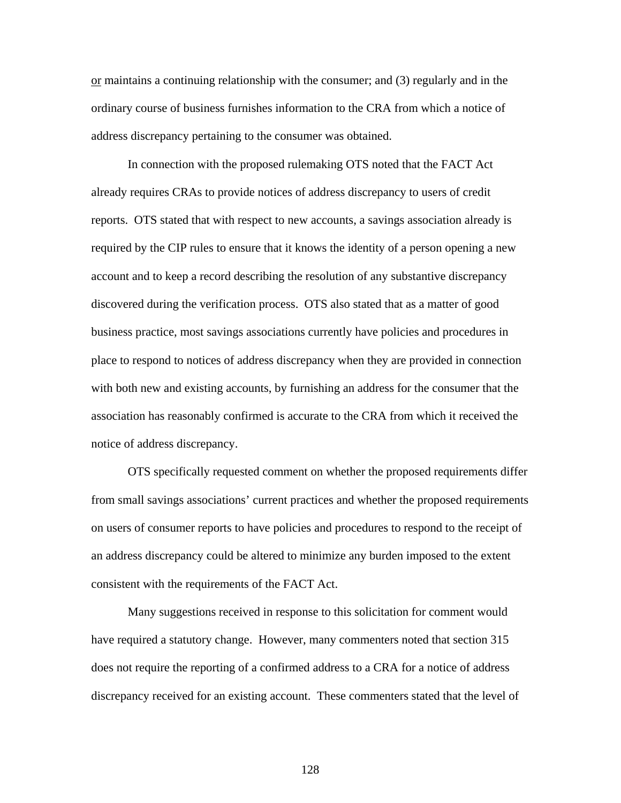$or$  maintains a continuing relationship with the consumer; and (3) regularly and in the</u> ordinary course of business furnishes information to the CRA from which a notice of address discrepancy pertaining to the consumer was obtained.

 In connection with the proposed rulemaking OTS noted that the FACT Act already requires CRAs to provide notices of address discrepancy to users of credit reports. OTS stated that with respect to new accounts, a savings association already is required by the CIP rules to ensure that it knows the identity of a person opening a new account and to keep a record describing the resolution of any substantive discrepancy discovered during the verification process. OTS also stated that as a matter of good business practice, most savings associations currently have policies and procedures in place to respond to notices of address discrepancy when they are provided in connection with both new and existing accounts, by furnishing an address for the consumer that the association has reasonably confirmed is accurate to the CRA from which it received the notice of address discrepancy.

 OTS specifically requested comment on whether the proposed requirements differ from small savings associations' current practices and whether the proposed requirements on users of consumer reports to have policies and procedures to respond to the receipt of an address discrepancy could be altered to minimize any burden imposed to the extent consistent with the requirements of the FACT Act.

 Many suggestions received in response to this solicitation for comment would have required a statutory change. However, many commenters noted that section 315 does not require the reporting of a confirmed address to a CRA for a notice of address discrepancy received for an existing account. These commenters stated that the level of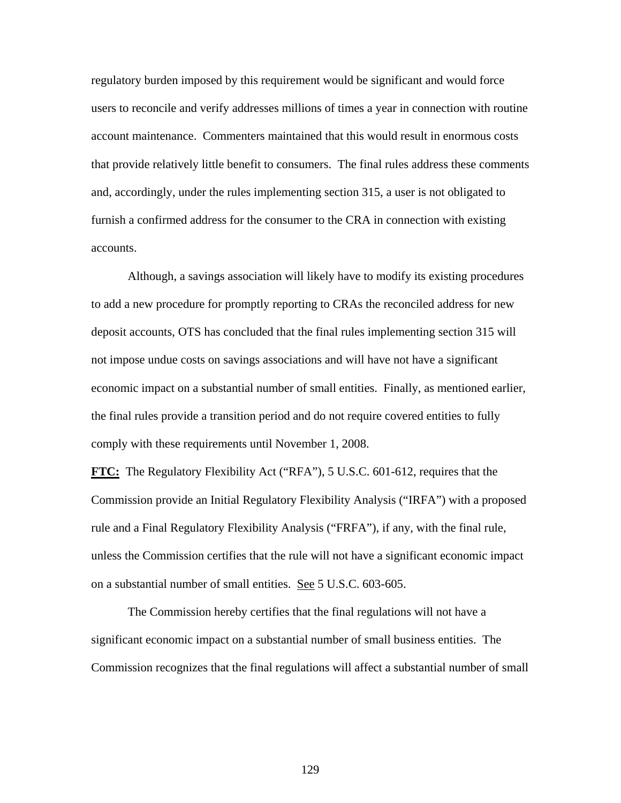regulatory burden imposed by this requirement would be significant and would force users to reconcile and verify addresses millions of times a year in connection with routine account maintenance. Commenters maintained that this would result in enormous costs that provide relatively little benefit to consumers. The final rules address these comments and, accordingly, under the rules implementing section 315, a user is not obligated to furnish a confirmed address for the consumer to the CRA in connection with existing accounts.

 Although, a savings association will likely have to modify its existing procedures to add a new procedure for promptly reporting to CRAs the reconciled address for new deposit accounts, OTS has concluded that the final rules implementing section 315 will not impose undue costs on savings associations and will have not have a significant economic impact on a substantial number of small entities. Finally, as mentioned earlier, the final rules provide a transition period and do not require covered entities to fully comply with these requirements until November 1, 2008.

**FTC:** The Regulatory Flexibility Act ("RFA"), 5 U.S.C. 601-612, requires that the Commission provide an Initial Regulatory Flexibility Analysis ("IRFA") with a proposed rule and a Final Regulatory Flexibility Analysis ("FRFA"), if any, with the final rule, unless the Commission certifies that the rule will not have a significant economic impact on a substantial number of small entities. See 5 U.S.C. 603-605.

The Commission hereby certifies that the final regulations will not have a significant economic impact on a substantial number of small business entities. The Commission recognizes that the final regulations will affect a substantial number of small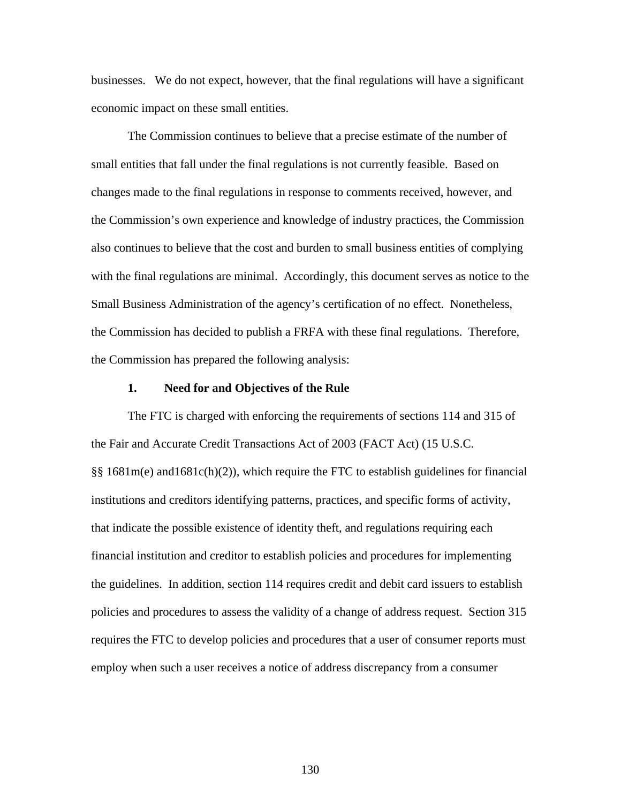businesses. We do not expect, however, that the final regulations will have a significant economic impact on these small entities.

The Commission continues to believe that a precise estimate of the number of small entities that fall under the final regulations is not currently feasible. Based on changes made to the final regulations in response to comments received, however, and the Commission's own experience and knowledge of industry practices, the Commission also continues to believe that the cost and burden to small business entities of complying with the final regulations are minimal. Accordingly, this document serves as notice to the Small Business Administration of the agency's certification of no effect. Nonetheless, the Commission has decided to publish a FRFA with these final regulations. Therefore, the Commission has prepared the following analysis:

# **1. Need for and Objectives of the Rule**

 The FTC is charged with enforcing the requirements of sections 114 and 315 of the Fair and Accurate Credit Transactions Act of 2003 (FACT Act) (15 U.S.C. §§ 1681m(e) and1681c(h)(2)), which require the FTC to establish guidelines for financial institutions and creditors identifying patterns, practices, and specific forms of activity, that indicate the possible existence of identity theft, and regulations requiring each financial institution and creditor to establish policies and procedures for implementing the guidelines. In addition, section 114 requires credit and debit card issuers to establish policies and procedures to assess the validity of a change of address request. Section 315 requires the FTC to develop policies and procedures that a user of consumer reports must employ when such a user receives a notice of address discrepancy from a consumer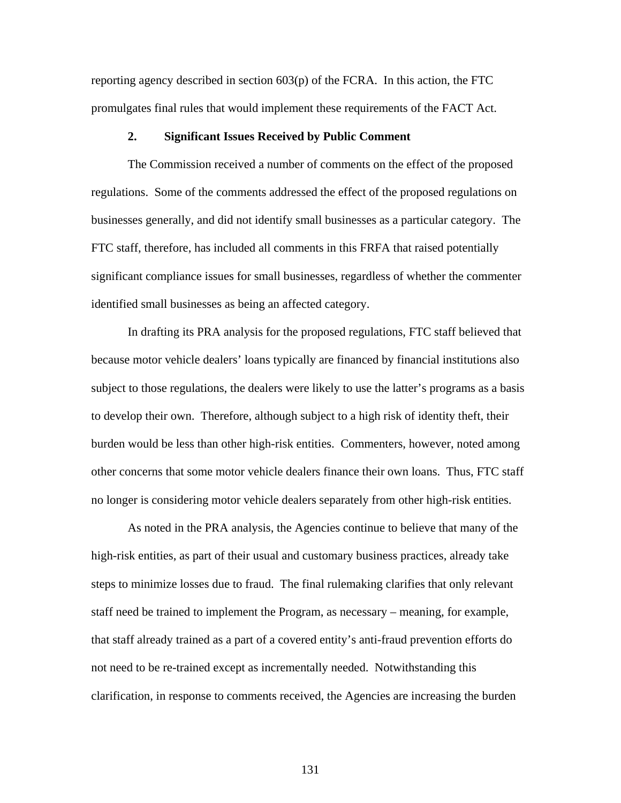reporting agency described in section 603(p) of the FCRA. In this action, the FTC promulgates final rules that would implement these requirements of the FACT Act.

## **2. Significant Issues Received by Public Comment**

The Commission received a number of comments on the effect of the proposed regulations. Some of the comments addressed the effect of the proposed regulations on businesses generally, and did not identify small businesses as a particular category. The FTC staff, therefore, has included all comments in this FRFA that raised potentially significant compliance issues for small businesses, regardless of whether the commenter identified small businesses as being an affected category.

In drafting its PRA analysis for the proposed regulations, FTC staff believed that because motor vehicle dealers' loans typically are financed by financial institutions also subject to those regulations, the dealers were likely to use the latter's programs as a basis to develop their own. Therefore, although subject to a high risk of identity theft, their burden would be less than other high-risk entities. Commenters, however, noted among other concerns that some motor vehicle dealers finance their own loans. Thus, FTC staff no longer is considering motor vehicle dealers separately from other high-risk entities.

As noted in the PRA analysis, the Agencies continue to believe that many of the high-risk entities, as part of their usual and customary business practices, already take steps to minimize losses due to fraud. The final rulemaking clarifies that only relevant staff need be trained to implement the Program, as necessary – meaning, for example, that staff already trained as a part of a covered entity's anti-fraud prevention efforts do not need to be re-trained except as incrementally needed. Notwithstanding this clarification, in response to comments received, the Agencies are increasing the burden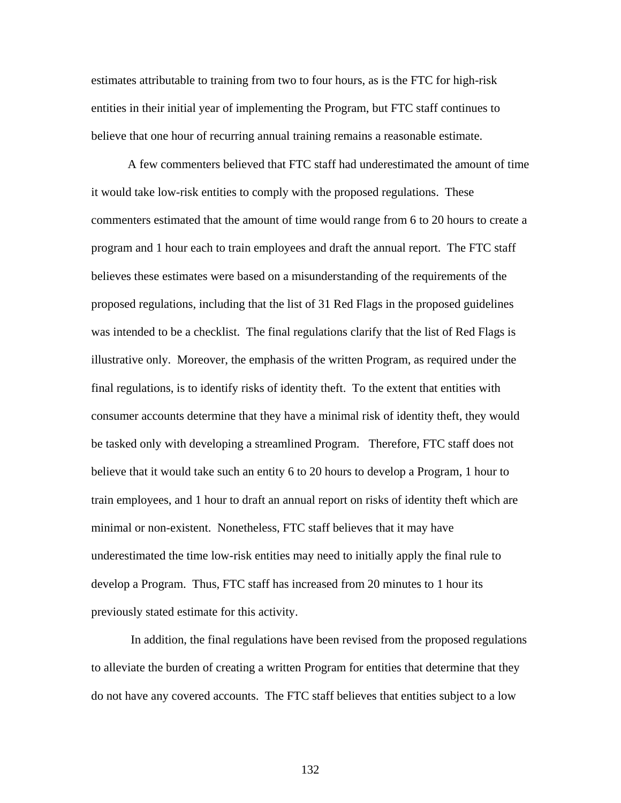estimates attributable to training from two to four hours, as is the FTC for high-risk entities in their initial year of implementing the Program, but FTC staff continues to believe that one hour of recurring annual training remains a reasonable estimate.

A few commenters believed that FTC staff had underestimated the amount of time it would take low-risk entities to comply with the proposed regulations. These commenters estimated that the amount of time would range from 6 to 20 hours to create a program and 1 hour each to train employees and draft the annual report. The FTC staff believes these estimates were based on a misunderstanding of the requirements of the proposed regulations, including that the list of 31 Red Flags in the proposed guidelines was intended to be a checklist. The final regulations clarify that the list of Red Flags is illustrative only. Moreover, the emphasis of the written Program, as required under the final regulations, is to identify risks of identity theft. To the extent that entities with consumer accounts determine that they have a minimal risk of identity theft, they would be tasked only with developing a streamlined Program. Therefore, FTC staff does not believe that it would take such an entity 6 to 20 hours to develop a Program, 1 hour to train employees, and 1 hour to draft an annual report on risks of identity theft which are minimal or non-existent. Nonetheless, FTC staff believes that it may have underestimated the time low-risk entities may need to initially apply the final rule to develop a Program. Thus, FTC staff has increased from 20 minutes to 1 hour its previously stated estimate for this activity.

 In addition, the final regulations have been revised from the proposed regulations to alleviate the burden of creating a written Program for entities that determine that they do not have any covered accounts. The FTC staff believes that entities subject to a low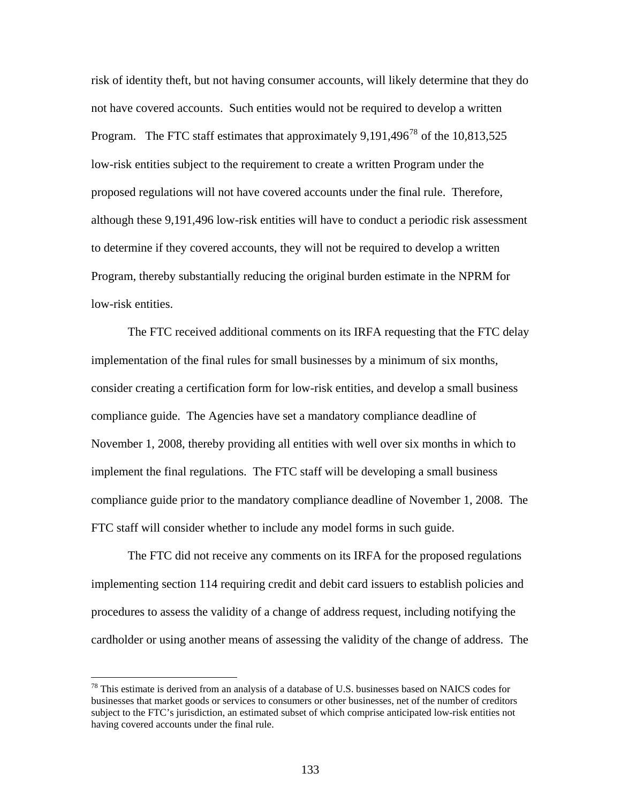risk of identity theft, but not having consumer accounts, will likely determine that they do not have covered accounts. Such entities would not be required to develop a written Program. The FTC staff estimates that approximately  $9.191,496^{78}$  $9.191,496^{78}$  $9.191,496^{78}$  of the  $10,813,525$ low-risk entities subject to the requirement to create a written Program under the proposed regulations will not have covered accounts under the final rule. Therefore, although these 9,191,496 low-risk entities will have to conduct a periodic risk assessment to determine if they covered accounts, they will not be required to develop a written Program, thereby substantially reducing the original burden estimate in the NPRM for low-risk entities.

 The FTC received additional comments on its IRFA requesting that the FTC delay implementation of the final rules for small businesses by a minimum of six months, consider creating a certification form for low-risk entities, and develop a small business compliance guide. The Agencies have set a mandatory compliance deadline of November 1, 2008, thereby providing all entities with well over six months in which to implement the final regulations. The FTC staff will be developing a small business compliance guide prior to the mandatory compliance deadline of November 1, 2008. The FTC staff will consider whether to include any model forms in such guide.

 The FTC did not receive any comments on its IRFA for the proposed regulations implementing section 114 requiring credit and debit card issuers to establish policies and procedures to assess the validity of a change of address request, including notifying the cardholder or using another means of assessing the validity of the change of address. The

<span id="page-132-0"></span> $^{78}$  This estimate is derived from an analysis of a database of U.S. businesses based on NAICS codes for businesses that market goods or services to consumers or other businesses, net of the number of creditors subject to the FTC's jurisdiction, an estimated subset of which comprise anticipated low-risk entities not having covered accounts under the final rule.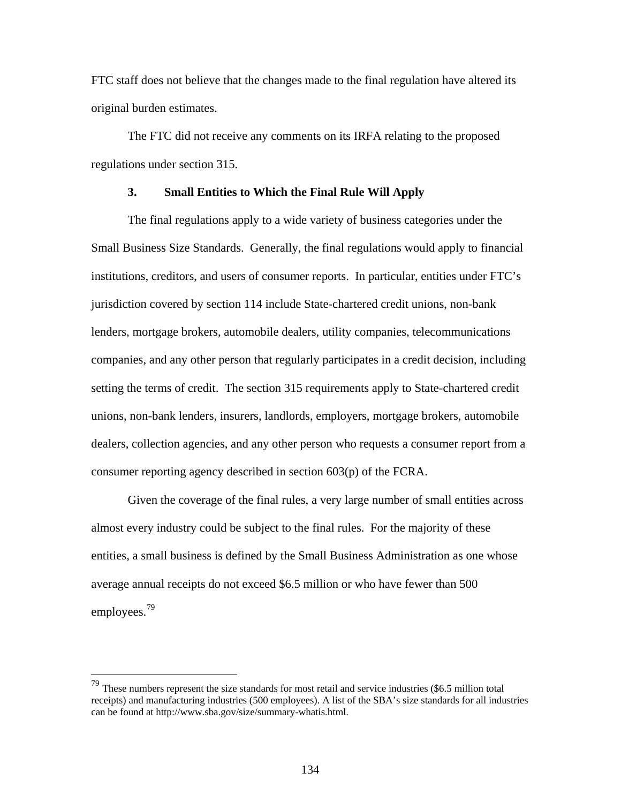FTC staff does not believe that the changes made to the final regulation have altered its original burden estimates.

The FTC did not receive any comments on its IRFA relating to the proposed regulations under section 315.

## **3. Small Entities to Which the Final Rule Will Apply**

 The final regulations apply to a wide variety of business categories under the Small Business Size Standards. Generally, the final regulations would apply to financial institutions, creditors, and users of consumer reports. In particular, entities under FTC's jurisdiction covered by section 114 include State-chartered credit unions, non-bank lenders, mortgage brokers, automobile dealers, utility companies, telecommunications companies, and any other person that regularly participates in a credit decision, including setting the terms of credit. The section 315 requirements apply to State-chartered credit unions, non-bank lenders, insurers, landlords, employers, mortgage brokers, automobile dealers, collection agencies, and any other person who requests a consumer report from a consumer reporting agency described in section 603(p) of the FCRA.

 Given the coverage of the final rules, a very large number of small entities across almost every industry could be subject to the final rules. For the majority of these entities, a small business is defined by the Small Business Administration as one whose average annual receipts do not exceed \$6.5 million or who have fewer than 500 employees.[79](#page-133-0)

<span id="page-133-0"></span> $79$  These numbers represent the size standards for most retail and service industries (\$6.5 million total receipts) and manufacturing industries (500 employees). A list of the SBA's size standards for all industries can be found at http://www.sba.gov/size/summary-whatis.html.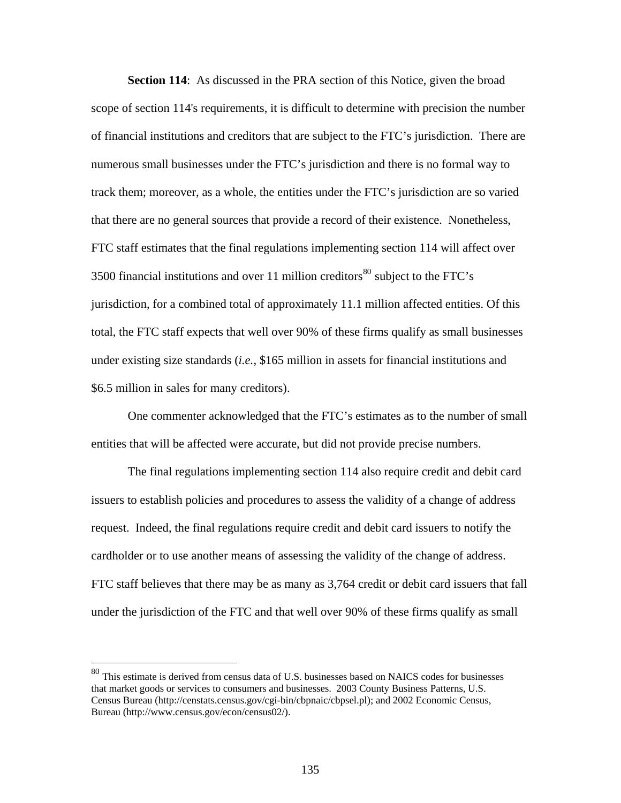**Section 114:** As discussed in the PRA section of this Notice, given the broad scope of section 114's requirements, it is difficult to determine with precision the number of financial institutions and creditors that are subject to the FTC's jurisdiction. There are numerous small businesses under the FTC's jurisdiction and there is no formal way to track them; moreover, as a whole, the entities under the FTC's jurisdiction are so varied that there are no general sources that provide a record of their existence. Nonetheless, FTC staff estimates that the final regulations implementing section 114 will affect over 3500 financial institutions and over 11 million creditors<sup>[80](#page-134-0)</sup> subject to the FTC's jurisdiction, for a combined total of approximately 11.1 million affected entities. Of this total, the FTC staff expects that well over 90% of these firms qualify as small businesses under existing size standards (*i.e.*, \$165 million in assets for financial institutions and \$6.5 million in sales for many creditors).

 One commenter acknowledged that the FTC's estimates as to the number of small entities that will be affected were accurate, but did not provide precise numbers.

 The final regulations implementing section 114 also require credit and debit card issuers to establish policies and procedures to assess the validity of a change of address request. Indeed, the final regulations require credit and debit card issuers to notify the cardholder or to use another means of assessing the validity of the change of address. FTC staff believes that there may be as many as 3,764 credit or debit card issuers that fall under the jurisdiction of the FTC and that well over 90% of these firms qualify as small

<span id="page-134-0"></span><sup>&</sup>lt;sup>80</sup> This estimate is derived from census data of U.S. businesses based on NAICS codes for businesses that market goods or services to consumers and businesses. 2003 County Business Patterns, U.S. Census Bureau (http://censtats.census.gov/cgi-bin/cbpnaic/cbpsel.pl); and 2002 Economic Census, Bureau (http://www.census.gov/econ/census02/).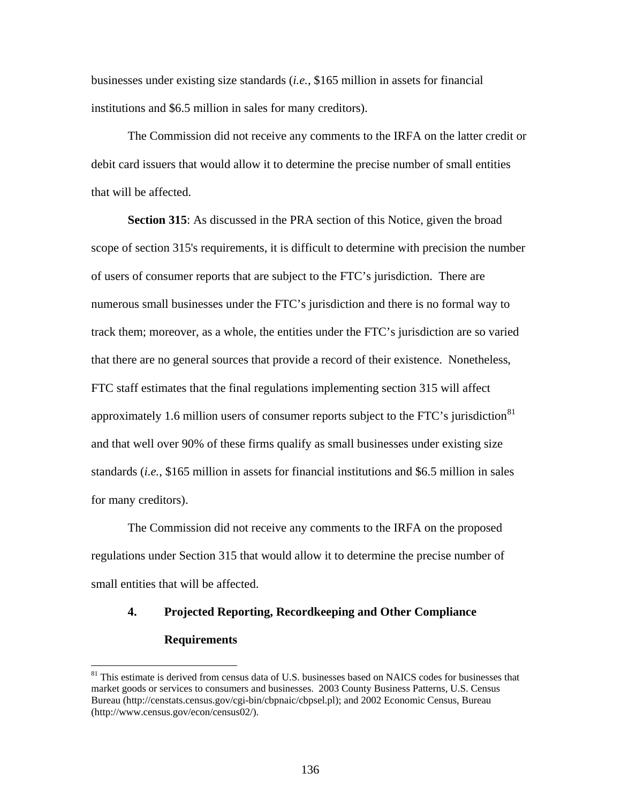businesses under existing size standards (*i.e.*, \$165 million in assets for financial institutions and \$6.5 million in sales for many creditors).

 The Commission did not receive any comments to the IRFA on the latter credit or debit card issuers that would allow it to determine the precise number of small entities that will be affected.

**Section 315**: As discussed in the PRA section of this Notice, given the broad scope of section 315's requirements, it is difficult to determine with precision the number of users of consumer reports that are subject to the FTC's jurisdiction. There are numerous small businesses under the FTC's jurisdiction and there is no formal way to track them; moreover, as a whole, the entities under the FTC's jurisdiction are so varied that there are no general sources that provide a record of their existence. Nonetheless, FTC staff estimates that the final regulations implementing section 315 will affect approximately 1.6 million users of consumer reports subject to the FTC's jurisdiction $81$ and that well over 90% of these firms qualify as small businesses under existing size standards (*i.e.*, \$165 million in assets for financial institutions and \$6.5 million in sales for many creditors).

 The Commission did not receive any comments to the IRFA on the proposed regulations under Section 315 that would allow it to determine the precise number of small entities that will be affected.

# **4. Projected Reporting, Recordkeeping and Other Compliance Requirements**

<u>.</u>

<span id="page-135-0"></span><sup>&</sup>lt;sup>81</sup> This estimate is derived from census data of U.S. businesses based on NAICS codes for businesses that market goods or services to consumers and businesses. 2003 County Business Patterns, U.S. Census Bureau (http://censtats.census.gov/cgi-bin/cbpnaic/cbpsel.pl); and 2002 Economic Census, Bureau (http://www.census.gov/econ/census02/).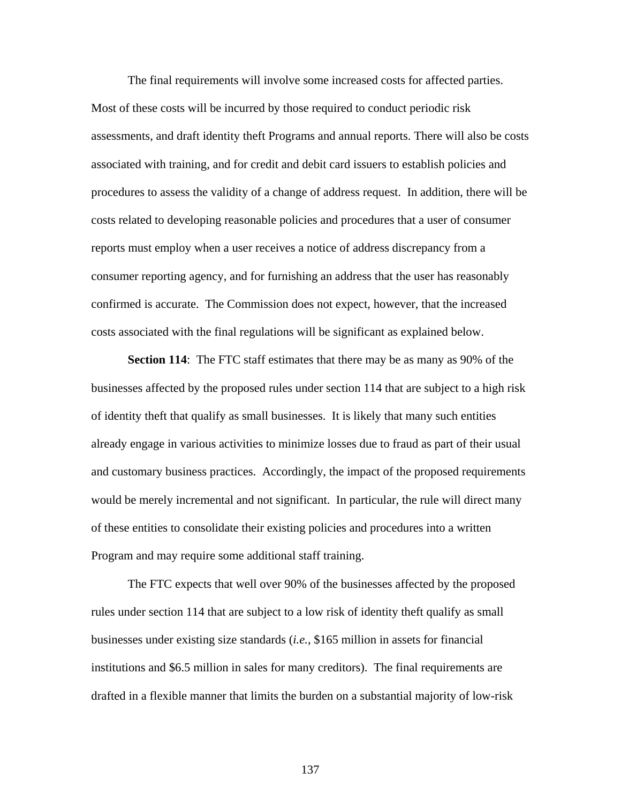The final requirements will involve some increased costs for affected parties. Most of these costs will be incurred by those required to conduct periodic risk assessments, and draft identity theft Programs and annual reports. There will also be costs associated with training, and for credit and debit card issuers to establish policies and procedures to assess the validity of a change of address request. In addition, there will be costs related to developing reasonable policies and procedures that a user of consumer reports must employ when a user receives a notice of address discrepancy from a consumer reporting agency, and for furnishing an address that the user has reasonably confirmed is accurate. The Commission does not expect, however, that the increased costs associated with the final regulations will be significant as explained below.

**Section 114**: The FTC staff estimates that there may be as many as 90% of the businesses affected by the proposed rules under section 114 that are subject to a high risk of identity theft that qualify as small businesses. It is likely that many such entities already engage in various activities to minimize losses due to fraud as part of their usual and customary business practices. Accordingly, the impact of the proposed requirements would be merely incremental and not significant. In particular, the rule will direct many of these entities to consolidate their existing policies and procedures into a written Program and may require some additional staff training.

 The FTC expects that well over 90% of the businesses affected by the proposed rules under section 114 that are subject to a low risk of identity theft qualify as small businesses under existing size standards (*i.e.*, \$165 million in assets for financial institutions and \$6.5 million in sales for many creditors). The final requirements are drafted in a flexible manner that limits the burden on a substantial majority of low-risk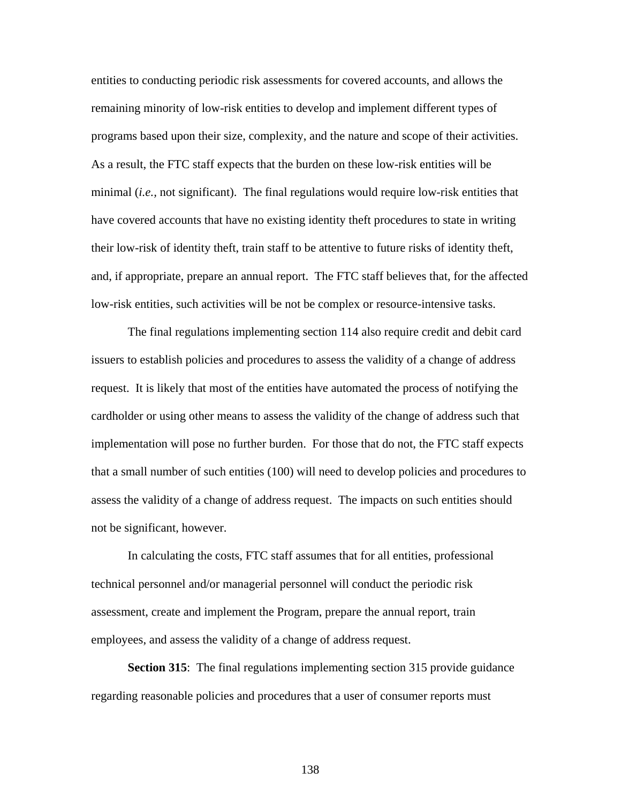entities to conducting periodic risk assessments for covered accounts, and allows the remaining minority of low-risk entities to develop and implement different types of programs based upon their size, complexity, and the nature and scope of their activities. As a result, the FTC staff expects that the burden on these low-risk entities will be minimal (*i.e.,* not significant). The final regulations would require low-risk entities that have covered accounts that have no existing identity theft procedures to state in writing their low-risk of identity theft, train staff to be attentive to future risks of identity theft, and, if appropriate, prepare an annual report. The FTC staff believes that, for the affected low-risk entities, such activities will be not be complex or resource-intensive tasks.

 The final regulations implementing section 114 also require credit and debit card issuers to establish policies and procedures to assess the validity of a change of address request. It is likely that most of the entities have automated the process of notifying the cardholder or using other means to assess the validity of the change of address such that implementation will pose no further burden. For those that do not, the FTC staff expects that a small number of such entities (100) will need to develop policies and procedures to assess the validity of a change of address request. The impacts on such entities should not be significant, however.

 In calculating the costs, FTC staff assumes that for all entities, professional technical personnel and/or managerial personnel will conduct the periodic risk assessment, create and implement the Program, prepare the annual report, train employees, and assess the validity of a change of address request.

**Section 315**: The final regulations implementing section 315 provide guidance regarding reasonable policies and procedures that a user of consumer reports must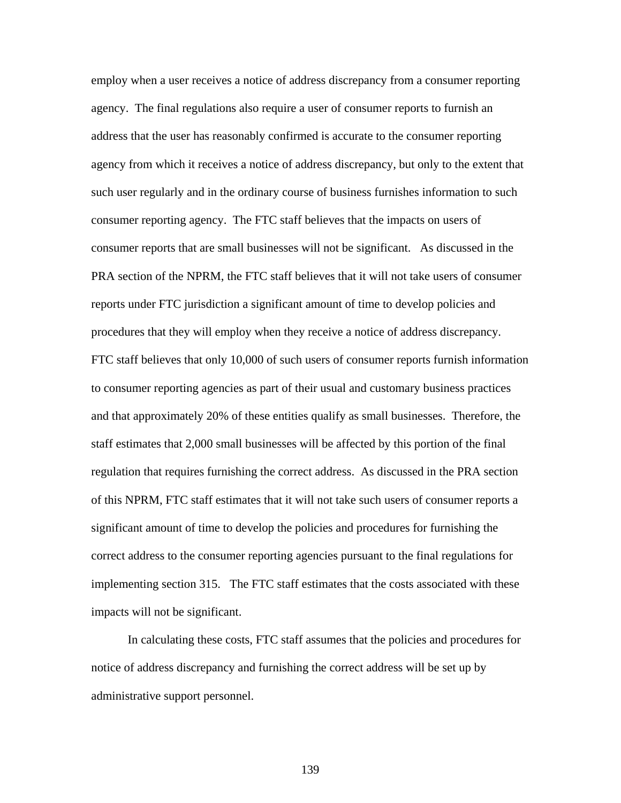employ when a user receives a notice of address discrepancy from a consumer reporting agency. The final regulations also require a user of consumer reports to furnish an address that the user has reasonably confirmed is accurate to the consumer reporting agency from which it receives a notice of address discrepancy, but only to the extent that such user regularly and in the ordinary course of business furnishes information to such consumer reporting agency. The FTC staff believes that the impacts on users of consumer reports that are small businesses will not be significant. As discussed in the PRA section of the NPRM, the FTC staff believes that it will not take users of consumer reports under FTC jurisdiction a significant amount of time to develop policies and procedures that they will employ when they receive a notice of address discrepancy. FTC staff believes that only 10,000 of such users of consumer reports furnish information to consumer reporting agencies as part of their usual and customary business practices and that approximately 20% of these entities qualify as small businesses. Therefore, the staff estimates that 2,000 small businesses will be affected by this portion of the final regulation that requires furnishing the correct address. As discussed in the PRA section of this NPRM, FTC staff estimates that it will not take such users of consumer reports a significant amount of time to develop the policies and procedures for furnishing the correct address to the consumer reporting agencies pursuant to the final regulations for implementing section 315. The FTC staff estimates that the costs associated with these impacts will not be significant.

 In calculating these costs, FTC staff assumes that the policies and procedures for notice of address discrepancy and furnishing the correct address will be set up by administrative support personnel.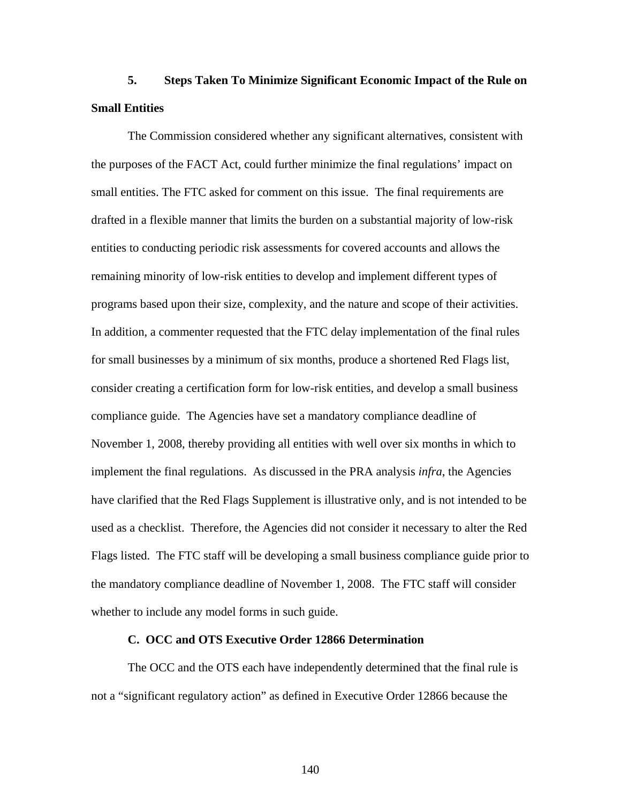# **5. Steps Taken To Minimize Significant Economic Impact of the Rule on Small Entities**

 The Commission considered whether any significant alternatives, consistent with the purposes of the FACT Act, could further minimize the final regulations' impact on small entities. The FTC asked for comment on this issue. The final requirements are drafted in a flexible manner that limits the burden on a substantial majority of low-risk entities to conducting periodic risk assessments for covered accounts and allows the remaining minority of low-risk entities to develop and implement different types of programs based upon their size, complexity, and the nature and scope of their activities. In addition, a commenter requested that the FTC delay implementation of the final rules for small businesses by a minimum of six months, produce a shortened Red Flags list, consider creating a certification form for low-risk entities, and develop a small business compliance guide. The Agencies have set a mandatory compliance deadline of November 1, 2008, thereby providing all entities with well over six months in which to implement the final regulations. As discussed in the PRA analysis *infra*, the Agencies have clarified that the Red Flags Supplement is illustrative only, and is not intended to be used as a checklist. Therefore, the Agencies did not consider it necessary to alter the Red Flags listed. The FTC staff will be developing a small business compliance guide prior to the mandatory compliance deadline of November 1, 2008. The FTC staff will consider whether to include any model forms in such guide.

# **C. OCC and OTS Executive Order 12866 Determination**

The OCC and the OTS each have independently determined that the final rule is not a "significant regulatory action" as defined in Executive Order 12866 because the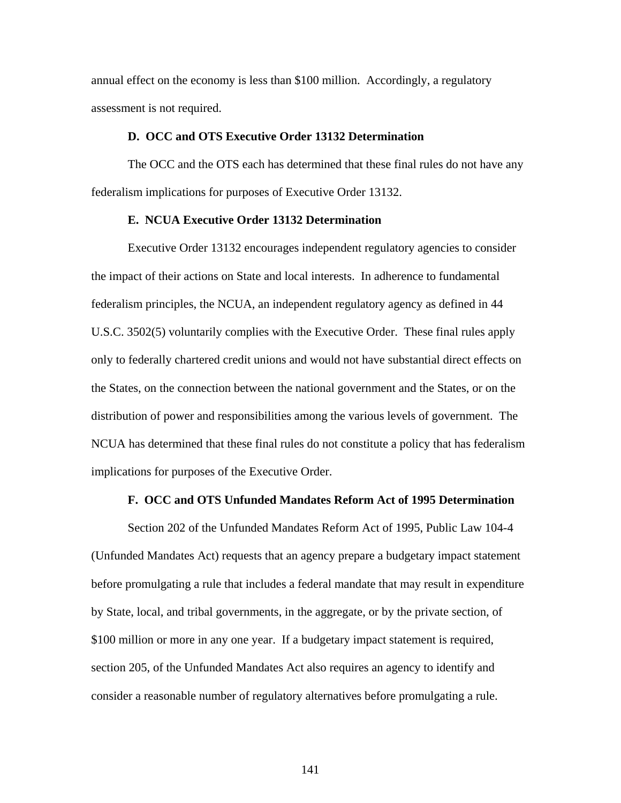annual effect on the economy is less than \$100 million. Accordingly, a regulatory assessment is not required.

### **D. OCC and OTS Executive Order 13132 Determination**

The OCC and the OTS each has determined that these final rules do not have any federalism implications for purposes of Executive Order 13132.

## **E. NCUA Executive Order 13132 Determination**

Executive Order 13132 encourages independent regulatory agencies to consider the impact of their actions on State and local interests. In adherence to fundamental federalism principles, the NCUA, an independent regulatory agency as defined in 44 U.S.C. 3502(5) voluntarily complies with the Executive Order. These final rules apply only to federally chartered credit unions and would not have substantial direct effects on the States, on the connection between the national government and the States, or on the distribution of power and responsibilities among the various levels of government. The NCUA has determined that these final rules do not constitute a policy that has federalism implications for purposes of the Executive Order.

### **F. OCC and OTS Unfunded Mandates Reform Act of 1995 Determination**

Section 202 of the Unfunded Mandates Reform Act of 1995, Public Law 104-4 (Unfunded Mandates Act) requests that an agency prepare a budgetary impact statement before promulgating a rule that includes a federal mandate that may result in expenditure by State, local, and tribal governments, in the aggregate, or by the private section, of \$100 million or more in any one year. If a budgetary impact statement is required, section 205, of the Unfunded Mandates Act also requires an agency to identify and consider a reasonable number of regulatory alternatives before promulgating a rule.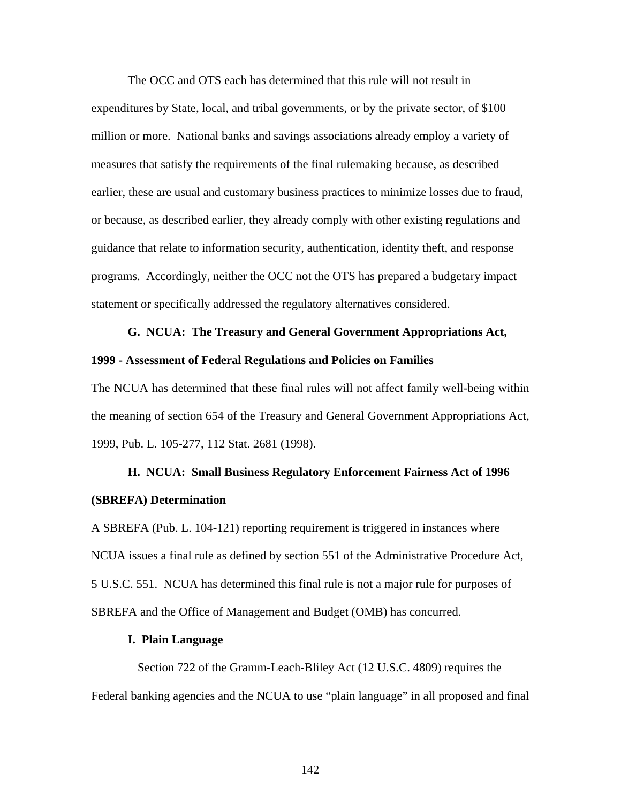The OCC and OTS each has determined that this rule will not result in expenditures by State, local, and tribal governments, or by the private sector, of \$100 million or more. National banks and savings associations already employ a variety of measures that satisfy the requirements of the final rulemaking because, as described earlier, these are usual and customary business practices to minimize losses due to fraud, or because, as described earlier, they already comply with other existing regulations and guidance that relate to information security, authentication, identity theft, and response programs. Accordingly, neither the OCC not the OTS has prepared a budgetary impact statement or specifically addressed the regulatory alternatives considered.

# **G. NCUA: The Treasury and General Government Appropriations Act, 1999 - Assessment of Federal Regulations and Policies on Families**

The NCUA has determined that these final rules will not affect family well-being within the meaning of section 654 of the Treasury and General Government Appropriations Act, 1999, Pub. L. 105-277, 112 Stat. 2681 (1998).

# **H. NCUA: Small Business Regulatory Enforcement Fairness Act of 1996 (SBREFA) Determination**

A SBREFA (Pub. L. 104-121) reporting requirement is triggered in instances where NCUA issues a final rule as defined by section 551 of the Administrative Procedure Act, 5 U.S.C. 551. NCUA has determined this final rule is not a major rule for purposes of SBREFA and the Office of Management and Budget (OMB) has concurred.

### **I. Plain Language**

 Section 722 of the Gramm-Leach-Bliley Act (12 U.S.C. 4809) requires the Federal banking agencies and the NCUA to use "plain language" in all proposed and final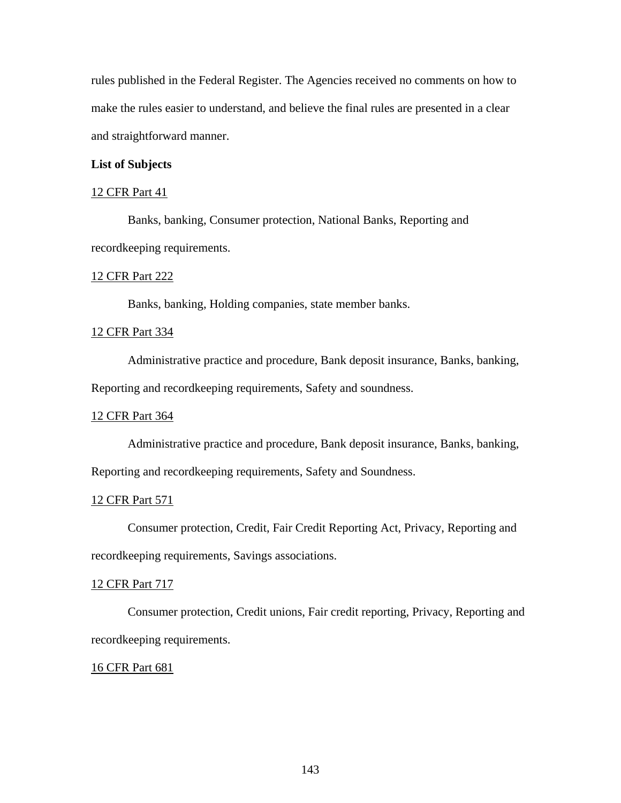rules published in the Federal Register. The Agencies received no comments on how to make the rules easier to understand, and believe the final rules are presented in a clear and straightforward manner.

## **List of Subjects**

### 12 CFR Part 41

 Banks, banking, Consumer protection, National Banks, Reporting and recordkeeping requirements.

### 12 CFR Part 222

Banks, banking, Holding companies, state member banks.

## 12 CFR Part 334

 Administrative practice and procedure, Bank deposit insurance, Banks, banking, Reporting and recordkeeping requirements, Safety and soundness.

### 12 CFR Part 364

 Administrative practice and procedure, Bank deposit insurance, Banks, banking, Reporting and recordkeeping requirements, Safety and Soundness.

### 12 CFR Part 571

 Consumer protection, Credit, Fair Credit Reporting Act, Privacy, Reporting and recordkeeping requirements, Savings associations.

#### 12 CFR Part 717

 Consumer protection, Credit unions, Fair credit reporting, Privacy, Reporting and recordkeeping requirements.

#### 16 CFR Part 681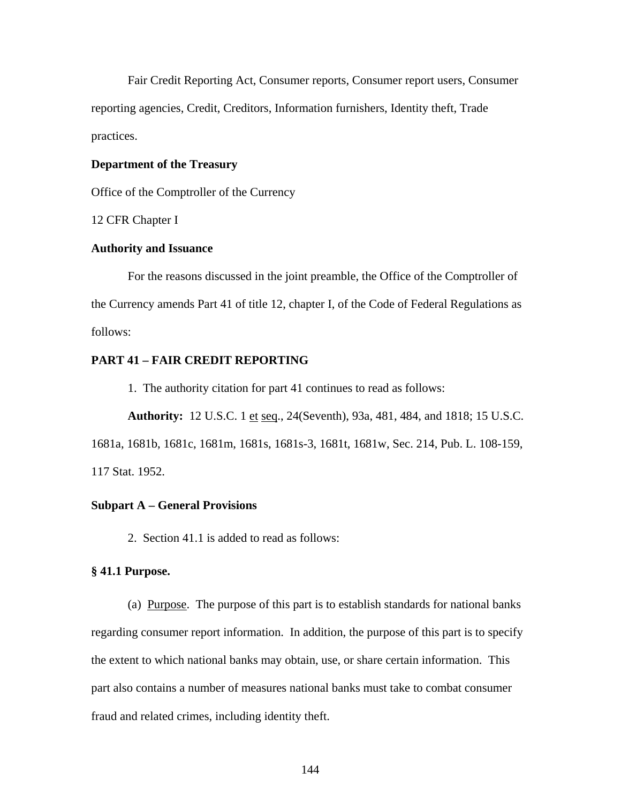Fair Credit Reporting Act, Consumer reports, Consumer report users, Consumer reporting agencies, Credit, Creditors, Information furnishers, Identity theft, Trade practices.

# **Department of the Treasury**

Office of the Comptroller of the Currency

12 CFR Chapter I

# **Authority and Issuance**

 For the reasons discussed in the joint preamble, the Office of the Comptroller of the Currency amends Part 41 of title 12, chapter I, of the Code of Federal Regulations as follows:

# **PART 41 – FAIR CREDIT REPORTING**

1. The authority citation for part 41 continues to read as follows:

**Authority:** 12 U.S.C. 1 et seq., 24(Seventh), 93a, 481, 484, and 1818; 15 U.S.C.

1681a, 1681b, 1681c, 1681m, 1681s, 1681s-3, 1681t, 1681w, Sec. 214, Pub. L. 108-159, 117 Stat. 1952.

### **Subpart A – General Provisions**

2. Section 41.1 is added to read as follows:

# **§ 41.1 Purpose.**

 (a) Purpose. The purpose of this part is to establish standards for national banks regarding consumer report information. In addition, the purpose of this part is to specify the extent to which national banks may obtain, use, or share certain information. This part also contains a number of measures national banks must take to combat consumer fraud and related crimes, including identity theft.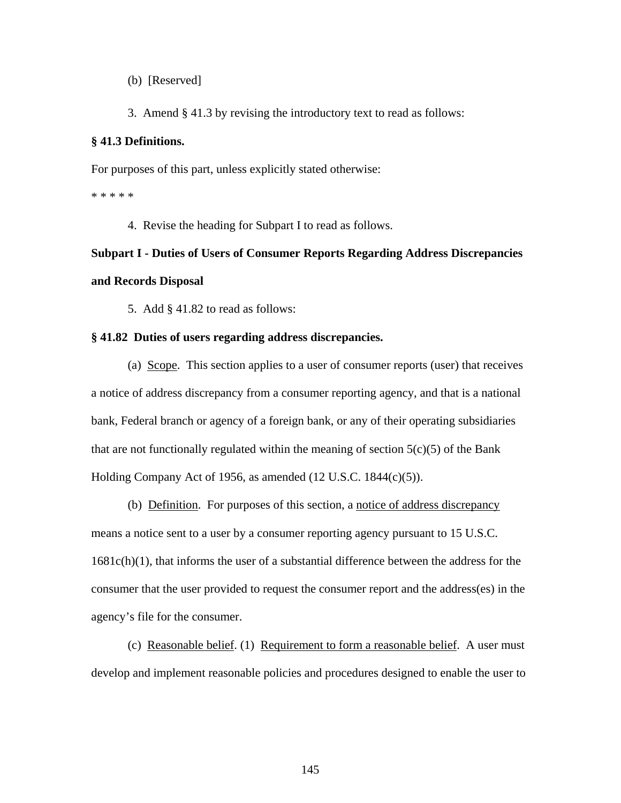(b) [Reserved]

3. Amend § 41.3 by revising the introductory text to read as follows:

## **§ 41.3 Definitions.**

For purposes of this part, unless explicitly stated otherwise:

\* \* \* \* \*

4. Revise the heading for Subpart I to read as follows.

# **Subpart I - Duties of Users of Consumer Reports Regarding Address Discrepancies and Records Disposal**

5. Add § 41.82 to read as follows:

## **§ 41.82 Duties of users regarding address discrepancies.**

(a) Scope. This section applies to a user of consumer reports (user) that receives a notice of address discrepancy from a consumer reporting agency, and that is a national bank, Federal branch or agency of a foreign bank, or any of their operating subsidiaries that are not functionally regulated within the meaning of section  $5(c)(5)$  of the Bank Holding Company Act of 1956, as amended (12 U.S.C. 1844(c)(5)).

(b) Definition. For purposes of this section, a notice of address discrepancy means a notice sent to a user by a consumer reporting agency pursuant to 15 U.S.C. 1681c(h)(1), that informs the user of a substantial difference between the address for the consumer that the user provided to request the consumer report and the address(es) in the agency's file for the consumer.

 (c) Reasonable belief. (1) Requirement to form a reasonable belief. A user must develop and implement reasonable policies and procedures designed to enable the user to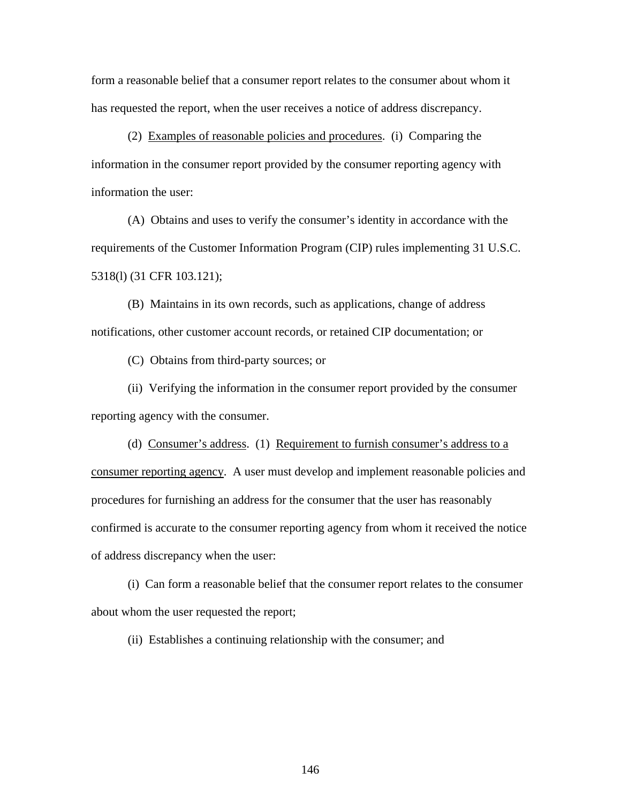form a reasonable belief that a consumer report relates to the consumer about whom it has requested the report, when the user receives a notice of address discrepancy.

 (2) Examples of reasonable policies and procedures. (i) Comparing the information in the consumer report provided by the consumer reporting agency with information the user:

 (A) Obtains and uses to verify the consumer's identity in accordance with the requirements of the Customer Information Program (CIP) rules implementing 31 U.S.C. 5318(l) (31 CFR 103.121);

 (B) Maintains in its own records, such as applications, change of address notifications, other customer account records, or retained CIP documentation; or

(C) Obtains from third-party sources; or

 (ii) Verifying the information in the consumer report provided by the consumer reporting agency with the consumer.

 (d) Consumer's address. (1) Requirement to furnish consumer's address to a consumer reporting agency. A user must develop and implement reasonable policies and procedures for furnishing an address for the consumer that the user has reasonably confirmed is accurate to the consumer reporting agency from whom it received the notice of address discrepancy when the user:

 (i) Can form a reasonable belief that the consumer report relates to the consumer about whom the user requested the report;

(ii) Establishes a continuing relationship with the consumer; and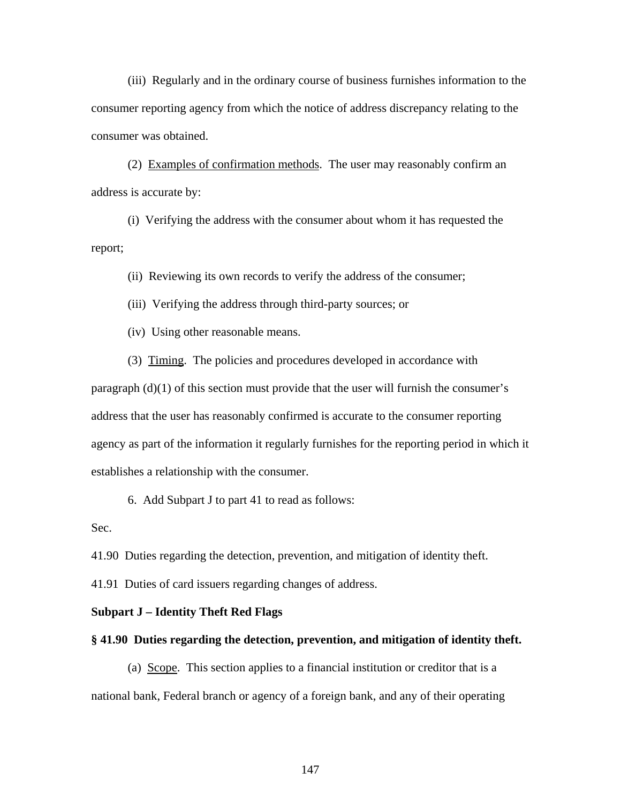(iii) Regularly and in the ordinary course of business furnishes information to the consumer reporting agency from which the notice of address discrepancy relating to the consumer was obtained.

(2) Examples of confirmation methods. The user may reasonably confirm an address is accurate by:

(i) Verifying the address with the consumer about whom it has requested the report;

(ii) Reviewing its own records to verify the address of the consumer;

(iii) Verifying the address through third-party sources; or

(iv) Using other reasonable means.

(3) Timing. The policies and procedures developed in accordance with

paragraph (d)(1) of this section must provide that the user will furnish the consumer's address that the user has reasonably confirmed is accurate to the consumer reporting agency as part of the information it regularly furnishes for the reporting period in which it establishes a relationship with the consumer.

6. Add Subpart J to part 41 to read as follows:

Sec.

41.90 Duties regarding the detection, prevention, and mitigation of identity theft.

41.91 Duties of card issuers regarding changes of address.

## **Subpart J – Identity Theft Red Flags**

#### **§ 41.90 Duties regarding the detection, prevention, and mitigation of identity theft.**

(a) Scope. This section applies to a financial institution or creditor that is a national bank, Federal branch or agency of a foreign bank, and any of their operating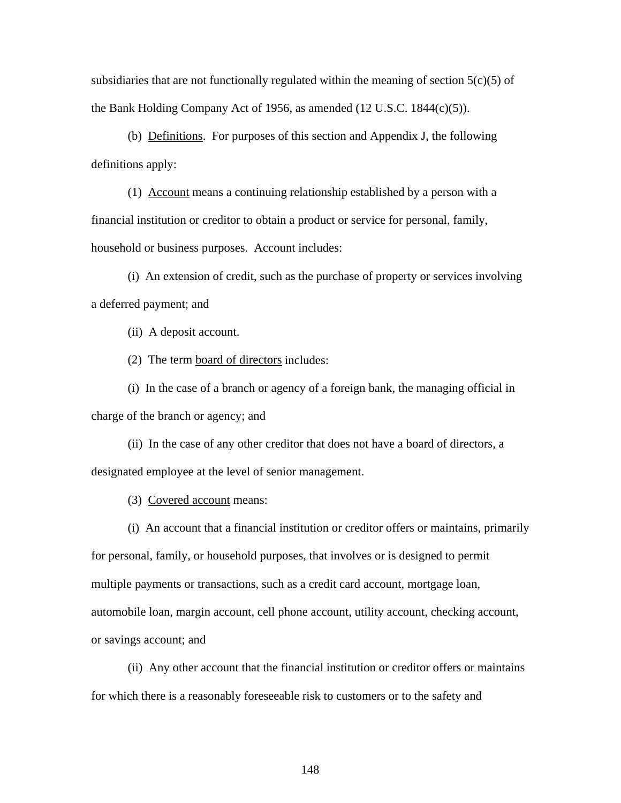subsidiaries that are not functionally regulated within the meaning of section  $5(c)(5)$  of the Bank Holding Company Act of 1956, as amended (12 U.S.C. 1844(c)(5)).

(b) Definitions. For purposes of this section and Appendix J, the following definitions apply:

(1) Account means a continuing relationship established by a person with a financial institution or creditor to obtain a product or service for personal, family, household or business purposes. Account includes:

(i) An extension of credit, such as the purchase of property or services involving a deferred payment; and

(ii) A deposit account.

(2) The term board of directors includes:

(i) In the case of a branch or agency of a foreign bank, the managing official in charge of the branch or agency; and

(ii) In the case of any other creditor that does not have a board of directors, a designated employee at the level of senior management.

(3) Covered account means:

(i) An account that a financial institution or creditor offers or maintains, primarily for personal, family, or household purposes, that involves or is designed to permit multiple payments or transactions, such as a credit card account, mortgage loan, automobile loan, margin account, cell phone account, utility account, checking account, or savings account; and

(ii) Any other account that the financial institution or creditor offers or maintains for which there is a reasonably foreseeable risk to customers or to the safety and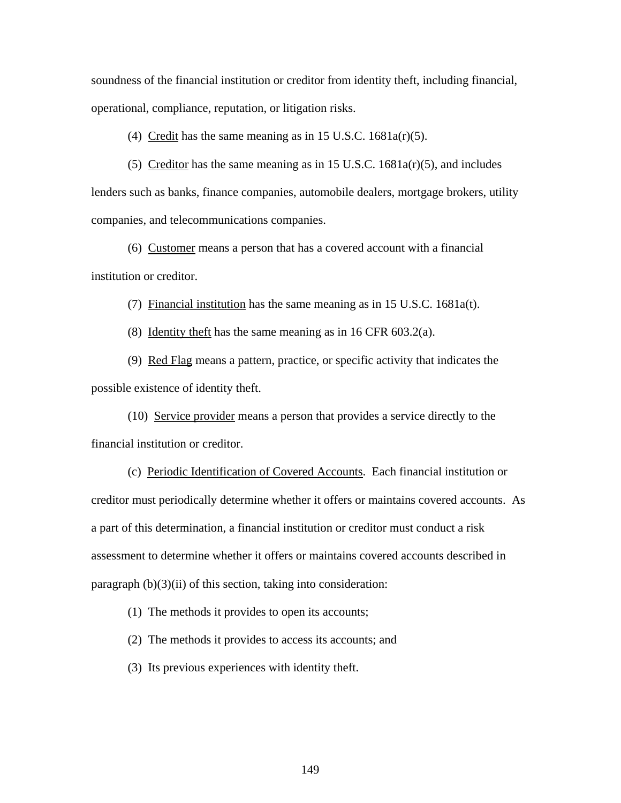soundness of the financial institution or creditor from identity theft, including financial, operational, compliance, reputation, or litigation risks.

(4) Credit has the same meaning as in 15 U.S.C.  $1681a(r)(5)$ .

(5) Creditor has the same meaning as in 15 U.S.C. 1681a(r)(5), and includes lenders such as banks, finance companies, automobile dealers, mortgage brokers, utility companies, and telecommunications companies.

(6) Customer means a person that has a covered account with a financial institution or creditor.

(7) Financial institution has the same meaning as in 15 U.S.C. 1681a(t).

(8) Identity theft has the same meaning as in 16 CFR 603.2(a).

(9) Red Flag means a pattern, practice, or specific activity that indicates the possible existence of identity theft.

(10) Service provider means a person that provides a service directly to the financial institution or creditor.

(c) Periodic Identification of Covered Accounts. Each financial institution or creditor must periodically determine whether it offers or maintains covered accounts. As a part of this determination, a financial institution or creditor must conduct a risk assessment to determine whether it offers or maintains covered accounts described in paragraph (b)(3)(ii) of this section, taking into consideration:

(1) The methods it provides to open its accounts;

(2) The methods it provides to access its accounts; and

(3) Its previous experiences with identity theft.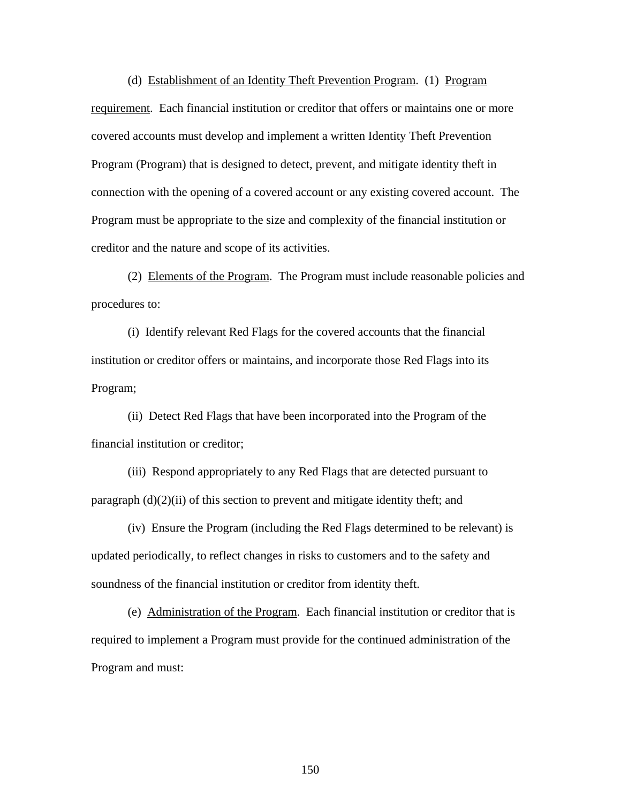(d) Establishment of an Identity Theft Prevention Program. (1) Program requirement. Each financial institution or creditor that offers or maintains one or more covered accounts must develop and implement a written Identity Theft Prevention Program (Program) that is designed to detect, prevent, and mitigate identity theft in connection with the opening of a covered account or any existing covered account. The Program must be appropriate to the size and complexity of the financial institution or creditor and the nature and scope of its activities.

(2) Elements of the Program. The Program must include reasonable policies and procedures to:

(i) Identify relevant Red Flags for the covered accounts that the financial institution or creditor offers or maintains, and incorporate those Red Flags into its Program;

(ii) Detect Red Flags that have been incorporated into the Program of the financial institution or creditor;

(iii) Respond appropriately to any Red Flags that are detected pursuant to paragraph  $(d)(2)(ii)$  of this section to prevent and mitigate identity theft; and

(iv) Ensure the Program (including the Red Flags determined to be relevant) is updated periodically, to reflect changes in risks to customers and to the safety and soundness of the financial institution or creditor from identity theft.

 (e) Administration of the Program. Each financial institution or creditor that is required to implement a Program must provide for the continued administration of the Program and must: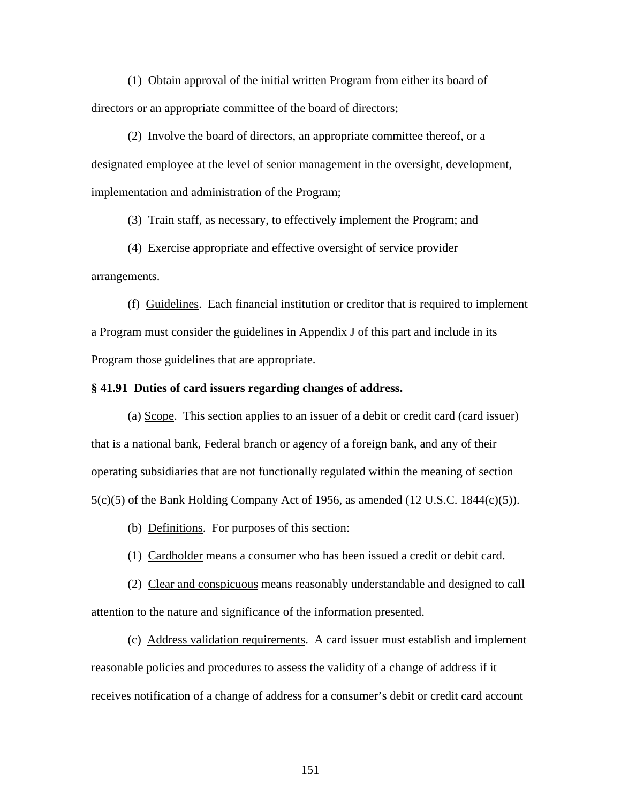(1) Obtain approval of the initial written Program from either its board of directors or an appropriate committee of the board of directors;

(2) Involve the board of directors, an appropriate committee thereof, or a designated employee at the level of senior management in the oversight, development, implementation and administration of the Program;

(3) Train staff, as necessary, to effectively implement the Program; and

 (4) Exercise appropriate and effective oversight of service provider arrangements.

(f) Guidelines. Each financial institution or creditor that is required to implement a Program must consider the guidelines in Appendix J of this part and include in its Program those guidelines that are appropriate.

### **§ 41.91 Duties of card issuers regarding changes of address.**

(a) Scope. This section applies to an issuer of a debit or credit card (card issuer) that is a national bank, Federal branch or agency of a foreign bank, and any of their operating subsidiaries that are not functionally regulated within the meaning of section  $5(c)(5)$  of the Bank Holding Company Act of 1956, as amended (12 U.S.C. 1844 $(c)(5)$ ).

(b) Definitions. For purposes of this section:

(1) Cardholder means a consumer who has been issued a credit or debit card.

(2) Clear and conspicuous means reasonably understandable and designed to call attention to the nature and significance of the information presented.

(c) Address validation requirements. A card issuer must establish and implement reasonable policies and procedures to assess the validity of a change of address if it receives notification of a change of address for a consumer's debit or credit card account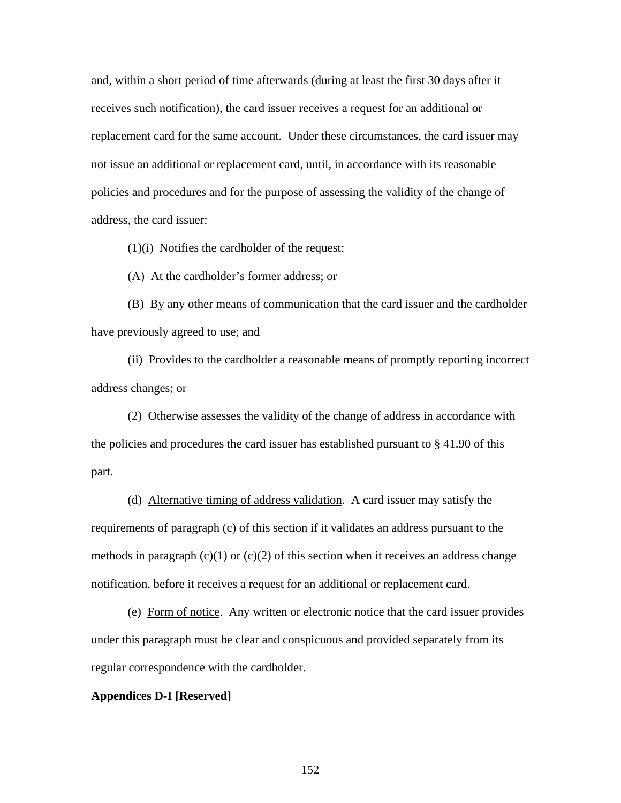and, within a short period of time afterwards (during at least the first 30 days after it receives such notification), the card issuer receives a request for an additional or replacement card for the same account. Under these circumstances, the card issuer may not issue an additional or replacement card, until, in accordance with its reasonable policies and procedures and for the purpose of assessing the validity of the change of address, the card issuer:

(1)(i) Notifies the cardholder of the request:

(A) At the cardholder's former address; or

(B) By any other means of communication that the card issuer and the cardholder have previously agreed to use; and

(ii) Provides to the cardholder a reasonable means of promptly reporting incorrect address changes; or

(2) Otherwise assesses the validity of the change of address in accordance with the policies and procedures the card issuer has established pursuant to  $\S 41.90$  of this part.

(d) Alternative timing of address validation. A card issuer may satisfy the requirements of paragraph (c) of this section if it validates an address pursuant to the methods in paragraph  $(c)(1)$  or  $(c)(2)$  of this section when it receives an address change notification, before it receives a request for an additional or replacement card.

(e) Form of notice. Any written or electronic notice that the card issuer provides under this paragraph must be clear and conspicuous and provided separately from its regular correspondence with the cardholder.

#### **Appendices D-I [Reserved]**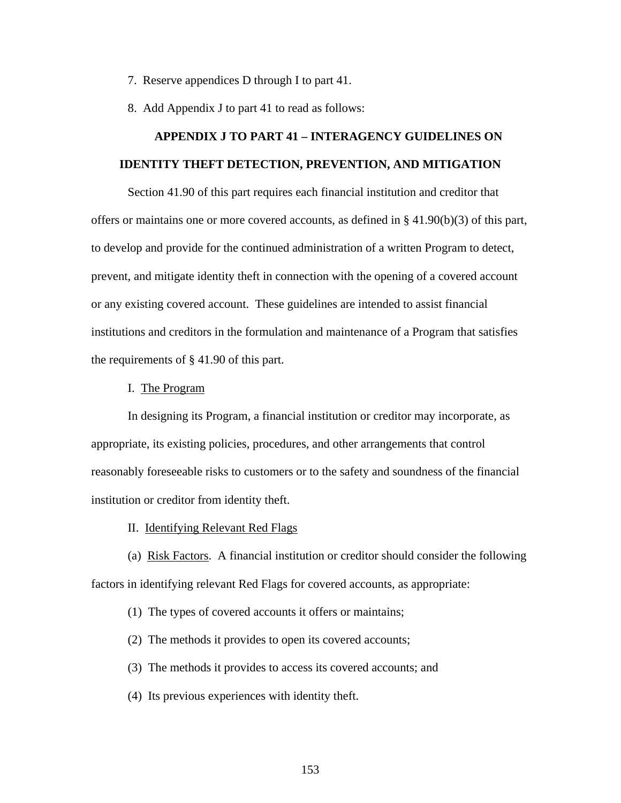- 7. Reserve appendices D through I to part 41.
- 8. Add Appendix J to part 41 to read as follows:

# **APPENDIX J TO PART 41 – INTERAGENCY GUIDELINES ON IDENTITY THEFT DETECTION, PREVENTION, AND MITIGATION**

Section 41.90 of this part requires each financial institution and creditor that offers or maintains one or more covered accounts, as defined in  $\S 41.90(b)(3)$  of this part, to develop and provide for the continued administration of a written Program to detect, prevent, and mitigate identity theft in connection with the opening of a covered account or any existing covered account. These guidelines are intended to assist financial institutions and creditors in the formulation and maintenance of a Program that satisfies the requirements of § 41.90 of this part.

#### I. The Program

 In designing its Program, a financial institution or creditor may incorporate, as appropriate, its existing policies, procedures, and other arrangements that control reasonably foreseeable risks to customers or to the safety and soundness of the financial institution or creditor from identity theft.

II. Identifying Relevant Red Flags

 (a) Risk Factors. A financial institution or creditor should consider the following factors in identifying relevant Red Flags for covered accounts, as appropriate:

(1) The types of covered accounts it offers or maintains;

(2) The methods it provides to open its covered accounts;

(3) The methods it provides to access its covered accounts; and

(4) Its previous experiences with identity theft.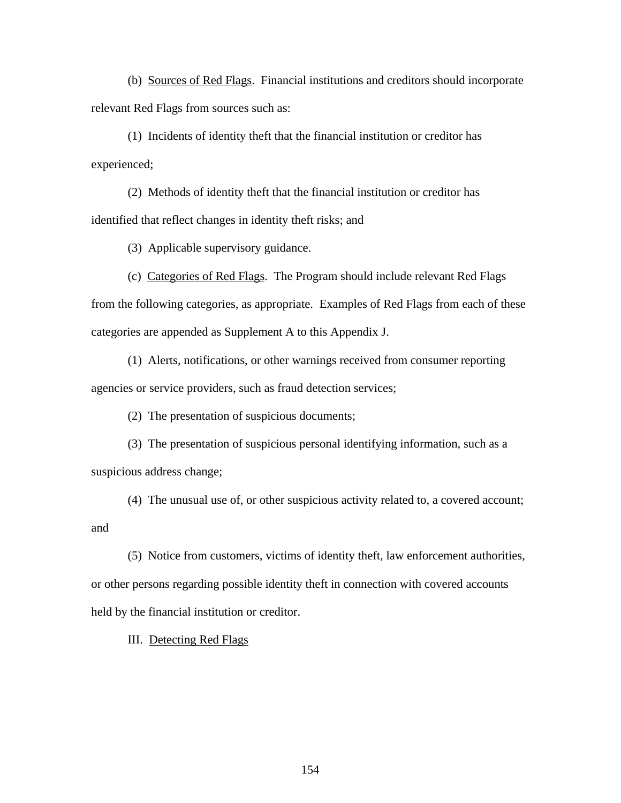(b) Sources of Red Flags. Financial institutions and creditors should incorporate relevant Red Flags from sources such as:

 (1) Incidents of identity theft that the financial institution or creditor has experienced;

 (2) Methods of identity theft that the financial institution or creditor has identified that reflect changes in identity theft risks; and

(3) Applicable supervisory guidance.

 (c) Categories of Red Flags. The Program should include relevant Red Flags from the following categories, as appropriate. Examples of Red Flags from each of these categories are appended as Supplement A to this Appendix J.

 (1) Alerts, notifications, or other warnings received from consumer reporting agencies or service providers, such as fraud detection services;

(2) The presentation of suspicious documents;

 (3) The presentation of suspicious personal identifying information, such as a suspicious address change;

 (4) The unusual use of, or other suspicious activity related to, a covered account; and

 (5) Notice from customers, victims of identity theft, law enforcement authorities, or other persons regarding possible identity theft in connection with covered accounts held by the financial institution or creditor.

III. Detecting Red Flags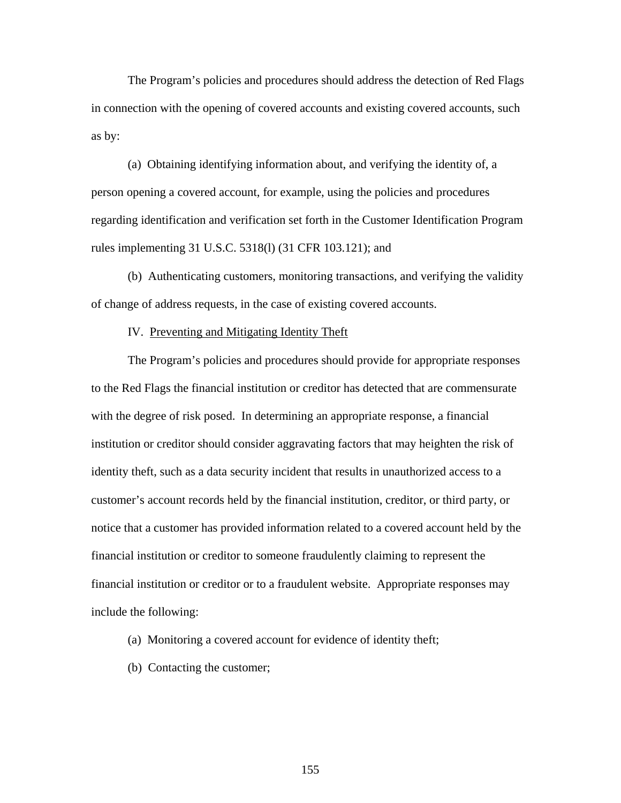The Program's policies and procedures should address the detection of Red Flags in connection with the opening of covered accounts and existing covered accounts, such as by:

(a) Obtaining identifying information about, and verifying the identity of, a person opening a covered account, for example, using the policies and procedures regarding identification and verification set forth in the Customer Identification Program rules implementing 31 U.S.C. 5318(l) (31 CFR 103.121); and

(b) Authenticating customers, monitoring transactions, and verifying the validity of change of address requests, in the case of existing covered accounts.

#### IV. Preventing and Mitigating Identity Theft

The Program's policies and procedures should provide for appropriate responses to the Red Flags the financial institution or creditor has detected that are commensurate with the degree of risk posed. In determining an appropriate response, a financial institution or creditor should consider aggravating factors that may heighten the risk of identity theft, such as a data security incident that results in unauthorized access to a customer's account records held by the financial institution, creditor, or third party, or notice that a customer has provided information related to a covered account held by the financial institution or creditor to someone fraudulently claiming to represent the financial institution or creditor or to a fraudulent website. Appropriate responses may include the following:

- (a) Monitoring a covered account for evidence of identity theft;
- (b) Contacting the customer;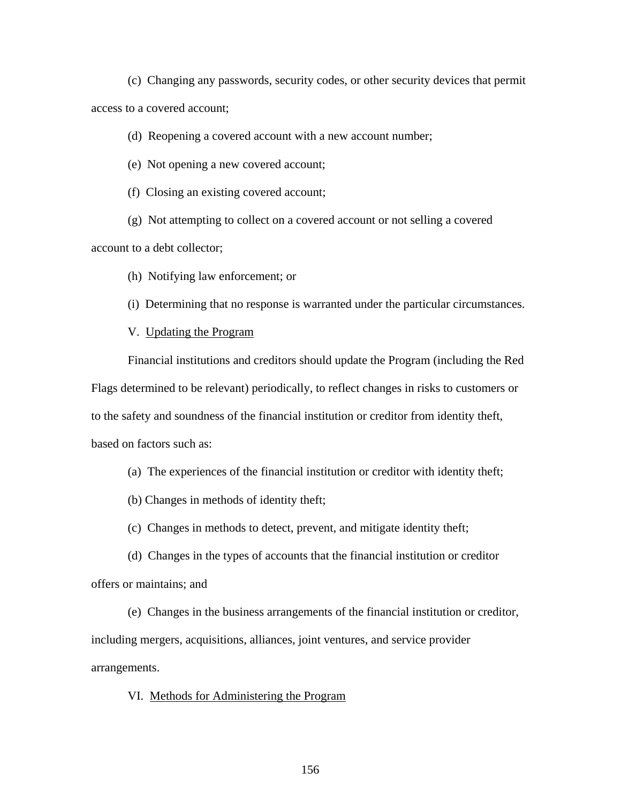(c) Changing any passwords, security codes, or other security devices that permit access to a covered account;

(d) Reopening a covered account with a new account number;

(e) Not opening a new covered account;

(f) Closing an existing covered account;

(g) Not attempting to collect on a covered account or not selling a covered

account to a debt collector;

(h) Notifying law enforcement; or

(i) Determining that no response is warranted under the particular circumstances.

V. Updating the Program

 Financial institutions and creditors should update the Program (including the Red Flags determined to be relevant) periodically, to reflect changes in risks to customers or to the safety and soundness of the financial institution or creditor from identity theft, based on factors such as:

(a) The experiences of the financial institution or creditor with identity theft;

(b) Changes in methods of identity theft;

(c) Changes in methods to detect, prevent, and mitigate identity theft;

(d) Changes in the types of accounts that the financial institution or creditor offers or maintains; and

(e) Changes in the business arrangements of the financial institution or creditor, including mergers, acquisitions, alliances, joint ventures, and service provider arrangements.

VI. Methods for Administering the Program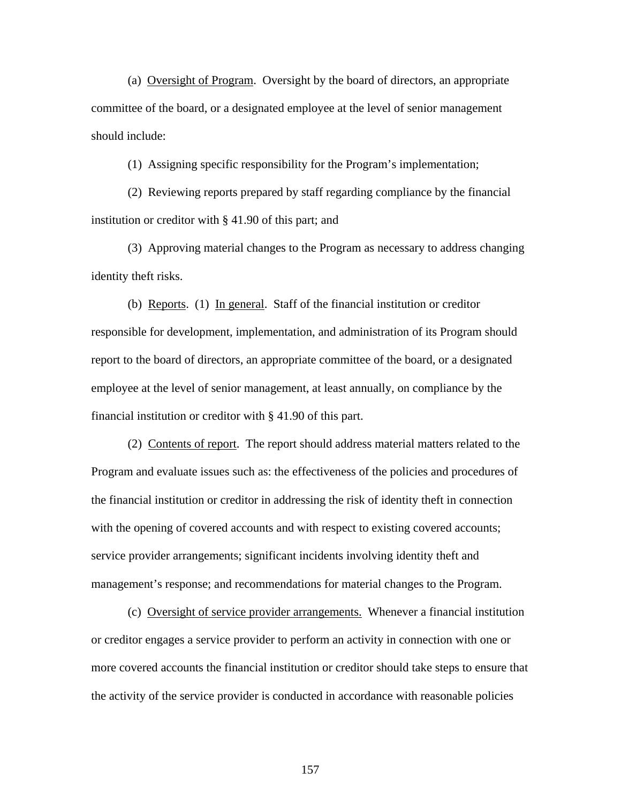(a) Oversight of Program. Oversight by the board of directors, an appropriate committee of the board, or a designated employee at the level of senior management should include:

(1) Assigning specific responsibility for the Program's implementation;

(2) Reviewing reports prepared by staff regarding compliance by the financial institution or creditor with § 41.90 of this part; and

(3) Approving material changes to the Program as necessary to address changing identity theft risks.

(b) Reports. (1) In general. Staff of the financial institution or creditor responsible for development, implementation, and administration of its Program should report to the board of directors, an appropriate committee of the board, or a designated employee at the level of senior management, at least annually, on compliance by the financial institution or creditor with § 41.90 of this part.

 (2) Contents of report. The report should address material matters related to the Program and evaluate issues such as: the effectiveness of the policies and procedures of the financial institution or creditor in addressing the risk of identity theft in connection with the opening of covered accounts and with respect to existing covered accounts; service provider arrangements; significant incidents involving identity theft and management's response; and recommendations for material changes to the Program.

 (c) Oversight of service provider arrangements. Whenever a financial institution or creditor engages a service provider to perform an activity in connection with one or more covered accounts the financial institution or creditor should take steps to ensure that the activity of the service provider is conducted in accordance with reasonable policies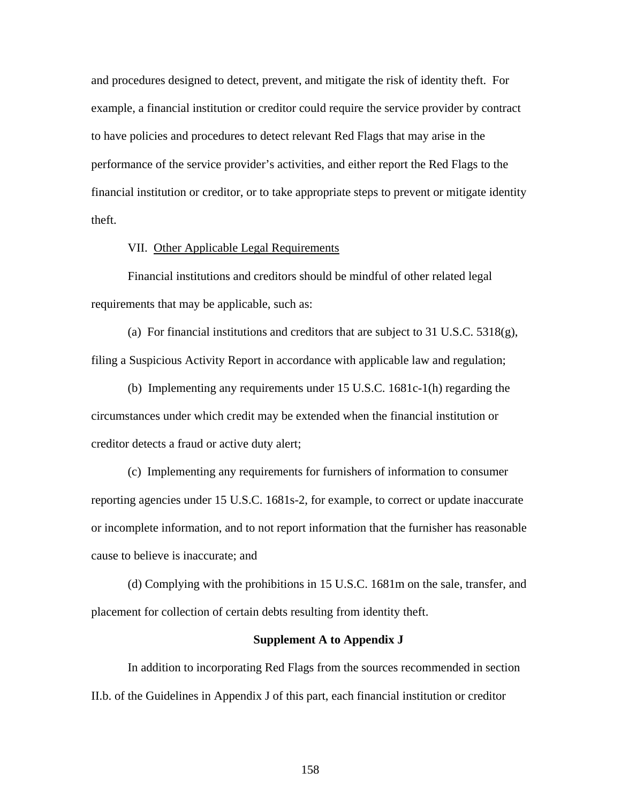and procedures designed to detect, prevent, and mitigate the risk of identity theft. For example, a financial institution or creditor could require the service provider by contract to have policies and procedures to detect relevant Red Flags that may arise in the performance of the service provider's activities, and either report the Red Flags to the financial institution or creditor, or to take appropriate steps to prevent or mitigate identity theft.

#### VII. Other Applicable Legal Requirements

Financial institutions and creditors should be mindful of other related legal requirements that may be applicable, such as:

(a) For financial institutions and creditors that are subject to 31 U.S.C.  $5318(g)$ , filing a Suspicious Activity Report in accordance with applicable law and regulation;

(b) Implementing any requirements under 15 U.S.C. 1681c-1(h) regarding the circumstances under which credit may be extended when the financial institution or creditor detects a fraud or active duty alert;

(c) Implementing any requirements for furnishers of information to consumer reporting agencies under 15 U.S.C. 1681s-2, for example, to correct or update inaccurate or incomplete information, and to not report information that the furnisher has reasonable cause to believe is inaccurate; and

(d) Complying with the prohibitions in 15 U.S.C. 1681m on the sale, transfer, and placement for collection of certain debts resulting from identity theft.

#### **Supplement A to Appendix J**

In addition to incorporating Red Flags from the sources recommended in section II.b. of the Guidelines in Appendix J of this part, each financial institution or creditor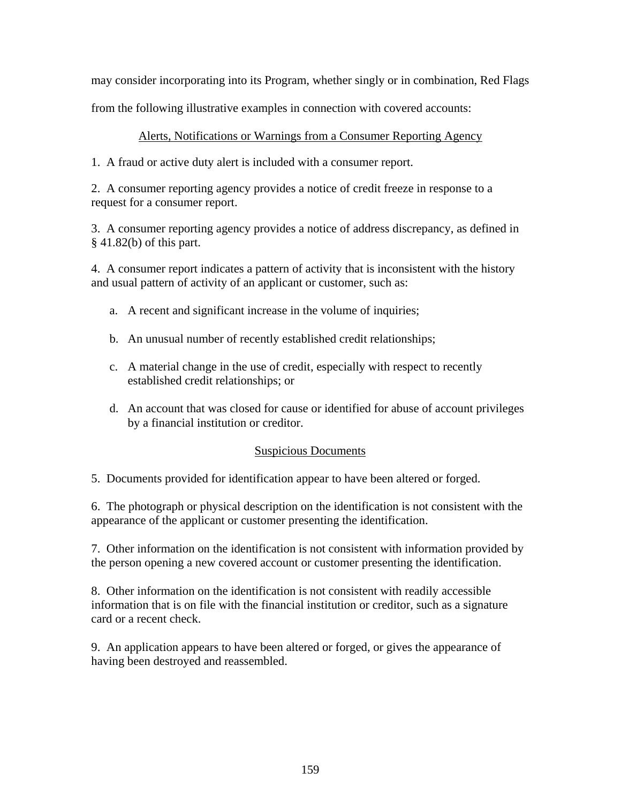may consider incorporating into its Program, whether singly or in combination, Red Flags

from the following illustrative examples in connection with covered accounts:

## Alerts, Notifications or Warnings from a Consumer Reporting Agency

1. A fraud or active duty alert is included with a consumer report.

2. A consumer reporting agency provides a notice of credit freeze in response to a request for a consumer report.

3. A consumer reporting agency provides a notice of address discrepancy, as defined in § 41.82(b) of this part.

4. A consumer report indicates a pattern of activity that is inconsistent with the history and usual pattern of activity of an applicant or customer, such as:

- a. A recent and significant increase in the volume of inquiries;
- b. An unusual number of recently established credit relationships;
- c. A material change in the use of credit, especially with respect to recently established credit relationships; or
- d. An account that was closed for cause or identified for abuse of account privileges by a financial institution or creditor.

## Suspicious Documents

5. Documents provided for identification appear to have been altered or forged.

6. The photograph or physical description on the identification is not consistent with the appearance of the applicant or customer presenting the identification.

7. Other information on the identification is not consistent with information provided by the person opening a new covered account or customer presenting the identification.

8. Other information on the identification is not consistent with readily accessible information that is on file with the financial institution or creditor, such as a signature card or a recent check.

9. An application appears to have been altered or forged, or gives the appearance of having been destroyed and reassembled.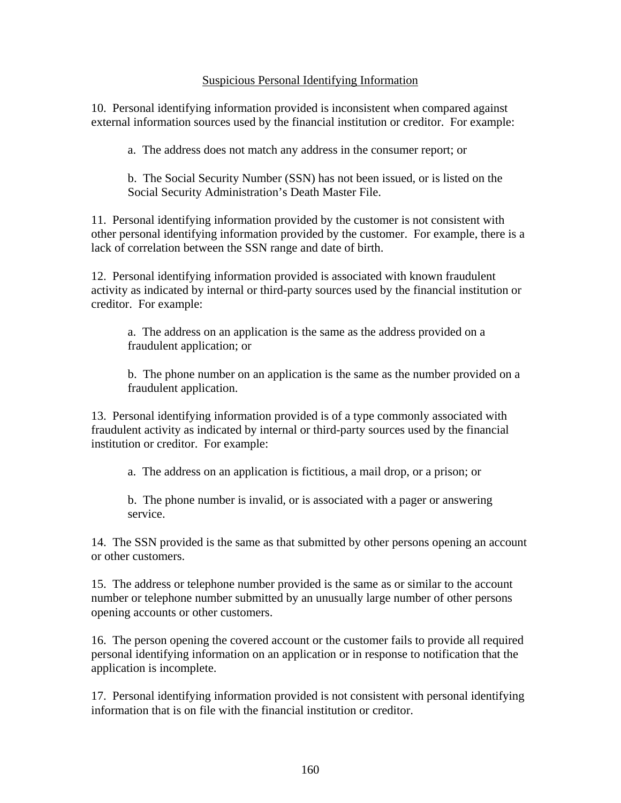## Suspicious Personal Identifying Information

10. Personal identifying information provided is inconsistent when compared against external information sources used by the financial institution or creditor. For example:

a. The address does not match any address in the consumer report; or

b. The Social Security Number (SSN) has not been issued, or is listed on the Social Security Administration's Death Master File.

11. Personal identifying information provided by the customer is not consistent with other personal identifying information provided by the customer. For example, there is a lack of correlation between the SSN range and date of birth.

12. Personal identifying information provided is associated with known fraudulent activity as indicated by internal or third-party sources used by the financial institution or creditor. For example:

a. The address on an application is the same as the address provided on a fraudulent application; or

b. The phone number on an application is the same as the number provided on a fraudulent application.

13. Personal identifying information provided is of a type commonly associated with fraudulent activity as indicated by internal or third-party sources used by the financial institution or creditor. For example:

a. The address on an application is fictitious, a mail drop, or a prison; or

b. The phone number is invalid, or is associated with a pager or answering service.

14. The SSN provided is the same as that submitted by other persons opening an account or other customers.

15. The address or telephone number provided is the same as or similar to the account number or telephone number submitted by an unusually large number of other persons opening accounts or other customers.

16. The person opening the covered account or the customer fails to provide all required personal identifying information on an application or in response to notification that the application is incomplete.

17. Personal identifying information provided is not consistent with personal identifying information that is on file with the financial institution or creditor.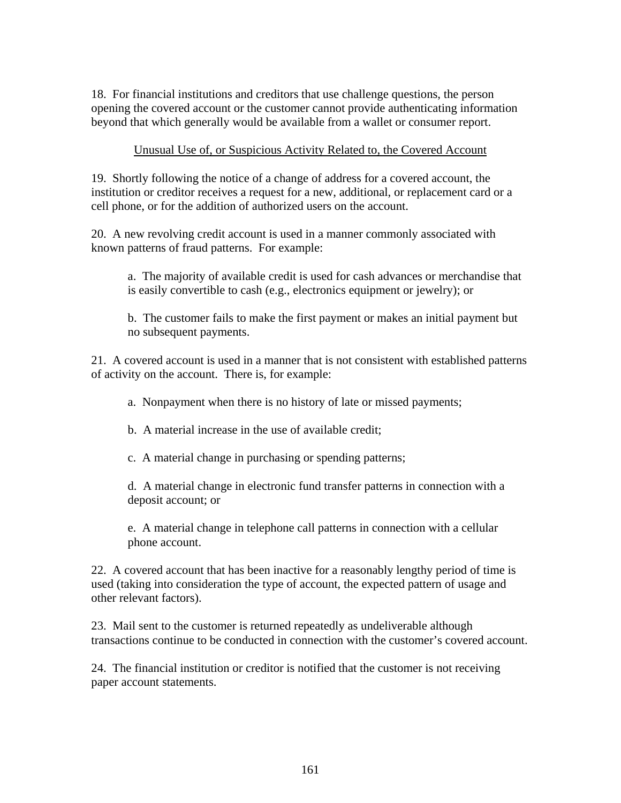18. For financial institutions and creditors that use challenge questions, the person opening the covered account or the customer cannot provide authenticating information beyond that which generally would be available from a wallet or consumer report.

## Unusual Use of, or Suspicious Activity Related to, the Covered Account

19. Shortly following the notice of a change of address for a covered account, the institution or creditor receives a request for a new, additional, or replacement card or a cell phone, or for the addition of authorized users on the account.

20. A new revolving credit account is used in a manner commonly associated with known patterns of fraud patterns. For example:

a. The majority of available credit is used for cash advances or merchandise that is easily convertible to cash (e.g., electronics equipment or jewelry); or

b. The customer fails to make the first payment or makes an initial payment but no subsequent payments.

21. A covered account is used in a manner that is not consistent with established patterns of activity on the account. There is, for example:

a. Nonpayment when there is no history of late or missed payments;

b. A material increase in the use of available credit;

c. A material change in purchasing or spending patterns;

d. A material change in electronic fund transfer patterns in connection with a deposit account; or

e. A material change in telephone call patterns in connection with a cellular phone account.

22. A covered account that has been inactive for a reasonably lengthy period of time is used (taking into consideration the type of account, the expected pattern of usage and other relevant factors).

23. Mail sent to the customer is returned repeatedly as undeliverable although transactions continue to be conducted in connection with the customer's covered account.

24. The financial institution or creditor is notified that the customer is not receiving paper account statements.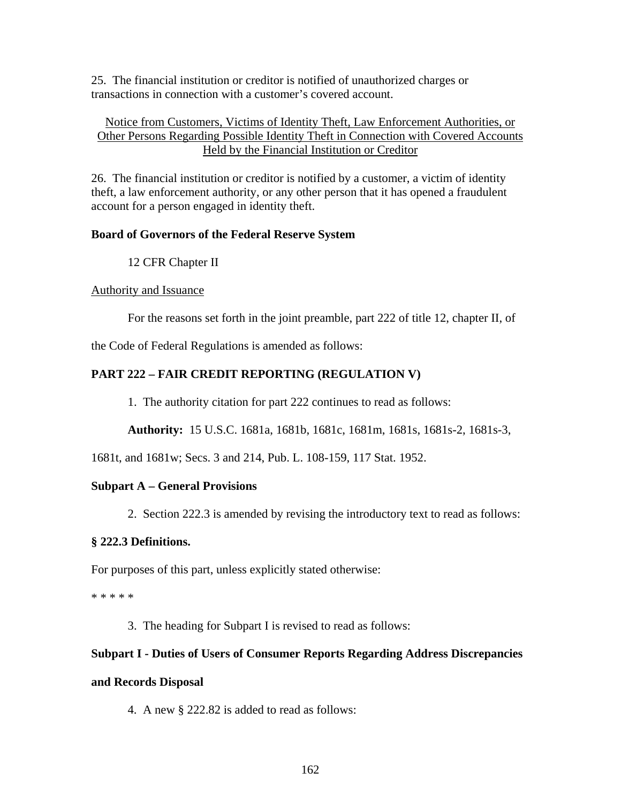25. The financial institution or creditor is notified of unauthorized charges or transactions in connection with a customer's covered account.

## Notice from Customers, Victims of Identity Theft, Law Enforcement Authorities, or Other Persons Regarding Possible Identity Theft in Connection with Covered Accounts Held by the Financial Institution or Creditor

26. The financial institution or creditor is notified by a customer, a victim of identity theft, a law enforcement authority, or any other person that it has opened a fraudulent account for a person engaged in identity theft.

## **Board of Governors of the Federal Reserve System**

12 CFR Chapter II

## Authority and Issuance

For the reasons set forth in the joint preamble, part 222 of title 12, chapter II, of

the Code of Federal Regulations is amended as follows:

# **PART 222 – FAIR CREDIT REPORTING (REGULATION V)**

1. The authority citation for part 222 continues to read as follows:

**Authority:** 15 U.S.C. 1681a, 1681b, 1681c, 1681m, 1681s, 1681s-2, 1681s-3,

1681t, and 1681w; Secs. 3 and 214, Pub. L. 108-159, 117 Stat. 1952.

# **Subpart A – General Provisions**

2. Section 222.3 is amended by revising the introductory text to read as follows:

## **§ 222.3 Definitions.**

For purposes of this part, unless explicitly stated otherwise:

\* \* \* \* \*

3. The heading for Subpart I is revised to read as follows:

# **Subpart I - Duties of Users of Consumer Reports Regarding Address Discrepancies**

## **and Records Disposal**

4. A new § 222.82 is added to read as follows: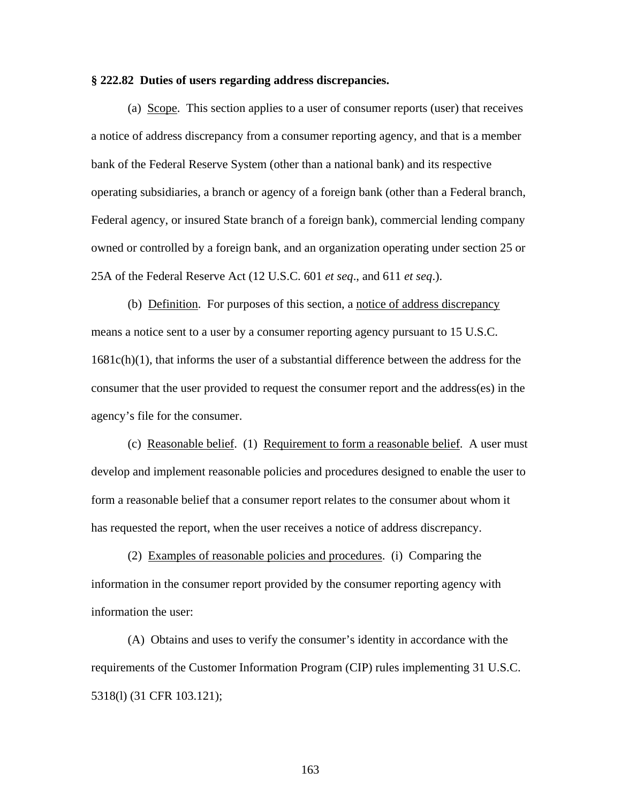#### **§ 222.82 Duties of users regarding address discrepancies.**

(a) Scope. This section applies to a user of consumer reports (user) that receives a notice of address discrepancy from a consumer reporting agency, and that is a member bank of the Federal Reserve System (other than a national bank) and its respective operating subsidiaries, a branch or agency of a foreign bank (other than a Federal branch, Federal agency, or insured State branch of a foreign bank), commercial lending company owned or controlled by a foreign bank, and an organization operating under section 25 or 25A of the Federal Reserve Act (12 U.S.C. 601 *et seq*., and 611 *et seq*.).

(b) Definition. For purposes of this section, a notice of address discrepancy means a notice sent to a user by a consumer reporting agency pursuant to 15 U.S.C.  $1681c(h)(1)$ , that informs the user of a substantial difference between the address for the consumer that the user provided to request the consumer report and the address(es) in the agency's file for the consumer.

 (c) Reasonable belief. (1) Requirement to form a reasonable belief. A user must develop and implement reasonable policies and procedures designed to enable the user to form a reasonable belief that a consumer report relates to the consumer about whom it has requested the report, when the user receives a notice of address discrepancy.

 (2) Examples of reasonable policies and procedures. (i) Comparing the information in the consumer report provided by the consumer reporting agency with information the user:

 (A) Obtains and uses to verify the consumer's identity in accordance with the requirements of the Customer Information Program (CIP) rules implementing 31 U.S.C. 5318(l) (31 CFR 103.121);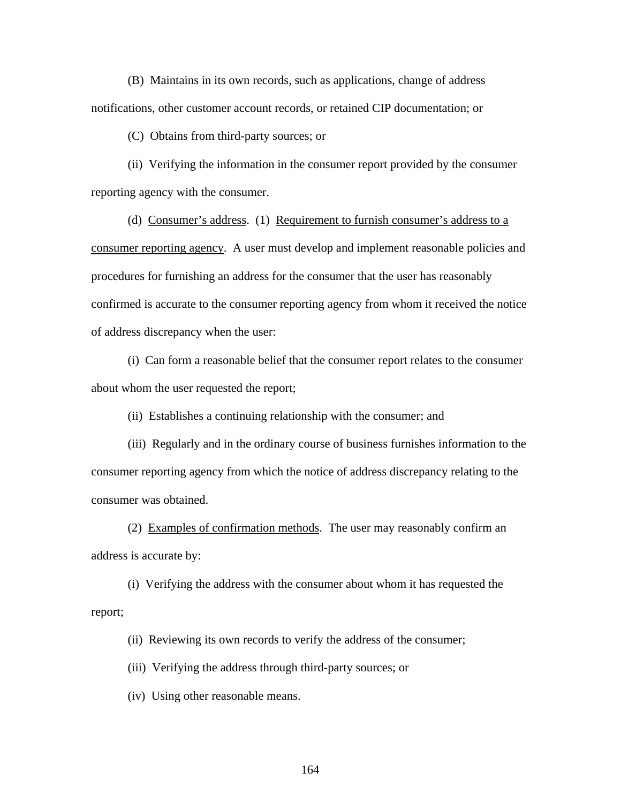(B) Maintains in its own records, such as applications, change of address notifications, other customer account records, or retained CIP documentation; or

(C) Obtains from third-party sources; or

 (ii) Verifying the information in the consumer report provided by the consumer reporting agency with the consumer.

 (d) Consumer's address. (1) Requirement to furnish consumer's address to a consumer reporting agency. A user must develop and implement reasonable policies and procedures for furnishing an address for the consumer that the user has reasonably confirmed is accurate to the consumer reporting agency from whom it received the notice of address discrepancy when the user:

 (i) Can form a reasonable belief that the consumer report relates to the consumer about whom the user requested the report;

(ii) Establishes a continuing relationship with the consumer; and

(iii) Regularly and in the ordinary course of business furnishes information to the consumer reporting agency from which the notice of address discrepancy relating to the consumer was obtained.

(2) Examples of confirmation methods. The user may reasonably confirm an address is accurate by:

(i) Verifying the address with the consumer about whom it has requested the report;

(ii) Reviewing its own records to verify the address of the consumer;

(iii) Verifying the address through third-party sources; or

(iv) Using other reasonable means.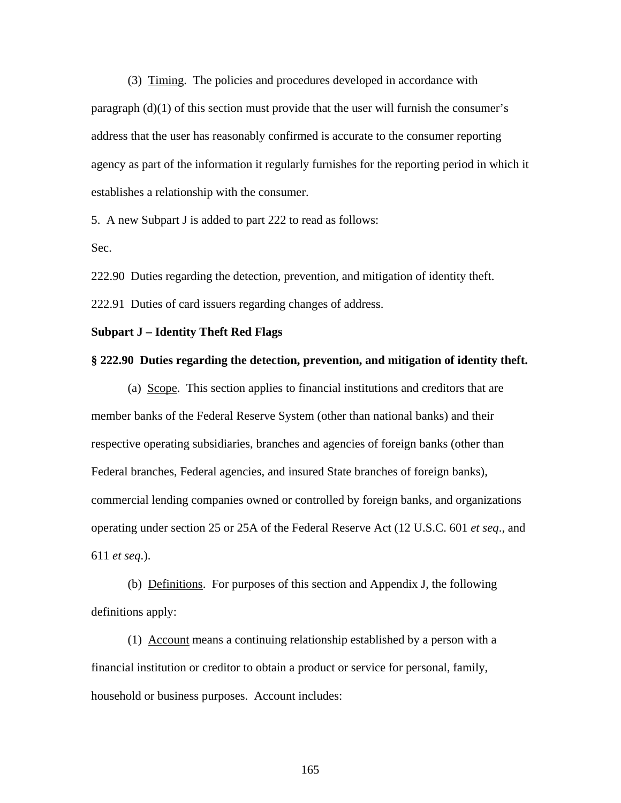(3) Timing. The policies and procedures developed in accordance with paragraph (d)(1) of this section must provide that the user will furnish the consumer's address that the user has reasonably confirmed is accurate to the consumer reporting agency as part of the information it regularly furnishes for the reporting period in which it establishes a relationship with the consumer.

5. A new Subpart J is added to part 222 to read as follows:

Sec.

222.90 Duties regarding the detection, prevention, and mitigation of identity theft.

222.91 Duties of card issuers regarding changes of address.

#### **Subpart J – Identity Theft Red Flags**

#### **§ 222.90 Duties regarding the detection, prevention, and mitigation of identity theft.**

(a) Scope. This section applies to financial institutions and creditors that are member banks of the Federal Reserve System (other than national banks) and their respective operating subsidiaries, branches and agencies of foreign banks (other than Federal branches, Federal agencies, and insured State branches of foreign banks), commercial lending companies owned or controlled by foreign banks, and organizations operating under section 25 or 25A of the Federal Reserve Act (12 U.S.C. 601 *et seq*., and 611 *et seq*.).

(b) Definitions. For purposes of this section and Appendix J, the following definitions apply:

(1) Account means a continuing relationship established by a person with a financial institution or creditor to obtain a product or service for personal, family, household or business purposes. Account includes: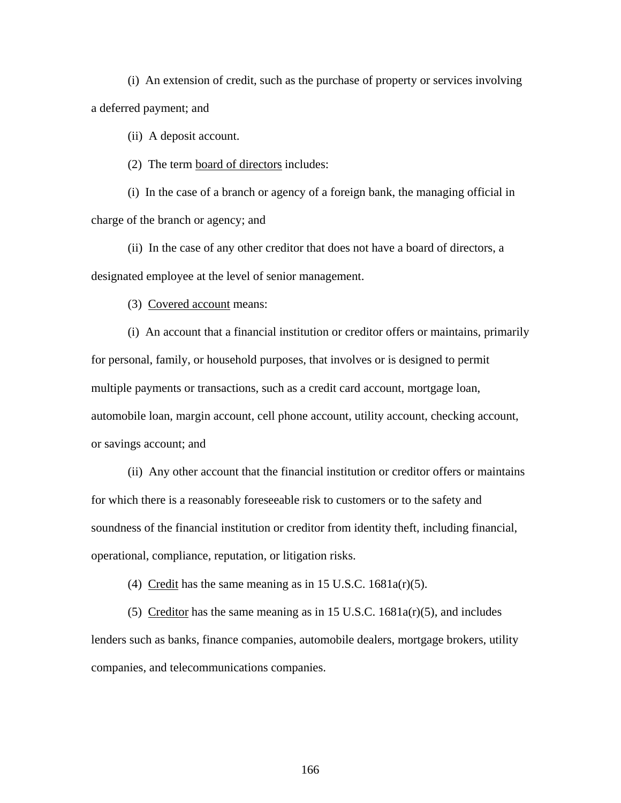(i) An extension of credit, such as the purchase of property or services involving a deferred payment; and

(ii) A deposit account.

(2) The term board of directors includes:

(i) In the case of a branch or agency of a foreign bank, the managing official in charge of the branch or agency; and

(ii) In the case of any other creditor that does not have a board of directors, a designated employee at the level of senior management.

(3) Covered account means:

(i) An account that a financial institution or creditor offers or maintains, primarily for personal, family, or household purposes, that involves or is designed to permit multiple payments or transactions, such as a credit card account, mortgage loan, automobile loan, margin account, cell phone account, utility account, checking account, or savings account; and

(ii) Any other account that the financial institution or creditor offers or maintains for which there is a reasonably foreseeable risk to customers or to the safety and soundness of the financial institution or creditor from identity theft, including financial, operational, compliance, reputation, or litigation risks.

(4) Credit has the same meaning as in 15 U.S.C.  $1681a(r)(5)$ .

(5) Creditor has the same meaning as in 15 U.S.C.  $1681a(r)(5)$ , and includes lenders such as banks, finance companies, automobile dealers, mortgage brokers, utility companies, and telecommunications companies.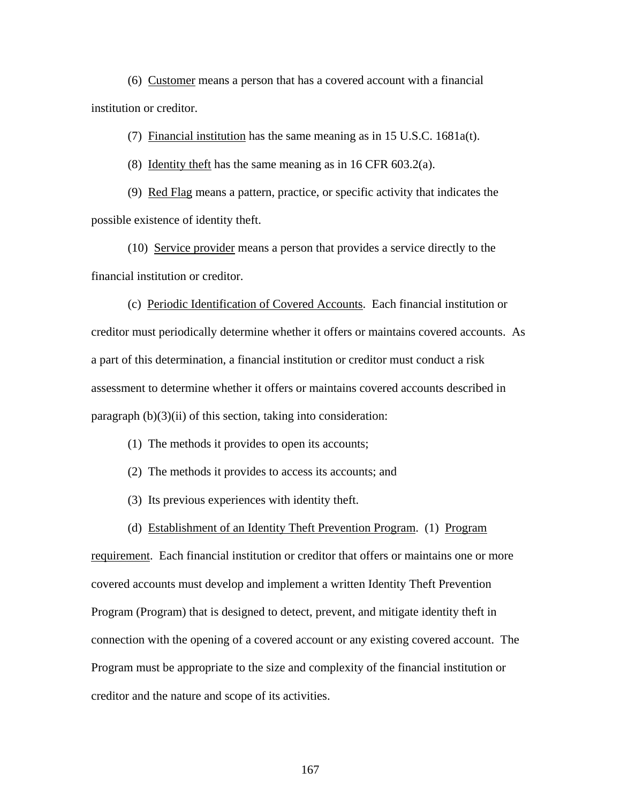(6) Customer means a person that has a covered account with a financial institution or creditor.

(7) Financial institution has the same meaning as in 15 U.S.C. 1681a(t).

(8) Identity theft has the same meaning as in 16 CFR 603.2(a).

(9) Red Flag means a pattern, practice, or specific activity that indicates the possible existence of identity theft.

(10) Service provider means a person that provides a service directly to the financial institution or creditor.

(c) Periodic Identification of Covered Accounts. Each financial institution or creditor must periodically determine whether it offers or maintains covered accounts. As a part of this determination, a financial institution or creditor must conduct a risk assessment to determine whether it offers or maintains covered accounts described in paragraph  $(b)(3)(ii)$  of this section, taking into consideration:

- (1) The methods it provides to open its accounts;
- (2) The methods it provides to access its accounts; and
- (3) Its previous experiences with identity theft.
- (d) Establishment of an Identity Theft Prevention Program. (1) Program

requirement. Each financial institution or creditor that offers or maintains one or more covered accounts must develop and implement a written Identity Theft Prevention Program (Program) that is designed to detect, prevent, and mitigate identity theft in connection with the opening of a covered account or any existing covered account. The Program must be appropriate to the size and complexity of the financial institution or creditor and the nature and scope of its activities.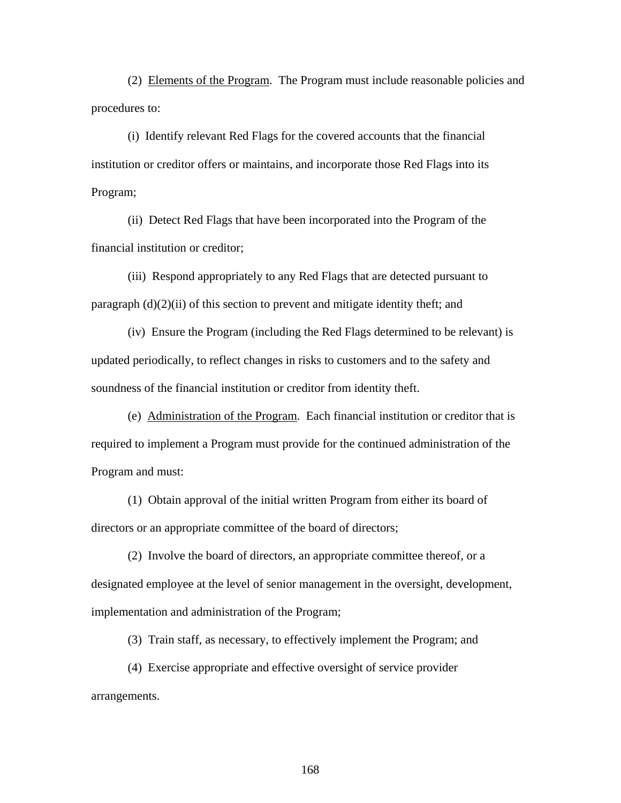(2) Elements of the Program. The Program must include reasonable policies and procedures to:

(i) Identify relevant Red Flags for the covered accounts that the financial institution or creditor offers or maintains, and incorporate those Red Flags into its Program;

(ii) Detect Red Flags that have been incorporated into the Program of the financial institution or creditor;

(iii) Respond appropriately to any Red Flags that are detected pursuant to paragraph (d)(2)(ii) of this section to prevent and mitigate identity theft; and

(iv) Ensure the Program (including the Red Flags determined to be relevant) is updated periodically, to reflect changes in risks to customers and to the safety and soundness of the financial institution or creditor from identity theft.

 (e) Administration of the Program. Each financial institution or creditor that is required to implement a Program must provide for the continued administration of the Program and must:

(1) Obtain approval of the initial written Program from either its board of directors or an appropriate committee of the board of directors;

(2) Involve the board of directors, an appropriate committee thereof, or a designated employee at the level of senior management in the oversight, development, implementation and administration of the Program;

(3) Train staff, as necessary, to effectively implement the Program; and

 (4) Exercise appropriate and effective oversight of service provider arrangements.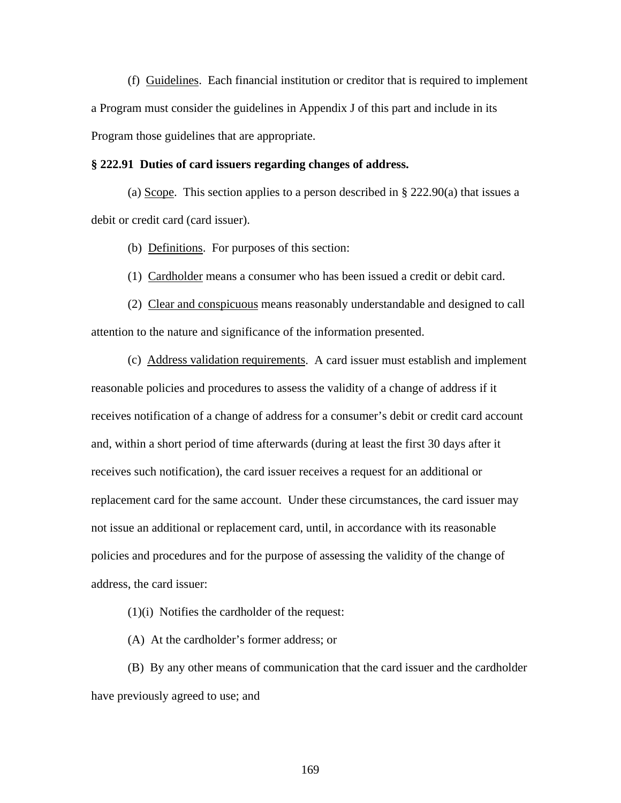(f) Guidelines. Each financial institution or creditor that is required to implement a Program must consider the guidelines in Appendix J of this part and include in its Program those guidelines that are appropriate.

## **§ 222.91 Duties of card issuers regarding changes of address.**

(a) Scope. This section applies to a person described in § 222.90(a) that issues a debit or credit card (card issuer).

(b) Definitions. For purposes of this section:

(1) Cardholder means a consumer who has been issued a credit or debit card.

(2) Clear and conspicuous means reasonably understandable and designed to call attention to the nature and significance of the information presented.

(c) Address validation requirements. A card issuer must establish and implement reasonable policies and procedures to assess the validity of a change of address if it receives notification of a change of address for a consumer's debit or credit card account and, within a short period of time afterwards (during at least the first 30 days after it receives such notification), the card issuer receives a request for an additional or replacement card for the same account. Under these circumstances, the card issuer may not issue an additional or replacement card, until, in accordance with its reasonable policies and procedures and for the purpose of assessing the validity of the change of address, the card issuer:

(1)(i) Notifies the cardholder of the request:

(A) At the cardholder's former address; or

(B) By any other means of communication that the card issuer and the cardholder have previously agreed to use; and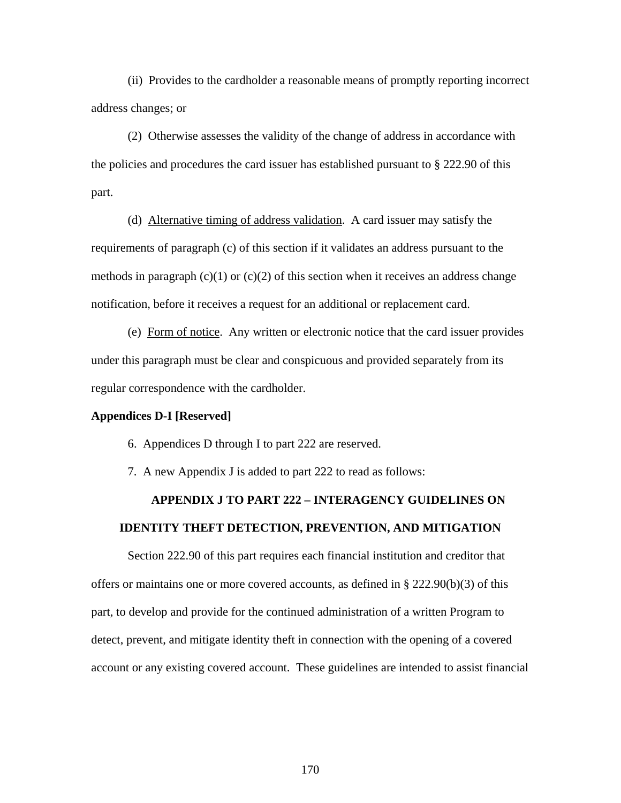(ii) Provides to the cardholder a reasonable means of promptly reporting incorrect address changes; or

(2) Otherwise assesses the validity of the change of address in accordance with the policies and procedures the card issuer has established pursuant to § 222.90 of this part.

(d) Alternative timing of address validation. A card issuer may satisfy the requirements of paragraph (c) of this section if it validates an address pursuant to the methods in paragraph  $(c)(1)$  or  $(c)(2)$  of this section when it receives an address change notification, before it receives a request for an additional or replacement card.

(e) Form of notice. Any written or electronic notice that the card issuer provides under this paragraph must be clear and conspicuous and provided separately from its regular correspondence with the cardholder.

### **Appendices D-I [Reserved]**

- 6. Appendices D through I to part 222 are reserved.
- 7. A new Appendix J is added to part 222 to read as follows:

# **APPENDIX J TO PART 222 – INTERAGENCY GUIDELINES ON IDENTITY THEFT DETECTION, PREVENTION, AND MITIGATION**

Section 222.90 of this part requires each financial institution and creditor that offers or maintains one or more covered accounts, as defined in  $\S$  222.90(b)(3) of this part, to develop and provide for the continued administration of a written Program to detect, prevent, and mitigate identity theft in connection with the opening of a covered account or any existing covered account. These guidelines are intended to assist financial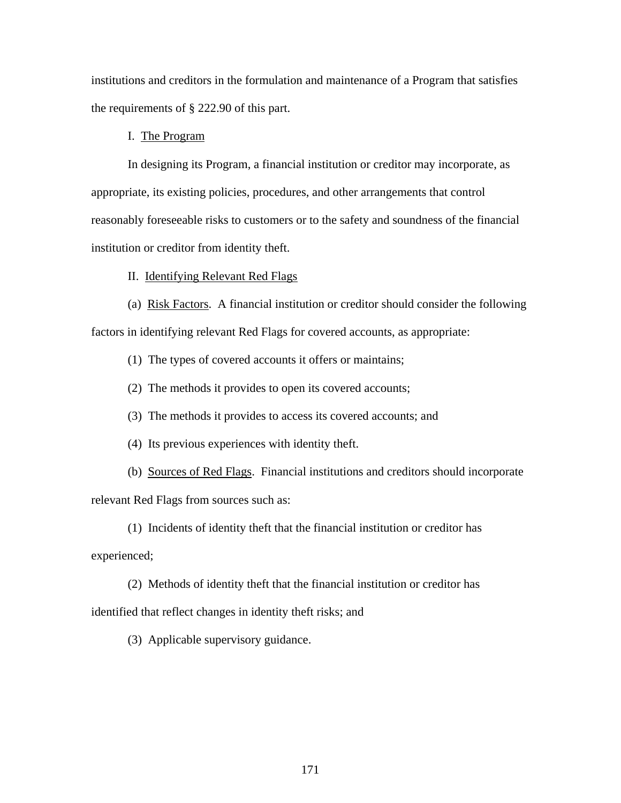institutions and creditors in the formulation and maintenance of a Program that satisfies the requirements of § 222.90 of this part.

## I. The Program

 In designing its Program, a financial institution or creditor may incorporate, as appropriate, its existing policies, procedures, and other arrangements that control reasonably foreseeable risks to customers or to the safety and soundness of the financial institution or creditor from identity theft.

#### II. Identifying Relevant Red Flags

 (a) Risk Factors. A financial institution or creditor should consider the following factors in identifying relevant Red Flags for covered accounts, as appropriate:

(1) The types of covered accounts it offers or maintains;

(2) The methods it provides to open its covered accounts;

(3) The methods it provides to access its covered accounts; and

(4) Its previous experiences with identity theft.

(b) Sources of Red Flags. Financial institutions and creditors should incorporate

relevant Red Flags from sources such as:

(1) Incidents of identity theft that the financial institution or creditor has

experienced;

(2) Methods of identity theft that the financial institution or creditor has

identified that reflect changes in identity theft risks; and

(3) Applicable supervisory guidance.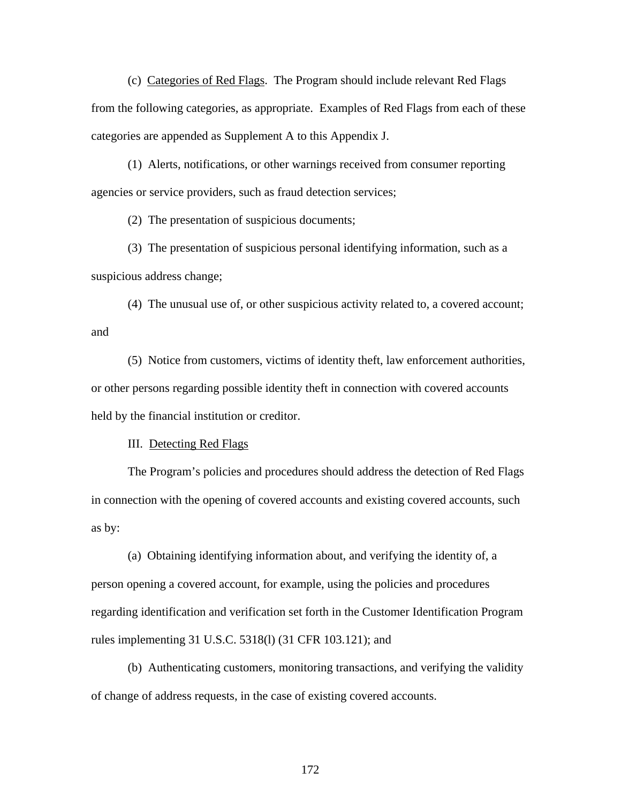(c) Categories of Red Flags. The Program should include relevant Red Flags from the following categories, as appropriate. Examples of Red Flags from each of these categories are appended as Supplement A to this Appendix J.

 (1) Alerts, notifications, or other warnings received from consumer reporting agencies or service providers, such as fraud detection services;

(2) The presentation of suspicious documents;

 (3) The presentation of suspicious personal identifying information, such as a suspicious address change;

 (4) The unusual use of, or other suspicious activity related to, a covered account; and

 (5) Notice from customers, victims of identity theft, law enforcement authorities, or other persons regarding possible identity theft in connection with covered accounts held by the financial institution or creditor.

III. Detecting Red Flags

 The Program's policies and procedures should address the detection of Red Flags in connection with the opening of covered accounts and existing covered accounts, such as by:

(a) Obtaining identifying information about, and verifying the identity of, a person opening a covered account, for example, using the policies and procedures regarding identification and verification set forth in the Customer Identification Program rules implementing 31 U.S.C. 5318(l) (31 CFR 103.121); and

(b) Authenticating customers, monitoring transactions, and verifying the validity of change of address requests, in the case of existing covered accounts.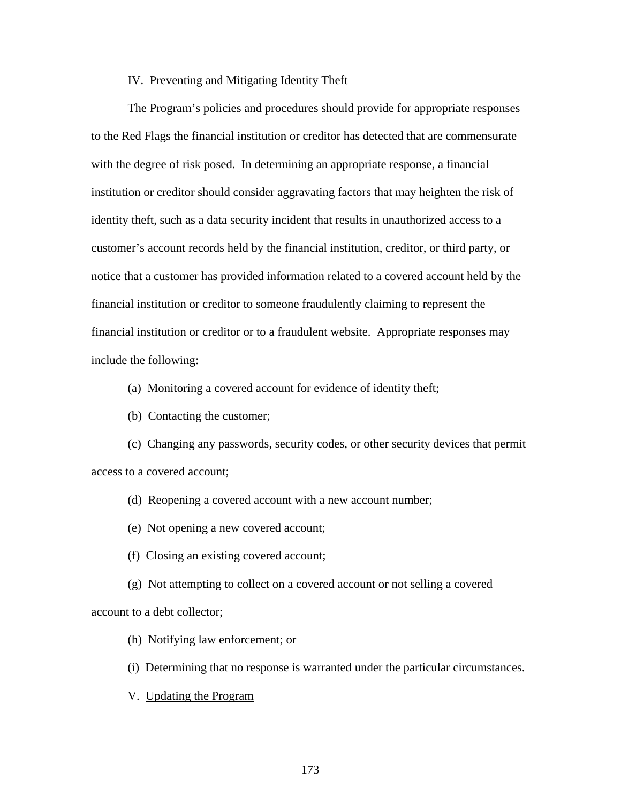### IV. Preventing and Mitigating Identity Theft

The Program's policies and procedures should provide for appropriate responses to the Red Flags the financial institution or creditor has detected that are commensurate with the degree of risk posed. In determining an appropriate response, a financial institution or creditor should consider aggravating factors that may heighten the risk of identity theft, such as a data security incident that results in unauthorized access to a customer's account records held by the financial institution, creditor, or third party, or notice that a customer has provided information related to a covered account held by the financial institution or creditor to someone fraudulently claiming to represent the financial institution or creditor or to a fraudulent website. Appropriate responses may include the following:

(a) Monitoring a covered account for evidence of identity theft;

(b) Contacting the customer;

(c) Changing any passwords, security codes, or other security devices that permit access to a covered account;

- (d) Reopening a covered account with a new account number;
- (e) Not opening a new covered account;
- (f) Closing an existing covered account;

(g) Not attempting to collect on a covered account or not selling a covered account to a debt collector;

- (h) Notifying law enforcement; or
- (i) Determining that no response is warranted under the particular circumstances.
- V. Updating the Program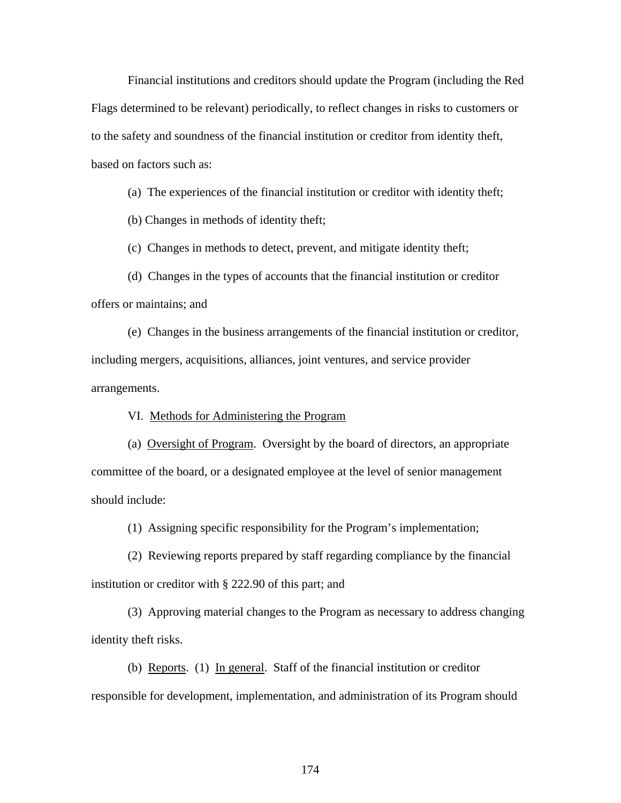Financial institutions and creditors should update the Program (including the Red Flags determined to be relevant) periodically, to reflect changes in risks to customers or to the safety and soundness of the financial institution or creditor from identity theft, based on factors such as:

(a) The experiences of the financial institution or creditor with identity theft;

(b) Changes in methods of identity theft;

(c) Changes in methods to detect, prevent, and mitigate identity theft;

(d) Changes in the types of accounts that the financial institution or creditor offers or maintains; and

(e) Changes in the business arrangements of the financial institution or creditor, including mergers, acquisitions, alliances, joint ventures, and service provider arrangements.

VI. Methods for Administering the Program

(a) Oversight of Program. Oversight by the board of directors, an appropriate committee of the board, or a designated employee at the level of senior management should include:

(1) Assigning specific responsibility for the Program's implementation;

(2) Reviewing reports prepared by staff regarding compliance by the financial institution or creditor with § 222.90 of this part; and

(3) Approving material changes to the Program as necessary to address changing identity theft risks.

(b) Reports. (1) In general. Staff of the financial institution or creditor responsible for development, implementation, and administration of its Program should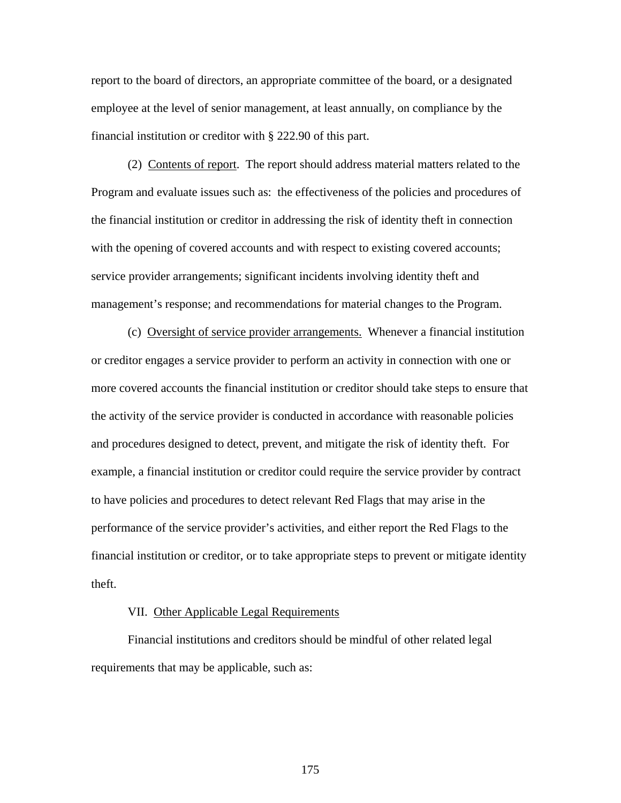report to the board of directors, an appropriate committee of the board, or a designated employee at the level of senior management, at least annually, on compliance by the financial institution or creditor with § 222.90 of this part.

 (2) Contents of report. The report should address material matters related to the Program and evaluate issues such as: the effectiveness of the policies and procedures of the financial institution or creditor in addressing the risk of identity theft in connection with the opening of covered accounts and with respect to existing covered accounts; service provider arrangements; significant incidents involving identity theft and management's response; and recommendations for material changes to the Program.

 (c) Oversight of service provider arrangements. Whenever a financial institution or creditor engages a service provider to perform an activity in connection with one or more covered accounts the financial institution or creditor should take steps to ensure that the activity of the service provider is conducted in accordance with reasonable policies and procedures designed to detect, prevent, and mitigate the risk of identity theft. For example, a financial institution or creditor could require the service provider by contract to have policies and procedures to detect relevant Red Flags that may arise in the performance of the service provider's activities, and either report the Red Flags to the financial institution or creditor, or to take appropriate steps to prevent or mitigate identity theft.

## VII. Other Applicable Legal Requirements

Financial institutions and creditors should be mindful of other related legal requirements that may be applicable, such as: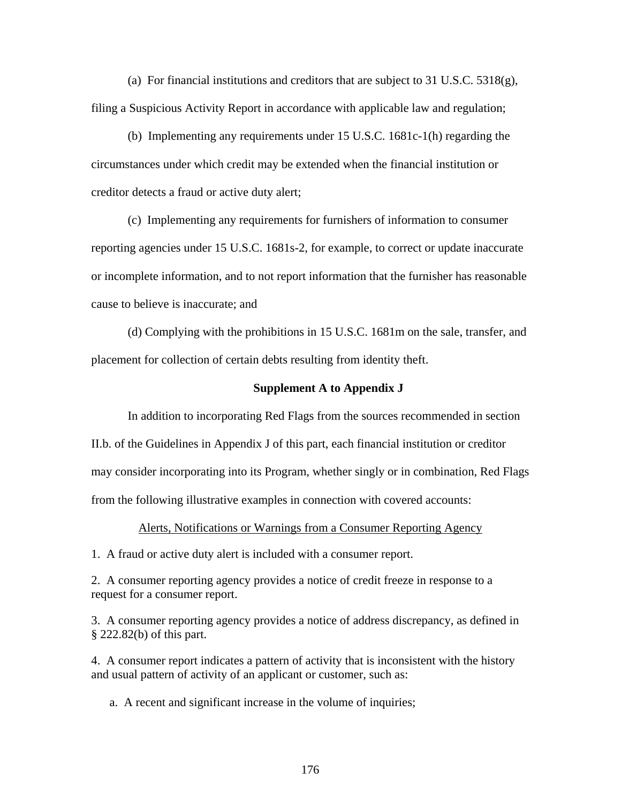(a) For financial institutions and creditors that are subject to 31 U.S.C.  $5318(g)$ , filing a Suspicious Activity Report in accordance with applicable law and regulation;

(b) Implementing any requirements under 15 U.S.C. 1681c-1(h) regarding the circumstances under which credit may be extended when the financial institution or creditor detects a fraud or active duty alert;

(c) Implementing any requirements for furnishers of information to consumer reporting agencies under 15 U.S.C. 1681s-2, for example, to correct or update inaccurate or incomplete information, and to not report information that the furnisher has reasonable cause to believe is inaccurate; and

(d) Complying with the prohibitions in 15 U.S.C. 1681m on the sale, transfer, and placement for collection of certain debts resulting from identity theft.

#### **Supplement A to Appendix J**

In addition to incorporating Red Flags from the sources recommended in section

II.b. of the Guidelines in Appendix J of this part, each financial institution or creditor may consider incorporating into its Program, whether singly or in combination, Red Flags from the following illustrative examples in connection with covered accounts:

Alerts, Notifications or Warnings from a Consumer Reporting Agency

1. A fraud or active duty alert is included with a consumer report.

2. A consumer reporting agency provides a notice of credit freeze in response to a request for a consumer report.

3. A consumer reporting agency provides a notice of address discrepancy, as defined in § 222.82(b) of this part.

4. A consumer report indicates a pattern of activity that is inconsistent with the history and usual pattern of activity of an applicant or customer, such as:

a. A recent and significant increase in the volume of inquiries;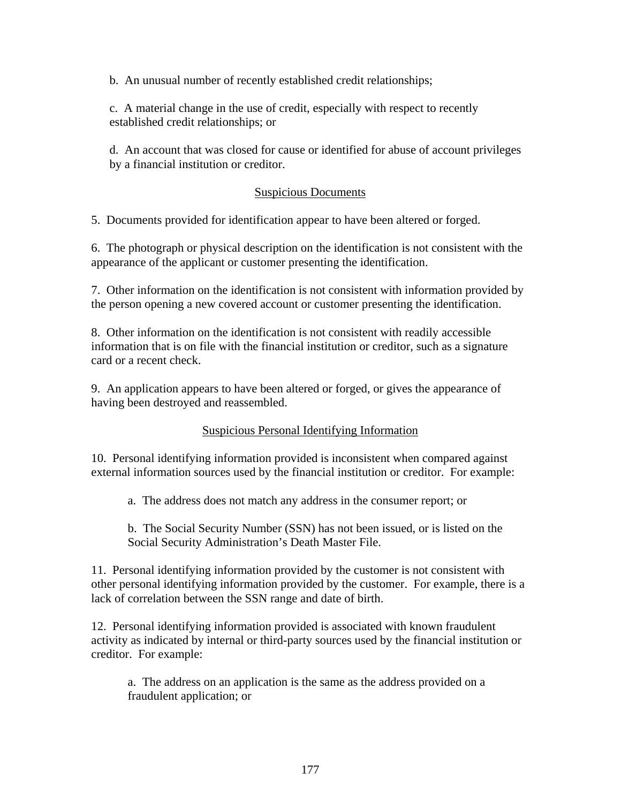b. An unusual number of recently established credit relationships;

c. A material change in the use of credit, especially with respect to recently established credit relationships; or

d. An account that was closed for cause or identified for abuse of account privileges by a financial institution or creditor.

## Suspicious Documents

5. Documents provided for identification appear to have been altered or forged.

6. The photograph or physical description on the identification is not consistent with the appearance of the applicant or customer presenting the identification.

7. Other information on the identification is not consistent with information provided by the person opening a new covered account or customer presenting the identification.

8. Other information on the identification is not consistent with readily accessible information that is on file with the financial institution or creditor, such as a signature card or a recent check.

9. An application appears to have been altered or forged, or gives the appearance of having been destroyed and reassembled.

# Suspicious Personal Identifying Information

10. Personal identifying information provided is inconsistent when compared against external information sources used by the financial institution or creditor. For example:

a. The address does not match any address in the consumer report; or

b. The Social Security Number (SSN) has not been issued, or is listed on the Social Security Administration's Death Master File.

11. Personal identifying information provided by the customer is not consistent with other personal identifying information provided by the customer. For example, there is a lack of correlation between the SSN range and date of birth.

12. Personal identifying information provided is associated with known fraudulent activity as indicated by internal or third-party sources used by the financial institution or creditor. For example:

a. The address on an application is the same as the address provided on a fraudulent application; or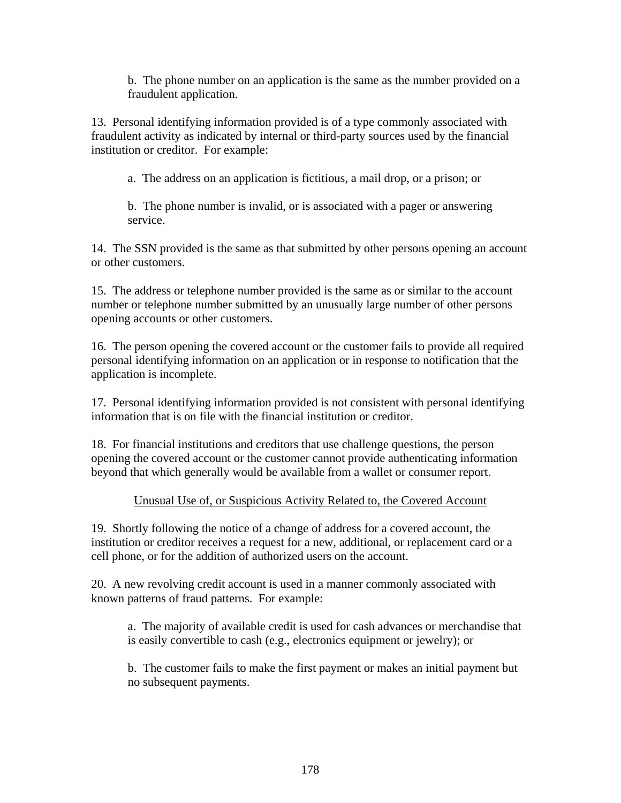b. The phone number on an application is the same as the number provided on a fraudulent application.

13. Personal identifying information provided is of a type commonly associated with fraudulent activity as indicated by internal or third-party sources used by the financial institution or creditor. For example:

a. The address on an application is fictitious, a mail drop, or a prison; or

b. The phone number is invalid, or is associated with a pager or answering service.

14. The SSN provided is the same as that submitted by other persons opening an account or other customers.

15. The address or telephone number provided is the same as or similar to the account number or telephone number submitted by an unusually large number of other persons opening accounts or other customers.

16. The person opening the covered account or the customer fails to provide all required personal identifying information on an application or in response to notification that the application is incomplete.

17. Personal identifying information provided is not consistent with personal identifying information that is on file with the financial institution or creditor.

18. For financial institutions and creditors that use challenge questions, the person opening the covered account or the customer cannot provide authenticating information beyond that which generally would be available from a wallet or consumer report.

# Unusual Use of, or Suspicious Activity Related to, the Covered Account

19. Shortly following the notice of a change of address for a covered account, the institution or creditor receives a request for a new, additional, or replacement card or a cell phone, or for the addition of authorized users on the account.

20. A new revolving credit account is used in a manner commonly associated with known patterns of fraud patterns. For example:

a. The majority of available credit is used for cash advances or merchandise that is easily convertible to cash (e.g., electronics equipment or jewelry); or

b. The customer fails to make the first payment or makes an initial payment but no subsequent payments.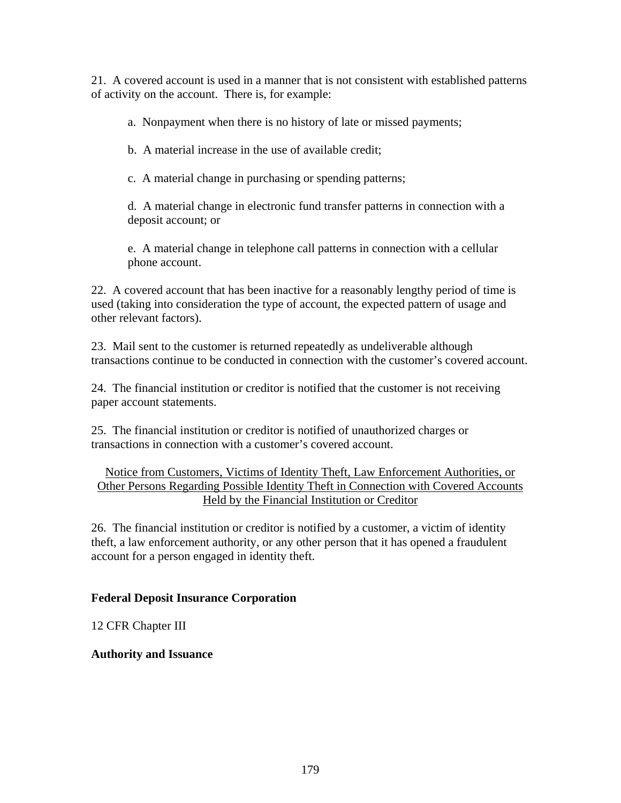21. A covered account is used in a manner that is not consistent with established patterns of activity on the account. There is, for example:

a. Nonpayment when there is no history of late or missed payments;

b. A material increase in the use of available credit;

c. A material change in purchasing or spending patterns;

d. A material change in electronic fund transfer patterns in connection with a deposit account; or

e. A material change in telephone call patterns in connection with a cellular phone account.

22. A covered account that has been inactive for a reasonably lengthy period of time is used (taking into consideration the type of account, the expected pattern of usage and other relevant factors).

23. Mail sent to the customer is returned repeatedly as undeliverable although transactions continue to be conducted in connection with the customer's covered account.

24. The financial institution or creditor is notified that the customer is not receiving paper account statements.

25. The financial institution or creditor is notified of unauthorized charges or transactions in connection with a customer's covered account.

# Notice from Customers, Victims of Identity Theft, Law Enforcement Authorities, or Other Persons Regarding Possible Identity Theft in Connection with Covered Accounts Held by the Financial Institution or Creditor

26. The financial institution or creditor is notified by a customer, a victim of identity theft, a law enforcement authority, or any other person that it has opened a fraudulent account for a person engaged in identity theft.

# **Federal Deposit Insurance Corporation**

12 CFR Chapter III

# **Authority and Issuance**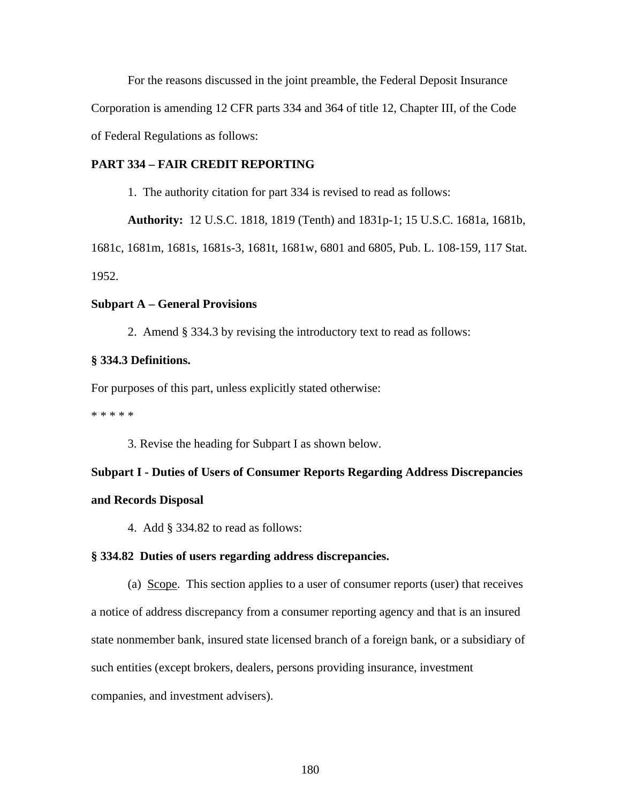For the reasons discussed in the joint preamble, the Federal Deposit Insurance Corporation is amending 12 CFR parts 334 and 364 of title 12, Chapter III, of the Code of Federal Regulations as follows:

## **PART 334 – FAIR CREDIT REPORTING**

1. The authority citation for part 334 is revised to read as follows:

**Authority:** 12 U.S.C. 1818, 1819 (Tenth) and 1831p-1; 15 U.S.C. 1681a, 1681b,

1681c, 1681m, 1681s, 1681s-3, 1681t, 1681w, 6801 and 6805, Pub. L. 108-159, 117 Stat. 1952.

#### **Subpart A – General Provisions**

2. Amend § 334.3 by revising the introductory text to read as follows:

### **§ 334.3 Definitions.**

For purposes of this part, unless explicitly stated otherwise:

\* \* \* \* \*

3. Revise the heading for Subpart I as shown below.

# **Subpart I - Duties of Users of Consumer Reports Regarding Address Discrepancies and Records Disposal**

4. Add § 334.82 to read as follows:

#### **§ 334.82 Duties of users regarding address discrepancies.**

(a) Scope. This section applies to a user of consumer reports (user) that receives a notice of address discrepancy from a consumer reporting agency and that is an insured state nonmember bank, insured state licensed branch of a foreign bank, or a subsidiary of such entities (except brokers, dealers, persons providing insurance, investment companies, and investment advisers).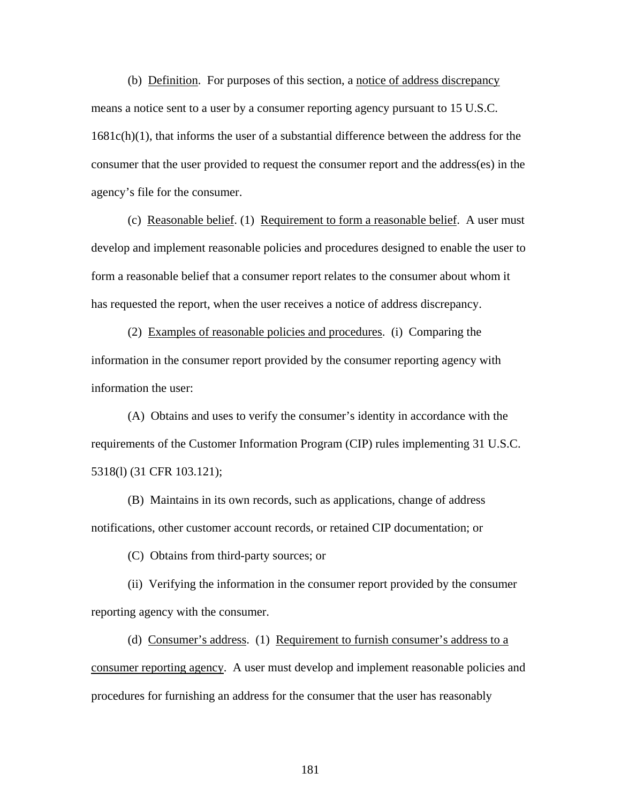(b) Definition. For purposes of this section, a notice of address discrepancy means a notice sent to a user by a consumer reporting agency pursuant to 15 U.S.C. 1681c(h)(1), that informs the user of a substantial difference between the address for the consumer that the user provided to request the consumer report and the address(es) in the agency's file for the consumer.

 (c) Reasonable belief. (1) Requirement to form a reasonable belief. A user must develop and implement reasonable policies and procedures designed to enable the user to form a reasonable belief that a consumer report relates to the consumer about whom it has requested the report, when the user receives a notice of address discrepancy.

 (2) Examples of reasonable policies and procedures. (i) Comparing the information in the consumer report provided by the consumer reporting agency with information the user:

 (A) Obtains and uses to verify the consumer's identity in accordance with the requirements of the Customer Information Program (CIP) rules implementing 31 U.S.C. 5318(l) (31 CFR 103.121);

 (B) Maintains in its own records, such as applications, change of address notifications, other customer account records, or retained CIP documentation; or

(C) Obtains from third-party sources; or

 (ii) Verifying the information in the consumer report provided by the consumer reporting agency with the consumer.

 (d) Consumer's address. (1) Requirement to furnish consumer's address to a consumer reporting agency. A user must develop and implement reasonable policies and procedures for furnishing an address for the consumer that the user has reasonably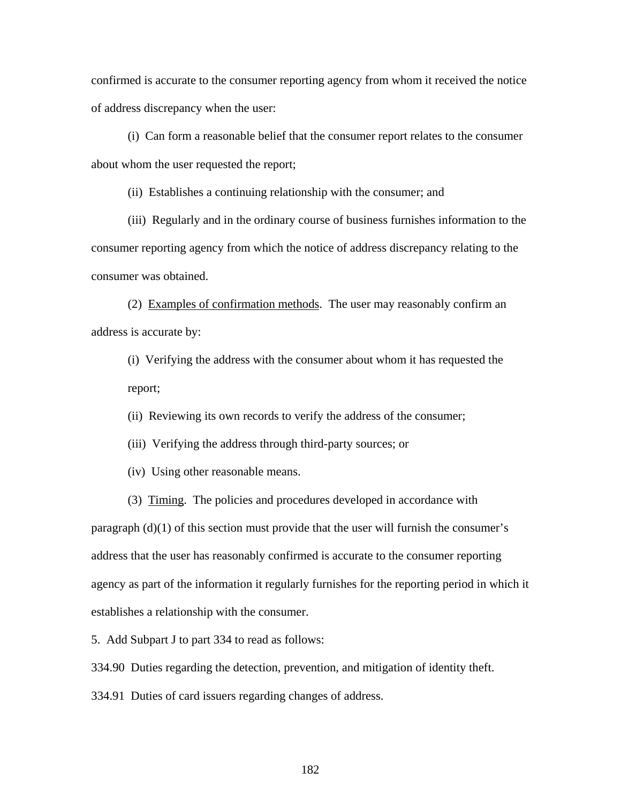confirmed is accurate to the consumer reporting agency from whom it received the notice of address discrepancy when the user:

 (i) Can form a reasonable belief that the consumer report relates to the consumer about whom the user requested the report;

(ii) Establishes a continuing relationship with the consumer; and

(iii) Regularly and in the ordinary course of business furnishes information to the consumer reporting agency from which the notice of address discrepancy relating to the consumer was obtained.

(2) Examples of confirmation methods. The user may reasonably confirm an address is accurate by:

(i) Verifying the address with the consumer about whom it has requested the report;

(ii) Reviewing its own records to verify the address of the consumer;

(iii) Verifying the address through third-party sources; or

(iv) Using other reasonable means.

(3) Timing. The policies and procedures developed in accordance with

paragraph (d)(1) of this section must provide that the user will furnish the consumer's address that the user has reasonably confirmed is accurate to the consumer reporting agency as part of the information it regularly furnishes for the reporting period in which it establishes a relationship with the consumer.

5. Add Subpart J to part 334 to read as follows:

334.90 Duties regarding the detection, prevention, and mitigation of identity theft.

334.91 Duties of card issuers regarding changes of address.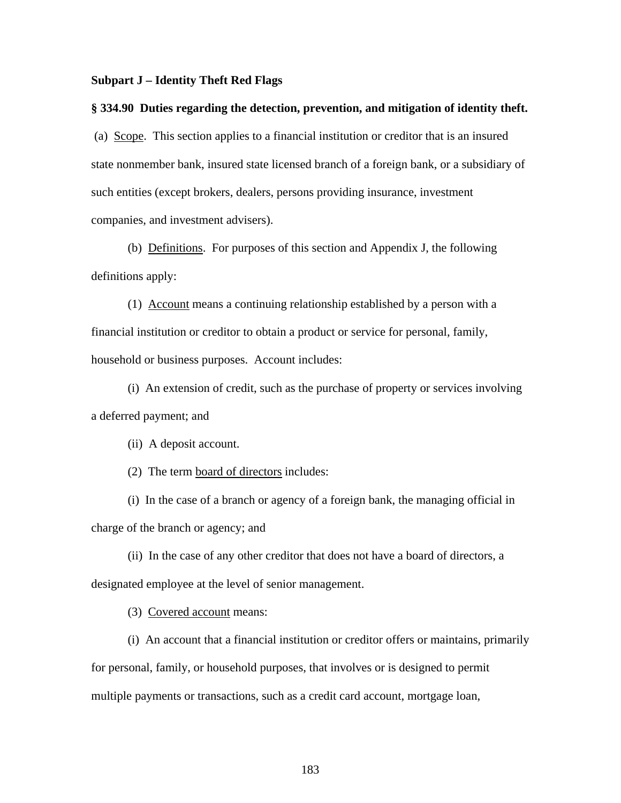#### **Subpart J – Identity Theft Red Flags**

#### **§ 334.90 Duties regarding the detection, prevention, and mitigation of identity theft.**

 (a) Scope. This section applies to a financial institution or creditor that is an insured state nonmember bank, insured state licensed branch of a foreign bank, or a subsidiary of such entities (except brokers, dealers, persons providing insurance, investment companies, and investment advisers).

(b) Definitions. For purposes of this section and Appendix J, the following definitions apply:

(1) Account means a continuing relationship established by a person with a financial institution or creditor to obtain a product or service for personal, family, household or business purposes. Account includes:

(i) An extension of credit, such as the purchase of property or services involving a deferred payment; and

(ii) A deposit account.

(2) The term board of directors includes:

(i) In the case of a branch or agency of a foreign bank, the managing official in charge of the branch or agency; and

(ii) In the case of any other creditor that does not have a board of directors, a designated employee at the level of senior management.

(3) Covered account means:

(i) An account that a financial institution or creditor offers or maintains, primarily for personal, family, or household purposes, that involves or is designed to permit multiple payments or transactions, such as a credit card account, mortgage loan,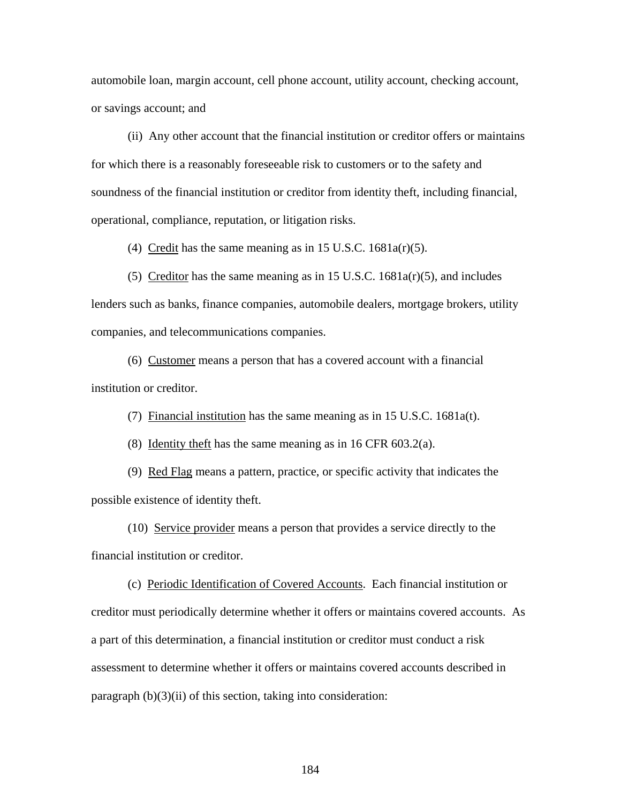automobile loan, margin account, cell phone account, utility account, checking account, or savings account; and

(ii) Any other account that the financial institution or creditor offers or maintains for which there is a reasonably foreseeable risk to customers or to the safety and soundness of the financial institution or creditor from identity theft, including financial, operational, compliance, reputation, or litigation risks.

(4) Credit has the same meaning as in 15 U.S.C.  $1681a(r)(5)$ .

(5) Creditor has the same meaning as in 15 U.S.C. 1681a(r)(5), and includes lenders such as banks, finance companies, automobile dealers, mortgage brokers, utility companies, and telecommunications companies.

(6) Customer means a person that has a covered account with a financial institution or creditor.

(7) Financial institution has the same meaning as in 15 U.S.C. 1681a(t).

(8) Identity the ft has the same meaning as in 16 CFR  $603.2(a)$ .

(9) Red Flag means a pattern, practice, or specific activity that indicates the possible existence of identity theft.

(10) Service provider means a person that provides a service directly to the financial institution or creditor.

(c) Periodic Identification of Covered Accounts. Each financial institution or creditor must periodically determine whether it offers or maintains covered accounts. As a part of this determination, a financial institution or creditor must conduct a risk assessment to determine whether it offers or maintains covered accounts described in paragraph (b)(3)(ii) of this section, taking into consideration: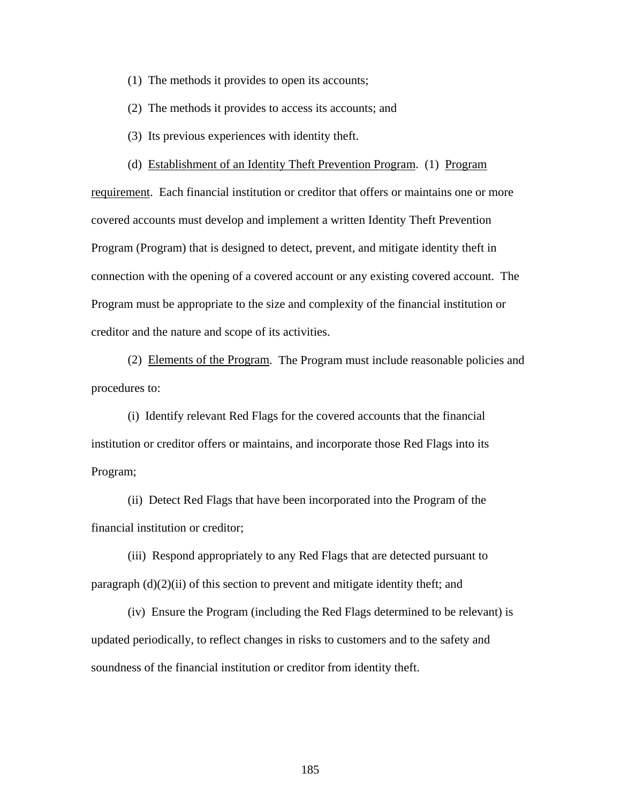- (1) The methods it provides to open its accounts;
- (2) The methods it provides to access its accounts; and
- (3) Its previous experiences with identity theft.
- (d) Establishment of an Identity Theft Prevention Program. (1) Program

requirement. Each financial institution or creditor that offers or maintains one or more covered accounts must develop and implement a written Identity Theft Prevention Program (Program) that is designed to detect, prevent, and mitigate identity theft in connection with the opening of a covered account or any existing covered account. The Program must be appropriate to the size and complexity of the financial institution or creditor and the nature and scope of its activities.

(2) Elements of the Program. The Program must include reasonable policies and procedures to:

(i) Identify relevant Red Flags for the covered accounts that the financial institution or creditor offers or maintains, and incorporate those Red Flags into its Program;

(ii) Detect Red Flags that have been incorporated into the Program of the financial institution or creditor;

(iii) Respond appropriately to any Red Flags that are detected pursuant to paragraph (d)(2)(ii) of this section to prevent and mitigate identity theft; and

(iv) Ensure the Program (including the Red Flags determined to be relevant) is updated periodically, to reflect changes in risks to customers and to the safety and soundness of the financial institution or creditor from identity theft.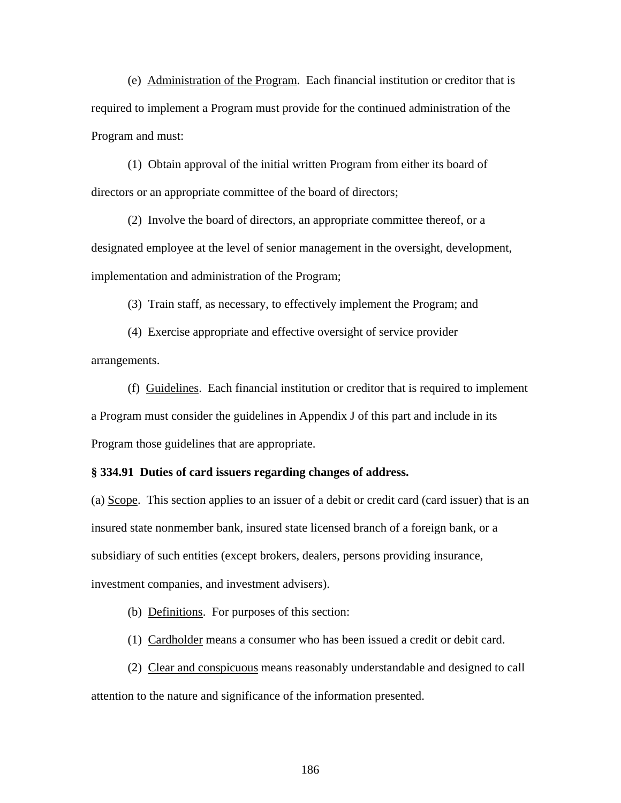(e) Administration of the Program. Each financial institution or creditor that is required to implement a Program must provide for the continued administration of the Program and must:

(1) Obtain approval of the initial written Program from either its board of directors or an appropriate committee of the board of directors;

(2) Involve the board of directors, an appropriate committee thereof, or a designated employee at the level of senior management in the oversight, development, implementation and administration of the Program;

(3) Train staff, as necessary, to effectively implement the Program; and

 (4) Exercise appropriate and effective oversight of service provider arrangements.

(f) Guidelines. Each financial institution or creditor that is required to implement a Program must consider the guidelines in Appendix J of this part and include in its Program those guidelines that are appropriate.

#### **§ 334.91 Duties of card issuers regarding changes of address.**

(a) Scope. This section applies to an issuer of a debit or credit card (card issuer) that is an insured state nonmember bank, insured state licensed branch of a foreign bank, or a subsidiary of such entities (except brokers, dealers, persons providing insurance, investment companies, and investment advisers).

(b) Definitions. For purposes of this section:

(1) Cardholder means a consumer who has been issued a credit or debit card.

(2) Clear and conspicuous means reasonably understandable and designed to call attention to the nature and significance of the information presented.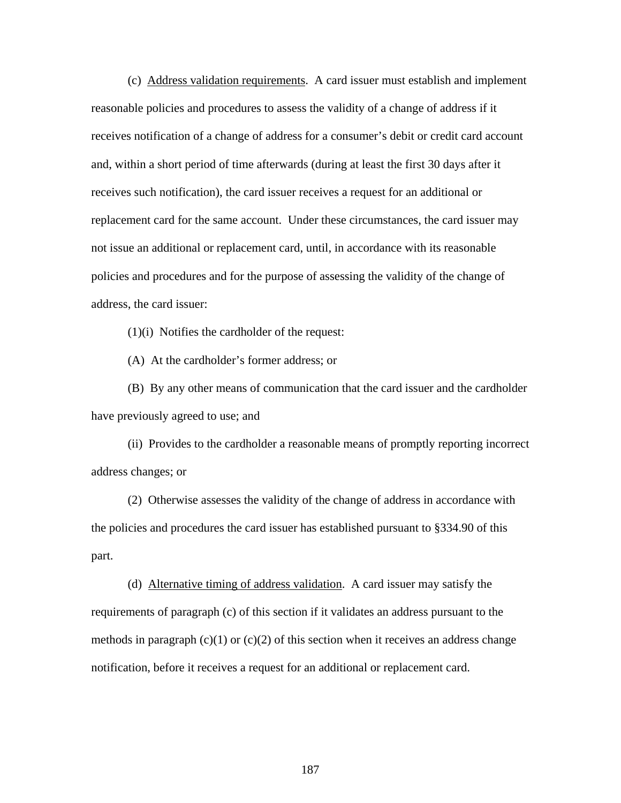(c) Address validation requirements. A card issuer must establish and implement reasonable policies and procedures to assess the validity of a change of address if it receives notification of a change of address for a consumer's debit or credit card account and, within a short period of time afterwards (during at least the first 30 days after it receives such notification), the card issuer receives a request for an additional or replacement card for the same account. Under these circumstances, the card issuer may not issue an additional or replacement card, until, in accordance with its reasonable policies and procedures and for the purpose of assessing the validity of the change of address, the card issuer:

(1)(i) Notifies the cardholder of the request:

(A) At the cardholder's former address; or

(B) By any other means of communication that the card issuer and the cardholder have previously agreed to use; and

(ii) Provides to the cardholder a reasonable means of promptly reporting incorrect address changes; or

(2) Otherwise assesses the validity of the change of address in accordance with the policies and procedures the card issuer has established pursuant to §334.90 of this part.

(d) Alternative timing of address validation. A card issuer may satisfy the requirements of paragraph (c) of this section if it validates an address pursuant to the methods in paragraph  $(c)(1)$  or  $(c)(2)$  of this section when it receives an address change notification, before it receives a request for an additional or replacement card.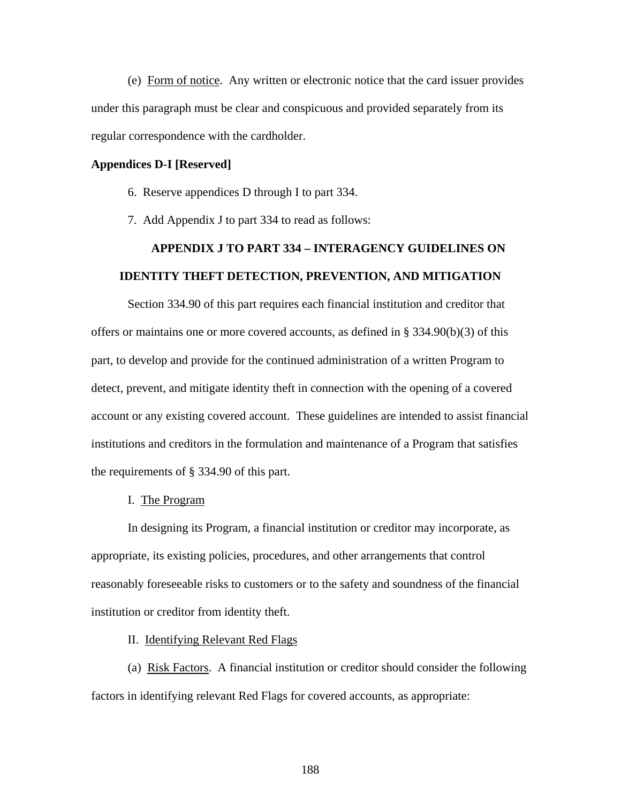(e) Form of notice. Any written or electronic notice that the card issuer provides under this paragraph must be clear and conspicuous and provided separately from its regular correspondence with the cardholder.

#### **Appendices D-I [Reserved]**

- 6. Reserve appendices D through I to part 334.
- 7. Add Appendix J to part 334 to read as follows:

# **APPENDIX J TO PART 334 – INTERAGENCY GUIDELINES ON IDENTITY THEFT DETECTION, PREVENTION, AND MITIGATION**

Section 334.90 of this part requires each financial institution and creditor that offers or maintains one or more covered accounts, as defined in  $\S$  334.90(b)(3) of this part, to develop and provide for the continued administration of a written Program to detect, prevent, and mitigate identity theft in connection with the opening of a covered account or any existing covered account. These guidelines are intended to assist financial institutions and creditors in the formulation and maintenance of a Program that satisfies the requirements of § 334.90 of this part.

#### I. The Program

In designing its Program, a financial institution or creditor may incorporate, as appropriate, its existing policies, procedures, and other arrangements that control reasonably foreseeable risks to customers or to the safety and soundness of the financial institution or creditor from identity theft.

#### II. Identifying Relevant Red Flags

(a) Risk Factors. A financial institution or creditor should consider the following factors in identifying relevant Red Flags for covered accounts, as appropriate: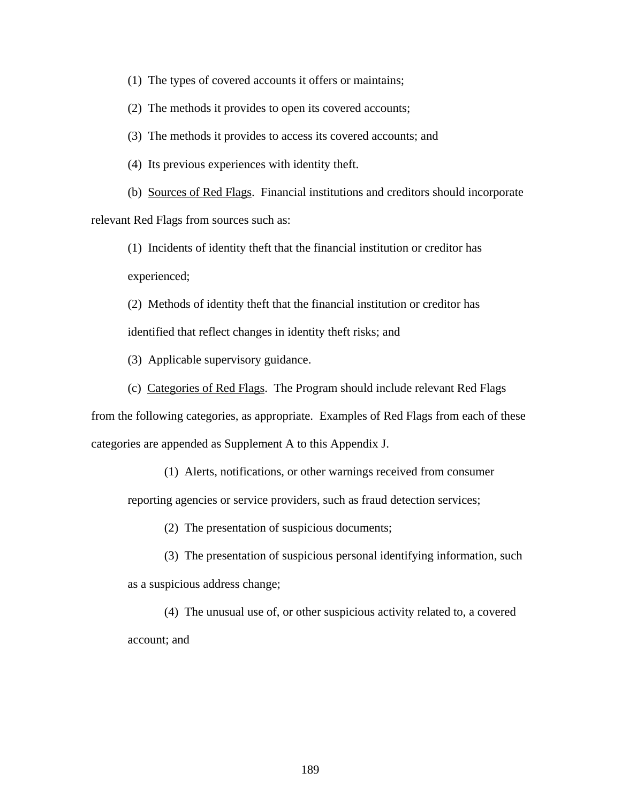(1) The types of covered accounts it offers or maintains;

(2) The methods it provides to open its covered accounts;

(3) The methods it provides to access its covered accounts; and

(4) Its previous experiences with identity theft.

(b) Sources of Red Flags. Financial institutions and creditors should incorporate relevant Red Flags from sources such as:

(1) Incidents of identity theft that the financial institution or creditor has experienced;

(2) Methods of identity theft that the financial institution or creditor has identified that reflect changes in identity theft risks; and

(3) Applicable supervisory guidance.

(c) Categories of Red Flags. The Program should include relevant Red Flags

from the following categories, as appropriate. Examples of Red Flags from each of these categories are appended as Supplement A to this Appendix J.

(1) Alerts, notifications, or other warnings received from consumer

reporting agencies or service providers, such as fraud detection services;

- (2) The presentation of suspicious documents;
- (3) The presentation of suspicious personal identifying information, such as a suspicious address change;

(4) The unusual use of, or other suspicious activity related to, a covered account; and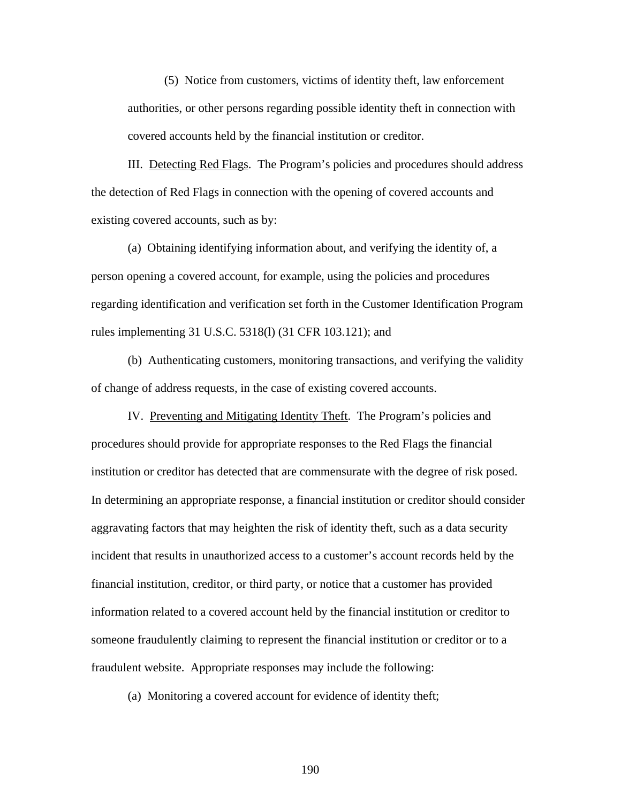(5) Notice from customers, victims of identity theft, law enforcement authorities, or other persons regarding possible identity theft in connection with covered accounts held by the financial institution or creditor.

III. Detecting Red Flags. The Program's policies and procedures should address the detection of Red Flags in connection with the opening of covered accounts and existing covered accounts, such as by:

(a) Obtaining identifying information about, and verifying the identity of, a person opening a covered account, for example, using the policies and procedures regarding identification and verification set forth in the Customer Identification Program rules implementing 31 U.S.C. 5318(l) (31 CFR 103.121); and

(b) Authenticating customers, monitoring transactions, and verifying the validity of change of address requests, in the case of existing covered accounts.

IV. Preventing and Mitigating Identity Theft. The Program's policies and procedures should provide for appropriate responses to the Red Flags the financial institution or creditor has detected that are commensurate with the degree of risk posed. In determining an appropriate response, a financial institution or creditor should consider aggravating factors that may heighten the risk of identity theft, such as a data security incident that results in unauthorized access to a customer's account records held by the financial institution, creditor, or third party, or notice that a customer has provided information related to a covered account held by the financial institution or creditor to someone fraudulently claiming to represent the financial institution or creditor or to a fraudulent website. Appropriate responses may include the following:

(a) Monitoring a covered account for evidence of identity theft;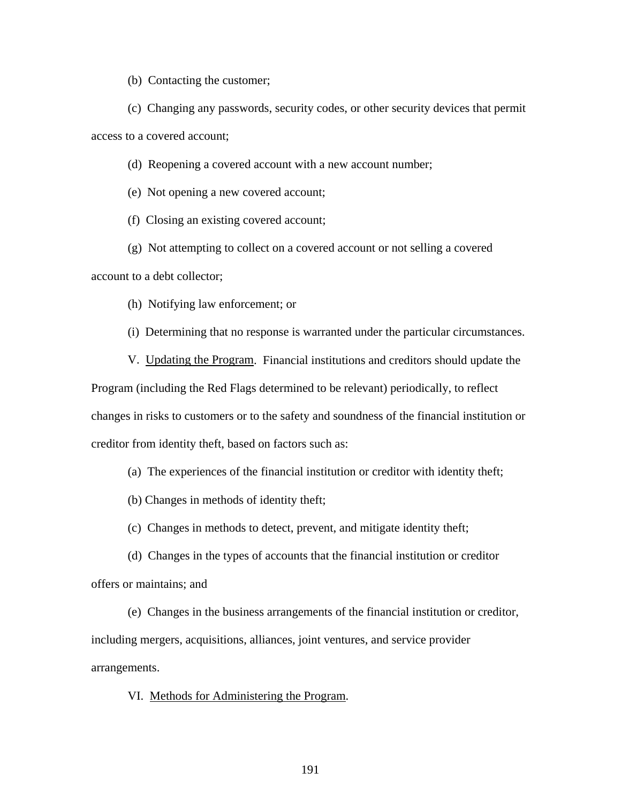(b) Contacting the customer;

(c) Changing any passwords, security codes, or other security devices that permit access to a covered account;

(d) Reopening a covered account with a new account number;

(e) Not opening a new covered account;

(f) Closing an existing covered account;

(g) Not attempting to collect on a covered account or not selling a covered account to a debt collector;

(h) Notifying law enforcement; or

(i) Determining that no response is warranted under the particular circumstances.

V. Updating the Program. Financial institutions and creditors should update the Program (including the Red Flags determined to be relevant) periodically, to reflect changes in risks to customers or to the safety and soundness of the financial institution or creditor from identity theft, based on factors such as:

(a) The experiences of the financial institution or creditor with identity theft;

(b) Changes in methods of identity theft;

(c) Changes in methods to detect, prevent, and mitigate identity theft;

(d) Changes in the types of accounts that the financial institution or creditor offers or maintains; and

(e) Changes in the business arrangements of the financial institution or creditor, including mergers, acquisitions, alliances, joint ventures, and service provider arrangements.

VI. Methods for Administering the Program.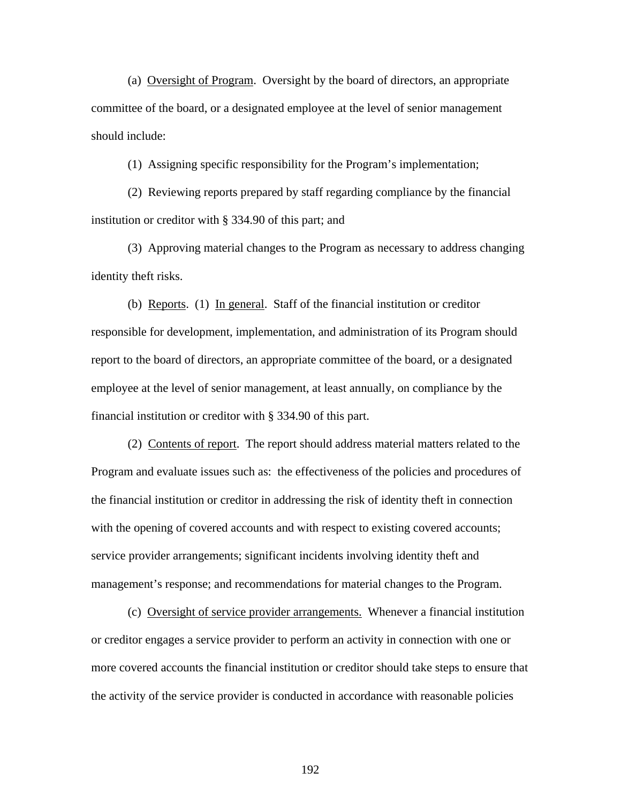(a) Oversight of Program. Oversight by the board of directors, an appropriate committee of the board, or a designated employee at the level of senior management should include:

(1) Assigning specific responsibility for the Program's implementation;

(2) Reviewing reports prepared by staff regarding compliance by the financial institution or creditor with § 334.90 of this part; and

(3) Approving material changes to the Program as necessary to address changing identity theft risks.

(b) Reports. (1) In general. Staff of the financial institution or creditor responsible for development, implementation, and administration of its Program should report to the board of directors, an appropriate committee of the board, or a designated employee at the level of senior management, at least annually, on compliance by the financial institution or creditor with § 334.90 of this part.

 (2) Contents of report. The report should address material matters related to the Program and evaluate issues such as: the effectiveness of the policies and procedures of the financial institution or creditor in addressing the risk of identity theft in connection with the opening of covered accounts and with respect to existing covered accounts; service provider arrangements; significant incidents involving identity theft and management's response; and recommendations for material changes to the Program.

 (c) Oversight of service provider arrangements. Whenever a financial institution or creditor engages a service provider to perform an activity in connection with one or more covered accounts the financial institution or creditor should take steps to ensure that the activity of the service provider is conducted in accordance with reasonable policies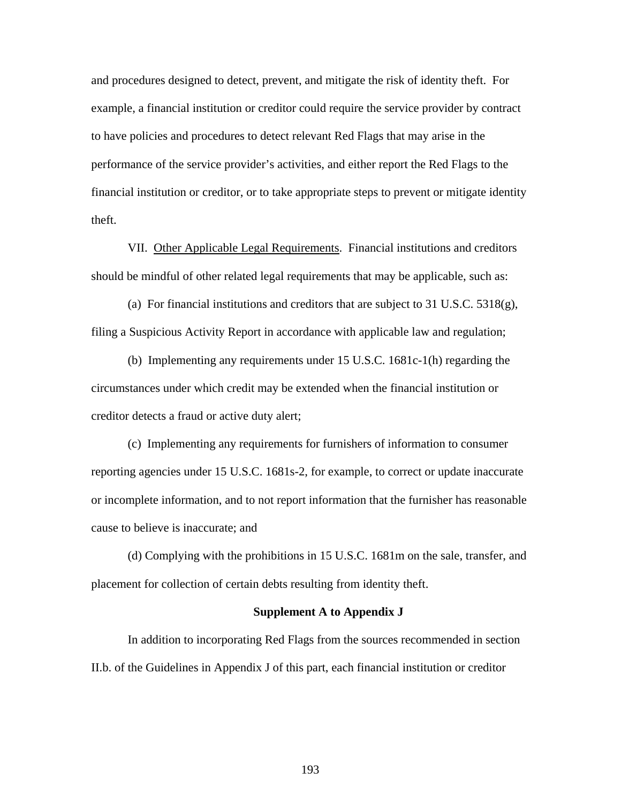and procedures designed to detect, prevent, and mitigate the risk of identity theft. For example, a financial institution or creditor could require the service provider by contract to have policies and procedures to detect relevant Red Flags that may arise in the performance of the service provider's activities, and either report the Red Flags to the financial institution or creditor, or to take appropriate steps to prevent or mitigate identity theft.

VII. Other Applicable Legal Requirements. Financial institutions and creditors should be mindful of other related legal requirements that may be applicable, such as:

(a) For financial institutions and creditors that are subject to 31 U.S.C. 5318(g), filing a Suspicious Activity Report in accordance with applicable law and regulation;

(b) Implementing any requirements under 15 U.S.C. 1681c-1(h) regarding the circumstances under which credit may be extended when the financial institution or creditor detects a fraud or active duty alert;

(c) Implementing any requirements for furnishers of information to consumer reporting agencies under 15 U.S.C. 1681s-2, for example, to correct or update inaccurate or incomplete information, and to not report information that the furnisher has reasonable cause to believe is inaccurate; and

(d) Complying with the prohibitions in 15 U.S.C. 1681m on the sale, transfer, and placement for collection of certain debts resulting from identity theft.

#### **Supplement A to Appendix J**

In addition to incorporating Red Flags from the sources recommended in section II.b. of the Guidelines in Appendix J of this part, each financial institution or creditor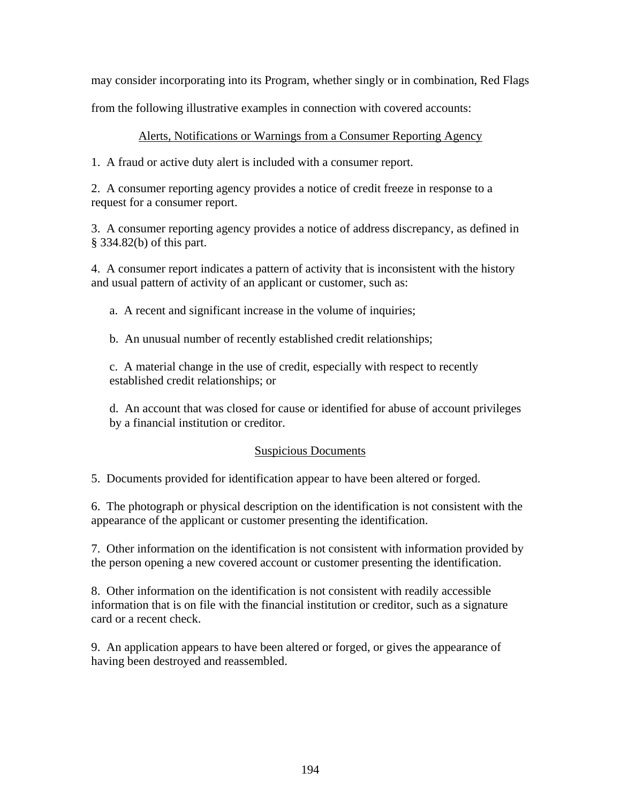may consider incorporating into its Program, whether singly or in combination, Red Flags

from the following illustrative examples in connection with covered accounts:

## Alerts, Notifications or Warnings from a Consumer Reporting Agency

1. A fraud or active duty alert is included with a consumer report.

2. A consumer reporting agency provides a notice of credit freeze in response to a request for a consumer report.

3. A consumer reporting agency provides a notice of address discrepancy, as defined in § 334.82(b) of this part.

4. A consumer report indicates a pattern of activity that is inconsistent with the history and usual pattern of activity of an applicant or customer, such as:

a. A recent and significant increase in the volume of inquiries;

b. An unusual number of recently established credit relationships;

c. A material change in the use of credit, especially with respect to recently established credit relationships; or

d. An account that was closed for cause or identified for abuse of account privileges by a financial institution or creditor.

## Suspicious Documents

5. Documents provided for identification appear to have been altered or forged.

6. The photograph or physical description on the identification is not consistent with the appearance of the applicant or customer presenting the identification.

7. Other information on the identification is not consistent with information provided by the person opening a new covered account or customer presenting the identification.

8. Other information on the identification is not consistent with readily accessible information that is on file with the financial institution or creditor, such as a signature card or a recent check.

9. An application appears to have been altered or forged, or gives the appearance of having been destroyed and reassembled.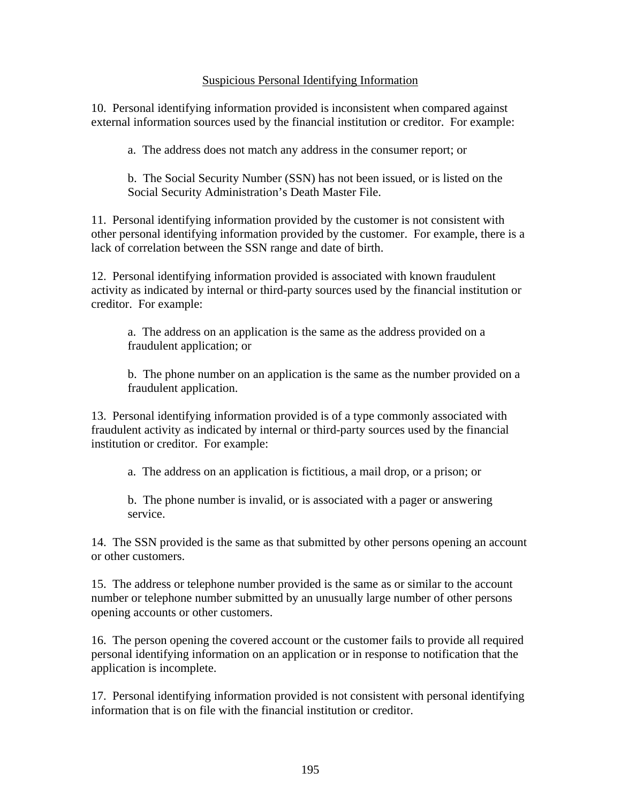## Suspicious Personal Identifying Information

10. Personal identifying information provided is inconsistent when compared against external information sources used by the financial institution or creditor. For example:

a. The address does not match any address in the consumer report; or

b. The Social Security Number (SSN) has not been issued, or is listed on the Social Security Administration's Death Master File.

11. Personal identifying information provided by the customer is not consistent with other personal identifying information provided by the customer. For example, there is a lack of correlation between the SSN range and date of birth.

12. Personal identifying information provided is associated with known fraudulent activity as indicated by internal or third-party sources used by the financial institution or creditor. For example:

a. The address on an application is the same as the address provided on a fraudulent application; or

b. The phone number on an application is the same as the number provided on a fraudulent application.

13. Personal identifying information provided is of a type commonly associated with fraudulent activity as indicated by internal or third-party sources used by the financial institution or creditor. For example:

a. The address on an application is fictitious, a mail drop, or a prison; or

b. The phone number is invalid, or is associated with a pager or answering service.

14. The SSN provided is the same as that submitted by other persons opening an account or other customers.

15. The address or telephone number provided is the same as or similar to the account number or telephone number submitted by an unusually large number of other persons opening accounts or other customers.

16. The person opening the covered account or the customer fails to provide all required personal identifying information on an application or in response to notification that the application is incomplete.

17. Personal identifying information provided is not consistent with personal identifying information that is on file with the financial institution or creditor.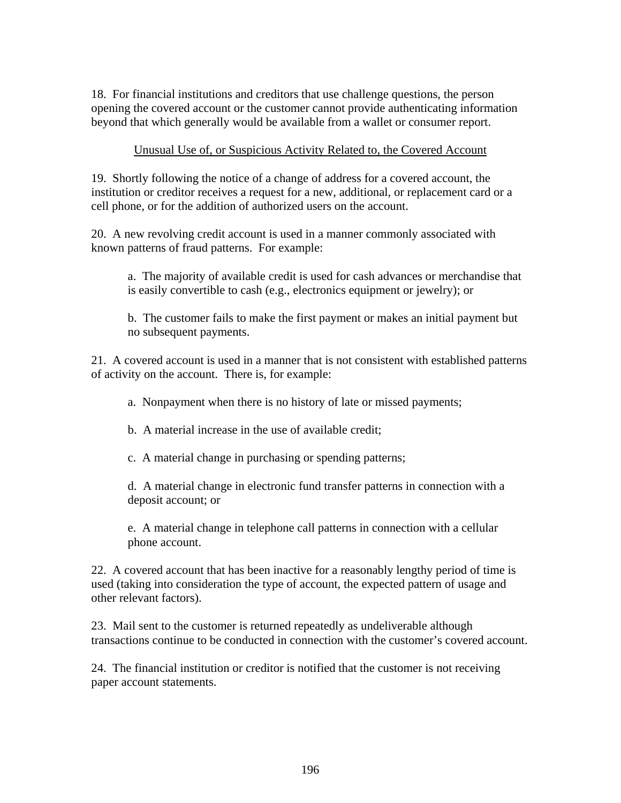18. For financial institutions and creditors that use challenge questions, the person opening the covered account or the customer cannot provide authenticating information beyond that which generally would be available from a wallet or consumer report.

## Unusual Use of, or Suspicious Activity Related to, the Covered Account

19. Shortly following the notice of a change of address for a covered account, the institution or creditor receives a request for a new, additional, or replacement card or a cell phone, or for the addition of authorized users on the account.

20. A new revolving credit account is used in a manner commonly associated with known patterns of fraud patterns. For example:

a. The majority of available credit is used for cash advances or merchandise that is easily convertible to cash (e.g., electronics equipment or jewelry); or

b. The customer fails to make the first payment or makes an initial payment but no subsequent payments.

21. A covered account is used in a manner that is not consistent with established patterns of activity on the account. There is, for example:

a. Nonpayment when there is no history of late or missed payments;

b. A material increase in the use of available credit;

c. A material change in purchasing or spending patterns;

d. A material change in electronic fund transfer patterns in connection with a deposit account; or

e. A material change in telephone call patterns in connection with a cellular phone account.

22. A covered account that has been inactive for a reasonably lengthy period of time is used (taking into consideration the type of account, the expected pattern of usage and other relevant factors).

23. Mail sent to the customer is returned repeatedly as undeliverable although transactions continue to be conducted in connection with the customer's covered account.

24. The financial institution or creditor is notified that the customer is not receiving paper account statements.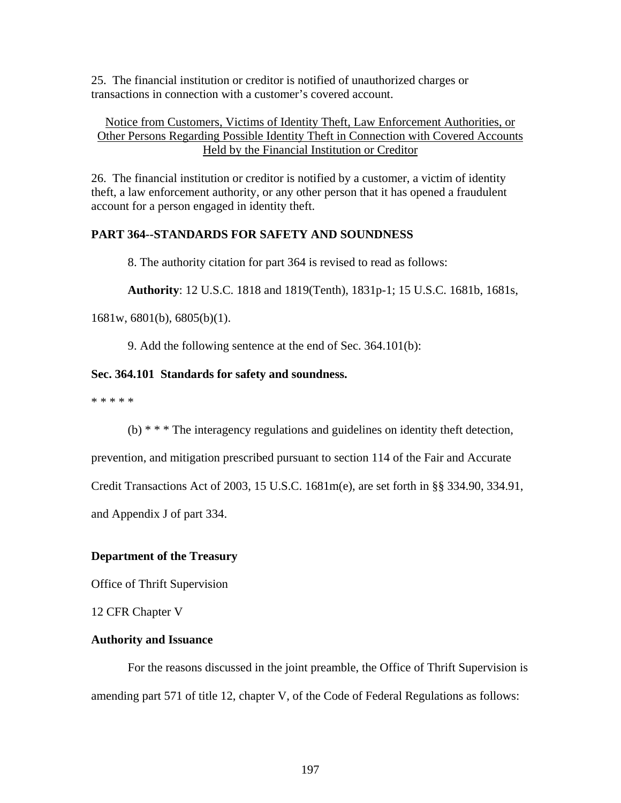25. The financial institution or creditor is notified of unauthorized charges or transactions in connection with a customer's covered account.

## Notice from Customers, Victims of Identity Theft, Law Enforcement Authorities, or Other Persons Regarding Possible Identity Theft in Connection with Covered Accounts Held by the Financial Institution or Creditor

26. The financial institution or creditor is notified by a customer, a victim of identity theft, a law enforcement authority, or any other person that it has opened a fraudulent account for a person engaged in identity theft.

# **PART 364--STANDARDS FOR SAFETY AND SOUNDNESS**

8. The authority citation for part 364 is revised to read as follows:

**Authority**: 12 U.S.C. 1818 and 1819(Tenth), 1831p-1; 15 U.S.C. 1681b, 1681s,

1681w, 6801(b), 6805(b)(1).

9. Add the following sentence at the end of Sec. 364.101(b):

## **Sec. 364.101 Standards for safety and soundness.**

\* \* \* \* \*

(b) \* \* \* The interagency regulations and guidelines on identity theft detection,

prevention, and mitigation prescribed pursuant to section 114 of the Fair and Accurate

Credit Transactions Act of 2003, 15 U.S.C. 1681m(e), are set forth in §§ 334.90, 334.91,

and Appendix J of part 334.

## **Department of the Treasury**

Office of Thrift Supervision

12 CFR Chapter V

## **Authority and Issuance**

 For the reasons discussed in the joint preamble, the Office of Thrift Supervision is amending part 571 of title 12, chapter V, of the Code of Federal Regulations as follows: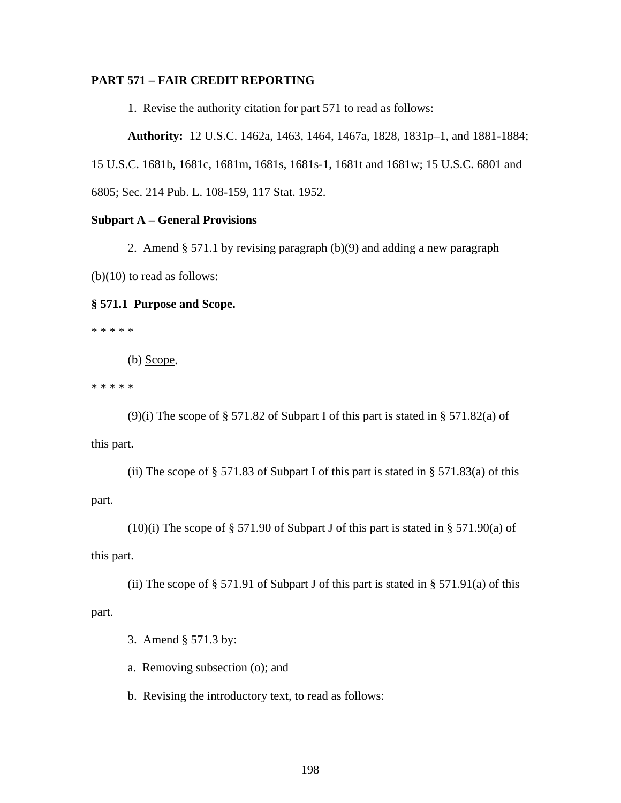## **PART 571 – FAIR CREDIT REPORTING**

1. Revise the authority citation for part 571 to read as follows:

**Authority:** 12 U.S.C. 1462a, 1463, 1464, 1467a, 1828, 1831p–1, and 1881-1884; 15 U.S.C. 1681b, 1681c, 1681m, 1681s, 1681s-1, 1681t and 1681w; 15 U.S.C. 6801 and 6805; Sec. 214 Pub. L. 108-159, 117 Stat. 1952.

## **Subpart A – General Provisions**

2. Amend § 571.1 by revising paragraph (b)(9) and adding a new paragraph (b)(10) to read as follows:

## **§ 571.1 Purpose and Scope.**

\* \* \* \* \*

(b) Scope.

\* \* \* \* \*

 (9)(i) The scope of § 571.82 of Subpart I of this part is stated in § 571.82(a) of this part.

(ii) The scope of  $\S 571.83$  of Subpart I of this part is stated in  $\S 571.83(a)$  of this part.

(10)(i) The scope of § 571.90 of Subpart J of this part is stated in § 571.90(a) of this part.

(ii) The scope of  $\S 571.91$  of Subpart J of this part is stated in  $\S 571.91(a)$  of this part.

3. Amend § 571.3 by:

a. Removing subsection (o); and

b. Revising the introductory text, to read as follows: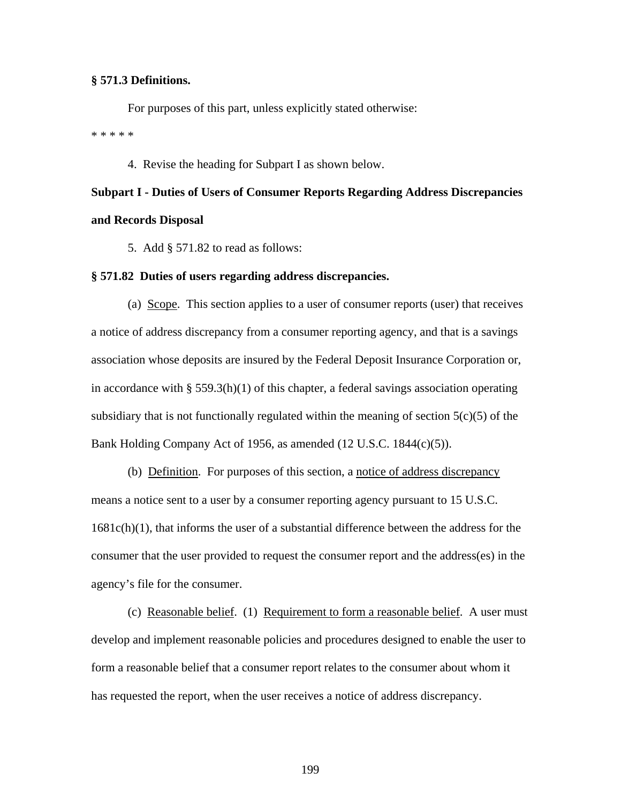#### **§ 571.3 Definitions.**

For purposes of this part, unless explicitly stated otherwise: \* \* \* \* \*

4. Revise the heading for Subpart I as shown below.

# **Subpart I - Duties of Users of Consumer Reports Regarding Address Discrepancies and Records Disposal**

5. Add § 571.82 to read as follows:

#### **§ 571.82 Duties of users regarding address discrepancies.**

(a) Scope. This section applies to a user of consumer reports (user) that receives a notice of address discrepancy from a consumer reporting agency, and that is a savings association whose deposits are insured by the Federal Deposit Insurance Corporation or, in accordance with § 559.3(h)(1) of this chapter, a federal savings association operating subsidiary that is not functionally regulated within the meaning of section  $5(c)(5)$  of the Bank Holding Company Act of 1956, as amended (12 U.S.C. 1844(c)(5)).

(b) Definition. For purposes of this section, a notice of address discrepancy means a notice sent to a user by a consumer reporting agency pursuant to 15 U.S.C. 1681c(h)(1), that informs the user of a substantial difference between the address for the consumer that the user provided to request the consumer report and the address(es) in the agency's file for the consumer.

 (c) Reasonable belief. (1) Requirement to form a reasonable belief. A user must develop and implement reasonable policies and procedures designed to enable the user to form a reasonable belief that a consumer report relates to the consumer about whom it has requested the report, when the user receives a notice of address discrepancy.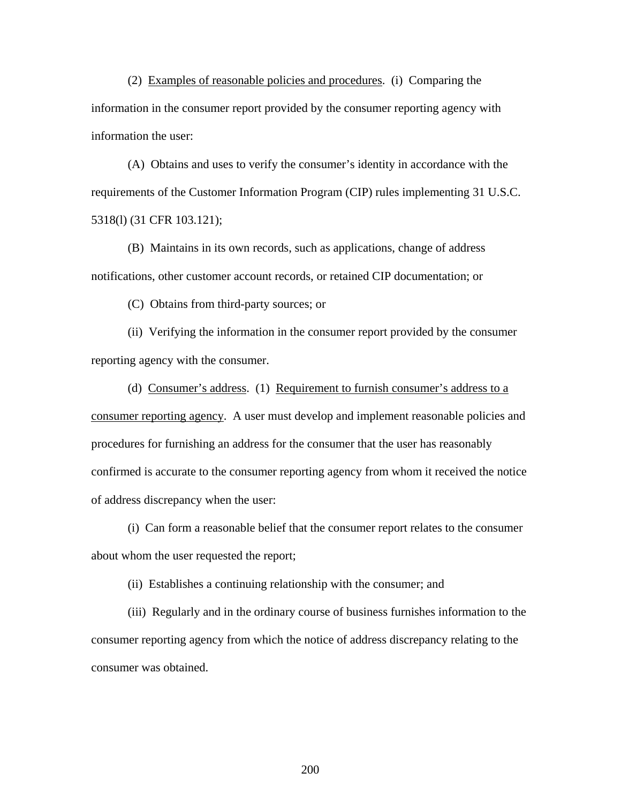(2) Examples of reasonable policies and procedures. (i) Comparing the information in the consumer report provided by the consumer reporting agency with information the user:

 (A) Obtains and uses to verify the consumer's identity in accordance with the requirements of the Customer Information Program (CIP) rules implementing 31 U.S.C. 5318(l) (31 CFR 103.121);

 (B) Maintains in its own records, such as applications, change of address notifications, other customer account records, or retained CIP documentation; or

(C) Obtains from third-party sources; or

 (ii) Verifying the information in the consumer report provided by the consumer reporting agency with the consumer.

 (d) Consumer's address. (1) Requirement to furnish consumer's address to a consumer reporting agency. A user must develop and implement reasonable policies and procedures for furnishing an address for the consumer that the user has reasonably confirmed is accurate to the consumer reporting agency from whom it received the notice of address discrepancy when the user:

 (i) Can form a reasonable belief that the consumer report relates to the consumer about whom the user requested the report;

(ii) Establishes a continuing relationship with the consumer; and

(iii) Regularly and in the ordinary course of business furnishes information to the consumer reporting agency from which the notice of address discrepancy relating to the consumer was obtained.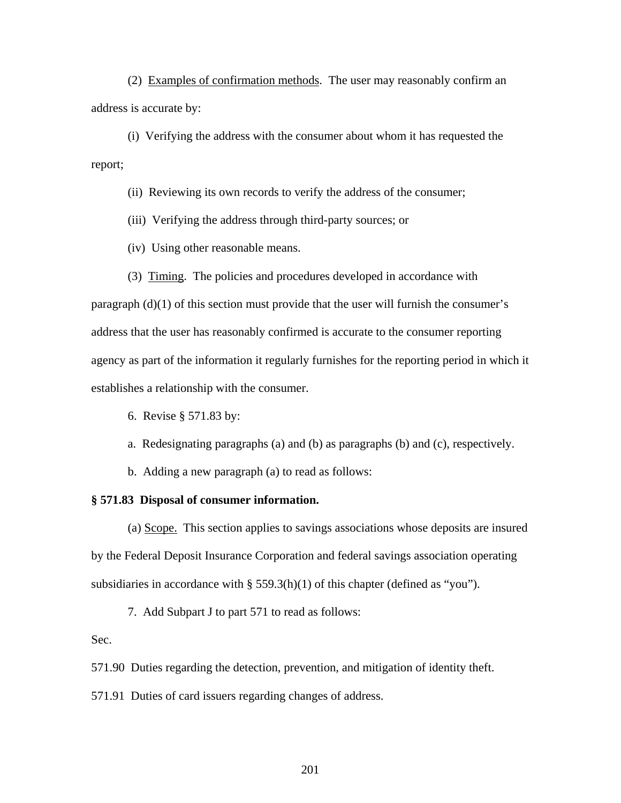(2) Examples of confirmation methods. The user may reasonably confirm an address is accurate by:

(i) Verifying the address with the consumer about whom it has requested the report;

(ii) Reviewing its own records to verify the address of the consumer;

(iii) Verifying the address through third-party sources; or

(iv) Using other reasonable means.

(3) Timing. The policies and procedures developed in accordance with

paragraph (d)(1) of this section must provide that the user will furnish the consumer's address that the user has reasonably confirmed is accurate to the consumer reporting agency as part of the information it regularly furnishes for the reporting period in which it establishes a relationship with the consumer.

- 6. Revise § 571.83 by:
- a. Redesignating paragraphs (a) and (b) as paragraphs (b) and (c), respectively.

b. Adding a new paragraph (a) to read as follows:

#### **§ 571.83 Disposal of consumer information.**

 (a) Scope. This section applies to savings associations whose deposits are insured by the Federal Deposit Insurance Corporation and federal savings association operating subsidiaries in accordance with  $\S$  559.3(h)(1) of this chapter (defined as "you").

7. Add Subpart J to part 571 to read as follows:

## Sec.

571.90 Duties regarding the detection, prevention, and mitigation of identity theft.

571.91 Duties of card issuers regarding changes of address.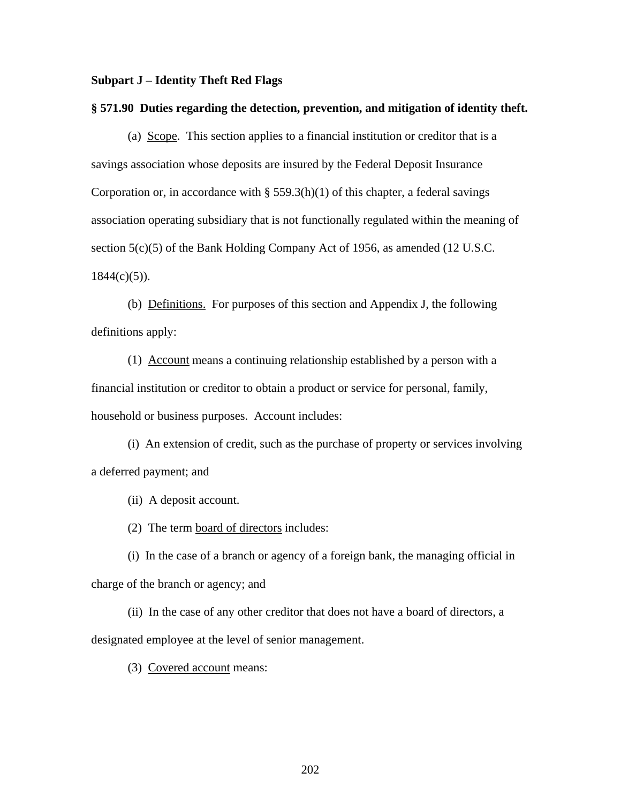#### **Subpart J – Identity Theft Red Flags**

#### **§ 571.90 Duties regarding the detection, prevention, and mitigation of identity theft.**

(a) Scope. This section applies to a financial institution or creditor that is a savings association whose deposits are insured by the Federal Deposit Insurance Corporation or, in accordance with  $\S$  559.3(h)(1) of this chapter, a federal savings association operating subsidiary that is not functionally regulated within the meaning of section 5(c)(5) of the Bank Holding Company Act of 1956, as amended (12 U.S.C.  $1844(c)(5)$ ).

(b) Definitions. For purposes of this section and Appendix J, the following definitions apply:

(1) Account means a continuing relationship established by a person with a financial institution or creditor to obtain a product or service for personal, family, household or business purposes. Account includes:

(i) An extension of credit, such as the purchase of property or services involving a deferred payment; and

(ii) A deposit account.

(2) The term board of directors includes:

(i) In the case of a branch or agency of a foreign bank, the managing official in charge of the branch or agency; and

(ii) In the case of any other creditor that does not have a board of directors, a designated employee at the level of senior management.

(3) Covered account means: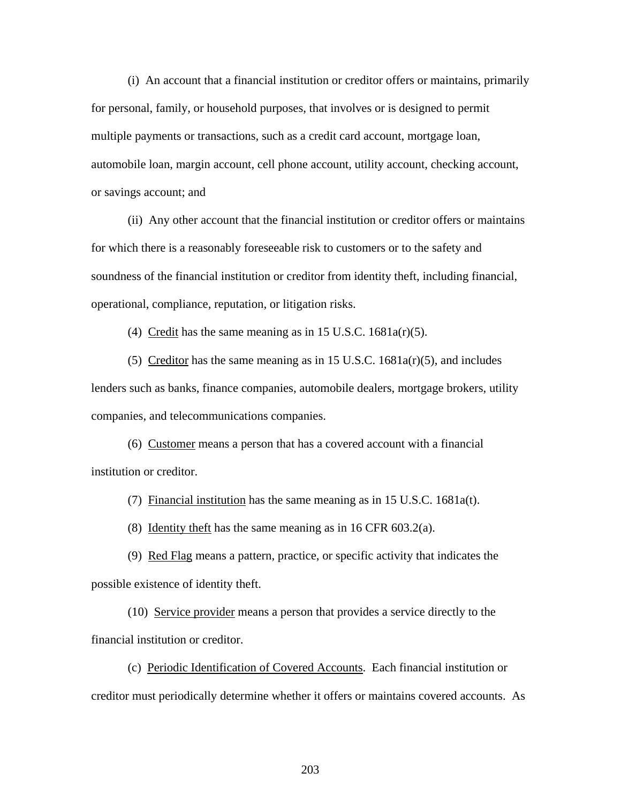(i) An account that a financial institution or creditor offers or maintains, primarily for personal, family, or household purposes, that involves or is designed to permit multiple payments or transactions, such as a credit card account, mortgage loan, automobile loan, margin account, cell phone account, utility account, checking account, or savings account; and

(ii) Any other account that the financial institution or creditor offers or maintains for which there is a reasonably foreseeable risk to customers or to the safety and soundness of the financial institution or creditor from identity theft, including financial, operational, compliance, reputation, or litigation risks.

(4) Credit has the same meaning as in 15 U.S.C.  $1681a(r)(5)$ .

(5) Creditor has the same meaning as in 15 U.S.C.  $1681a(r)(5)$ , and includes lenders such as banks, finance companies, automobile dealers, mortgage brokers, utility companies, and telecommunications companies.

(6) Customer means a person that has a covered account with a financial institution or creditor.

(7) Financial institution has the same meaning as in 15 U.S.C. 1681a(t).

(8) Identity theft has the same meaning as in 16 CFR 603.2(a).

(9) Red Flag means a pattern, practice, or specific activity that indicates the possible existence of identity theft.

(10) Service provider means a person that provides a service directly to the financial institution or creditor.

(c) Periodic Identification of Covered Accounts. Each financial institution or creditor must periodically determine whether it offers or maintains covered accounts. As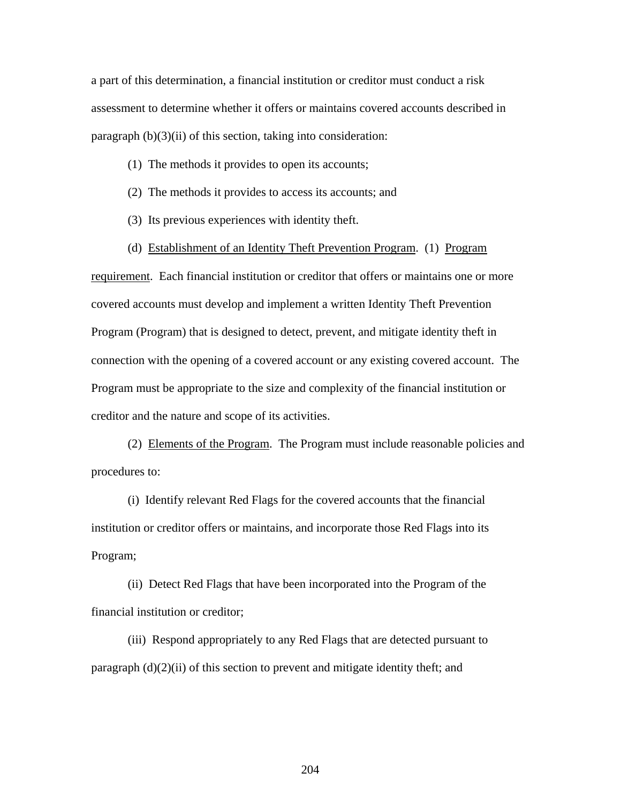a part of this determination, a financial institution or creditor must conduct a risk assessment to determine whether it offers or maintains covered accounts described in paragraph  $(b)(3)(ii)$  of this section, taking into consideration:

- (1) The methods it provides to open its accounts;
- (2) The methods it provides to access its accounts; and
- (3) Its previous experiences with identity theft.
- (d) Establishment of an Identity Theft Prevention Program. (1) Program

requirement. Each financial institution or creditor that offers or maintains one or more covered accounts must develop and implement a written Identity Theft Prevention Program (Program) that is designed to detect, prevent, and mitigate identity theft in connection with the opening of a covered account or any existing covered account. The Program must be appropriate to the size and complexity of the financial institution or creditor and the nature and scope of its activities.

(2) Elements of the Program. The Program must include reasonable policies and procedures to:

(i) Identify relevant Red Flags for the covered accounts that the financial institution or creditor offers or maintains, and incorporate those Red Flags into its Program;

(ii) Detect Red Flags that have been incorporated into the Program of the financial institution or creditor;

(iii) Respond appropriately to any Red Flags that are detected pursuant to paragraph  $(d)(2)(ii)$  of this section to prevent and mitigate identity theft; and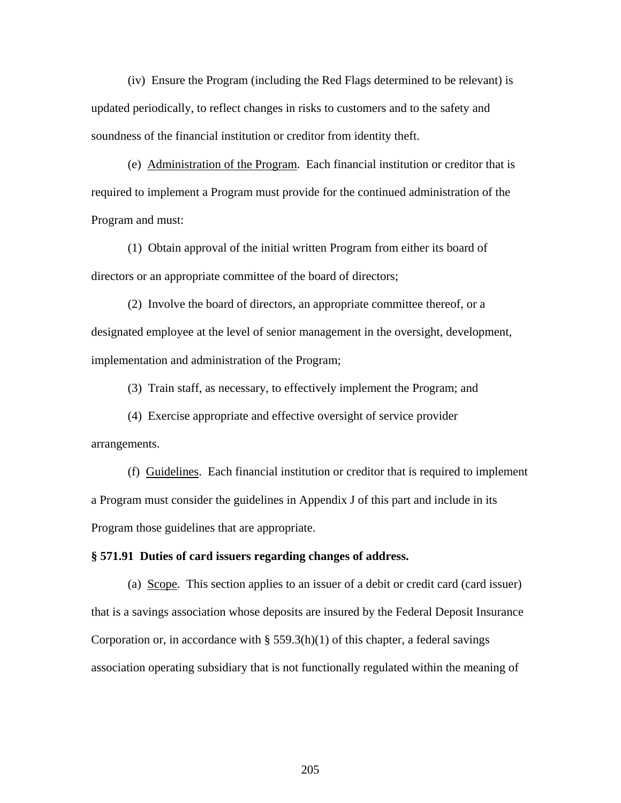(iv) Ensure the Program (including the Red Flags determined to be relevant) is updated periodically, to reflect changes in risks to customers and to the safety and soundness of the financial institution or creditor from identity theft.

 (e) Administration of the Program. Each financial institution or creditor that is required to implement a Program must provide for the continued administration of the Program and must:

(1) Obtain approval of the initial written Program from either its board of directors or an appropriate committee of the board of directors;

(2) Involve the board of directors, an appropriate committee thereof, or a designated employee at the level of senior management in the oversight, development, implementation and administration of the Program;

(3) Train staff, as necessary, to effectively implement the Program; and

 (4) Exercise appropriate and effective oversight of service provider arrangements.

(f) Guidelines. Each financial institution or creditor that is required to implement a Program must consider the guidelines in Appendix J of this part and include in its Program those guidelines that are appropriate.

#### **§ 571.91 Duties of card issuers regarding changes of address.**

(a) Scope. This section applies to an issuer of a debit or credit card (card issuer) that is a savings association whose deposits are insured by the Federal Deposit Insurance Corporation or, in accordance with  $\S$  559.3(h)(1) of this chapter, a federal savings association operating subsidiary that is not functionally regulated within the meaning of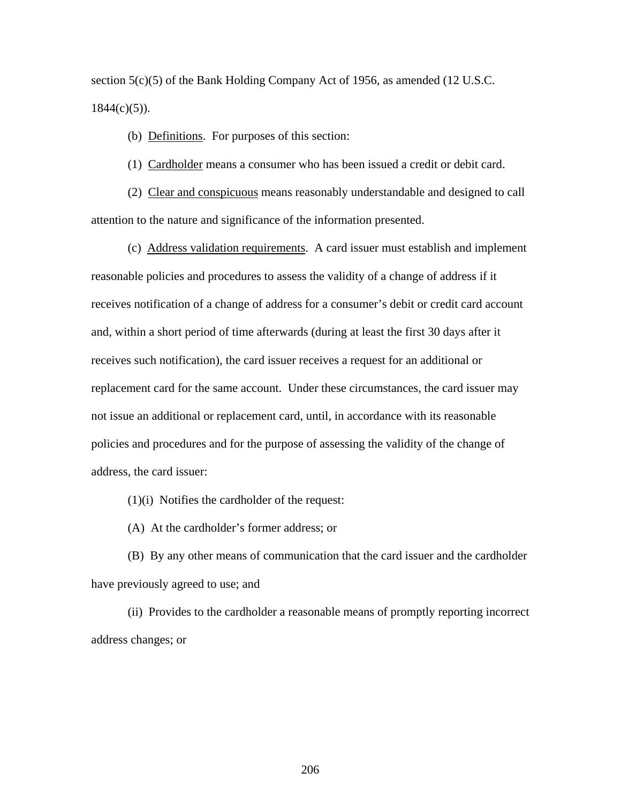section 5(c)(5) of the Bank Holding Company Act of 1956, as amended (12 U.S.C.  $1844(c)(5)$ ).

(b) Definitions. For purposes of this section:

(1) Cardholder means a consumer who has been issued a credit or debit card.

(2) Clear and conspicuous means reasonably understandable and designed to call attention to the nature and significance of the information presented.

(c) Address validation requirements. A card issuer must establish and implement reasonable policies and procedures to assess the validity of a change of address if it receives notification of a change of address for a consumer's debit or credit card account and, within a short period of time afterwards (during at least the first 30 days after it receives such notification), the card issuer receives a request for an additional or replacement card for the same account. Under these circumstances, the card issuer may not issue an additional or replacement card, until, in accordance with its reasonable policies and procedures and for the purpose of assessing the validity of the change of address, the card issuer:

(1)(i) Notifies the cardholder of the request:

(A) At the cardholder's former address; or

(B) By any other means of communication that the card issuer and the cardholder have previously agreed to use; and

(ii) Provides to the cardholder a reasonable means of promptly reporting incorrect address changes; or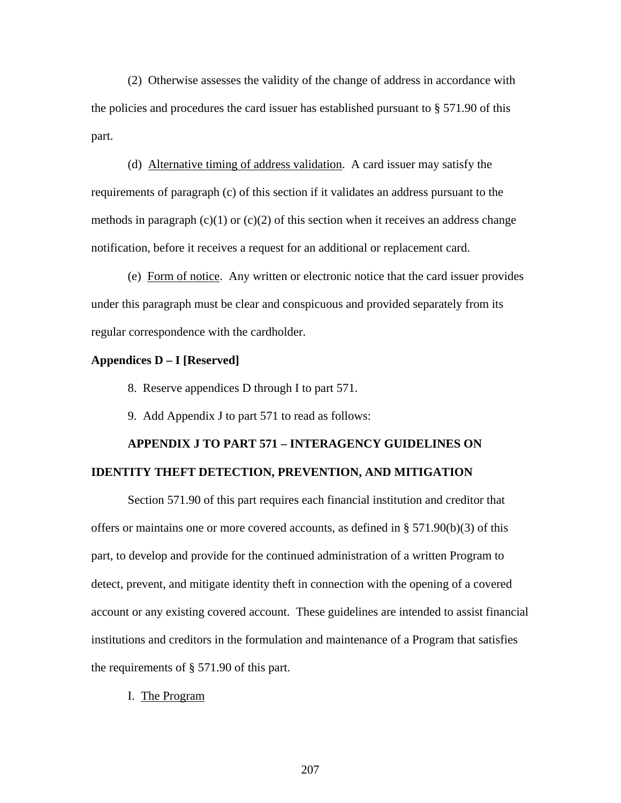(2) Otherwise assesses the validity of the change of address in accordance with the policies and procedures the card issuer has established pursuant to § 571.90 of this part.

(d) Alternative timing of address validation. A card issuer may satisfy the requirements of paragraph (c) of this section if it validates an address pursuant to the methods in paragraph  $(c)(1)$  or  $(c)(2)$  of this section when it receives an address change notification, before it receives a request for an additional or replacement card.

(e) Form of notice. Any written or electronic notice that the card issuer provides under this paragraph must be clear and conspicuous and provided separately from its regular correspondence with the cardholder.

#### **Appendices D – I [Reserved]**

8. Reserve appendices D through I to part 571.

9. Add Appendix J to part 571 to read as follows:

# **APPENDIX J TO PART 571 – INTERAGENCY GUIDELINES ON IDENTITY THEFT DETECTION, PREVENTION, AND MITIGATION**

Section 571.90 of this part requires each financial institution and creditor that offers or maintains one or more covered accounts, as defined in  $\S$  571.90(b)(3) of this part, to develop and provide for the continued administration of a written Program to detect, prevent, and mitigate identity theft in connection with the opening of a covered account or any existing covered account. These guidelines are intended to assist financial institutions and creditors in the formulation and maintenance of a Program that satisfies the requirements of § 571.90 of this part.

I. The Program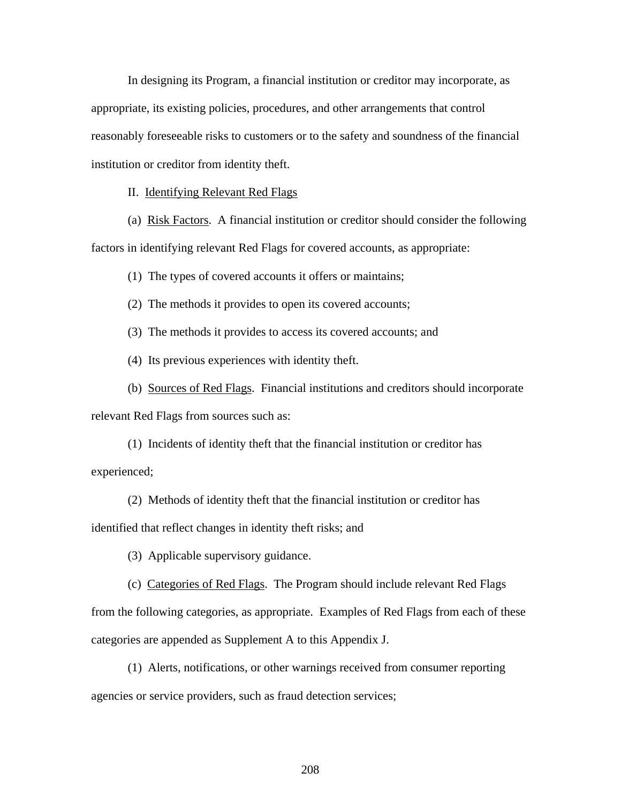In designing its Program, a financial institution or creditor may incorporate, as appropriate, its existing policies, procedures, and other arrangements that control reasonably foreseeable risks to customers or to the safety and soundness of the financial institution or creditor from identity theft.

II. Identifying Relevant Red Flags

(a) Risk Factors. A financial institution or creditor should consider the following

factors in identifying relevant Red Flags for covered accounts, as appropriate:

(1) The types of covered accounts it offers or maintains;

(2) The methods it provides to open its covered accounts;

(3) The methods it provides to access its covered accounts; and

(4) Its previous experiences with identity theft.

(b) Sources of Red Flags. Financial institutions and creditors should incorporate

relevant Red Flags from sources such as:

(1) Incidents of identity theft that the financial institution or creditor has experienced;

(2) Methods of identity theft that the financial institution or creditor has identified that reflect changes in identity theft risks; and

(3) Applicable supervisory guidance.

(c) Categories of Red Flags. The Program should include relevant Red Flags from the following categories, as appropriate. Examples of Red Flags from each of these categories are appended as Supplement A to this Appendix J.

(1) Alerts, notifications, or other warnings received from consumer reporting agencies or service providers, such as fraud detection services;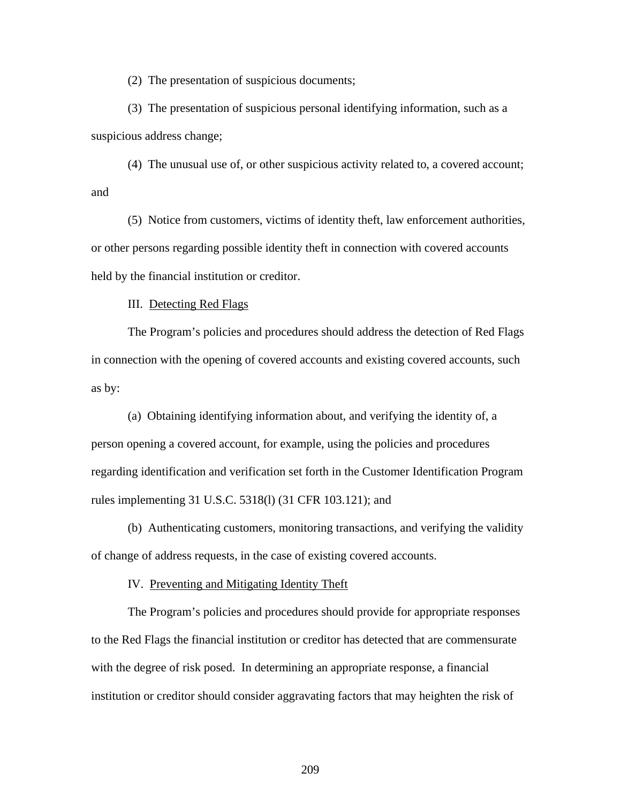(2) The presentation of suspicious documents;

(3) The presentation of suspicious personal identifying information, such as a suspicious address change;

(4) The unusual use of, or other suspicious activity related to, a covered account; and

(5) Notice from customers, victims of identity theft, law enforcement authorities, or other persons regarding possible identity theft in connection with covered accounts held by the financial institution or creditor.

III. Detecting Red Flags

The Program's policies and procedures should address the detection of Red Flags in connection with the opening of covered accounts and existing covered accounts, such as by:

(a) Obtaining identifying information about, and verifying the identity of, a person opening a covered account, for example, using the policies and procedures regarding identification and verification set forth in the Customer Identification Program rules implementing 31 U.S.C. 5318(l) (31 CFR 103.121); and

(b) Authenticating customers, monitoring transactions, and verifying the validity of change of address requests, in the case of existing covered accounts.

IV. Preventing and Mitigating Identity Theft

The Program's policies and procedures should provide for appropriate responses to the Red Flags the financial institution or creditor has detected that are commensurate with the degree of risk posed. In determining an appropriate response, a financial institution or creditor should consider aggravating factors that may heighten the risk of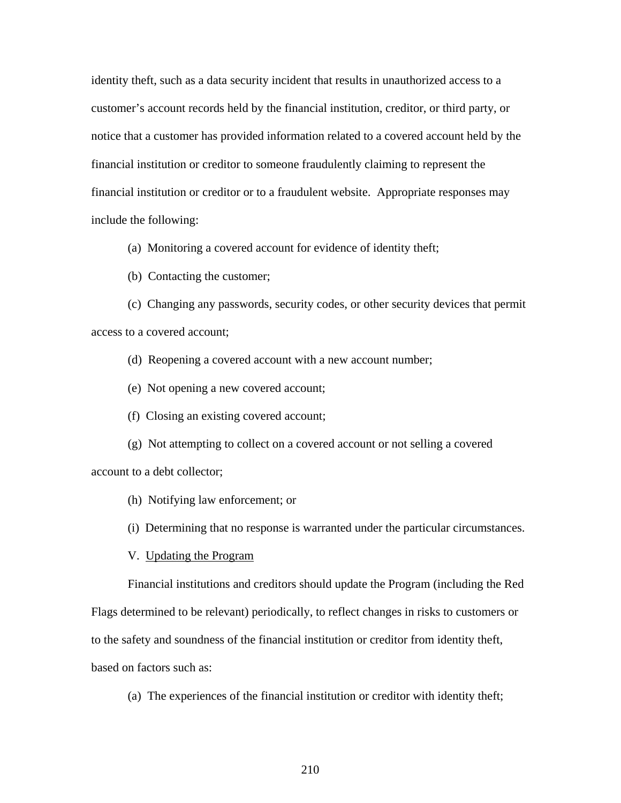identity theft, such as a data security incident that results in unauthorized access to a customer's account records held by the financial institution, creditor, or third party, or notice that a customer has provided information related to a covered account held by the financial institution or creditor to someone fraudulently claiming to represent the financial institution or creditor or to a fraudulent website. Appropriate responses may include the following:

(a) Monitoring a covered account for evidence of identity theft;

(b) Contacting the customer;

(c) Changing any passwords, security codes, or other security devices that permit access to a covered account;

(d) Reopening a covered account with a new account number;

(e) Not opening a new covered account;

(f) Closing an existing covered account;

(g) Not attempting to collect on a covered account or not selling a covered account to a debt collector;

(h) Notifying law enforcement; or

(i) Determining that no response is warranted under the particular circumstances.

V. Updating the Program

Financial institutions and creditors should update the Program (including the Red

Flags determined to be relevant) periodically, to reflect changes in risks to customers or

to the safety and soundness of the financial institution or creditor from identity theft,

based on factors such as:

(a) The experiences of the financial institution or creditor with identity theft;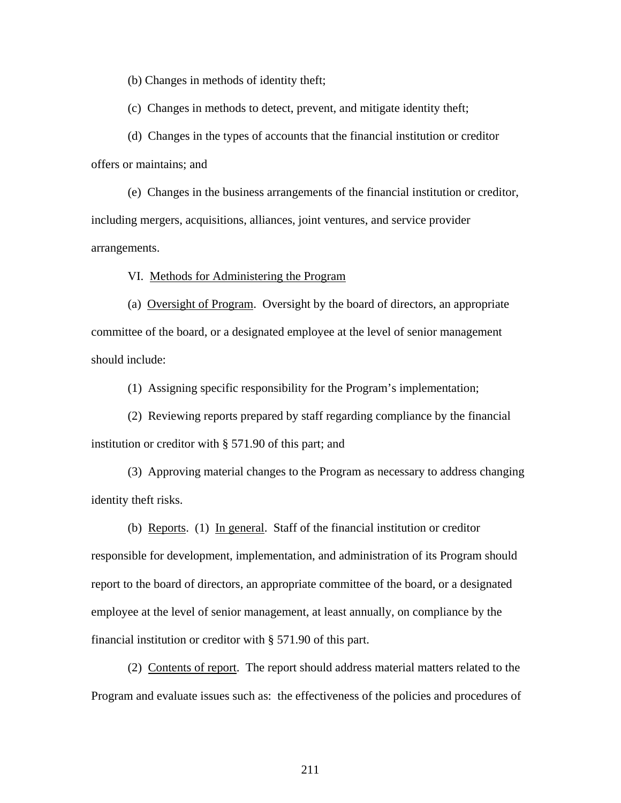(b) Changes in methods of identity theft;

(c) Changes in methods to detect, prevent, and mitigate identity theft;

(d) Changes in the types of accounts that the financial institution or creditor offers or maintains; and

(e) Changes in the business arrangements of the financial institution or creditor, including mergers, acquisitions, alliances, joint ventures, and service provider arrangements.

VI. Methods for Administering the Program

(a) Oversight of Program. Oversight by the board of directors, an appropriate committee of the board, or a designated employee at the level of senior management should include:

(1) Assigning specific responsibility for the Program's implementation;

(2) Reviewing reports prepared by staff regarding compliance by the financial institution or creditor with § 571.90 of this part; and

(3) Approving material changes to the Program as necessary to address changing identity theft risks.

(b) Reports. (1) In general. Staff of the financial institution or creditor responsible for development, implementation, and administration of its Program should report to the board of directors, an appropriate committee of the board, or a designated employee at the level of senior management, at least annually, on compliance by the financial institution or creditor with § 571.90 of this part.

 (2) Contents of report. The report should address material matters related to the Program and evaluate issues such as: the effectiveness of the policies and procedures of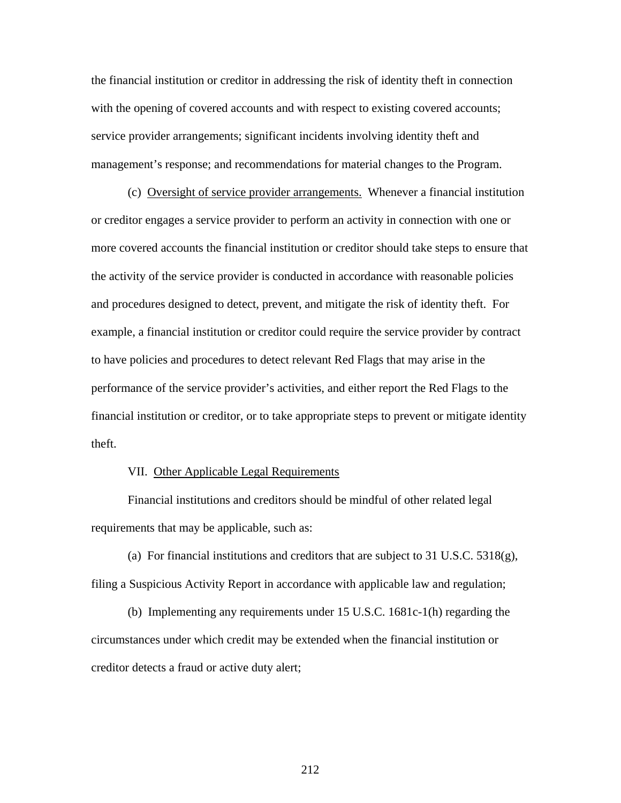the financial institution or creditor in addressing the risk of identity theft in connection with the opening of covered accounts and with respect to existing covered accounts; service provider arrangements; significant incidents involving identity theft and management's response; and recommendations for material changes to the Program.

 (c) Oversight of service provider arrangements. Whenever a financial institution or creditor engages a service provider to perform an activity in connection with one or more covered accounts the financial institution or creditor should take steps to ensure that the activity of the service provider is conducted in accordance with reasonable policies and procedures designed to detect, prevent, and mitigate the risk of identity theft. For example, a financial institution or creditor could require the service provider by contract to have policies and procedures to detect relevant Red Flags that may arise in the performance of the service provider's activities, and either report the Red Flags to the financial institution or creditor, or to take appropriate steps to prevent or mitigate identity theft.

#### VII. Other Applicable Legal Requirements

Financial institutions and creditors should be mindful of other related legal requirements that may be applicable, such as:

(a) For financial institutions and creditors that are subject to 31 U.S.C.  $5318(g)$ , filing a Suspicious Activity Report in accordance with applicable law and regulation;

(b) Implementing any requirements under 15 U.S.C. 1681c-1(h) regarding the circumstances under which credit may be extended when the financial institution or creditor detects a fraud or active duty alert;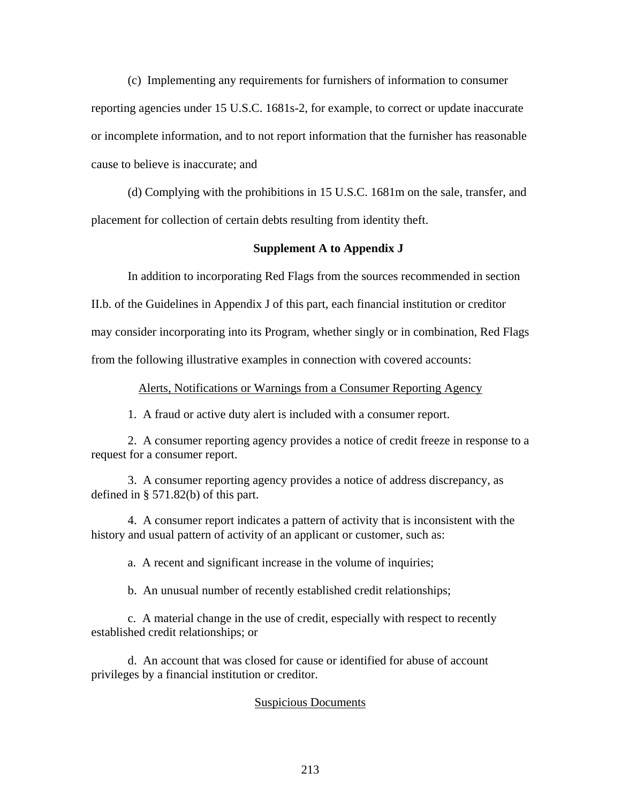(c) Implementing any requirements for furnishers of information to consumer reporting agencies under 15 U.S.C. 1681s-2, for example, to correct or update inaccurate or incomplete information, and to not report information that the furnisher has reasonable cause to believe is inaccurate; and

(d) Complying with the prohibitions in 15 U.S.C. 1681m on the sale, transfer, and placement for collection of certain debts resulting from identity theft.

### **Supplement A to Appendix J**

In addition to incorporating Red Flags from the sources recommended in section

II.b. of the Guidelines in Appendix J of this part, each financial institution or creditor

may consider incorporating into its Program, whether singly or in combination, Red Flags

from the following illustrative examples in connection with covered accounts:

Alerts, Notifications or Warnings from a Consumer Reporting Agency

1. A fraud or active duty alert is included with a consumer report.

2. A consumer reporting agency provides a notice of credit freeze in response to a request for a consumer report.

3. A consumer reporting agency provides a notice of address discrepancy, as defined in § 571.82(b) of this part.

4. A consumer report indicates a pattern of activity that is inconsistent with the history and usual pattern of activity of an applicant or customer, such as:

a. A recent and significant increase in the volume of inquiries;

b. An unusual number of recently established credit relationships;

c. A material change in the use of credit, especially with respect to recently established credit relationships; or

d. An account that was closed for cause or identified for abuse of account privileges by a financial institution or creditor.

## Suspicious Documents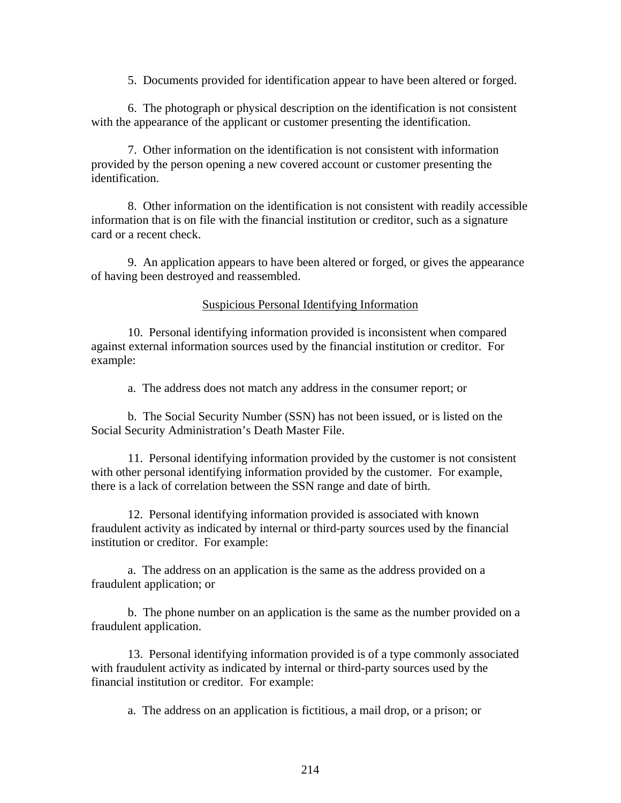5. Documents provided for identification appear to have been altered or forged.

6. The photograph or physical description on the identification is not consistent with the appearance of the applicant or customer presenting the identification.

7. Other information on the identification is not consistent with information provided by the person opening a new covered account or customer presenting the identification.

8. Other information on the identification is not consistent with readily accessible information that is on file with the financial institution or creditor, such as a signature card or a recent check.

9. An application appears to have been altered or forged, or gives the appearance of having been destroyed and reassembled.

Suspicious Personal Identifying Information

10. Personal identifying information provided is inconsistent when compared against external information sources used by the financial institution or creditor. For example:

a. The address does not match any address in the consumer report; or

b. The Social Security Number (SSN) has not been issued, or is listed on the Social Security Administration's Death Master File.

11. Personal identifying information provided by the customer is not consistent with other personal identifying information provided by the customer. For example, there is a lack of correlation between the SSN range and date of birth.

12. Personal identifying information provided is associated with known fraudulent activity as indicated by internal or third-party sources used by the financial institution or creditor. For example:

a. The address on an application is the same as the address provided on a fraudulent application; or

b. The phone number on an application is the same as the number provided on a fraudulent application.

13. Personal identifying information provided is of a type commonly associated with fraudulent activity as indicated by internal or third-party sources used by the financial institution or creditor. For example:

a. The address on an application is fictitious, a mail drop, or a prison; or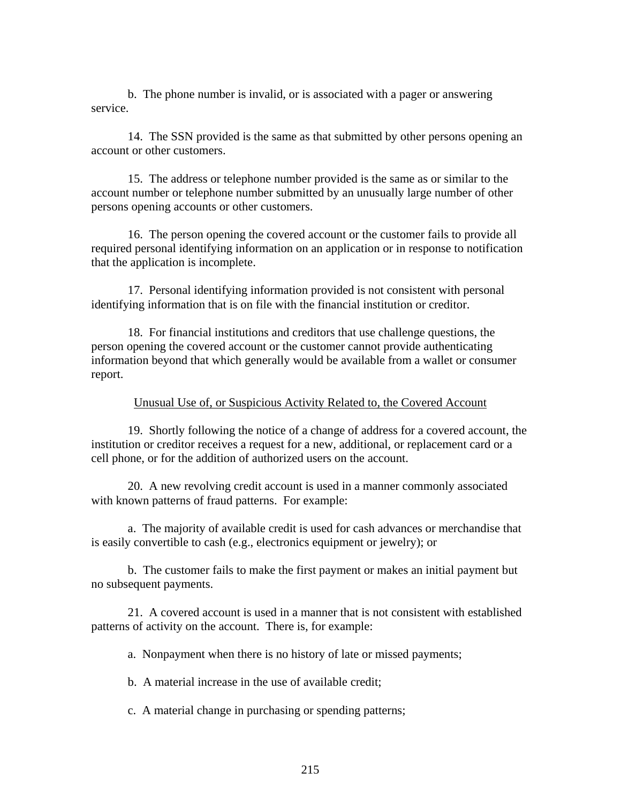b. The phone number is invalid, or is associated with a pager or answering service.

14. The SSN provided is the same as that submitted by other persons opening an account or other customers.

15. The address or telephone number provided is the same as or similar to the account number or telephone number submitted by an unusually large number of other persons opening accounts or other customers.

16. The person opening the covered account or the customer fails to provide all required personal identifying information on an application or in response to notification that the application is incomplete.

17. Personal identifying information provided is not consistent with personal identifying information that is on file with the financial institution or creditor.

18. For financial institutions and creditors that use challenge questions, the person opening the covered account or the customer cannot provide authenticating information beyond that which generally would be available from a wallet or consumer report.

### Unusual Use of, or Suspicious Activity Related to, the Covered Account

19. Shortly following the notice of a change of address for a covered account, the institution or creditor receives a request for a new, additional, or replacement card or a cell phone, or for the addition of authorized users on the account.

20. A new revolving credit account is used in a manner commonly associated with known patterns of fraud patterns. For example:

a. The majority of available credit is used for cash advances or merchandise that is easily convertible to cash (e.g., electronics equipment or jewelry); or

b. The customer fails to make the first payment or makes an initial payment but no subsequent payments.

21. A covered account is used in a manner that is not consistent with established patterns of activity on the account. There is, for example:

a. Nonpayment when there is no history of late or missed payments;

b. A material increase in the use of available credit;

c. A material change in purchasing or spending patterns;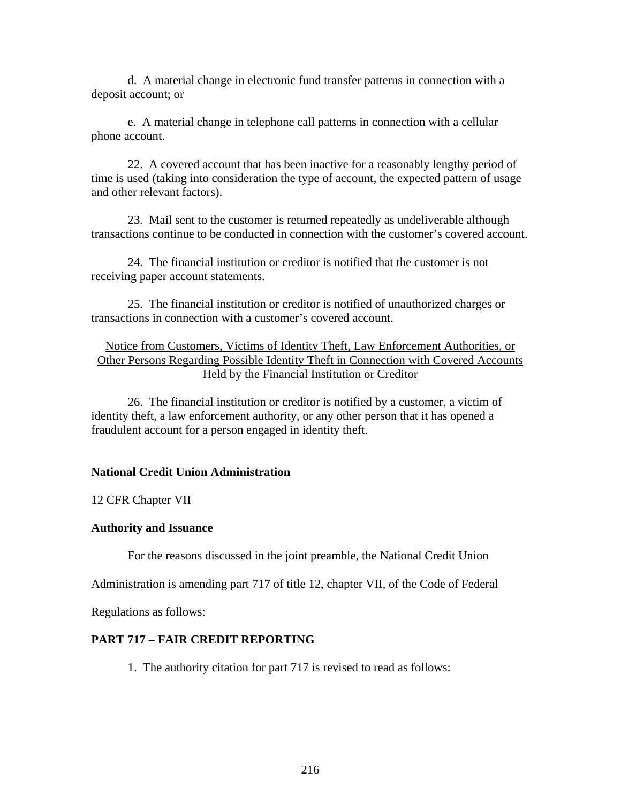d. A material change in electronic fund transfer patterns in connection with a deposit account; or

e. A material change in telephone call patterns in connection with a cellular phone account.

22. A covered account that has been inactive for a reasonably lengthy period of time is used (taking into consideration the type of account, the expected pattern of usage and other relevant factors).

23. Mail sent to the customer is returned repeatedly as undeliverable although transactions continue to be conducted in connection with the customer's covered account.

24. The financial institution or creditor is notified that the customer is not receiving paper account statements.

25. The financial institution or creditor is notified of unauthorized charges or transactions in connection with a customer's covered account.

# Notice from Customers, Victims of Identity Theft, Law Enforcement Authorities, or Other Persons Regarding Possible Identity Theft in Connection with Covered Accounts Held by the Financial Institution or Creditor

 26. The financial institution or creditor is notified by a customer, a victim of identity theft, a law enforcement authority, or any other person that it has opened a fraudulent account for a person engaged in identity theft.

# **National Credit Union Administration**

12 CFR Chapter VII

## **Authority and Issuance**

For the reasons discussed in the joint preamble, the National Credit Union

Administration is amending part 717 of title 12, chapter VII, of the Code of Federal

Regulations as follows:

# **PART 717 – FAIR CREDIT REPORTING**

1. The authority citation for part 717 is revised to read as follows: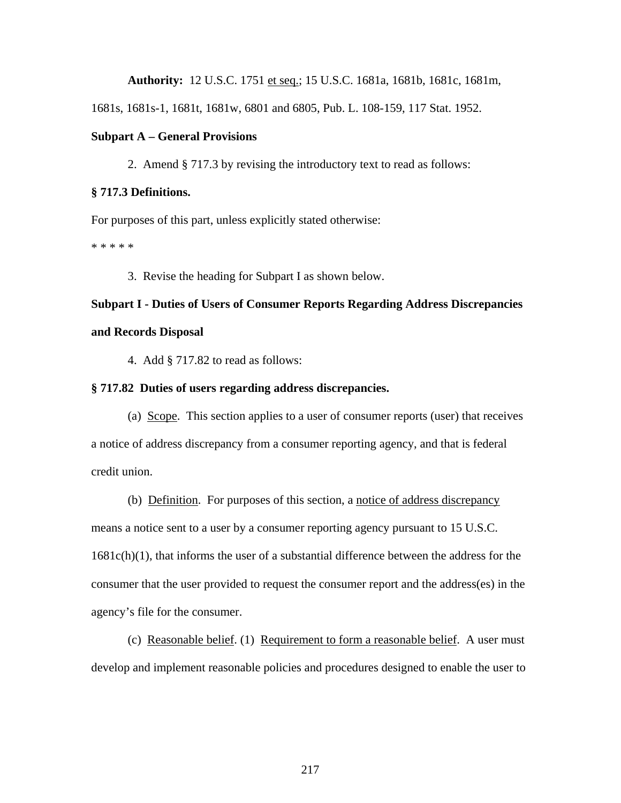**Authority:** 12 U.S.C. 1751 et seq.; 15 U.S.C. 1681a, 1681b, 1681c, 1681m,

1681s, 1681s-1, 1681t, 1681w, 6801 and 6805, Pub. L. 108-159, 117 Stat. 1952.

#### **Subpart A – General Provisions**

2. Amend § 717.3 by revising the introductory text to read as follows:

#### **§ 717.3 Definitions.**

For purposes of this part, unless explicitly stated otherwise:

\* \* \* \* \*

3. Revise the heading for Subpart I as shown below.

## **Subpart I - Duties of Users of Consumer Reports Regarding Address Discrepancies and Records Disposal**

4. Add § 717.82 to read as follows:

#### **§ 717.82 Duties of users regarding address discrepancies.**

(a) Scope. This section applies to a user of consumer reports (user) that receives a notice of address discrepancy from a consumer reporting agency, and that is federal credit union.

(b) Definition. For purposes of this section, a notice of address discrepancy means a notice sent to a user by a consumer reporting agency pursuant to 15 U.S.C.  $1681c(h)(1)$ , that informs the user of a substantial difference between the address for the consumer that the user provided to request the consumer report and the address(es) in the agency's file for the consumer.

 (c) Reasonable belief. (1) Requirement to form a reasonable belief. A user must develop and implement reasonable policies and procedures designed to enable the user to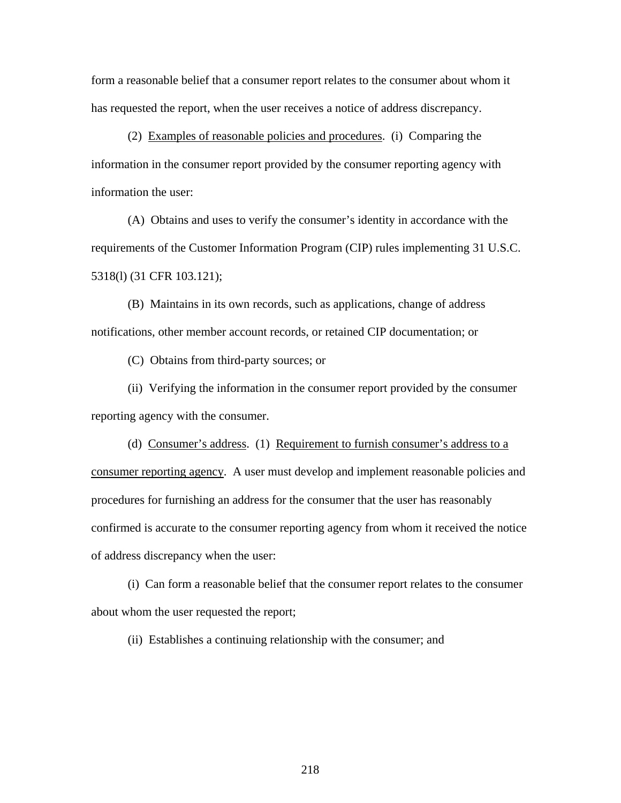form a reasonable belief that a consumer report relates to the consumer about whom it has requested the report, when the user receives a notice of address discrepancy.

 (2) Examples of reasonable policies and procedures. (i) Comparing the information in the consumer report provided by the consumer reporting agency with information the user:

 (A) Obtains and uses to verify the consumer's identity in accordance with the requirements of the Customer Information Program (CIP) rules implementing 31 U.S.C. 5318(l) (31 CFR 103.121);

 (B) Maintains in its own records, such as applications, change of address notifications, other member account records, or retained CIP documentation; or

(C) Obtains from third-party sources; or

 (ii) Verifying the information in the consumer report provided by the consumer reporting agency with the consumer.

 (d) Consumer's address. (1) Requirement to furnish consumer's address to a consumer reporting agency. A user must develop and implement reasonable policies and procedures for furnishing an address for the consumer that the user has reasonably confirmed is accurate to the consumer reporting agency from whom it received the notice of address discrepancy when the user:

 (i) Can form a reasonable belief that the consumer report relates to the consumer about whom the user requested the report;

(ii) Establishes a continuing relationship with the consumer; and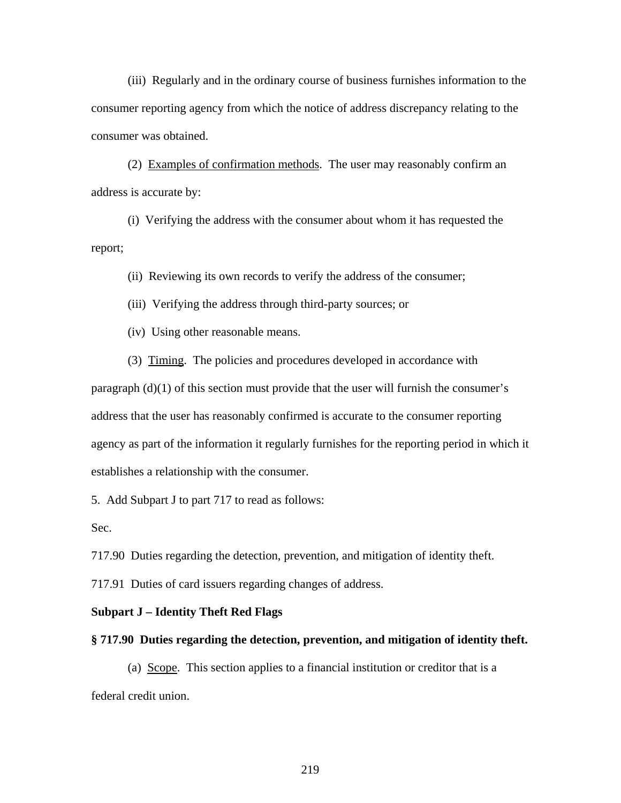(iii) Regularly and in the ordinary course of business furnishes information to the consumer reporting agency from which the notice of address discrepancy relating to the consumer was obtained.

(2) Examples of confirmation methods. The user may reasonably confirm an address is accurate by:

(i) Verifying the address with the consumer about whom it has requested the report;

(ii) Reviewing its own records to verify the address of the consumer;

(iii) Verifying the address through third-party sources; or

(iv) Using other reasonable means.

(3) Timing. The policies and procedures developed in accordance with

paragraph (d)(1) of this section must provide that the user will furnish the consumer's address that the user has reasonably confirmed is accurate to the consumer reporting agency as part of the information it regularly furnishes for the reporting period in which it establishes a relationship with the consumer.

5. Add Subpart J to part 717 to read as follows:

Sec.

717.90 Duties regarding the detection, prevention, and mitigation of identity theft.

717.91 Duties of card issuers regarding changes of address.

#### **Subpart J – Identity Theft Red Flags**

#### **§ 717.90 Duties regarding the detection, prevention, and mitigation of identity theft.**

(a) Scope. This section applies to a financial institution or creditor that is a federal credit union.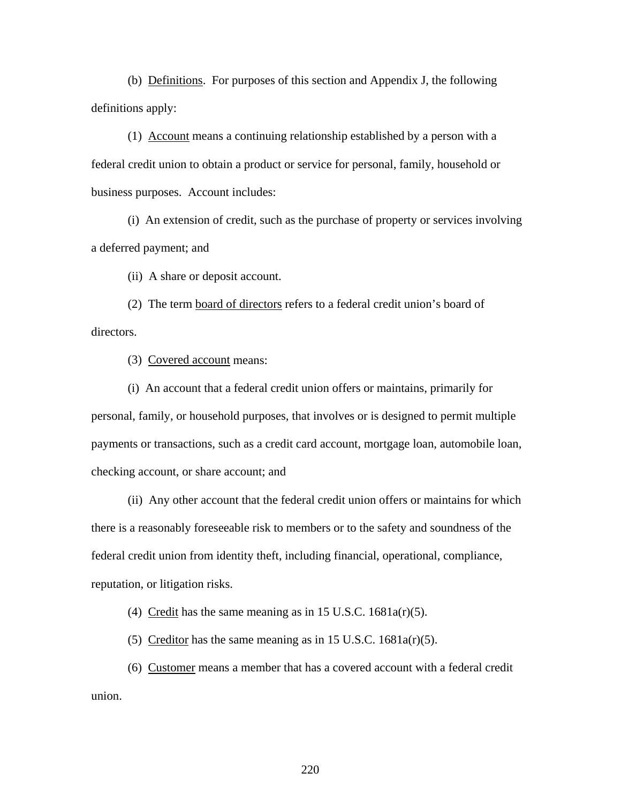(b) Definitions. For purposes of this section and Appendix J, the following definitions apply:

(1) Account means a continuing relationship established by a person with a federal credit union to obtain a product or service for personal, family, household or business purposes. Account includes:

(i) An extension of credit, such as the purchase of property or services involving a deferred payment; and

(ii) A share or deposit account.

(2) The term board of directors refers to a federal credit union's board of directors.

(3) Covered account means:

(i) An account that a federal credit union offers or maintains, primarily for personal, family, or household purposes, that involves or is designed to permit multiple payments or transactions, such as a credit card account, mortgage loan, automobile loan, checking account, or share account; and

(ii) Any other account that the federal credit union offers or maintains for which there is a reasonably foreseeable risk to members or to the safety and soundness of the federal credit union from identity theft, including financial, operational, compliance, reputation, or litigation risks.

(4) Credit has the same meaning as in 15 U.S.C.  $1681a(r)(5)$ .

(5) Creditor has the same meaning as in 15 U.S.C.  $1681a(r)(5)$ .

(6) Customer means a member that has a covered account with a federal credit union.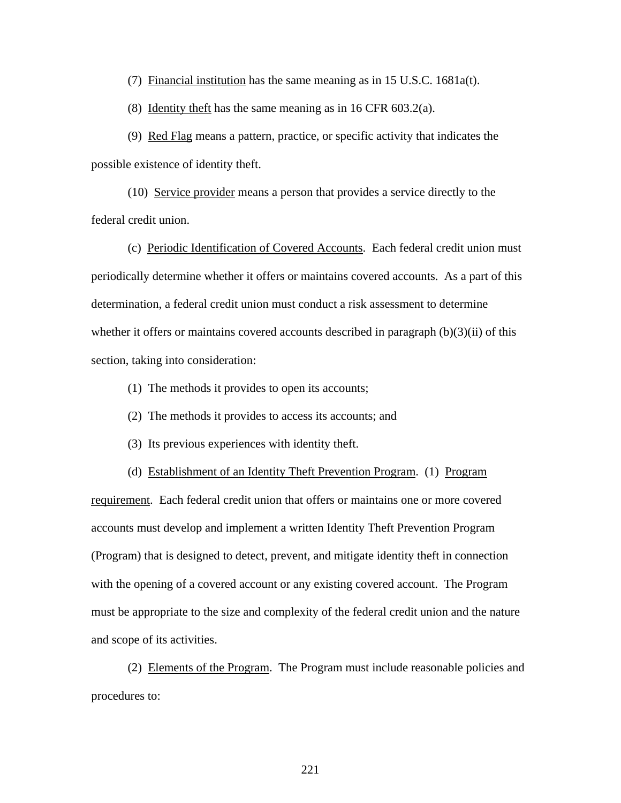(7) Financial institution has the same meaning as in  $15 \text{ U.S.C. } 1681a(t)$ .

(8) Identity theft has the same meaning as in 16 CFR 603.2(a).

(9) Red Flag means a pattern, practice, or specific activity that indicates the possible existence of identity theft.

(10) Service provider means a person that provides a service directly to the federal credit union.

(c) Periodic Identification of Covered Accounts. Each federal credit union must periodically determine whether it offers or maintains covered accounts. As a part of this determination, a federal credit union must conduct a risk assessment to determine whether it offers or maintains covered accounts described in paragraph  $(b)(3)(ii)$  of this section, taking into consideration:

- (1) The methods it provides to open its accounts;
- (2) The methods it provides to access its accounts; and
- (3) Its previous experiences with identity theft.

(d) Establishment of an Identity Theft Prevention Program. (1) Program

requirement. Each federal credit union that offers or maintains one or more covered accounts must develop and implement a written Identity Theft Prevention Program (Program) that is designed to detect, prevent, and mitigate identity theft in connection with the opening of a covered account or any existing covered account. The Program must be appropriate to the size and complexity of the federal credit union and the nature and scope of its activities.

(2) Elements of the Program. The Program must include reasonable policies and procedures to: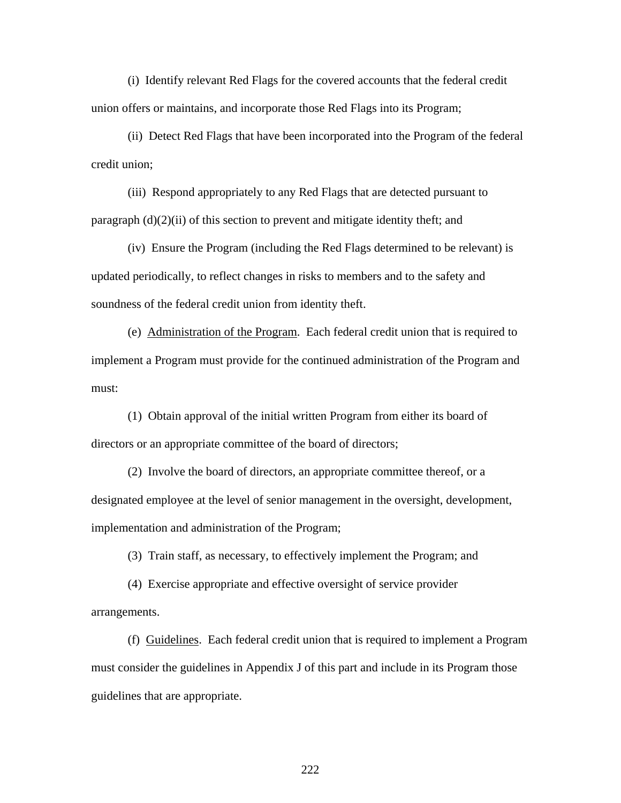(i) Identify relevant Red Flags for the covered accounts that the federal credit union offers or maintains, and incorporate those Red Flags into its Program;

(ii) Detect Red Flags that have been incorporated into the Program of the federal credit union;

(iii) Respond appropriately to any Red Flags that are detected pursuant to paragraph (d)(2)(ii) of this section to prevent and mitigate identity theft; and

(iv) Ensure the Program (including the Red Flags determined to be relevant) is updated periodically, to reflect changes in risks to members and to the safety and soundness of the federal credit union from identity theft.

 (e) Administration of the Program. Each federal credit union that is required to implement a Program must provide for the continued administration of the Program and must:

(1) Obtain approval of the initial written Program from either its board of directors or an appropriate committee of the board of directors;

(2) Involve the board of directors, an appropriate committee thereof, or a designated employee at the level of senior management in the oversight, development, implementation and administration of the Program;

(3) Train staff, as necessary, to effectively implement the Program; and

 (4) Exercise appropriate and effective oversight of service provider arrangements.

(f) Guidelines. Each federal credit union that is required to implement a Program must consider the guidelines in Appendix J of this part and include in its Program those guidelines that are appropriate.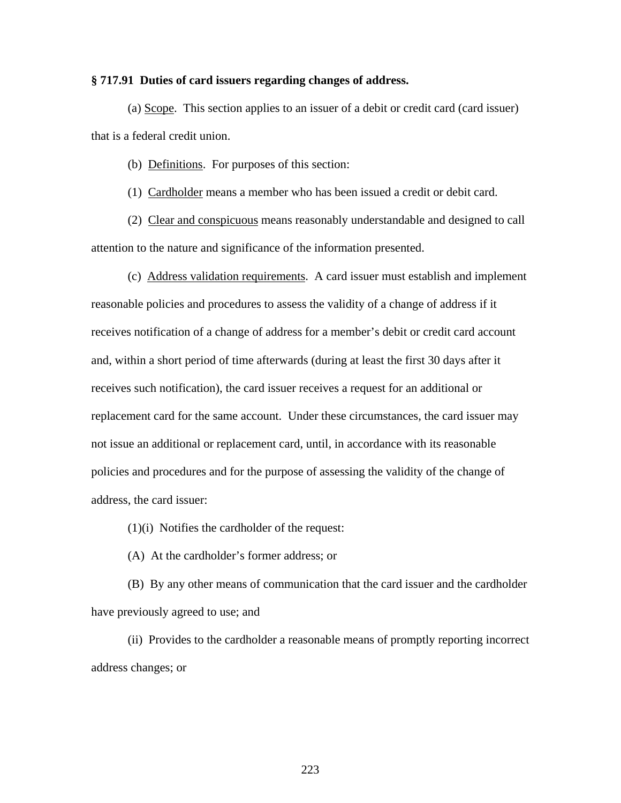#### **§ 717.91 Duties of card issuers regarding changes of address.**

(a) Scope. This section applies to an issuer of a debit or credit card (card issuer) that is a federal credit union.

(b) Definitions. For purposes of this section:

(1) Cardholder means a member who has been issued a credit or debit card.

(2) Clear and conspicuous means reasonably understandable and designed to call attention to the nature and significance of the information presented.

(c) Address validation requirements. A card issuer must establish and implement reasonable policies and procedures to assess the validity of a change of address if it receives notification of a change of address for a member's debit or credit card account and, within a short period of time afterwards (during at least the first 30 days after it receives such notification), the card issuer receives a request for an additional or replacement card for the same account. Under these circumstances, the card issuer may not issue an additional or replacement card, until, in accordance with its reasonable policies and procedures and for the purpose of assessing the validity of the change of address, the card issuer:

(1)(i) Notifies the cardholder of the request:

(A) At the cardholder's former address; or

(B) By any other means of communication that the card issuer and the cardholder have previously agreed to use; and

(ii) Provides to the cardholder a reasonable means of promptly reporting incorrect address changes; or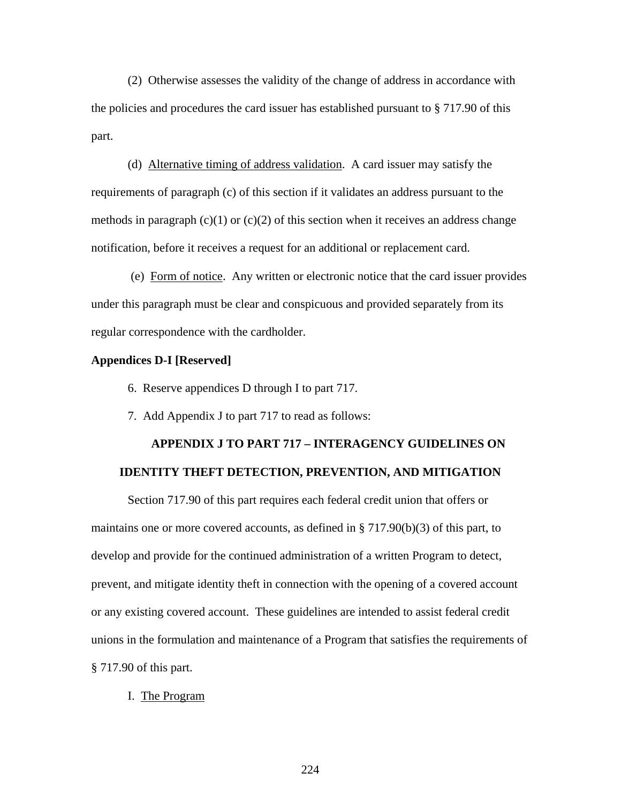(2) Otherwise assesses the validity of the change of address in accordance with the policies and procedures the card issuer has established pursuant to § 717.90 of this part.

(d) Alternative timing of address validation. A card issuer may satisfy the requirements of paragraph (c) of this section if it validates an address pursuant to the methods in paragraph  $(c)(1)$  or  $(c)(2)$  of this section when it receives an address change notification, before it receives a request for an additional or replacement card.

 (e) Form of notice. Any written or electronic notice that the card issuer provides under this paragraph must be clear and conspicuous and provided separately from its regular correspondence with the cardholder.

#### **Appendices D-I [Reserved]**

- 6. Reserve appendices D through I to part 717.
- 7. Add Appendix J to part 717 to read as follows:

## **APPENDIX J TO PART 717 – INTERAGENCY GUIDELINES ON IDENTITY THEFT DETECTION, PREVENTION, AND MITIGATION**

Section 717.90 of this part requires each federal credit union that offers or maintains one or more covered accounts, as defined in § 717.90(b)(3) of this part, to develop and provide for the continued administration of a written Program to detect, prevent, and mitigate identity theft in connection with the opening of a covered account or any existing covered account. These guidelines are intended to assist federal credit unions in the formulation and maintenance of a Program that satisfies the requirements of § 717.90 of this part.

I. The Program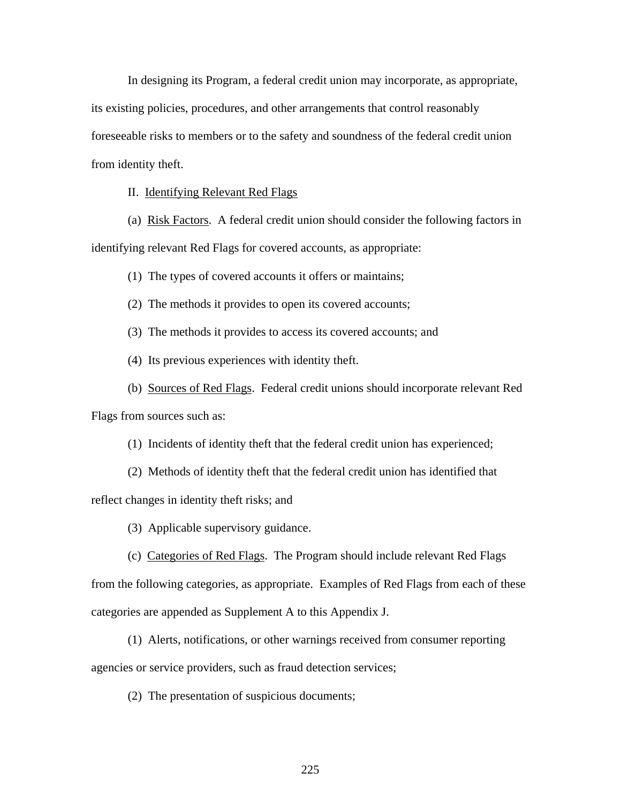In designing its Program, a federal credit union may incorporate, as appropriate, its existing policies, procedures, and other arrangements that control reasonably foreseeable risks to members or to the safety and soundness of the federal credit union from identity theft.

II. Identifying Relevant Red Flags

 (a) Risk Factors. A federal credit union should consider the following factors in identifying relevant Red Flags for covered accounts, as appropriate:

(1) The types of covered accounts it offers or maintains;

(2) The methods it provides to open its covered accounts;

(3) The methods it provides to access its covered accounts; and

(4) Its previous experiences with identity theft.

 (b) Sources of Red Flags. Federal credit unions should incorporate relevant Red Flags from sources such as:

(1) Incidents of identity theft that the federal credit union has experienced;

(2) Methods of identity theft that the federal credit union has identified that

reflect changes in identity theft risks; and

(3) Applicable supervisory guidance.

 (c) Categories of Red Flags. The Program should include relevant Red Flags from the following categories, as appropriate. Examples of Red Flags from each of these categories are appended as Supplement A to this Appendix J.

 (1) Alerts, notifications, or other warnings received from consumer reporting agencies or service providers, such as fraud detection services;

(2) The presentation of suspicious documents;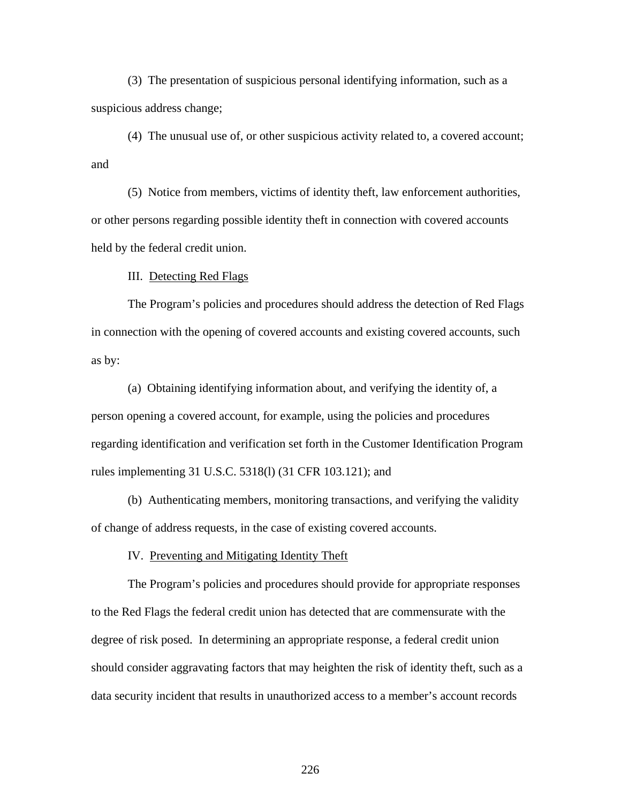(3) The presentation of suspicious personal identifying information, such as a suspicious address change;

 (4) The unusual use of, or other suspicious activity related to, a covered account; and

 (5) Notice from members, victims of identity theft, law enforcement authorities, or other persons regarding possible identity theft in connection with covered accounts held by the federal credit union.

III. Detecting Red Flags

 The Program's policies and procedures should address the detection of Red Flags in connection with the opening of covered accounts and existing covered accounts, such as by:

(a) Obtaining identifying information about, and verifying the identity of, a person opening a covered account, for example, using the policies and procedures regarding identification and verification set forth in the Customer Identification Program rules implementing 31 U.S.C. 5318(l) (31 CFR 103.121); and

(b) Authenticating members, monitoring transactions, and verifying the validity of change of address requests, in the case of existing covered accounts.

IV. Preventing and Mitigating Identity Theft

The Program's policies and procedures should provide for appropriate responses to the Red Flags the federal credit union has detected that are commensurate with the degree of risk posed. In determining an appropriate response, a federal credit union should consider aggravating factors that may heighten the risk of identity theft, such as a data security incident that results in unauthorized access to a member's account records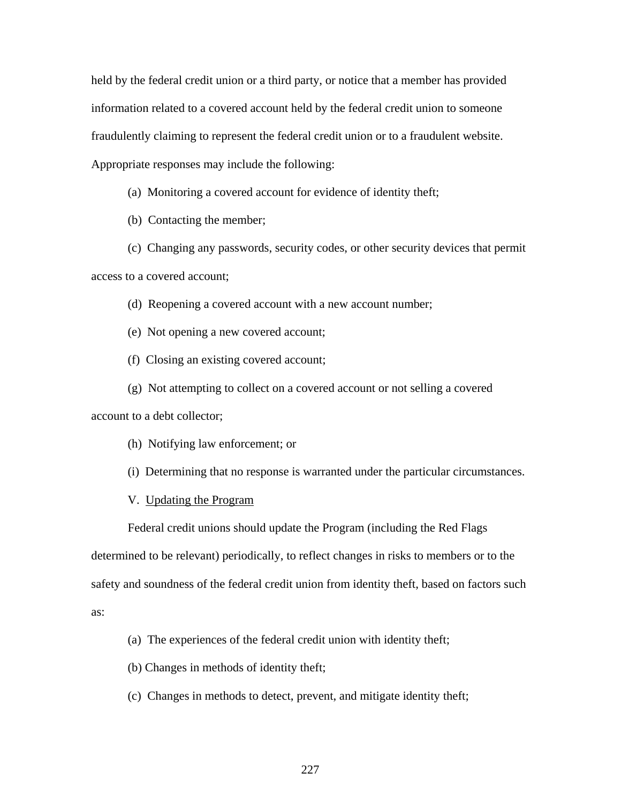held by the federal credit union or a third party, or notice that a member has provided information related to a covered account held by the federal credit union to someone fraudulently claiming to represent the federal credit union or to a fraudulent website. Appropriate responses may include the following:

(a) Monitoring a covered account for evidence of identity theft;

(b) Contacting the member;

(c) Changing any passwords, security codes, or other security devices that permit access to a covered account;

(d) Reopening a covered account with a new account number;

(e) Not opening a new covered account;

(f) Closing an existing covered account;

(g) Not attempting to collect on a covered account or not selling a covered account to a debt collector;

(h) Notifying law enforcement; or

(i) Determining that no response is warranted under the particular circumstances.

V. Updating the Program

Federal credit unions should update the Program (including the Red Flags

determined to be relevant) periodically, to reflect changes in risks to members or to the

safety and soundness of the federal credit union from identity theft, based on factors such

as:

(a) The experiences of the federal credit union with identity theft;

(b) Changes in methods of identity theft;

(c) Changes in methods to detect, prevent, and mitigate identity theft;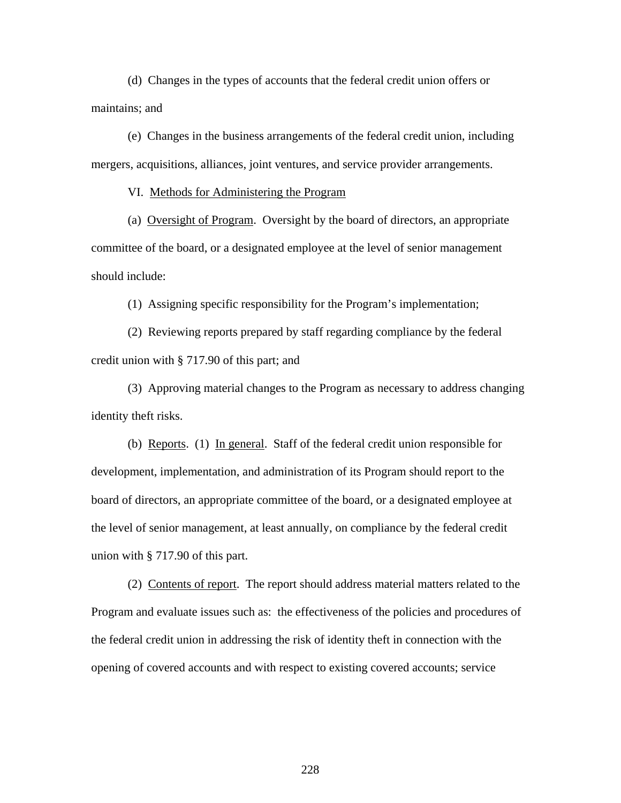(d) Changes in the types of accounts that the federal credit union offers or maintains; and

(e) Changes in the business arrangements of the federal credit union, including mergers, acquisitions, alliances, joint ventures, and service provider arrangements.

VI. Methods for Administering the Program

(a) Oversight of Program. Oversight by the board of directors, an appropriate committee of the board, or a designated employee at the level of senior management should include:

(1) Assigning specific responsibility for the Program's implementation;

(2) Reviewing reports prepared by staff regarding compliance by the federal credit union with § 717.90 of this part; and

(3) Approving material changes to the Program as necessary to address changing identity theft risks.

(b) Reports. (1) In general. Staff of the federal credit union responsible for development, implementation, and administration of its Program should report to the board of directors, an appropriate committee of the board, or a designated employee at the level of senior management, at least annually, on compliance by the federal credit union with § 717.90 of this part.

 (2) Contents of report. The report should address material matters related to the Program and evaluate issues such as: the effectiveness of the policies and procedures of the federal credit union in addressing the risk of identity theft in connection with the opening of covered accounts and with respect to existing covered accounts; service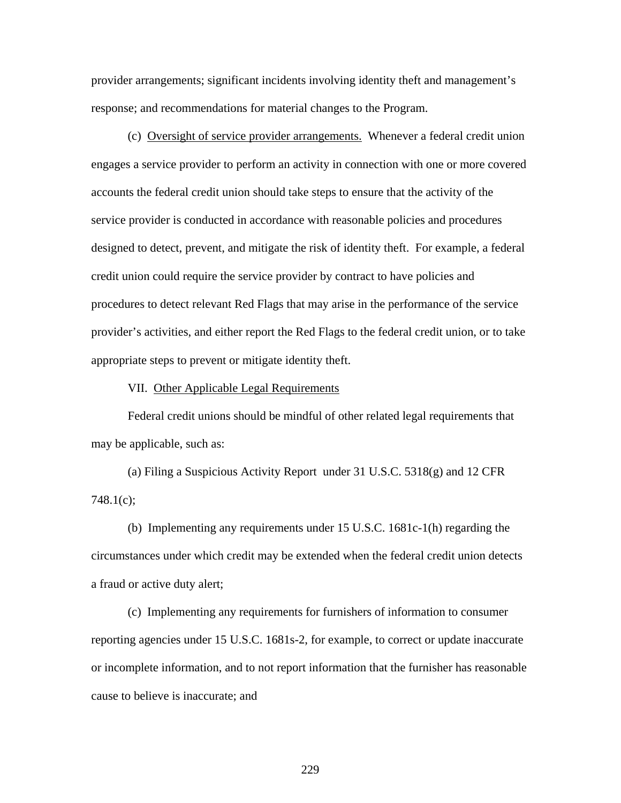provider arrangements; significant incidents involving identity theft and management's response; and recommendations for material changes to the Program.

 (c) Oversight of service provider arrangements. Whenever a federal credit union engages a service provider to perform an activity in connection with one or more covered accounts the federal credit union should take steps to ensure that the activity of the service provider is conducted in accordance with reasonable policies and procedures designed to detect, prevent, and mitigate the risk of identity theft. For example, a federal credit union could require the service provider by contract to have policies and procedures to detect relevant Red Flags that may arise in the performance of the service provider's activities, and either report the Red Flags to the federal credit union, or to take appropriate steps to prevent or mitigate identity theft.

#### VII. Other Applicable Legal Requirements

Federal credit unions should be mindful of other related legal requirements that may be applicable, such as:

(a) Filing a Suspicious Activity Report under 31 U.S.C. 5318(g) and 12 CFR 748.1(c);

(b) Implementing any requirements under 15 U.S.C. 1681c-1(h) regarding the circumstances under which credit may be extended when the federal credit union detects a fraud or active duty alert;

(c) Implementing any requirements for furnishers of information to consumer reporting agencies under 15 U.S.C. 1681s-2, for example, to correct or update inaccurate or incomplete information, and to not report information that the furnisher has reasonable cause to believe is inaccurate; and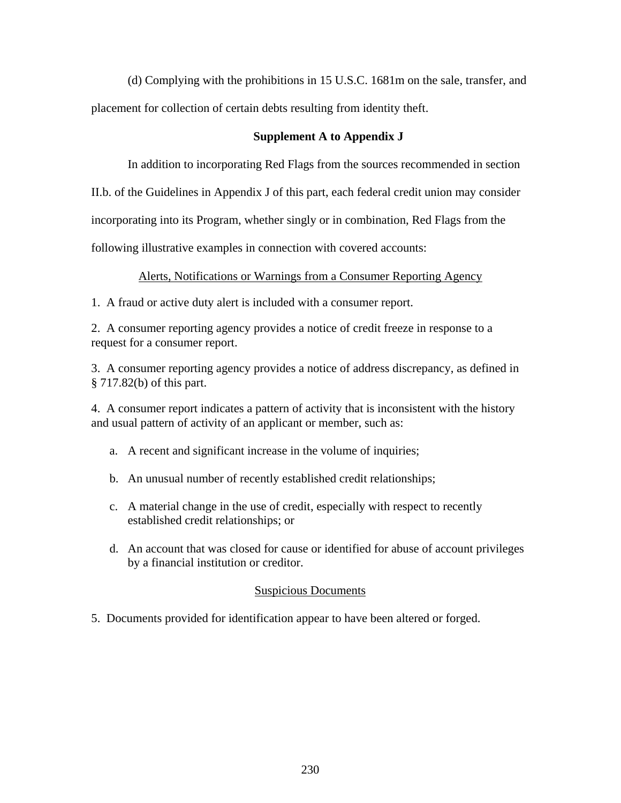(d) Complying with the prohibitions in 15 U.S.C. 1681m on the sale, transfer, and placement for collection of certain debts resulting from identity theft.

## **Supplement A to Appendix J**

In addition to incorporating Red Flags from the sources recommended in section

II.b. of the Guidelines in Appendix J of this part, each federal credit union may consider

incorporating into its Program, whether singly or in combination, Red Flags from the

following illustrative examples in connection with covered accounts:

## Alerts, Notifications or Warnings from a Consumer Reporting Agency

1. A fraud or active duty alert is included with a consumer report.

2. A consumer reporting agency provides a notice of credit freeze in response to a request for a consumer report.

3. A consumer reporting agency provides a notice of address discrepancy, as defined in § 717.82(b) of this part.

4. A consumer report indicates a pattern of activity that is inconsistent with the history and usual pattern of activity of an applicant or member, such as:

- a. A recent and significant increase in the volume of inquiries;
- b. An unusual number of recently established credit relationships;
- c. A material change in the use of credit, especially with respect to recently established credit relationships; or
- d. An account that was closed for cause or identified for abuse of account privileges by a financial institution or creditor.

## Suspicious Documents

5. Documents provided for identification appear to have been altered or forged.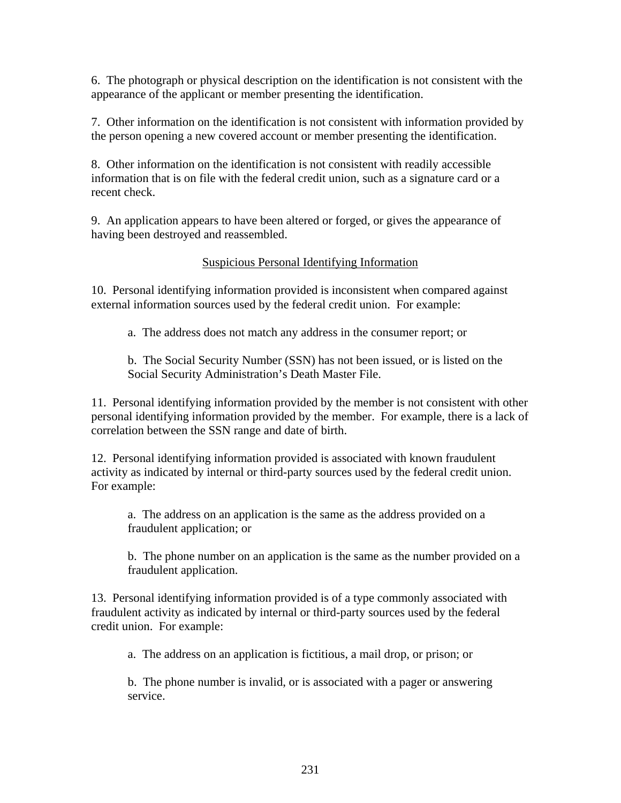6. The photograph or physical description on the identification is not consistent with the appearance of the applicant or member presenting the identification.

7. Other information on the identification is not consistent with information provided by the person opening a new covered account or member presenting the identification.

8. Other information on the identification is not consistent with readily accessible information that is on file with the federal credit union, such as a signature card or a recent check.

9. An application appears to have been altered or forged, or gives the appearance of having been destroyed and reassembled.

## Suspicious Personal Identifying Information

10. Personal identifying information provided is inconsistent when compared against external information sources used by the federal credit union. For example:

a. The address does not match any address in the consumer report; or

b. The Social Security Number (SSN) has not been issued, or is listed on the Social Security Administration's Death Master File.

11. Personal identifying information provided by the member is not consistent with other personal identifying information provided by the member. For example, there is a lack of correlation between the SSN range and date of birth.

12. Personal identifying information provided is associated with known fraudulent activity as indicated by internal or third-party sources used by the federal credit union. For example:

a. The address on an application is the same as the address provided on a fraudulent application; or

b. The phone number on an application is the same as the number provided on a fraudulent application.

13. Personal identifying information provided is of a type commonly associated with fraudulent activity as indicated by internal or third-party sources used by the federal credit union. For example:

a. The address on an application is fictitious, a mail drop, or prison; or

b. The phone number is invalid, or is associated with a pager or answering service.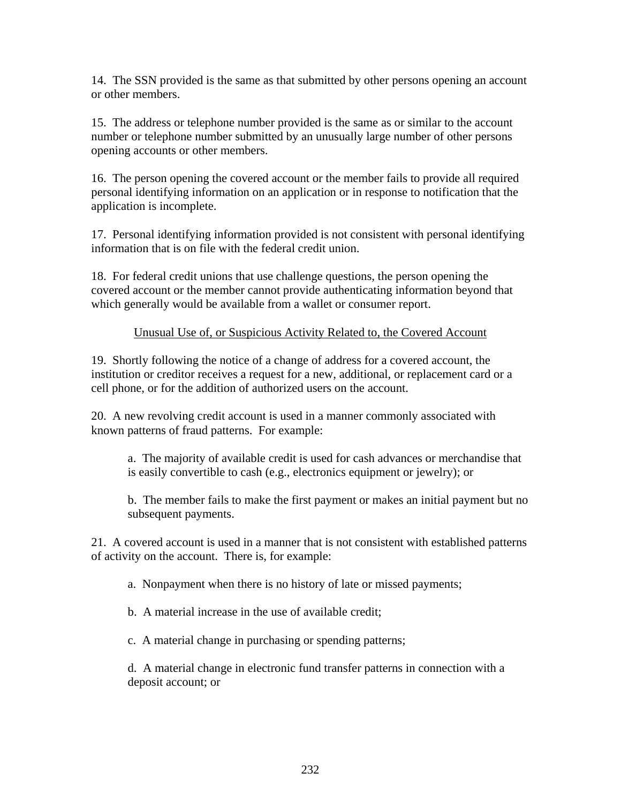14. The SSN provided is the same as that submitted by other persons opening an account or other members.

15. The address or telephone number provided is the same as or similar to the account number or telephone number submitted by an unusually large number of other persons opening accounts or other members.

16. The person opening the covered account or the member fails to provide all required personal identifying information on an application or in response to notification that the application is incomplete.

17. Personal identifying information provided is not consistent with personal identifying information that is on file with the federal credit union.

18. For federal credit unions that use challenge questions, the person opening the covered account or the member cannot provide authenticating information beyond that which generally would be available from a wallet or consumer report.

## Unusual Use of, or Suspicious Activity Related to, the Covered Account

19. Shortly following the notice of a change of address for a covered account, the institution or creditor receives a request for a new, additional, or replacement card or a cell phone, or for the addition of authorized users on the account.

20. A new revolving credit account is used in a manner commonly associated with known patterns of fraud patterns. For example:

a. The majority of available credit is used for cash advances or merchandise that is easily convertible to cash (e.g., electronics equipment or jewelry); or

b. The member fails to make the first payment or makes an initial payment but no subsequent payments.

21. A covered account is used in a manner that is not consistent with established patterns of activity on the account. There is, for example:

a. Nonpayment when there is no history of late or missed payments;

b. A material increase in the use of available credit;

c. A material change in purchasing or spending patterns;

d. A material change in electronic fund transfer patterns in connection with a deposit account; or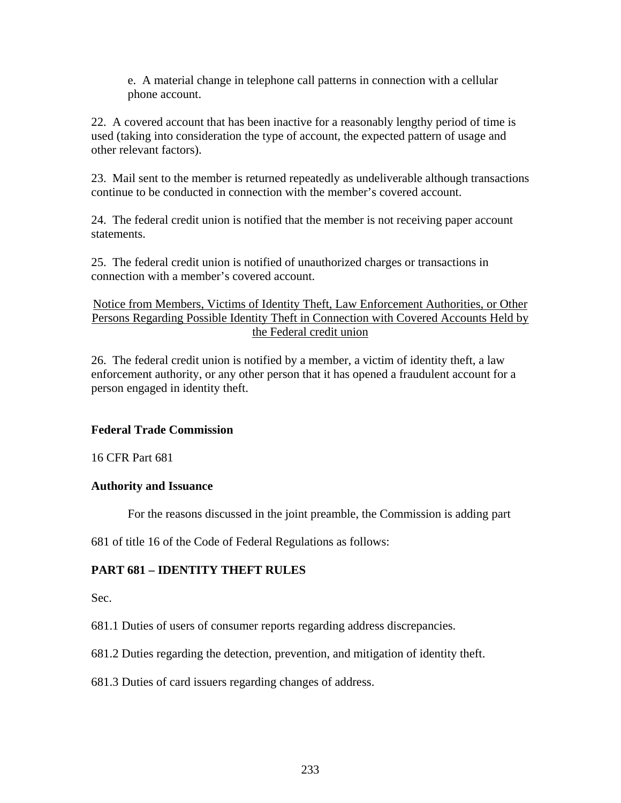e. A material change in telephone call patterns in connection with a cellular phone account.

22. A covered account that has been inactive for a reasonably lengthy period of time is used (taking into consideration the type of account, the expected pattern of usage and other relevant factors).

23. Mail sent to the member is returned repeatedly as undeliverable although transactions continue to be conducted in connection with the member's covered account.

24. The federal credit union is notified that the member is not receiving paper account statements.

25. The federal credit union is notified of unauthorized charges or transactions in connection with a member's covered account.

Notice from Members, Victims of Identity Theft, Law Enforcement Authorities, or Other Persons Regarding Possible Identity Theft in Connection with Covered Accounts Held by the Federal credit union

26. The federal credit union is notified by a member, a victim of identity theft, a law enforcement authority, or any other person that it has opened a fraudulent account for a person engaged in identity theft.

## **Federal Trade Commission**

16 CFR Part 681

## **Authority and Issuance**

For the reasons discussed in the joint preamble, the Commission is adding part

681 of title 16 of the Code of Federal Regulations as follows:

## **PART 681 – IDENTITY THEFT RULES**

Sec.

681.1 Duties of users of consumer reports regarding address discrepancies.

681.2 Duties regarding the detection, prevention, and mitigation of identity theft.

681.3 Duties of card issuers regarding changes of address.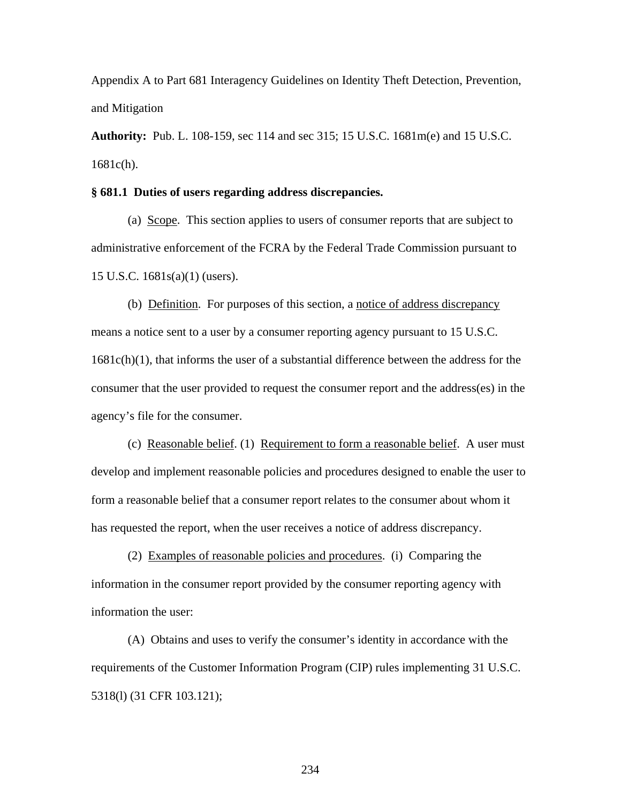Appendix A to Part 681 Interagency Guidelines on Identity Theft Detection, Prevention, and Mitigation

**Authority:** Pub. L. 108-159, sec 114 and sec 315; 15 U.S.C. 1681m(e) and 15 U.S.C. 1681c(h).

#### **§ 681.1 Duties of users regarding address discrepancies.**

(a) Scope. This section applies to users of consumer reports that are subject to administrative enforcement of the FCRA by the Federal Trade Commission pursuant to 15 U.S.C. 1681s(a)(1) (users).

(b) Definition. For purposes of this section, a notice of address discrepancy means a notice sent to a user by a consumer reporting agency pursuant to 15 U.S.C.  $1681c(h)(1)$ , that informs the user of a substantial difference between the address for the consumer that the user provided to request the consumer report and the address(es) in the agency's file for the consumer.

 (c) Reasonable belief. (1) Requirement to form a reasonable belief. A user must develop and implement reasonable policies and procedures designed to enable the user to form a reasonable belief that a consumer report relates to the consumer about whom it has requested the report, when the user receives a notice of address discrepancy.

 (2) Examples of reasonable policies and procedures. (i) Comparing the information in the consumer report provided by the consumer reporting agency with information the user:

 (A) Obtains and uses to verify the consumer's identity in accordance with the requirements of the Customer Information Program (CIP) rules implementing 31 U.S.C. 5318(l) (31 CFR 103.121);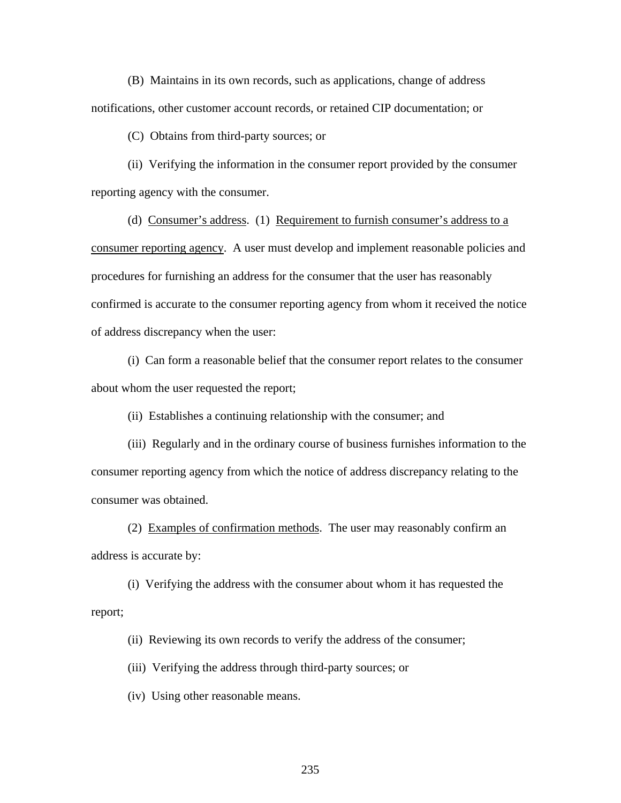(B) Maintains in its own records, such as applications, change of address notifications, other customer account records, or retained CIP documentation; or

(C) Obtains from third-party sources; or

 (ii) Verifying the information in the consumer report provided by the consumer reporting agency with the consumer.

 (d) Consumer's address. (1) Requirement to furnish consumer's address to a consumer reporting agency. A user must develop and implement reasonable policies and procedures for furnishing an address for the consumer that the user has reasonably confirmed is accurate to the consumer reporting agency from whom it received the notice of address discrepancy when the user:

 (i) Can form a reasonable belief that the consumer report relates to the consumer about whom the user requested the report;

(ii) Establishes a continuing relationship with the consumer; and

(iii) Regularly and in the ordinary course of business furnishes information to the consumer reporting agency from which the notice of address discrepancy relating to the consumer was obtained.

(2) Examples of confirmation methods. The user may reasonably confirm an address is accurate by:

(i) Verifying the address with the consumer about whom it has requested the report;

(ii) Reviewing its own records to verify the address of the consumer;

(iii) Verifying the address through third-party sources; or

(iv) Using other reasonable means.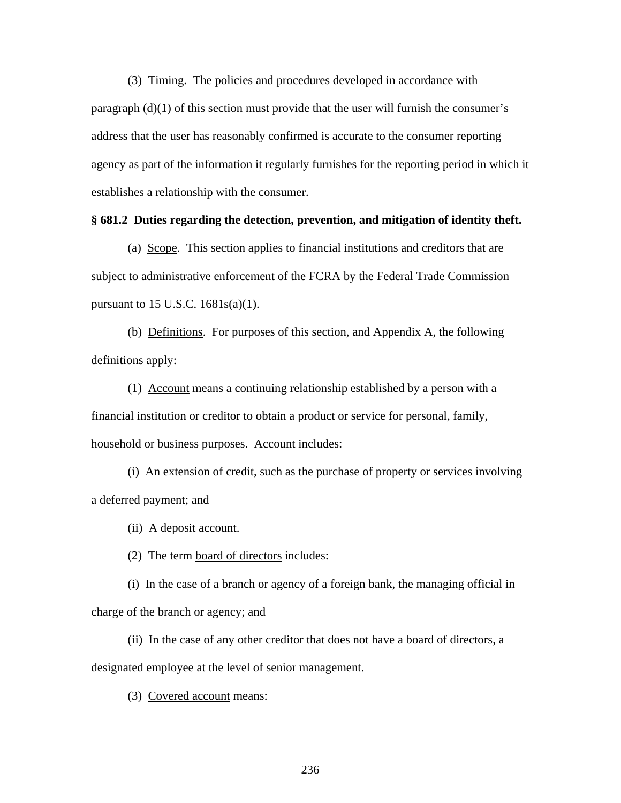(3) Timing. The policies and procedures developed in accordance with paragraph (d)(1) of this section must provide that the user will furnish the consumer's address that the user has reasonably confirmed is accurate to the consumer reporting agency as part of the information it regularly furnishes for the reporting period in which it establishes a relationship with the consumer.

#### **§ 681.2 Duties regarding the detection, prevention, and mitigation of identity theft.**

(a) Scope. This section applies to financial institutions and creditors that are subject to administrative enforcement of the FCRA by the Federal Trade Commission pursuant to 15 U.S.C.  $1681s(a)(1)$ .

(b) Definitions. For purposes of this section, and Appendix A, the following definitions apply:

(1) Account means a continuing relationship established by a person with a financial institution or creditor to obtain a product or service for personal, family, household or business purposes. Account includes:

(i) An extension of credit, such as the purchase of property or services involving a deferred payment; and

(ii) A deposit account.

(2) The term board of directors includes:

(i) In the case of a branch or agency of a foreign bank, the managing official in charge of the branch or agency; and

(ii) In the case of any other creditor that does not have a board of directors, a designated employee at the level of senior management.

(3) Covered account means: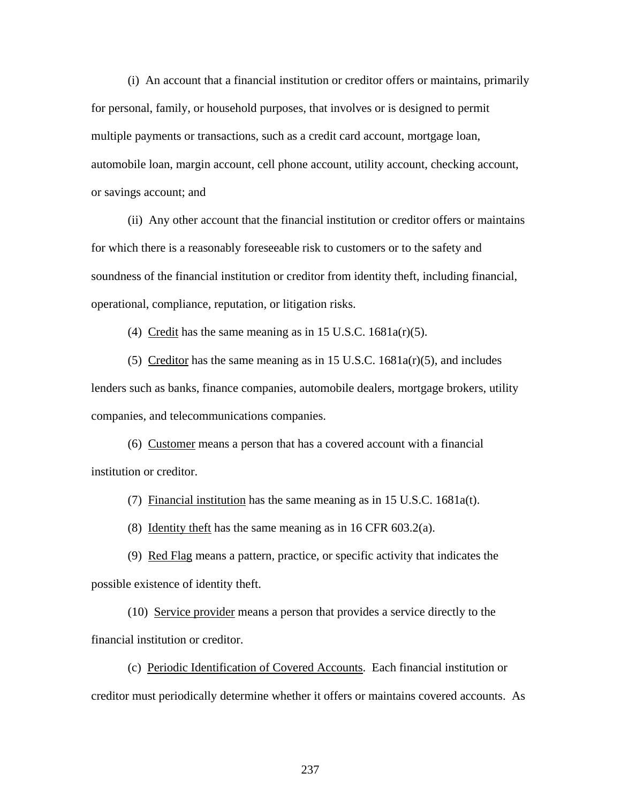(i) An account that a financial institution or creditor offers or maintains, primarily for personal, family, or household purposes, that involves or is designed to permit multiple payments or transactions, such as a credit card account, mortgage loan, automobile loan, margin account, cell phone account, utility account, checking account, or savings account; and

(ii) Any other account that the financial institution or creditor offers or maintains for which there is a reasonably foreseeable risk to customers or to the safety and soundness of the financial institution or creditor from identity theft, including financial, operational, compliance, reputation, or litigation risks.

(4) Credit has the same meaning as in 15 U.S.C.  $1681a(r)(5)$ .

(5) Creditor has the same meaning as in 15 U.S.C.  $1681a(r)(5)$ , and includes lenders such as banks, finance companies, automobile dealers, mortgage brokers, utility companies, and telecommunications companies.

(6) Customer means a person that has a covered account with a financial institution or creditor.

(7) Financial institution has the same meaning as in 15 U.S.C. 1681a(t).

(8) Identity theft has the same meaning as in 16 CFR 603.2(a).

(9) Red Flag means a pattern, practice, or specific activity that indicates the possible existence of identity theft.

(10) Service provider means a person that provides a service directly to the financial institution or creditor.

(c) Periodic Identification of Covered Accounts. Each financial institution or creditor must periodically determine whether it offers or maintains covered accounts. As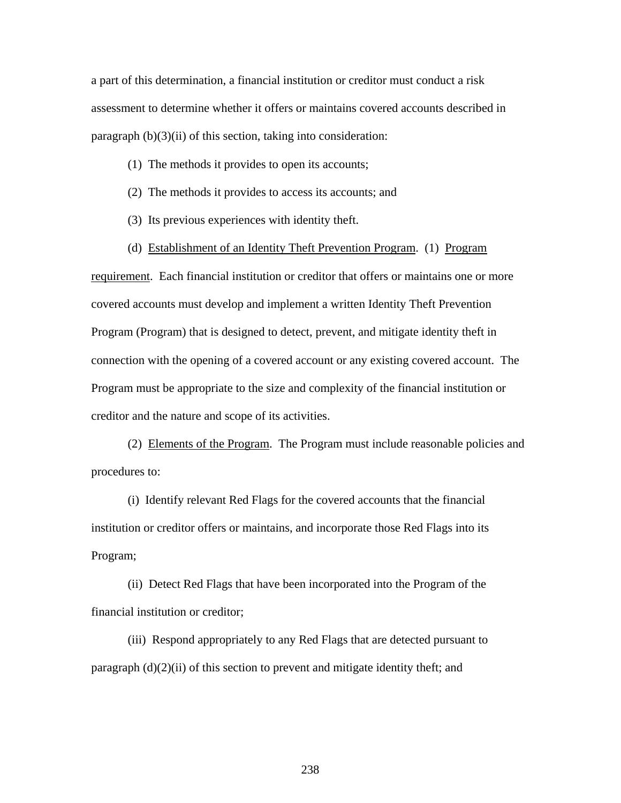a part of this determination, a financial institution or creditor must conduct a risk assessment to determine whether it offers or maintains covered accounts described in paragraph  $(b)(3)(ii)$  of this section, taking into consideration:

- (1) The methods it provides to open its accounts;
- (2) The methods it provides to access its accounts; and
- (3) Its previous experiences with identity theft.
- (d) Establishment of an Identity Theft Prevention Program. (1) Program

requirement. Each financial institution or creditor that offers or maintains one or more covered accounts must develop and implement a written Identity Theft Prevention Program (Program) that is designed to detect, prevent, and mitigate identity theft in connection with the opening of a covered account or any existing covered account. The Program must be appropriate to the size and complexity of the financial institution or creditor and the nature and scope of its activities.

(2) Elements of the Program. The Program must include reasonable policies and procedures to:

(i) Identify relevant Red Flags for the covered accounts that the financial institution or creditor offers or maintains, and incorporate those Red Flags into its Program;

(ii) Detect Red Flags that have been incorporated into the Program of the financial institution or creditor;

(iii) Respond appropriately to any Red Flags that are detected pursuant to paragraph  $(d)(2)(ii)$  of this section to prevent and mitigate identity theft; and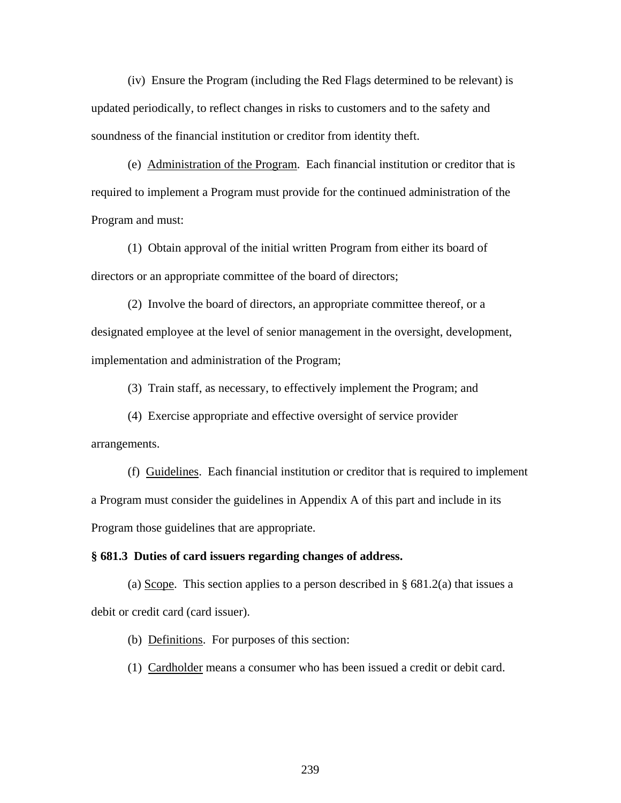(iv) Ensure the Program (including the Red Flags determined to be relevant) is updated periodically, to reflect changes in risks to customers and to the safety and soundness of the financial institution or creditor from identity theft.

 (e) Administration of the Program. Each financial institution or creditor that is required to implement a Program must provide for the continued administration of the Program and must:

(1) Obtain approval of the initial written Program from either its board of directors or an appropriate committee of the board of directors;

(2) Involve the board of directors, an appropriate committee thereof, or a designated employee at the level of senior management in the oversight, development, implementation and administration of the Program;

(3) Train staff, as necessary, to effectively implement the Program; and

 (4) Exercise appropriate and effective oversight of service provider arrangements.

(f) Guidelines. Each financial institution or creditor that is required to implement a Program must consider the guidelines in Appendix A of this part and include in its Program those guidelines that are appropriate.

#### **§ 681.3 Duties of card issuers regarding changes of address.**

(a)  $\text{Scope.}$  This section applies to a person described in § 681.2(a) that issues a debit or credit card (card issuer).

(b) Definitions. For purposes of this section:

(1) Cardholder means a consumer who has been issued a credit or debit card.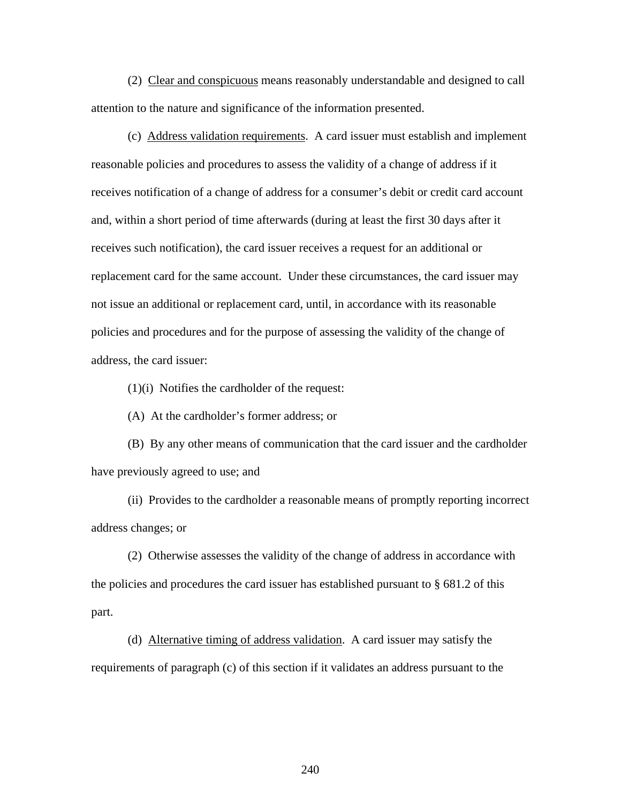(2) Clear and conspicuous means reasonably understandable and designed to call attention to the nature and significance of the information presented.

(c) Address validation requirements. A card issuer must establish and implement reasonable policies and procedures to assess the validity of a change of address if it receives notification of a change of address for a consumer's debit or credit card account and, within a short period of time afterwards (during at least the first 30 days after it receives such notification), the card issuer receives a request for an additional or replacement card for the same account. Under these circumstances, the card issuer may not issue an additional or replacement card, until, in accordance with its reasonable policies and procedures and for the purpose of assessing the validity of the change of address, the card issuer:

(1)(i) Notifies the cardholder of the request:

(A) At the cardholder's former address; or

(B) By any other means of communication that the card issuer and the cardholder have previously agreed to use; and

(ii) Provides to the cardholder a reasonable means of promptly reporting incorrect address changes; or

(2) Otherwise assesses the validity of the change of address in accordance with the policies and procedures the card issuer has established pursuant to  $\S$  681.2 of this part.

(d) Alternative timing of address validation. A card issuer may satisfy the requirements of paragraph (c) of this section if it validates an address pursuant to the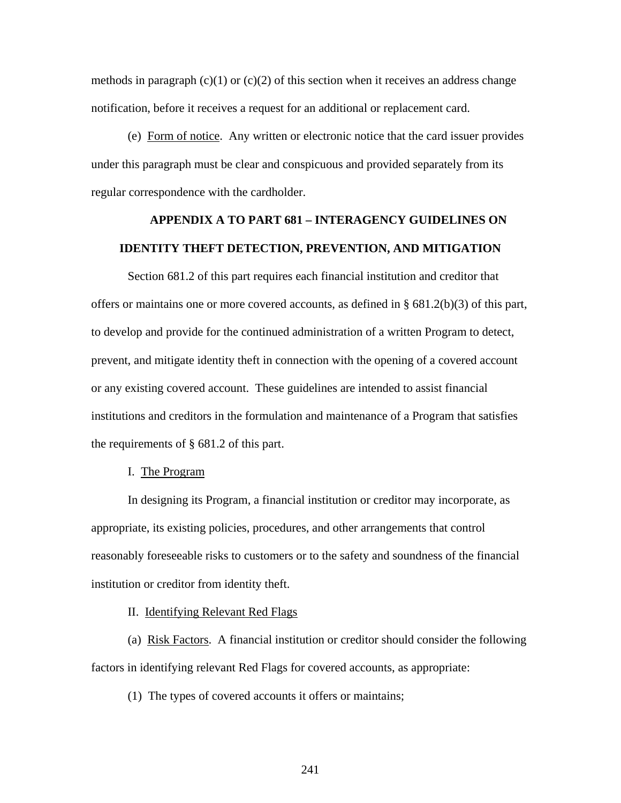methods in paragraph  $(c)(1)$  or  $(c)(2)$  of this section when it receives an address change notification, before it receives a request for an additional or replacement card.

(e) Form of notice. Any written or electronic notice that the card issuer provides under this paragraph must be clear and conspicuous and provided separately from its regular correspondence with the cardholder.

## **APPENDIX A TO PART 681 – INTERAGENCY GUIDELINES ON IDENTITY THEFT DETECTION, PREVENTION, AND MITIGATION**

Section 681.2 of this part requires each financial institution and creditor that offers or maintains one or more covered accounts, as defined in  $\S 681.2(b)(3)$  of this part, to develop and provide for the continued administration of a written Program to detect, prevent, and mitigate identity theft in connection with the opening of a covered account or any existing covered account. These guidelines are intended to assist financial institutions and creditors in the formulation and maintenance of a Program that satisfies the requirements of § 681.2 of this part.

#### I. The Program

 In designing its Program, a financial institution or creditor may incorporate, as appropriate, its existing policies, procedures, and other arrangements that control reasonably foreseeable risks to customers or to the safety and soundness of the financial institution or creditor from identity theft.

II. Identifying Relevant Red Flags

 (a) Risk Factors. A financial institution or creditor should consider the following factors in identifying relevant Red Flags for covered accounts, as appropriate:

(1) The types of covered accounts it offers or maintains;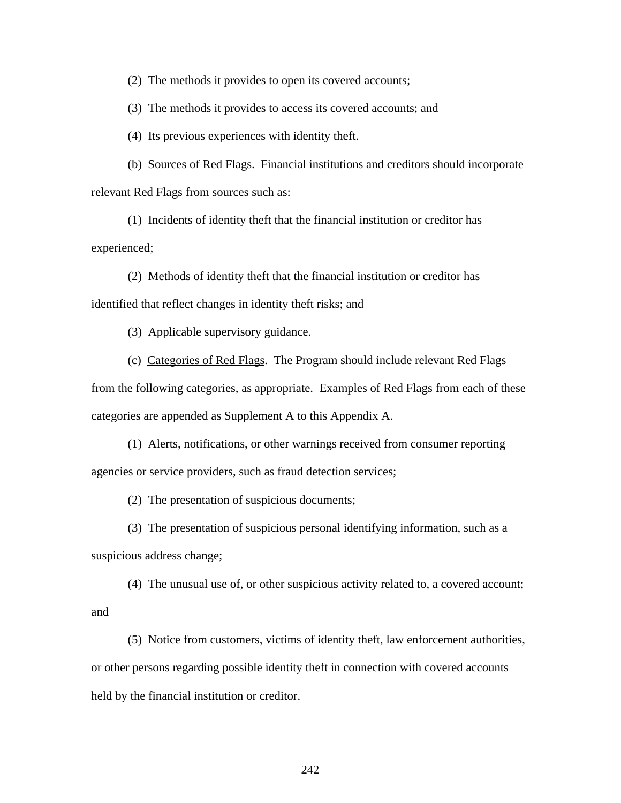(2) The methods it provides to open its covered accounts;

(3) The methods it provides to access its covered accounts; and

(4) Its previous experiences with identity theft.

 (b) Sources of Red Flags. Financial institutions and creditors should incorporate relevant Red Flags from sources such as:

 (1) Incidents of identity theft that the financial institution or creditor has experienced;

 (2) Methods of identity theft that the financial institution or creditor has identified that reflect changes in identity theft risks; and

(3) Applicable supervisory guidance.

(c) Categories of Red Flags. The Program should include relevant Red Flags

from the following categories, as appropriate. Examples of Red Flags from each of these categories are appended as Supplement A to this Appendix A.

 (1) Alerts, notifications, or other warnings received from consumer reporting agencies or service providers, such as fraud detection services;

(2) The presentation of suspicious documents;

 (3) The presentation of suspicious personal identifying information, such as a suspicious address change;

 (4) The unusual use of, or other suspicious activity related to, a covered account; and

 (5) Notice from customers, victims of identity theft, law enforcement authorities, or other persons regarding possible identity theft in connection with covered accounts held by the financial institution or creditor.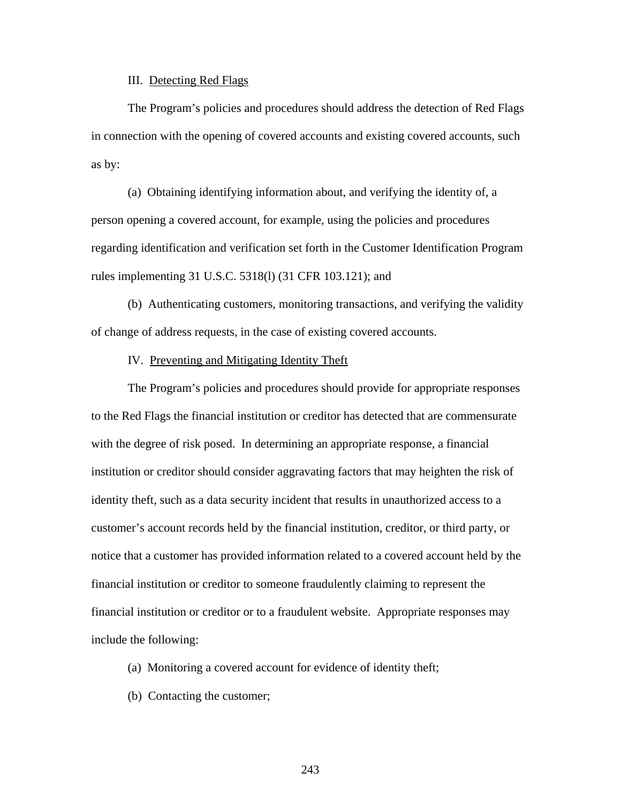#### III. Detecting Red Flags

 The Program's policies and procedures should address the detection of Red Flags in connection with the opening of covered accounts and existing covered accounts, such as by:

(a) Obtaining identifying information about, and verifying the identity of, a person opening a covered account, for example, using the policies and procedures regarding identification and verification set forth in the Customer Identification Program rules implementing 31 U.S.C. 5318(l) (31 CFR 103.121); and

(b) Authenticating customers, monitoring transactions, and verifying the validity of change of address requests, in the case of existing covered accounts.

#### IV. Preventing and Mitigating Identity Theft

The Program's policies and procedures should provide for appropriate responses to the Red Flags the financial institution or creditor has detected that are commensurate with the degree of risk posed. In determining an appropriate response, a financial institution or creditor should consider aggravating factors that may heighten the risk of identity theft, such as a data security incident that results in unauthorized access to a customer's account records held by the financial institution, creditor, or third party, or notice that a customer has provided information related to a covered account held by the financial institution or creditor to someone fraudulently claiming to represent the financial institution or creditor or to a fraudulent website. Appropriate responses may include the following:

- (a) Monitoring a covered account for evidence of identity theft;
- (b) Contacting the customer;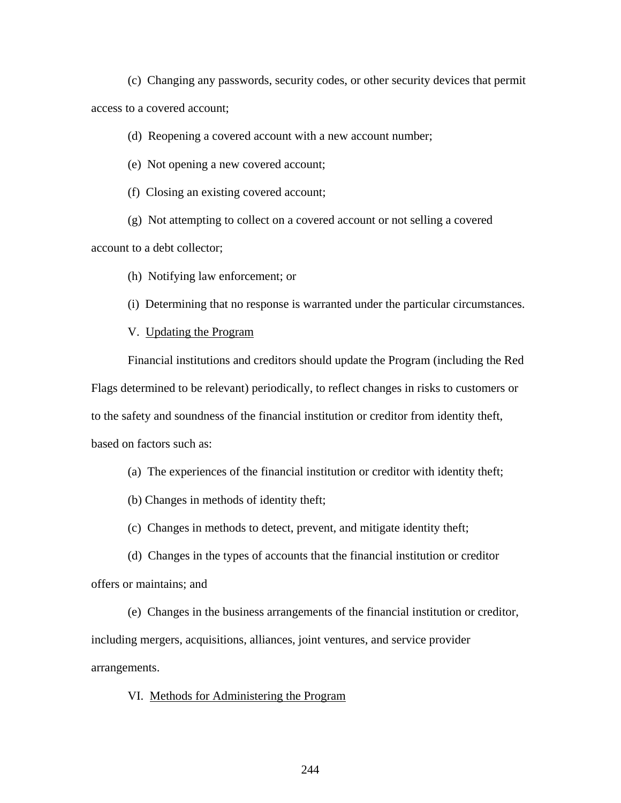(c) Changing any passwords, security codes, or other security devices that permit access to a covered account;

(d) Reopening a covered account with a new account number;

(e) Not opening a new covered account;

(f) Closing an existing covered account;

(g) Not attempting to collect on a covered account or not selling a covered

account to a debt collector;

(h) Notifying law enforcement; or

(i) Determining that no response is warranted under the particular circumstances.

V. Updating the Program

 Financial institutions and creditors should update the Program (including the Red Flags determined to be relevant) periodically, to reflect changes in risks to customers or to the safety and soundness of the financial institution or creditor from identity theft, based on factors such as:

(a) The experiences of the financial institution or creditor with identity theft;

(b) Changes in methods of identity theft;

(c) Changes in methods to detect, prevent, and mitigate identity theft;

(d) Changes in the types of accounts that the financial institution or creditor offers or maintains; and

(e) Changes in the business arrangements of the financial institution or creditor, including mergers, acquisitions, alliances, joint ventures, and service provider arrangements.

VI. Methods for Administering the Program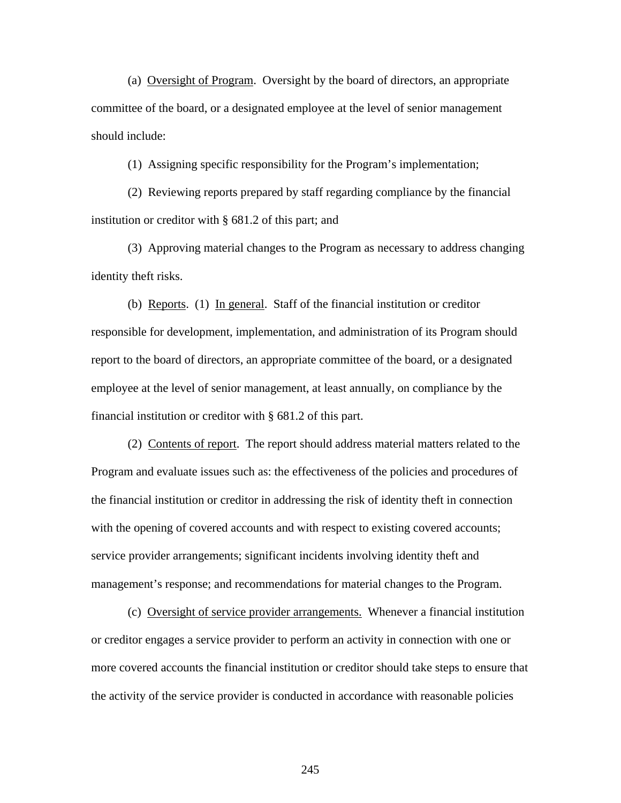(a) Oversight of Program. Oversight by the board of directors, an appropriate committee of the board, or a designated employee at the level of senior management should include:

(1) Assigning specific responsibility for the Program's implementation;

(2) Reviewing reports prepared by staff regarding compliance by the financial institution or creditor with § 681.2 of this part; and

(3) Approving material changes to the Program as necessary to address changing identity theft risks.

(b) Reports. (1) In general. Staff of the financial institution or creditor responsible for development, implementation, and administration of its Program should report to the board of directors, an appropriate committee of the board, or a designated employee at the level of senior management, at least annually, on compliance by the financial institution or creditor with § 681.2 of this part.

 (2) Contents of report. The report should address material matters related to the Program and evaluate issues such as: the effectiveness of the policies and procedures of the financial institution or creditor in addressing the risk of identity theft in connection with the opening of covered accounts and with respect to existing covered accounts; service provider arrangements; significant incidents involving identity theft and management's response; and recommendations for material changes to the Program.

 (c) Oversight of service provider arrangements. Whenever a financial institution or creditor engages a service provider to perform an activity in connection with one or more covered accounts the financial institution or creditor should take steps to ensure that the activity of the service provider is conducted in accordance with reasonable policies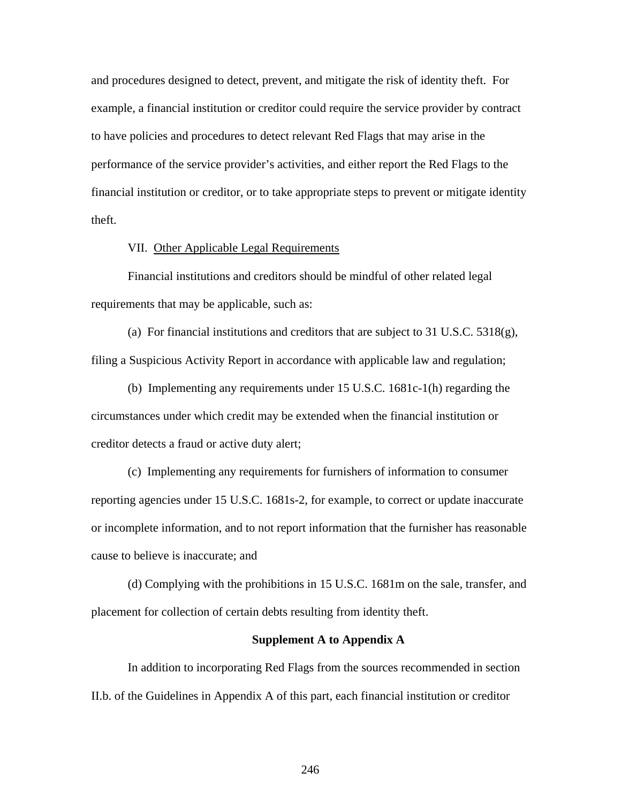and procedures designed to detect, prevent, and mitigate the risk of identity theft. For example, a financial institution or creditor could require the service provider by contract to have policies and procedures to detect relevant Red Flags that may arise in the performance of the service provider's activities, and either report the Red Flags to the financial institution or creditor, or to take appropriate steps to prevent or mitigate identity theft.

#### VII. Other Applicable Legal Requirements

Financial institutions and creditors should be mindful of other related legal requirements that may be applicable, such as:

(a) For financial institutions and creditors that are subject to 31 U.S.C.  $5318(g)$ , filing a Suspicious Activity Report in accordance with applicable law and regulation;

(b) Implementing any requirements under 15 U.S.C. 1681c-1(h) regarding the circumstances under which credit may be extended when the financial institution or creditor detects a fraud or active duty alert;

(c) Implementing any requirements for furnishers of information to consumer reporting agencies under 15 U.S.C. 1681s-2, for example, to correct or update inaccurate or incomplete information, and to not report information that the furnisher has reasonable cause to believe is inaccurate; and

(d) Complying with the prohibitions in 15 U.S.C. 1681m on the sale, transfer, and placement for collection of certain debts resulting from identity theft.

#### **Supplement A to Appendix A**

In addition to incorporating Red Flags from the sources recommended in section II.b. of the Guidelines in Appendix A of this part, each financial institution or creditor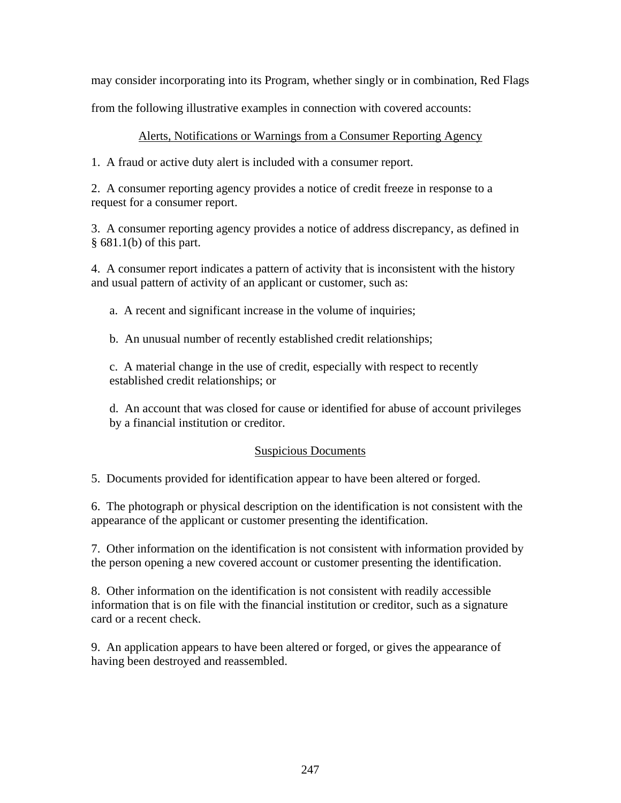may consider incorporating into its Program, whether singly or in combination, Red Flags

from the following illustrative examples in connection with covered accounts:

## Alerts, Notifications or Warnings from a Consumer Reporting Agency

1. A fraud or active duty alert is included with a consumer report.

2. A consumer reporting agency provides a notice of credit freeze in response to a request for a consumer report.

3. A consumer reporting agency provides a notice of address discrepancy, as defined in § 681.1(b) of this part.

4. A consumer report indicates a pattern of activity that is inconsistent with the history and usual pattern of activity of an applicant or customer, such as:

a. A recent and significant increase in the volume of inquiries;

b. An unusual number of recently established credit relationships;

c. A material change in the use of credit, especially with respect to recently established credit relationships; or

d. An account that was closed for cause or identified for abuse of account privileges by a financial institution or creditor.

## Suspicious Documents

5. Documents provided for identification appear to have been altered or forged.

6. The photograph or physical description on the identification is not consistent with the appearance of the applicant or customer presenting the identification.

7. Other information on the identification is not consistent with information provided by the person opening a new covered account or customer presenting the identification.

8. Other information on the identification is not consistent with readily accessible information that is on file with the financial institution or creditor, such as a signature card or a recent check.

9. An application appears to have been altered or forged, or gives the appearance of having been destroyed and reassembled.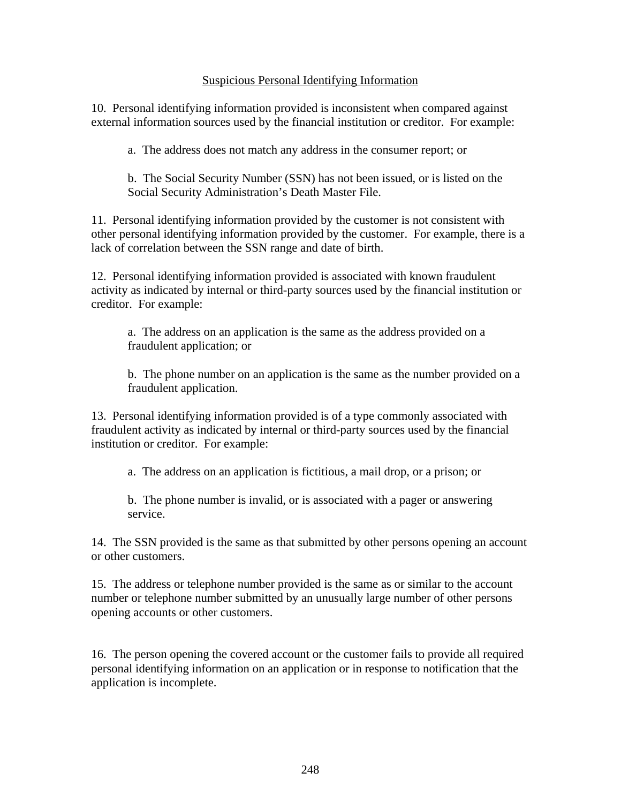## Suspicious Personal Identifying Information

10. Personal identifying information provided is inconsistent when compared against external information sources used by the financial institution or creditor. For example:

a. The address does not match any address in the consumer report; or

b. The Social Security Number (SSN) has not been issued, or is listed on the Social Security Administration's Death Master File.

11. Personal identifying information provided by the customer is not consistent with other personal identifying information provided by the customer. For example, there is a lack of correlation between the SSN range and date of birth.

12. Personal identifying information provided is associated with known fraudulent activity as indicated by internal or third-party sources used by the financial institution or creditor. For example:

a. The address on an application is the same as the address provided on a fraudulent application; or

b. The phone number on an application is the same as the number provided on a fraudulent application.

13. Personal identifying information provided is of a type commonly associated with fraudulent activity as indicated by internal or third-party sources used by the financial institution or creditor. For example:

a. The address on an application is fictitious, a mail drop, or a prison; or

b. The phone number is invalid, or is associated with a pager or answering service.

14. The SSN provided is the same as that submitted by other persons opening an account or other customers.

15. The address or telephone number provided is the same as or similar to the account number or telephone number submitted by an unusually large number of other persons opening accounts or other customers.

16. The person opening the covered account or the customer fails to provide all required personal identifying information on an application or in response to notification that the application is incomplete.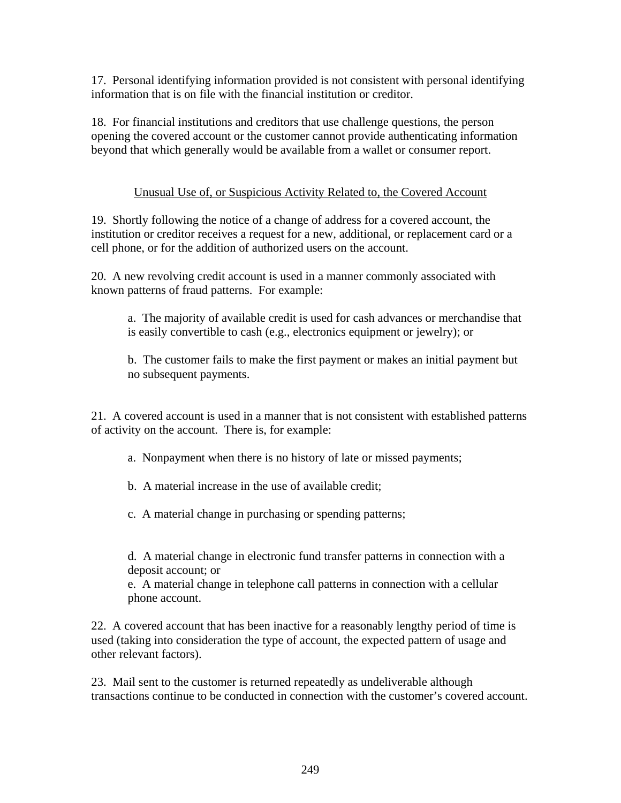17. Personal identifying information provided is not consistent with personal identifying information that is on file with the financial institution or creditor.

18. For financial institutions and creditors that use challenge questions, the person opening the covered account or the customer cannot provide authenticating information beyond that which generally would be available from a wallet or consumer report.

## Unusual Use of, or Suspicious Activity Related to, the Covered Account

19. Shortly following the notice of a change of address for a covered account, the institution or creditor receives a request for a new, additional, or replacement card or a cell phone, or for the addition of authorized users on the account.

20. A new revolving credit account is used in a manner commonly associated with known patterns of fraud patterns. For example:

a. The majority of available credit is used for cash advances or merchandise that is easily convertible to cash (e.g., electronics equipment or jewelry); or

b. The customer fails to make the first payment or makes an initial payment but no subsequent payments.

21. A covered account is used in a manner that is not consistent with established patterns of activity on the account. There is, for example:

- a. Nonpayment when there is no history of late or missed payments;
- b. A material increase in the use of available credit;
- c. A material change in purchasing or spending patterns;

d. A material change in electronic fund transfer patterns in connection with a deposit account; or

e. A material change in telephone call patterns in connection with a cellular phone account.

22. A covered account that has been inactive for a reasonably lengthy period of time is used (taking into consideration the type of account, the expected pattern of usage and other relevant factors).

23. Mail sent to the customer is returned repeatedly as undeliverable although transactions continue to be conducted in connection with the customer's covered account.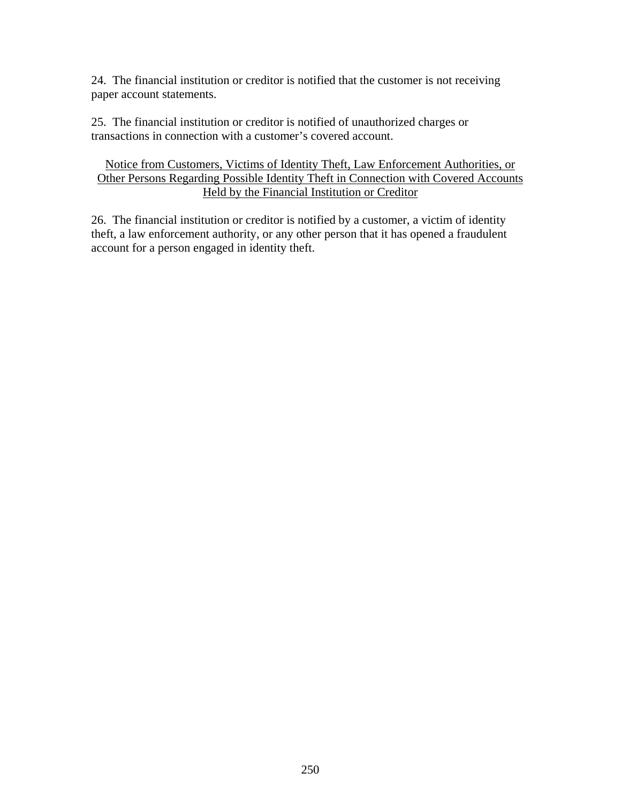24. The financial institution or creditor is notified that the customer is not receiving paper account statements.

25. The financial institution or creditor is notified of unauthorized charges or transactions in connection with a customer's covered account.

## Notice from Customers, Victims of Identity Theft, Law Enforcement Authorities, or Other Persons Regarding Possible Identity Theft in Connection with Covered Accounts Held by the Financial Institution or Creditor

26. The financial institution or creditor is notified by a customer, a victim of identity theft, a law enforcement authority, or any other person that it has opened a fraudulent account for a person engaged in identity theft.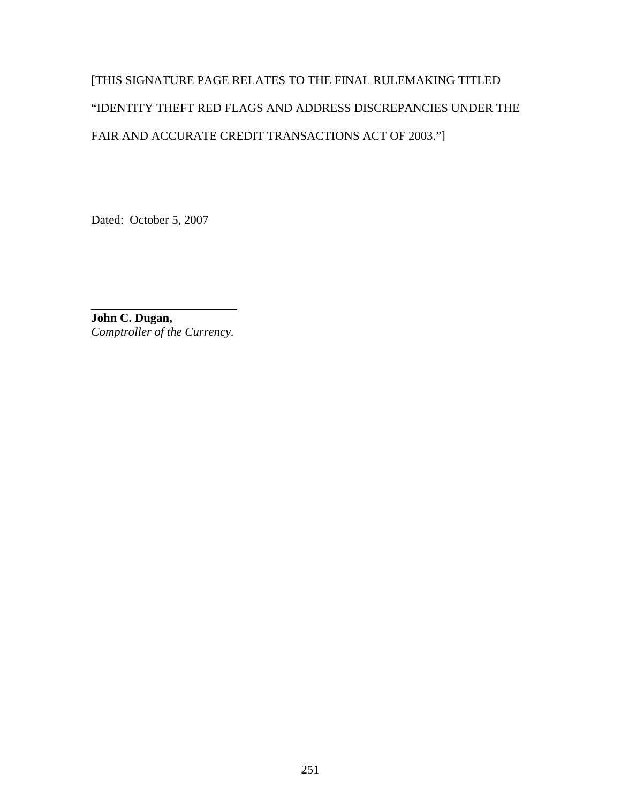# [THIS SIGNATURE PAGE RELATES TO THE FINAL RULEMAKING TITLED "IDENTITY THEFT RED FLAGS AND ADDRESS DISCREPANCIES UNDER THE FAIR AND ACCURATE CREDIT TRANSACTIONS ACT OF 2003."]

Dated: October 5, 2007

**John C. Dugan,**  *Comptroller of the Currency.* 

 $\overline{a}$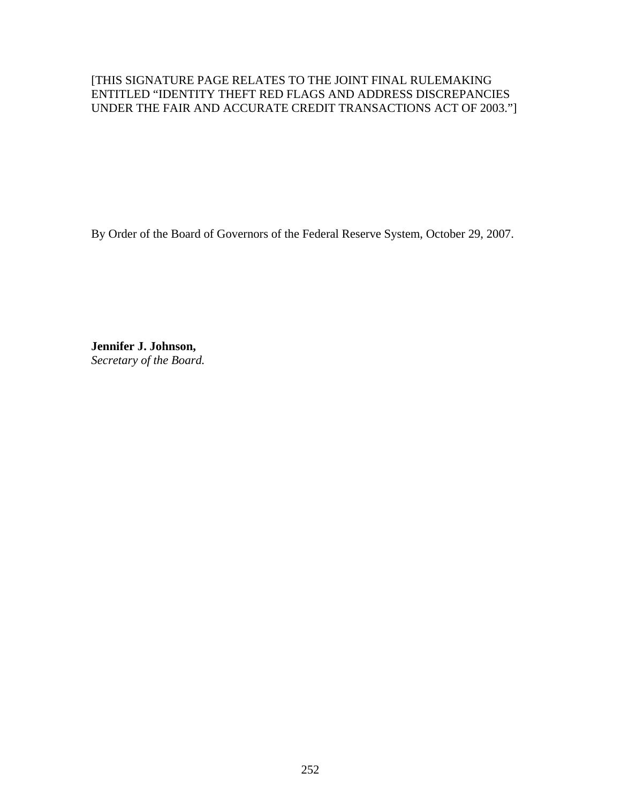## [THIS SIGNATURE PAGE RELATES TO THE JOINT FINAL RULEMAKING ENTITLED "IDENTITY THEFT RED FLAGS AND ADDRESS DISCREPANCIES UNDER THE FAIR AND ACCURATE CREDIT TRANSACTIONS ACT OF 2003."]

By Order of the Board of Governors of the Federal Reserve System, October 29, 2007.

**Jennifer J. Johnson,**  *Secretary of the Board.*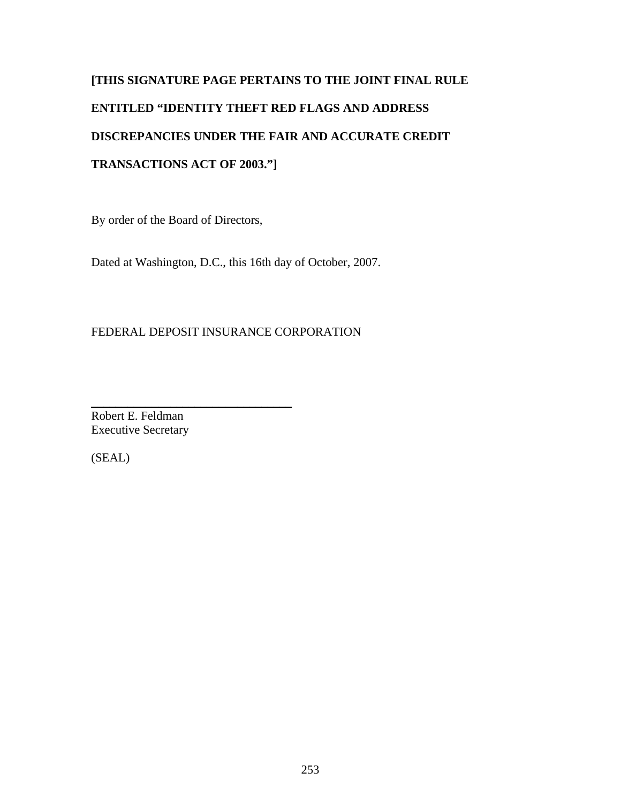# **[THIS SIGNATURE PAGE PERTAINS TO THE JOINT FINAL RULE ENTITLED "IDENTITY THEFT RED FLAGS AND ADDRESS DISCREPANCIES UNDER THE FAIR AND ACCURATE CREDIT TRANSACTIONS ACT OF 2003."]**

By order of the Board of Directors,

Dated at Washington, D.C., this 16th day of October, 2007.

## FEDERAL DEPOSIT INSURANCE CORPORATION

\_\_\_\_\_\_\_\_\_\_\_\_\_\_\_\_\_\_\_\_\_\_\_\_\_\_\_\_\_\_\_\_\_ Robert E. Feldman Executive Secretary

(SEAL)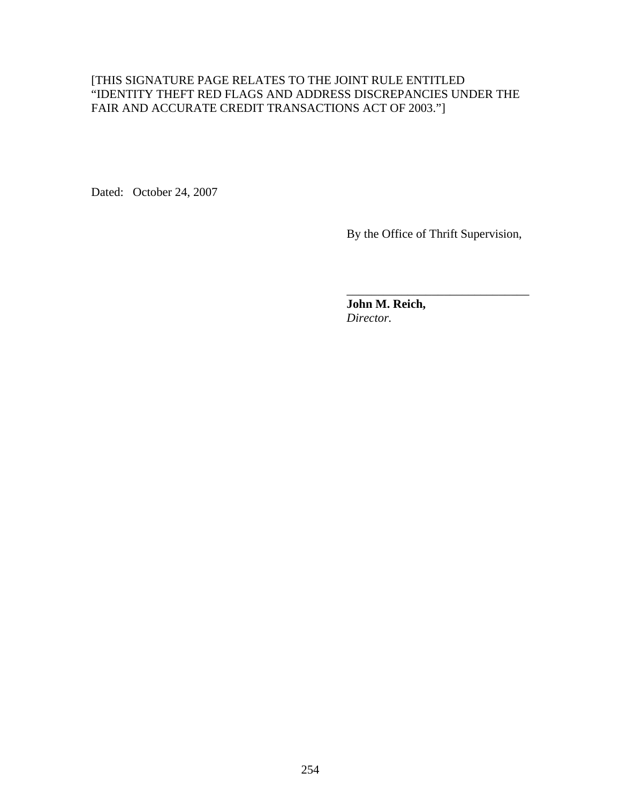#### [THIS SIGNATURE PAGE RELATES TO THE JOINT RULE ENTITLED "IDENTITY THEFT RED FLAGS AND ADDRESS DISCREPANCIES UNDER THE FAIR AND ACCURATE CREDIT TRANSACTIONS ACT OF 2003."]

 $\overline{\phantom{a}}$  , and the contract of the contract of the contract of the contract of the contract of the contract of the contract of the contract of the contract of the contract of the contract of the contract of the contrac

Dated: October 24, 2007

By the Office of Thrift Supervision,

**John M. Reich,**  *Director.*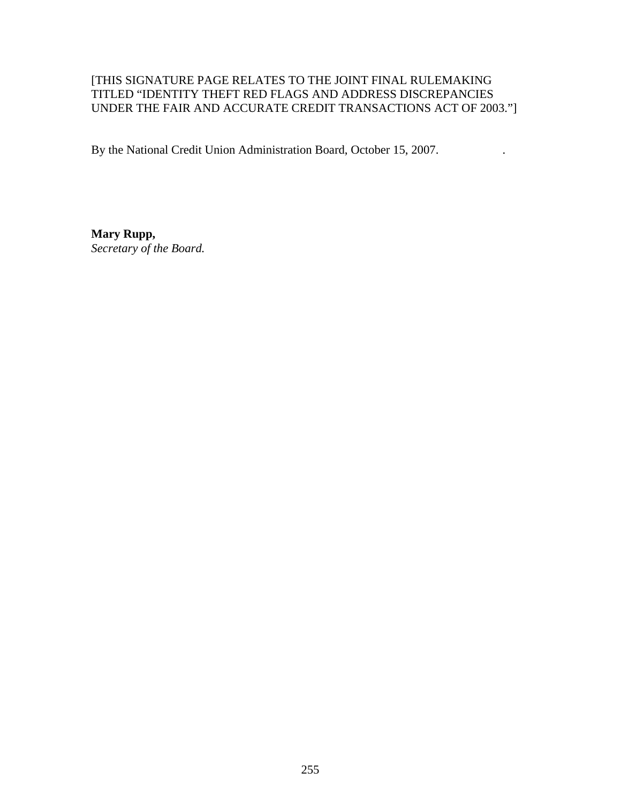### [THIS SIGNATURE PAGE RELATES TO THE JOINT FINAL RULEMAKING TITLED "IDENTITY THEFT RED FLAGS AND ADDRESS DISCREPANCIES UNDER THE FAIR AND ACCURATE CREDIT TRANSACTIONS ACT OF 2003."]

By the National Credit Union Administration Board, October 15, 2007. .

**Mary Rupp,**  *Secretary of the Board.*